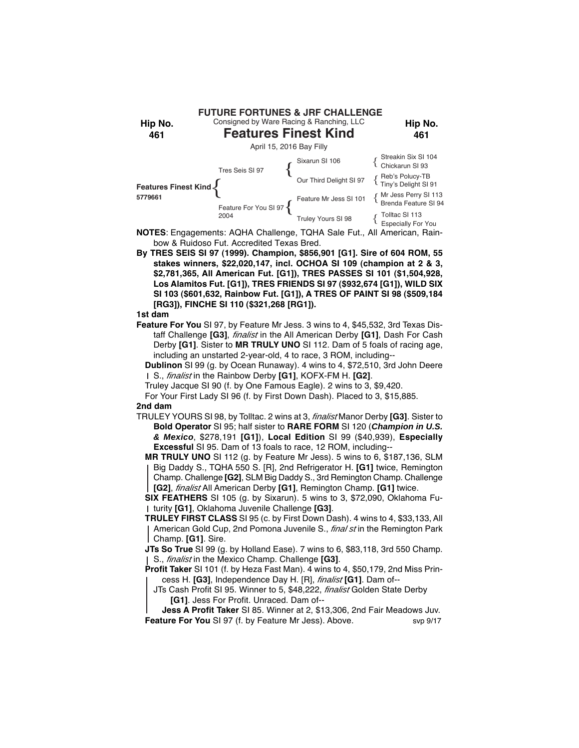| Hip No.<br>461                  |                               | <b>FUTURE FORTUNES &amp; JRF CHALLENGE</b><br>Consigned by Ware Racing & Ranching, LLC<br><b>Features Finest Kind</b> | Hip No.<br>461                                 |
|---------------------------------|-------------------------------|-----------------------------------------------------------------------------------------------------------------------|------------------------------------------------|
| April 15, 2016 Bay Filly        |                               |                                                                                                                       |                                                |
| Features Finest Kind<br>5779661 | Tres Seis SI 97               |                                                                                                                       | Streakin Six SI 104<br>{ Chickarun SI 93       |
|                                 |                               | Sixarun SI 106<br>{Chickarun SI 93<br>Our Third Delight SI 97<br>{Reb's Polucy-TB<br>Tiny's Delight SI 91             |                                                |
|                                 | Feature For You SI 97<br>2004 | Feature Mr Jess SI 101                                                                                                | { Mr Jess Perry SI 113<br>Brenda Feature SI 94 |
|                                 |                               | Truley Yours SI 98                                                                                                    | { Tolltac SI 113<br>{ Especially For You       |

**NOTES**: Engagements: AQHA Challenge, TQHA Sale Fut., All American, Rainbow & Ruidoso Fut. Accredited Texas Bred.

**By TRES SEIS SI 97 (1999). Champion, \$856,901 [G1]. Sire of 604 ROM, 55 stakes winners, \$22,020,147, incl. OCHOA SI 109 (champion at 2 & 3, \$2,781,365, All American Fut. [G1]), TRES PASSES SI 101 (\$1,504,928, Los Alamitos Fut. [G1]), TRES FRIENDS SI 97 (\$932,674 [G1]), WILD SIX SI 103 (\$601,632, Rainbow Fut. [G1]), A TRES OF PAINT SI 98 (\$509,184 [RG3]), FINCHE SI 110 (\$321,268 [RG1]).**

### **1st dam**

**Feature For You** SI 97, by Feature Mr Jess. 3 wins to 4, \$45,532, 3rd Texas Distaff Challenge **[G3]**, *finalist* in the All American Derby **[G1]**, Dash For Cash Derby **[G1]**. Sister to **MR TRULY UNO** SI 112. Dam of 5 foals of racing age, including an unstarted 2-year-old, 4 to race, 3 ROM, including--

**Dublinon** SI 99 (g. by Ocean Runaway). 4 wins to 4, \$72,510, 3rd John Deere S., *finalist* in the Rainbow Derby **[G1]**, KOFX-FM H. **[G2]**.

Truley Jacque SI 90 (f. by One Famous Eagle). 2 wins to 3, \$9,420.

For Your First Lady SI 96 (f. by First Down Dash). Placed to 3, \$15,885. **2nd dam**

TRULEY YOURS SI 98, by Tolltac. 2 wins at 3, *finalist* Manor Derby **[G3]**. Sister to

**Bold Operator** SI 95; half sister to **RARE FORM** SI 120 (*Champion in U.S. & Mexico*, \$278,191 **[G1]**), **Local Edition** SI 99 (\$40,939), **Especially Excessful** SI 95. Dam of 13 foals to race, 12 ROM, including--

**MR TRULY UNO** SI 112 (g. by Feature Mr Jess). 5 wins to 6, \$187,136, SLM Big Daddy S., TQHA 550 S. [R], 2nd Refrigerator H. **[G1]** twice, Remington Champ. Challenge **[G2]**, SLM Big Daddy S., 3rd Remington Champ. Challenge **[G2]**, *finalist* All American Derby **[G1]**, Remington Champ. **[G1]** twice.

**SIX FEATHERS** SI 105 (g. by Sixarun). 5 wins to 3, \$72,090, Oklahoma Futurity **[G1]**, Oklahoma Juvenile Challenge **[G3]**.

**TRULEY FIRST CLASS** SI 95 (c. by First Down Dash). 4 wins to 4, \$33,133, All American Gold Cup, 2nd Pomona Juvenile S., *final st* in the Remington Park Champ. **[G1]**. Sire.

**JTs So True** SI 99 (g. by Holland Ease). 7 wins to 6, \$83,118, 3rd 550 Champ. S., *finalist* in the Mexico Champ. Challenge **[G3]**.

**Profit Taker** SI 101 (f. by Heza Fast Man). 4 wins to 4, \$50,179, 2nd Miss Princess H. **[G3]**, Independence Day H. [R], *finalist* **[G1]**. Dam of--

JTs Cash Profit SI 95. Winner to 5, \$48,222, *finalist* Golden State Derby **[G1]**. Jess For Profit. Unraced. Dam of--

**Jess A Profit Taker** SI 85. Winner at 2, \$13,306, 2nd Fair Meadows Juv. **Feature For You** SI 97 (f. by Feature Mr Jess). Above. svp 9/17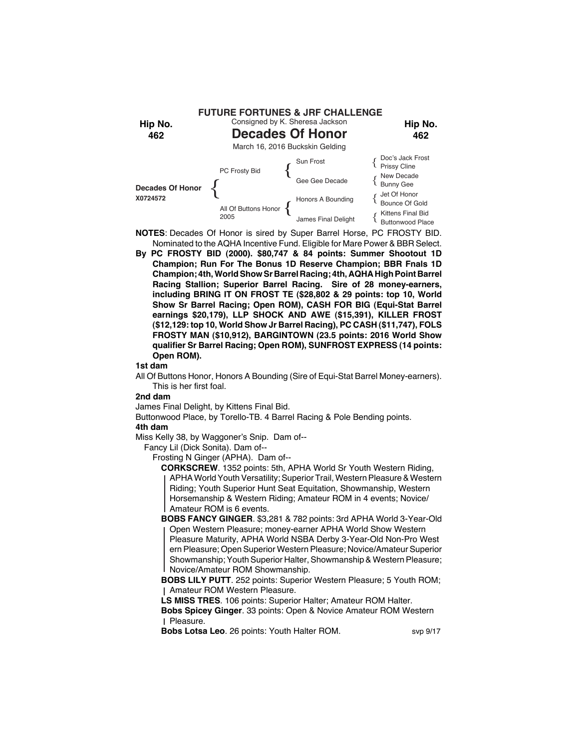

- **NOTES**: Decades Of Honor is sired by Super Barrel Horse, PC FROSTY BID. Nominated to the AQHA Incentive Fund. Eligible for Mare Power & BBR Select.
- **By PC FROSTY BID (2000). \$80,747 & 84 points: Summer Shootout 1D Champion; Run For The Bonus 1D Reserve Champion; BBR Fnals 1D Champion; 4th, World Show Sr Barrel Racing; 4th, AQHA High Point Barrel Racing Stallion; Superior Barrel Racing. Sire of 28 money-earners, including BRING IT ON FROST TE (\$28,802 & 29 points: top 10, World Show Sr Barrel Racing; Open ROM), CASH FOR BIG (Equi-Stat Barrel earnings \$20,179), LLP SHOCK AND AWE (\$15,391), KILLER FROST (\$12,129: top 10, World Show Jr Barrel Racing), PC CASH (\$11,747), FOLS FROSTY MAN (\$10,912), BARGINTOWN (23.5 points: 2016 World Show qualifier Sr Barrel Racing; Open ROM), SUNFROST EXPRESS (14 points: Open ROM).**

All Of Buttons Honor, Honors A Bounding (Sire of Equi-Stat Barrel Money-earners). This is her first foal.

## **2nd dam**

James Final Delight, by Kittens Final Bid.

Buttonwood Place, by Torello-TB. 4 Barrel Racing & Pole Bending points.

## **4th dam**

Miss Kelly 38, by Waggoner's Snip. Dam of--

Fancy Lil (Dick Sonita). Dam of--

Frosting N Ginger (APHA). Dam of--

**CORKSCREW**. 1352 points: 5th, APHA World Sr Youth Western Riding, APHA World Youth Versatility; Superior Trail, Western Pleasure & Western Riding; Youth Superior Hunt Seat Equitation, Showmanship, Western Horsemanship & Western Riding; Amateur ROM in 4 events; Novice/ Amateur ROM is 6 events.

**BOBS FANCY GINGER**. \$3,281 & 782 points: 3rd APHA World 3-Year-Old Open Western Pleasure; money-earner APHA World Show Western Pleasure Maturity, APHA World NSBA Derby 3-Year-Old Non-Pro West ern Pleasure; Open Superior Western Pleasure; Novice/Amateur Superior Showmanship; Youth Superior Halter, Showmanship & Western Pleasure; Novice/Amateur ROM Showmanship.

**BOBS LILY PUTT**. 252 points: Superior Western Pleasure; 5 Youth ROM; Amateur ROM Western Pleasure.

**LS MISS TRES**. 106 points: Superior Halter; Amateur ROM Halter.

**Bobs Spicey Ginger**. 33 points: Open & Novice Amateur ROM Western Pleasure.

**Bobs Lotsa Leo**. 26 points: Youth Halter ROM. svp 9/17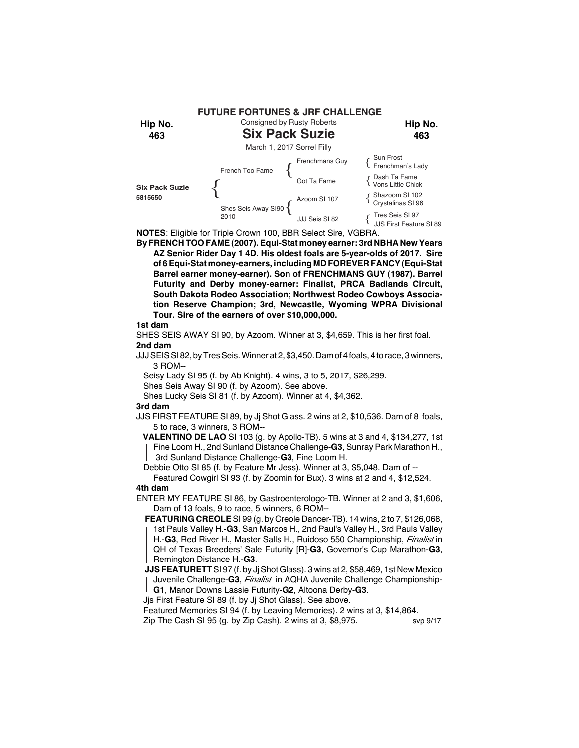

**NOTES**: Eligible for Triple Crown 100, BBR Select Sire, VGBRA.

**By FRENCH TOO FAME (2007). Equi-Stat money earner: 3rd NBHA New Years AZ Senior Rider Day 1 4D. His oldest foals are 5-year-olds of 2017. Sire of 6 Equi-Stat money-earners, including MD FOREVER FANCY (Equi-Stat Barrel earner money-earner). Son of FRENCHMANS GUY (1987). Barrel Futurity and Derby money-earner: Finalist, PRCA Badlands Circuit, South Dakota Rodeo Association; Northwest Rodeo Cowboys Association Reserve Champion; 3rd, Newcastle, Wyoming WPRA Divisional Tour. Sire of the earners of over \$10,000,000.**

#### **1st dam**

SHES SEIS AWAY SI 90, by Azoom. Winner at 3, \$4,659. This is her first foal. **2nd dam**

- JJJ SEIS SI 82, by Tres Seis. Winner at 2, \$3,450. Dam of 4 foals, 4 to race, 3 winners, 3 ROM--
	- Seisy Lady SI 95 (f. by Ab Knight). 4 wins, 3 to 5, 2017, \$26,299.
- Shes Seis Away SI 90 (f. by Azoom). See above.
- Shes Lucky Seis SI 81 (f. by Azoom). Winner at 4, \$4,362.

#### **3rd dam**

JJS FIRST FEATURE SI 89, by Jj Shot Glass. 2 wins at 2, \$10,536. Dam of 8 foals, 5 to race, 3 winners, 3 ROM--

 **VALENTINO DE LAO** SI 103 (g. by Apollo-TB). 5 wins at 3 and 4, \$134,277, 1st Fine Loom H., 2nd Sunland Distance Challenge-**G3**, Sunray Park Marathon H., 3rd Sunland Distance Challenge-**G3**, Fine Loom H.

Debbie Otto SI 85 (f. by Feature Mr Jess). Winner at 3, \$5,048. Dam of --

Featured Cowgirl SI 93 (f. by Zoomin for Bux). 3 wins at 2 and 4, \$12,524. **4th dam**

ENTER MY FEATURE SI 86, by Gastroenterologo-TB. Winner at 2 and 3, \$1,606, Dam of 13 foals, 9 to race, 5 winners, 6 ROM--

**FEATURING CREOLE** SI 99 (g. by Creole Dancer-TB). 14 wins, 2 to 7, \$126,068, 1st Pauls Valley H.-**G3**, San Marcos H., 2nd Paul's Valley H., 3rd Pauls Valley H.-**G3**, Red River H., Master Salls H., Ruidoso 550 Championship, *Finalist* in QH of Texas Breeders' Sale Futurity [R]-**G3**, Governor's Cup Marathon-**G3**, Remington Distance H.-**G3**.

**JJS FEATURETT** SI 97 (f. by Jj Shot Glass). 3 wins at 2, \$58,469, 1st New Mexico Juvenile Challenge-**G3**, *Finalist* in AQHA Juvenile Challenge Championship-**G1**, Manor Downs Lassie Futurity-**G2**, Altoona Derby-**G3**.

Jjs First Feature SI 89 (f. by Jj Shot Glass). See above.

Featured Memories SI 94 (f. by Leaving Memories). 2 wins at 3, \$14,864.

Zip The Cash SI 95 (g. by Zip Cash). 2 wins at  $3, $8,975$ . svp  $9/17$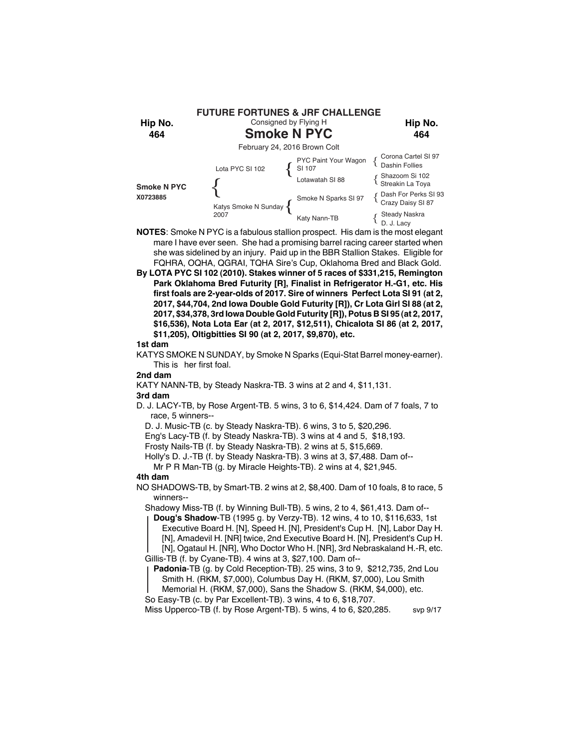

**NOTES**: Smoke N PYC is a fabulous stallion prospect. His dam is the most elegant mare I have ever seen. She had a promising barrel racing career started when she was sidelined by an injury. Paid up in the BBR Stallion Stakes. Eligible for FQHRA, OQHA, QGRAI, TQHA Sire's Cup, Oklahoma Bred and Black Gold.

**By LOTA PYC SI 102 (2010). Stakes winner of 5 races of \$331,215, Remington Park Oklahoma Bred Futurity [R], Finalist in Refrigerator H.-G1, etc. His first foals are 2-year-olds of 2017. Sire of winners Perfect Lota SI 91 (at 2, 2017, \$44,704, 2nd Iowa Double Gold Futurity [R]), Cr Lota Girl SI 88 (at 2, 2017, \$34,378, 3rd Iowa Double Gold Futurity [R]), Potus B SI 95 (at 2, 2017, \$16,536), Nota Lota Ear (at 2, 2017, \$12,511), Chicalota SI 86 (at 2, 2017, \$11,205), Oltigbitties SI 90 (at 2, 2017, \$9,870), etc.**

#### **1st dam**

KATYS SMOKE N SUNDAY, by Smoke N Sparks (Equi-Stat Barrel money-earner). This is her first foal.

## **2nd dam**

KATY NANN-TB, by Steady Naskra-TB. 3 wins at 2 and 4, \$11,131.

## **3rd dam**

D. J. LACY-TB, by Rose Argent-TB. 5 wins, 3 to 6, \$14,424. Dam of 7 foals, 7 to race, 5 winners--

D. J. Music-TB (c. by Steady Naskra-TB). 6 wins, 3 to 5, \$20,296.

Eng's Lacy-TB (f. by Steady Naskra-TB). 3 wins at 4 and 5, \$18,193.

Frosty Nails-TB (f. by Steady Naskra-TB). 2 wins at 5, \$15,669.

Holly's D. J.-TB (f. by Steady Naskra-TB). 3 wins at 3, \$7,488. Dam of--

Mr P R Man-TB (g. by Miracle Heights-TB). 2 wins at 4, \$21,945.

## **4th dam**

NO SHADOWS-TB, by Smart-TB. 2 wins at 2, \$8,400. Dam of 10 foals, 8 to race, 5 winners--

Shadowy Miss-TB (f. by Winning Bull-TB). 5 wins, 2 to 4, \$61,413. Dam of--

**Doug's Shadow**-TB (1995 g. by Verzy-TB). 12 wins, 4 to 10, \$116,633, 1st Executive Board H. [N], Speed H. [N], President's Cup H. [N], Labor Day H. [N], Amadevil H. [NR] twice, 2nd Executive Board H. [N], President's Cup H. [N], Ogataul H. [NR], Who Doctor Who H. [NR], 3rd Nebraskaland H.-R, etc.

Gillis-TB (f. by Cyane-TB). 4 wins at 3, \$27,100. Dam of--

**Padonia**-TB (g. by Cold Reception-TB). 25 wins, 3 to 9, \$212,735, 2nd Lou Smith H. (RKM, \$7,000), Columbus Day H. (RKM, \$7,000), Lou Smith Memorial H. (RKM, \$7,000), Sans the Shadow S. (RKM, \$4,000), etc.

So Easy-TB (c. by Par Excellent-TB). 3 wins, 4 to 6, \$18,707.

Miss Upperco-TB (f. by Rose Argent-TB). 5 wins, 4 to 6, \$20,285. svp 9/17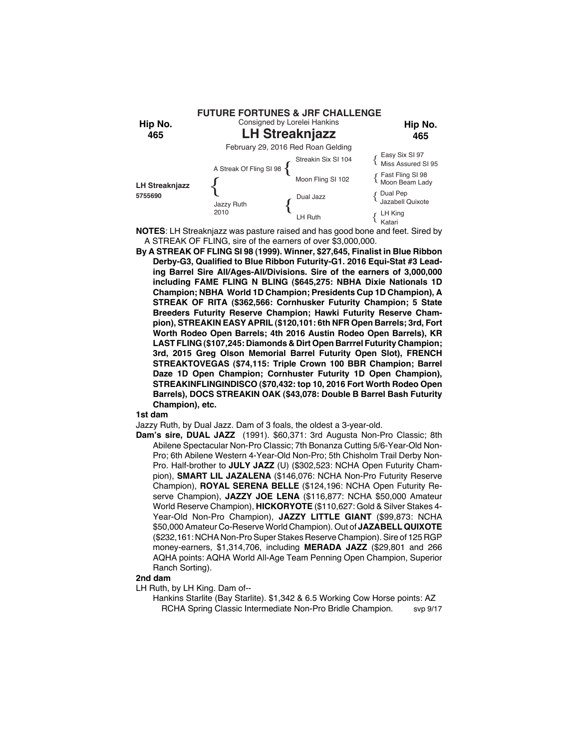

**NOTES**: LH Streaknjazz was pasture raised and has good bone and feet. Sired by A STREAK OF FLING, sire of the earners of over \$3,000,000.

**By A STREAK OF FLING SI 98 (1999). Winner, \$27,645, Finalist in Blue Ribbon Derby-G3, Qualified to Blue Ribbon Futurity-G1. 2016 Equi-Stat #3 Leading Barrel Sire All/Ages-All/Divisions. Sire of the earners of 3,000,000 including FAME FLING N BLING (\$645,275: NBHA Dixie Nationals 1D Champion; NBHA World 1D Champion; Presidents Cup 1D Champion), A STREAK OF RITA (\$362,566: Cornhusker Futurity Champion; 5 State Breeders Futurity Reserve Champion; Hawki Futurity Reserve Champion), STREAKIN EASY APRIL (\$120,101: 6th NFR Open Barrels; 3rd, Fort Worth Rodeo Open Barrels; 4th 2016 Austin Rodeo Open Barrels), KR LAST FLING (\$107,245: Diamonds & Dirt Open Barrrel Futurity Champion; 3rd, 2015 Greg Olson Memorial Barrel Futurity Open Slot), FRENCH STREAKTOVEGAS (\$74,115: Triple Crown 100 BBR Champion; Barrel Daze 1D Open Champion; Cornhuster Futurity 1D Open Champion), STREAKINFLINGINDISCO (\$70,432: top 10, 2016 Fort Worth Rodeo Open Barrels), DOCS STREAKIN OAK (\$43,078: Double B Barrel Bash Futurity Champion), etc.**

**1st dam**

Jazzy Ruth, by Dual Jazz. Dam of 3 foals, the oldest a 3-year-old.

**Dam's sire, DUAL JAZZ** (1991). \$60,371: 3rd Augusta Non-Pro Classic; 8th Abilene Spectacular Non-Pro Classic; 7th Bonanza Cutting 5/6-Year-Old Non-Pro; 6th Abilene Western 4-Year-Old Non-Pro; 5th Chisholm Trail Derby Non-Pro. Half-brother to **JULY JAZZ** (U) (\$302,523: NCHA Open Futurity Champion), **SMART LIL JAZALENA** (\$146,076: NCHA Non-Pro Futurity Reserve Champion), **ROYAL SERENA BELLE** (\$124,196: NCHA Open Futurity Reserve Champion), **JAZZY JOE LENA** (\$116,877: NCHA \$50,000 Amateur World Reserve Champion), **HICKORYOTE** (\$110,627: Gold & Silver Stakes 4- Year-Old Non-Pro Champion), **JAZZY LITTLE GIANT** (\$99,873: NCHA \$50,000 Amateur Co-Reserve World Champion). Out of **JAZABELL QUIXOTE** (\$232,161: NCHA Non-Pro Super Stakes Reserve Champion). Sire of 125 RGP money-earners, \$1,314,706, including **MERADA JAZZ** (\$29,801 and 266 AQHA points: AQHA World All-Age Team Penning Open Champion, Superior Ranch Sorting).

#### **2nd dam**

- LH Ruth, by LH King. Dam of--
	- Hankins Starlite (Bay Starlite). \$1,342 & 6.5 Working Cow Horse points: AZ RCHA Spring Classic Intermediate Non-Pro Bridle Champion. svp 9/17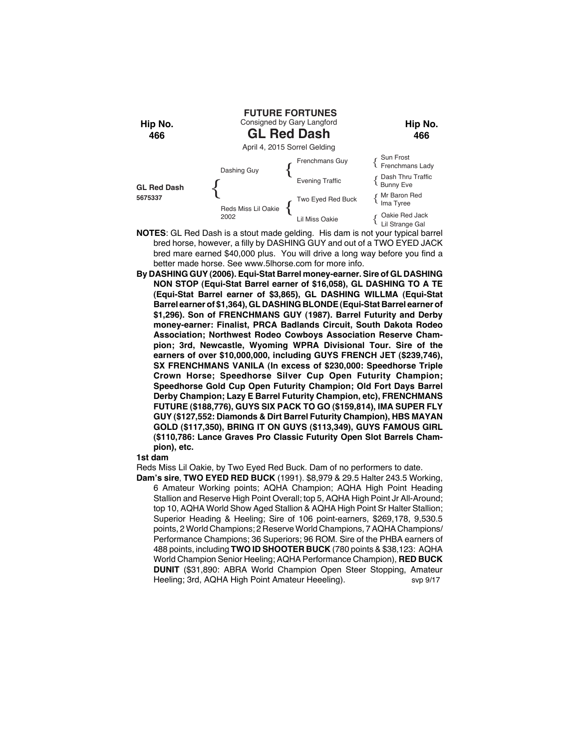

- **NOTES**: GL Red Dash is a stout made gelding. His dam is not your typical barrel bred horse, however, a filly by DASHING GUY and out of a TWO EYED JACK bred mare earned \$40,000 plus. You will drive a long way before you find a better made horse. See www.5lhorse.com for more info.
- **By DASHING GUY (2006). Equi-Stat Barrel money-earner. Sire of GL DASHING NON STOP (Equi-Stat Barrel earner of \$16,058), GL DASHING TO A TE (Equi-Stat Barrel earner of \$3,865), GL DASHING WILLMA (Equi-Stat Barrel earner of \$1,364), GL DASHING BLONDE (Equi-Stat Barrel earner of \$1,296). Son of FRENCHMANS GUY (1987). Barrel Futurity and Derby money-earner: Finalist, PRCA Badlands Circuit, South Dakota Rodeo Association; Northwest Rodeo Cowboys Association Reserve Champion; 3rd, Newcastle, Wyoming WPRA Divisional Tour. Sire of the earners of over \$10,000,000, including GUYS FRENCH JET (\$239,746), SX FRENCHMANS VANILA (In excess of \$230,000: Speedhorse Triple Crown Horse; Speedhorse Silver Cup Open Futurity Champion; Speedhorse Gold Cup Open Futurity Champion; Old Fort Days Barrel Derby Champion; Lazy E Barrel Futurity Champion, etc), FRENCHMANS FUTURE (\$188,776), GUYS SIX PACK TO GO (\$159,814), IMA SUPER FLY GUY (\$127,552: Diamonds & Dirt Barrel Futurity Champion), HBS MAYAN GOLD (\$117,350), BRING IT ON GUYS (\$113,349), GUYS FAMOUS GIRL (\$110,786: Lance Graves Pro Classic Futurity Open Slot Barrels Champion), etc.**

Reds Miss Lil Oakie, by Two Eyed Red Buck. Dam of no performers to date.

**Dam's sire**, **TWO EYED RED BUCK** (1991). \$8,979 & 29.5 Halter 243.5 Working, 6 Amateur Working points; AQHA Champion; AQHA High Point Heading Stallion and Reserve High Point Overall; top 5, AQHA High Point Jr All-Around; top 10, AQHA World Show Aged Stallion & AQHA High Point Sr Halter Stallion; Superior Heading & Heeling; Sire of 106 point-earners, \$269,178, 9,530.5 points, 2 World Champions; 2 Reserve World Champions, 7 AQHA Champions/ Performance Champions; 36 Superiors; 96 ROM. Sire of the PHBA earners of 488 points, including **TWO ID SHOOTER BUCK** (780 points & \$38,123: AQHA World Champion Senior Heeling; AQHA Performance Champion), **RED BUCK DUNIT** (\$31,890: ABRA World Champion Open Steer Stopping, Amateur Heeling; 3rd, AQHA High Point Amateur Heeeling). svp 9/17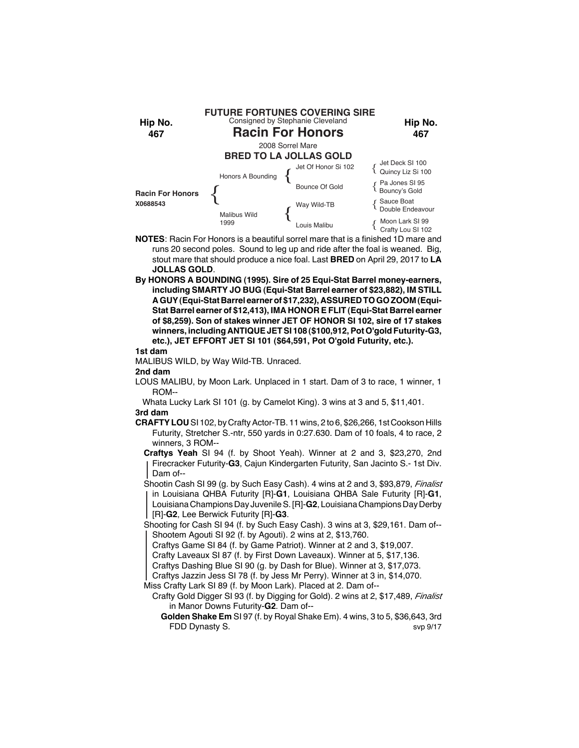

- **NOTES**: Racin For Honors is a beautiful sorrel mare that is a finished 1D mare and runs 20 second poles. Sound to leg up and ride after the foal is weaned. Big, stout mare that should produce a nice foal. Last **BRED** on April 29, 2017 to **LA JOLLAS GOLD**.
- **By HONORS A BOUNDING (1995). Sire of 25 Equi-Stat Barrel money-earners, including SMARTY JO BUG (Equi-Stat Barrel earner of \$23,882), IM STILL A GUY (Equi-Stat Barrel earner of \$17,232), ASSURED TO GO ZOOM (Equi-Stat Barrel earner of \$12,413), IMA HONOR E FLIT (Equi-Stat Barrel earner of \$8,259). Son of stakes winner JET OF HONOR SI 102, sire of 17 stakes winners, including ANTIQUE JET SI 108 (\$100,912, Pot O'gold Futurity-G3, etc.), JET EFFORT JET SI 101 (\$64,591, Pot O'gold Futurity, etc.).**

MALIBUS WILD, by Way Wild-TB. Unraced.

**2nd dam**

- LOUS MALIBU, by Moon Lark. Unplaced in 1 start. Dam of 3 to race, 1 winner, 1 ROM--
- Whata Lucky Lark SI 101 (g. by Camelot King). 3 wins at 3 and 5, \$11,401.

# **3rd dam**

- **CRAFTY LOU** SI 102, by Crafty Actor-TB. 11 wins, 2 to 6, \$26,266, 1st Cookson Hills Futurity, Stretcher S.-ntr, 550 yards in 0:27.630. Dam of 10 foals, 4 to race, 2 winners, 3 ROM--
	- **Craftys Yeah** SI 94 (f. by Shoot Yeah). Winner at 2 and 3, \$23,270, 2nd Firecracker Futurity-**G3**, Cajun Kindergarten Futurity, San Jacinto S.- 1st Div. Dam of--
	- Shootin Cash SI 99 (g. by Such Easy Cash). 4 wins at 2 and 3, \$93,879, *Finalist* in Louisiana QHBA Futurity [R]-**G1**, Louisiana QHBA Sale Futurity [R]-**G1**, Louisiana Champions Day Juvenile S. [R]-**G2**, Louisiana Champions Day Derby [R]-**G2**, Lee Berwick Futurity [R]-**G3**.
	- Shooting for Cash SI 94 (f. by Such Easy Cash). 3 wins at 3, \$29,161. Dam of-- Shootem Agouti SI 92 (f. by Agouti). 2 wins at 2, \$13,760.
		- Craftys Game SI 84 (f. by Game Patriot). Winner at 2 and 3, \$19,007.
		- Crafty Laveaux SI 87 (f. by First Down Laveaux). Winner at 5, \$17,136.
		- Craftys Dashing Blue SI 90 (g. by Dash for Blue). Winner at 3, \$17,073.
	- Craftys Jazzin Jess SI 78 (f. by Jess Mr Perry). Winner at 3 in, \$14,070.
	- Miss Crafty Lark SI 89 (f. by Moon Lark). Placed at 2. Dam of--
		- Crafty Gold Digger SI 93 (f. by Digging for Gold). 2 wins at 2, \$17,489, *Finalist* in Manor Downs Futurity-**G2**. Dam of--
			- **Golden Shake Em** SI 97 (f. by Royal Shake Em). 4 wins, 3 to 5, \$36,643, 3rd FDD Dynasty S. South Art and the Superior State Street Superior Street Street Superior Street Street Street Superior Street Street Superior Street Street Street Street Street Street Street Street Street Street Street Stree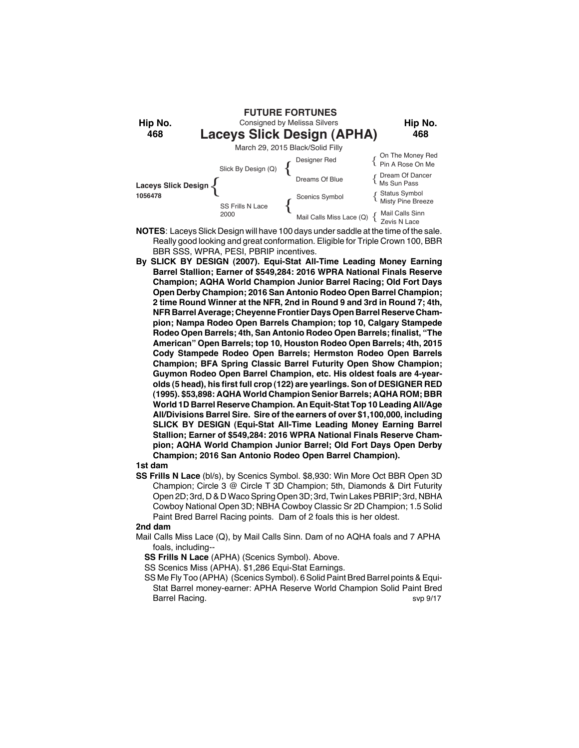

- **NOTES**: Laceys Slick Design will have 100 days under saddle at the time of the sale. Really good looking and great conformation. Eligible for Triple Crown 100, BBR BBR SSS, WPRA, PESI, PBRIP incentives.
- **By SLICK BY DESIGN (2007). Equi-Stat All-Time Leading Money Earning Barrel Stallion; Earner of \$549,284: 2016 WPRA National Finals Reserve Champion; AQHA World Champion Junior Barrel Racing; Old Fort Days Open Derby Champion; 2016 San Antonio Rodeo Open Barrel Champion; 2 time Round Winner at the NFR, 2nd in Round 9 and 3rd in Round 7; 4th, NFR Barrel Average; Cheyenne Frontier Days Open Barrel Reserve Champion; Nampa Rodeo Open Barrels Champion; top 10, Calgary Stampede Rodeo Open Barrels; 4th, San Antonio Rodeo Open Barrels; finalist, "The American" Open Barrels; top 10, Houston Rodeo Open Barrels; 4th, 2015 Cody Stampede Rodeo Open Barrels; Hermston Rodeo Open Barrels Champion; BFA Spring Classic Barrel Futurity Open Show Champion; Guymon Rodeo Open Barrel Champion, etc. His oldest foals are 4-yearolds (5 head), his first full crop (122) are yearlings. Son of DESIGNER RED (1995). \$53,898: AQHA World Champion Senior Barrels; AQHA ROM; BBR World 1D Barrel Reserve Champion. An Equit-Stat Top 10 Leading All/Age All/Divisions Barrel Sire. Sire of the earners of over \$1,100,000, including SLICK BY DESIGN (Equi-Stat All-Time Leading Money Earning Barrel Stallion; Earner of \$549,284: 2016 WPRA National Finals Reserve Champion; AQHA World Champion Junior Barrel; Old Fort Days Open Derby Champion; 2016 San Antonio Rodeo Open Barrel Champion).**

**SS Frills N Lace** (bl/s), by Scenics Symbol. \$8,930: Win More Oct BBR Open 3D Champion; Circle 3 @ Circle T 3D Champion; 5th, Diamonds & Dirt Futurity Open 2D; 3rd, D & D Waco Spring Open 3D; 3rd, Twin Lakes PBRIP; 3rd, NBHA Cowboy National Open 3D; NBHA Cowboy Classic Sr 2D Champion; 1.5 Solid Paint Bred Barrel Racing points. Dam of 2 foals this is her oldest.

## **2nd dam**

- Mail Calls Miss Lace (Q), by Mail Calls Sinn. Dam of no AQHA foals and 7 APHA foals, including--
	- **SS Frills N Lace** (APHA) (Scenics Symbol). Above.

SS Scenics Miss (APHA). \$1,286 Equi-Stat Earnings.

SS Me Fly Too (APHA) (Scenics Symbol). 6 Solid Paint Bred Barrel points & Equi-Stat Barrel money-earner: APHA Reserve World Champion Solid Paint Bred Barrel Racing. Superintendent and the state of the state of the state of the state of the state of the state of the state of the state of the state of the state of the state of the state of the state of the state of the st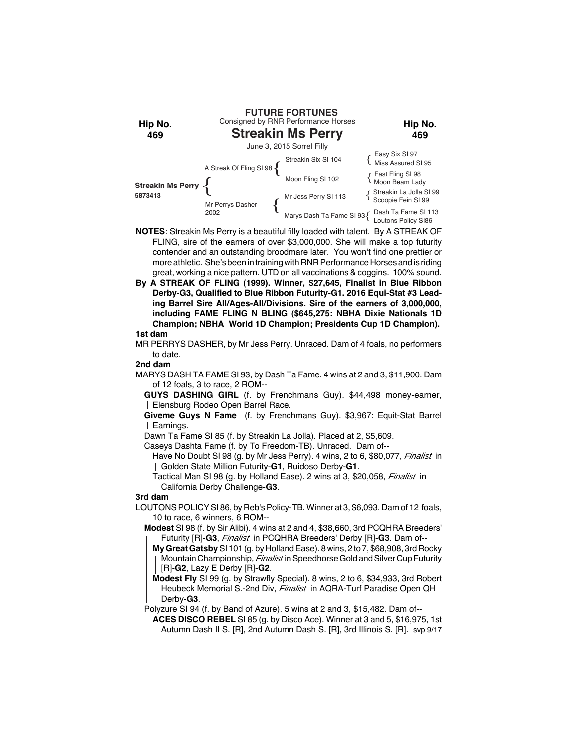

- **NOTES**: Streakin Ms Perry is a beautiful filly loaded with talent. By A STREAK OF FLING, sire of the earners of over \$3,000,000. She will make a top futurity contender and an outstanding broodmare later. You won't find one prettier or more athletic. She's been in training with RNR Performance Horses and is riding great, working a nice pattern. UTD on all vaccinations & coggins. 100% sound.
- **By A STREAK OF FLING (1999). Winner, \$27,645, Finalist in Blue Ribbon Derby-G3, Qualified to Blue Ribbon Futurity-G1. 2016 Equi-Stat #3 Leading Barrel Sire All/Ages-All/Divisions. Sire of the earners of 3,000,000, including FAME FLING N BLING (\$645,275: NBHA Dixie Nationals 1D Champion; NBHA World 1D Champion; Presidents Cup 1D Champion).**

MR PERRYS DASHER, by Mr Jess Perry. Unraced. Dam of 4 foals, no performers to date.

## **2nd dam**

- MARYS DASH TA FAME SI 93, by Dash Ta Fame. 4 wins at 2 and 3, \$11,900. Dam of 12 foals, 3 to race, 2 ROM--
	- **GUYS DASHING GIRL** (f. by Frenchmans Guy). \$44,498 money-earner, Elensburg Rodeo Open Barrel Race.
	- **Giveme Guys N Fame** (f. by Frenchmans Guy). \$3,967: Equit-Stat Barrel Earnings.
	- Dawn Ta Fame SI 85 (f. by Streakin La Jolla). Placed at 2, \$5,609.
	- Caseys Dashta Fame (f. by To Freedom-TB). Unraced. Dam of--
		- Have No Doubt SI 98 (g. by Mr Jess Perry). 4 wins, 2 to 6, \$80,077, *Finalist* in Golden State Million Futurity-**G1**, Ruidoso Derby-**G1**.
		- Tactical Man SI 98 (g. by Holland Ease). 2 wins at 3, \$20,058, *Finalist* in California Derby Challenge-**G3**.

**3rd dam**

- LOUTONS POLICY SI 86, by Reb's Policy-TB. Winner at 3, \$6,093. Dam of 12 foals, 10 to race, 6 winners, 6 ROM--
	- **Modest** SI 98 (f. by Sir Alibi). 4 wins at 2 and 4, \$38,660, 3rd PCQHRA Breeders' Futurity [R]-**G3**, *Finalist* in PCQHRA Breeders' Derby [R]-**G3**. Dam of--
		- **My Great Gatsby** SI 101 (g. by Holland Ease). 8 wins, 2 to 7, \$68,908, 3rd Rocky Mountain Championship, *Finalist* in Speedhorse Gold and Silver Cup Futurity [R]-**G2**, Lazy E Derby [R]-**G2**.
		- **Modest Fly** SI 99 (g. by Strawfly Special). 8 wins, 2 to 6, \$34,933, 3rd Robert Heubeck Memorial S.-2nd Div, *Finalist* in AQRA-Turf Paradise Open QH Derby-**G3**.
	- Polyzure SI 94 (f. by Band of Azure). 5 wins at 2 and 3, \$15,482. Dam of--
		- **ACES DISCO REBEL** SI 85 (g. by Disco Ace). Winner at 3 and 5, \$16,975, 1st Autumn Dash II S. [R], 2nd Autumn Dash S. [R], 3rd Illinois S. [R]. svp 9/17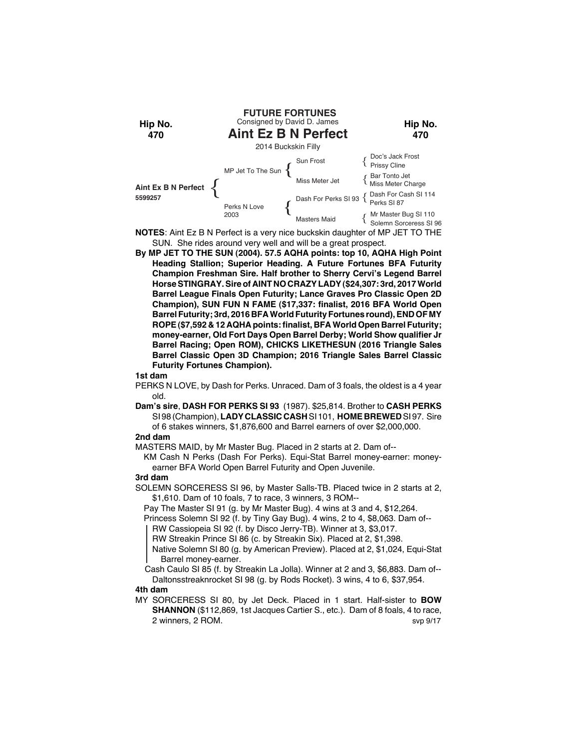

**NOTES**: Aint Ez B N Perfect is a very nice buckskin daughter of MP JET TO THE SUN. She rides around very well and will be a great prospect.

**By MP JET TO THE SUN (2004). 57.5 AQHA points: top 10, AQHA High Point Heading Stallion; Superior Heading. A Future Fortunes BFA Futurity Champion Freshman Sire. Half brother to Sherry Cervi's Legend Barrel Horse STINGRAY. Sire of AINT NO CRAZY LADY (\$24,307: 3rd, 2017 World Barrel League Finals Open Futurity; Lance Graves Pro Classic Open 2D Champion), SUN FUN N FAME (\$17,337: finalist, 2016 BFA World Open Barrel Futurity; 3rd, 2016 BFA World Futurity Fortunes round), END OF MY ROPE (\$7,592 & 12 AQHA points: finalist, BFA World Open Barrel Futurity; money-earner, Old Fort Days Open Barrel Derby; World Show qualifier Jr Barrel Racing; Open ROM), CHICKS LIKETHESUN (2016 Triangle Sales Barrel Classic Open 3D Champion; 2016 Triangle Sales Barrel Classic Futurity Fortunes Champion).**

#### **1st dam**

- PERKS N LOVE, by Dash for Perks. Unraced. Dam of 3 foals, the oldest is a 4 year old.
- **Dam's sire**, **DASH FOR PERKS SI 93** (1987). \$25,814. Brother to **CASH PERKS** SI 98 (Champion), **LADY CLASSIC CASH** SI 101, **HOME BREWED** SI 97. Sire of 6 stakes winners, \$1,876,600 and Barrel earners of over \$2,000,000.

## **2nd dam**

MASTERS MAID, by Mr Master Bug. Placed in 2 starts at 2. Dam of--

KM Cash N Perks (Dash For Perks). Equi-Stat Barrel money-earner: moneyearner BFA World Open Barrel Futurity and Open Juvenile.

#### **3rd dam**

SOLEMN SORCERESS SI 96, by Master Salls-TB. Placed twice in 2 starts at 2, \$1,610. Dam of 10 foals, 7 to race, 3 winners, 3 ROM--

Pay The Master SI 91 (g. by Mr Master Bug). 4 wins at 3 and 4, \$12,264.

Princess Solemn SI 92 (f. by Tiny Gay Bug). 4 wins, 2 to 4, \$8,063. Dam of-- RW Cassiopeia SI 92 (f. by Disco Jerry-TB). Winner at 3, \$3,017.

RW Streakin Prince SI 86 (c. by Streakin Six). Placed at 2, \$1,398.

Native Solemn SI 80 (g. by American Preview). Placed at 2, \$1,024, Equi-Stat Barrel money-earner.

 Cash Caulo SI 85 (f. by Streakin La Jolla). Winner at 2 and 3, \$6,883. Dam of-- Daltonsstreaknrocket SI 98 (g. by Rods Rocket). 3 wins, 4 to 6, \$37,954.

#### **4th dam**

MY SORCERESS SI 80, by Jet Deck. Placed in 1 start. Half-sister to **BOW SHANNON** (\$112,869, 1st Jacques Cartier S., etc.). Dam of 8 foals, 4 to race, 2 winners, 2 ROM. Svp 9/17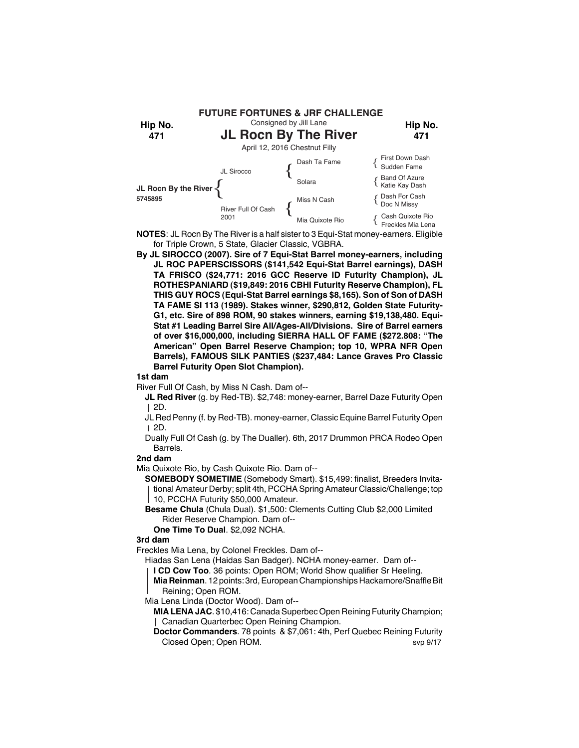

**NOTES**: JL Rocn By The River is a half sister to 3 Equi-Stat money-earners. Eligible for Triple Crown, 5 State, Glacier Classic, VGBRA.

**By JL SIROCCO (2007). Sire of 7 Equi-Stat Barrel money-earners, including JL ROC PAPERSCISSORS (\$141,542 Equi-Stat Barrel earnings), DASH TA FRISCO (\$24,771: 2016 GCC Reserve ID Futurity Champion), JL ROTHESPANIARD (\$19,849: 2016 CBHI Futurity Reserve Champion), FL THIS GUY ROCS (Equi-Stat Barrel earnings \$8,165). Son of Son of DASH TA FAME SI 113 (1989). Stakes winner, \$290,812, Golden State Futurity-G1, etc. Sire of 898 ROM, 90 stakes winners, earning \$19,138,480. Equi-Stat #1 Leading Barrel Sire All/Ages-All/Divisions. Sire of Barrel earners of over \$16,000,000, including SIERRA HALL OF FAME (\$272.808: "The American" Open Barrel Reserve Champion; top 10, WPRA NFR Open Barrels), FAMOUS SILK PANTIES (\$237,484: Lance Graves Pro Classic Barrel Futurity Open Slot Champion).**

#### **1st dam**

River Full Of Cash, by Miss N Cash. Dam of--

**JL Red River** (g. by Red-TB). \$2,748: money-earner, Barrel Daze Futurity Open 2D.

JL Red Penny (f. by Red-TB). money-earner, Classic Equine Barrel Futurity Open 2D.

Dually Full Of Cash (g. by The Dualler). 6th, 2017 Drummon PRCA Rodeo Open Barrels.

## **2nd dam**

Mia Quixote Rio, by Cash Quixote Rio. Dam of--

**SOMEBODY SOMETIME** (Somebody Smart). \$15,499: finalist, Breeders Invitational Amateur Derby; split 4th, PCCHA Spring Amateur Classic/Challenge; top 10, PCCHA Futurity \$50,000 Amateur.

**Besame Chula** (Chula Dual). \$1,500: Clements Cutting Club \$2,000 Limited Rider Reserve Champion. Dam of--

**One Time To Dual**. \$2,092 NCHA.

### **3rd dam**

Freckles Mia Lena, by Colonel Freckles. Dam of--

Hiadas San Lena (Haidas San Badger). NCHA money-earner. Dam of--

**I CD Cow Too**. 36 points: Open ROM; World Show qualifier Sr Heeling.

**Mia Reinman**. 12 points: 3rd, European Championships Hackamore/Snaffle Bit Reining; Open ROM.

Mia Lena Linda (Doctor Wood). Dam of--

**MIA LENA JAC**. \$10,416: Canada Superbec Open Reining Futurity Champion; Canadian Quarterbec Open Reining Champion.

**Doctor Commanders**. 78 points & \$7,061: 4th, Perf Quebec Reining Futurity Closed Open; Open ROM. Svp 9/17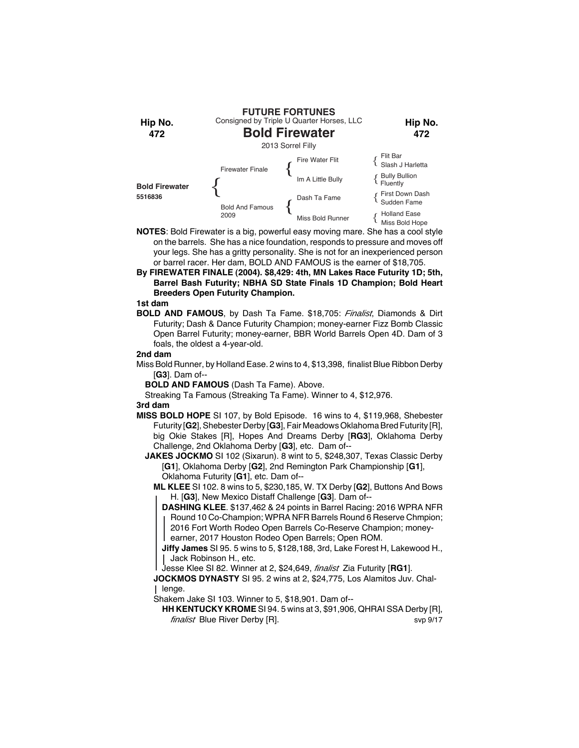

- **NOTES**: Bold Firewater is a big, powerful easy moving mare. She has a cool style on the barrels. She has a nice foundation, responds to pressure and moves off your legs. She has a gritty personality. She is not for an inexperienced person or barrel racer. Her dam, BOLD AND FAMOUS is the earner of \$18,705.
- **By FIREWATER FINALE (2004). \$8,429: 4th, MN Lakes Race Futurity 1D; 5th, Barrel Bash Futurity; NBHA SD State Finals 1D Champion; Bold Heart Breeders Open Futurity Champion.**

**BOLD AND FAMOUS**, by Dash Ta Fame. \$18,705: *Finalist*, Diamonds & Dirt Futurity; Dash & Dance Futurity Champion; money-earner Fizz Bomb Classic Open Barrel Futurity; money-earner, BBR World Barrels Open 4D. Dam of 3 foals, the oldest a 4-year-old.

## **2nd dam**

Miss Bold Runner, by Holland Ease. 2 wins to 4, \$13,398, finalist Blue Ribbon Derby [**G3**]. Dam of--

**BOLD AND FAMOUS** (Dash Ta Fame). Above.

Streaking Ta Famous (Streaking Ta Fame). Winner to 4, \$12,976.

## **3rd dam**

- **MISS BOLD HOPE** SI 107, by Bold Episode. 16 wins to 4, \$119,968, Shebester Futurity [**G2**], Shebester Derby [**G3**], Fair Meadows Oklahoma Bred Futurity [R], big Okie Stakes [R], Hopes And Dreams Derby [**RG3**], Oklahoma Derby Challenge, 2nd Oklahoma Derby [**G3**], etc. Dam of--
	- **JAKES JOCKMO** SI 102 (Sixarun). 8 wint to 5, \$248,307, Texas Classic Derby [**G1**], Oklahoma Derby [**G2**], 2nd Remington Park Championship [**G1**], Oklahoma Futurity [**G1**], etc. Dam of--
		- **ML KLEE** SI 102. 8 wins to 5, \$230,185, W. TX Derby [**G2**], Buttons And Bows H. [**G3**], New Mexico Distaff Challenge [**G3**]. Dam of--
			- **DASHING KLEE**. \$137,462 & 24 points in Barrel Racing: 2016 WPRA NFR Round 10 Co-Champion; WPRA NFR Barrels Round 6 Reserve Chmpion; 2016 Fort Worth Rodeo Open Barrels Co-Reserve Champion; moneyearner, 2017 Houston Rodeo Open Barrels; Open ROM.

**Jiffy James** SI 95. 5 wins to 5, \$128,188, 3rd, Lake Forest H, Lakewood H., Jack Robinson H., etc.

Jesse Klee SI 82. Winner at 2, \$24,649, *finalist* Zia Futurity [**RG1**].

**JOCKMOS DYNASTY** SI 95. 2 wins at 2, \$24,775, Los Alamitos Juv. Challenge.

Shakem Jake SI 103. Winner to 5, \$18,901. Dam of--

**HH KENTUCKY KROME** SI 94. 5 wins at 3, \$91,906, QHRAI SSA Derby [R], *finalist* Blue River Derby [R]. svp 9/17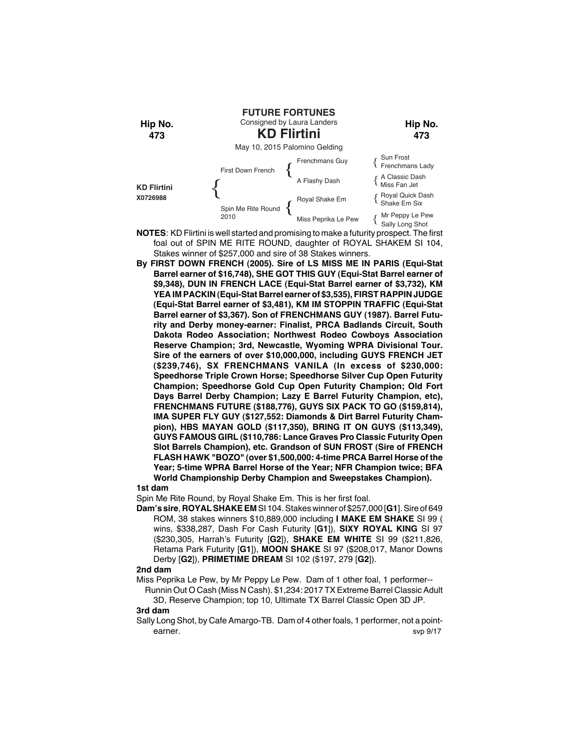

- **NOTES**: KD Flirtini is well started and promising to make a futurity prospect. The first foal out of SPIN ME RITE ROUND, daughter of ROYAL SHAKEM SI 104, Stakes winner of \$257,000 and sire of 38 Stakes winners.
- **By FIRST DOWN FRENCH (2005). Sire of LS MISS ME IN PARIS (Equi-Stat Barrel earner of \$16,748), SHE GOT THIS GUY (Equi-Stat Barrel earner of \$9,348), DUN IN FRENCH LACE (Equi-Stat Barrel earner of \$3,732), KM YEA IM PACKIN (Equi-Stat Barrel earner of \$3,535), FIRST RAPPIN JUDGE (Equi-Stat Barrel earner of \$3,481), KM IM STOPPIN TRAFFIC (Equi-Stat Barrel earner of \$3,367). Son of FRENCHMANS GUY (1987). Barrel Futurity and Derby money-earner: Finalist, PRCA Badlands Circuit, South Dakota Rodeo Association; Northwest Rodeo Cowboys Association Reserve Champion; 3rd, Newcastle, Wyoming WPRA Divisional Tour. Sire of the earners of over \$10,000,000, including GUYS FRENCH JET (\$239,746), SX FRENCHMANS VANILA (In excess of \$230,000: Speedhorse Triple Crown Horse; Speedhorse Silver Cup Open Futurity Champion; Speedhorse Gold Cup Open Futurity Champion; Old Fort Days Barrel Derby Champion; Lazy E Barrel Futurity Champion, etc), FRENCHMANS FUTURE (\$188,776), GUYS SIX PACK TO GO (\$159,814), IMA SUPER FLY GUY (\$127,552: Diamonds & Dirt Barrel Futurity Champion), HBS MAYAN GOLD (\$117,350), BRING IT ON GUYS (\$113,349), GUYS FAMOUS GIRL (\$110,786: Lance Graves Pro Classic Futurity Open Slot Barrels Champion), etc. Grandson of SUN FROST (Sire of FRENCH FLASH HAWK "BOZO" (over \$1,500,000: 4-time PRCA Barrel Horse of the Year; 5-time WPRA Barrel Horse of the Year; NFR Champion twice; BFA World Championship Derby Champion and Sweepstakes Champion).**

Spin Me Rite Round, by Royal Shake Em. This is her first foal.

**Dam's sire**, **ROYAL SHAKE EM** SI 104. Stakes winner of \$257,000 [**G1**]. Sire of 649 ROM, 38 stakes winners \$10,889,000 including **I MAKE EM SHAKE** SI 99 ( wins, \$338,287, Dash For Cash Futurity [**G1**]), **SIXY ROYAL KING** SI 97 (\$230,305, Harrah's Futurity [**G2**]), **SHAKE EM WHITE** SI 99 (\$211,826, Retama Park Futurity [**G1**]), **MOON SHAKE** SI 97 (\$208,017, Manor Downs Derby [**G2**]), **PRIMETIME DREAM** SI 102 (\$197, 279 [**G2**]).

### **2nd dam**

- Miss Peprika Le Pew, by Mr Peppy Le Pew. Dam of 1 other foal, 1 performer--
	- Runnin Out O Cash (Miss N Cash). \$1,234: 2017 TX Extreme Barrel Classic Adult 3D, Reserve Champion; top 10, Ultimate TX Barrel Classic Open 3D JP.

#### **3rd dam**

Sally Long Shot, by Cafe Amargo-TB. Dam of 4 other foals, 1 performer, not a pointearner. Supervisors of the state of the state of the state of the state of the state of the state of the state of the state of the state of the state of the state of the state of the state of the state of the state of the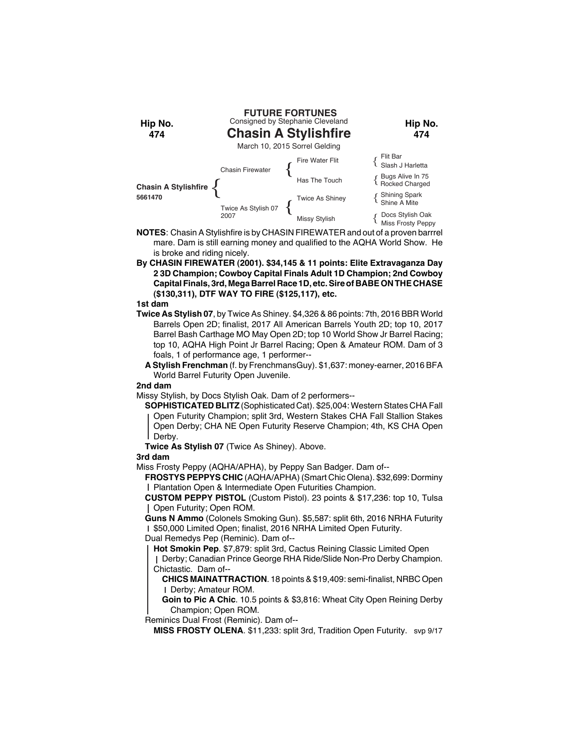

- **NOTES**: Chasin A Stylishfire is by CHASIN FIREWATER and out of a proven barrrel mare. Dam is still earning money and qualified to the AQHA World Show. He is broke and riding nicely.
- **By CHASIN FIREWATER (2001). \$34,145 & 11 points: Elite Extravaganza Day 2 3D Champion; Cowboy Capital Finals Adult 1D Champion; 2nd Cowboy Capital Finals, 3rd, Mega Barrel Race 1D, etc. Sire of BABE ON THE CHASE (\$130,311), DTF WAY TO FIRE (\$125,117), etc.**

- **Twice As Stylish 07**, by Twice As Shiney. \$4,326 & 86 points: 7th, 2016 BBR World Barrels Open 2D; finalist, 2017 All American Barrels Youth 2D; top 10, 2017 Barrel Bash Carthage MO May Open 2D; top 10 World Show Jr Barrel Racing; top 10, AQHA High Point Jr Barrel Racing; Open & Amateur ROM. Dam of 3 foals, 1 of performance age, 1 performer--
	- **A Stylish Frenchman** (f. by FrenchmansGuy). \$1,637: money-earner, 2016 BFA World Barrel Futurity Open Juvenile.

#### **2nd dam**

Missy Stylish, by Docs Stylish Oak. Dam of 2 performers--

**SOPHISTICATED BLITZ** (Sophisticated Cat). \$25,004: Western States CHA Fall Open Futurity Champion; split 3rd, Western Stakes CHA Fall Stallion Stakes Open Derby; CHA NE Open Futurity Reserve Champion; 4th, KS CHA Open Derby.

**Twice As Stylish 07** (Twice As Shiney). Above.

## **3rd dam**

Miss Frosty Peppy (AQHA/APHA), by Peppy San Badger. Dam of--

**FROSTYS PEPPYS CHIC** (AQHA/APHA) (Smart Chic Olena). \$32,699: Dorminy Plantation Open & Intermediate Open Futurities Champion.

**CUSTOM PEPPY PISTOL** (Custom Pistol). 23 points & \$17,236: top 10, Tulsa Open Futurity; Open ROM.

**Guns N Ammo** (Colonels Smoking Gun). \$5,587: split 6th, 2016 NRHA Futurity \$50,000 Limited Open; finalist, 2016 NRHA Limited Open Futurity. Dual Remedys Pep (Reminic). Dam of--

**Hot Smokin Pep**. \$7,879: split 3rd, Cactus Reining Classic Limited Open

Derby; Canadian Prince George RHA Ride/Slide Non-Pro Derby Champion. Chictastic. Dam of--

**CHICS MAINATTRACTION**. 18 points & \$19,409: semi-finalist, NRBC Open Derby; Amateur ROM.

**Goin to Pic A Chic**. 10.5 points & \$3,816: Wheat City Open Reining Derby Champion; Open ROM.

Reminics Dual Frost (Reminic). Dam of--

**MISS FROSTY OLENA.** \$11,233: split 3rd, Tradition Open Futurity. svp 9/17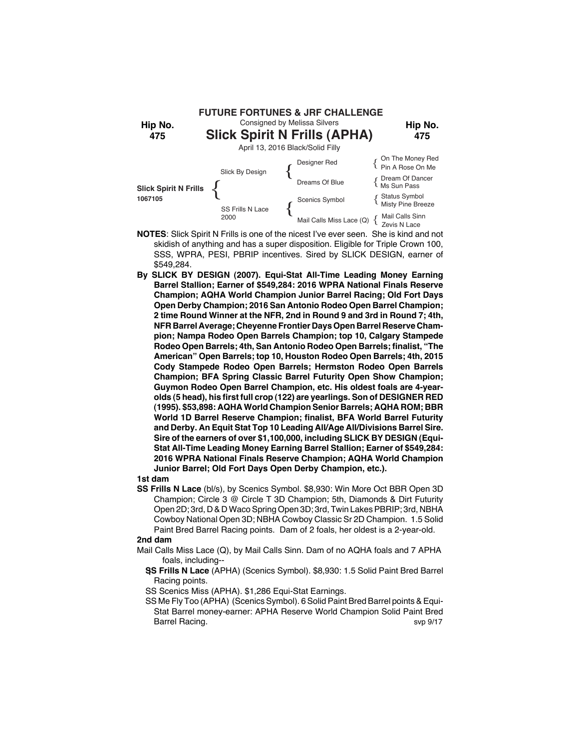

- **NOTES**: Slick Spirit N Frills is one of the nicest I've ever seen. She is kind and not skidish of anything and has a super disposition. Eligible for Triple Crown 100, SSS, WPRA, PESI, PBRIP incentives. Sired by SLICK DESIGN, earner of \$549,284.
- **By SLICK BY DESIGN (2007). Equi-Stat All-Time Leading Money Earning Barrel Stallion; Earner of \$549,284: 2016 WPRA National Finals Reserve Champion; AQHA World Champion Junior Barrel Racing; Old Fort Days Open Derby Champion; 2016 San Antonio Rodeo Open Barrel Champion; 2 time Round Winner at the NFR, 2nd in Round 9 and 3rd in Round 7; 4th, NFR Barrel Average; Cheyenne Frontier Days Open Barrel Reserve Champion; Nampa Rodeo Open Barrels Champion; top 10, Calgary Stampede Rodeo Open Barrels; 4th, San Antonio Rodeo Open Barrels; finalist, "The American" Open Barrels; top 10, Houston Rodeo Open Barrels; 4th, 2015 Cody Stampede Rodeo Open Barrels; Hermston Rodeo Open Barrels Champion; BFA Spring Classic Barrel Futurity Open Show Champion; Guymon Rodeo Open Barrel Champion, etc. His oldest foals are 4-yearolds (5 head), his first full crop (122) are yearlings. Son of DESIGNER RED (1995). \$53,898: AQHA World Champion Senior Barrels; AQHA ROM; BBR World 1D Barrel Reserve Champion; finalist, BFA World Barrel Futurity and Derby. An Equit Stat Top 10 Leading All/Age All/Divisions Barrel Sire. Sire of the earners of over \$1,100,000, including SLICK BY DESIGN (Equi-Stat All-Time Leading Money Earning Barrel Stallion; Earner of \$549,284: 2016 WPRA National Finals Reserve Champion; AQHA World Champion Junior Barrel; Old Fort Days Open Derby Champion, etc.).**

**SS Frills N Lace** (bl/s), by Scenics Symbol. \$8,930: Win More Oct BBR Open 3D Champion; Circle 3 @ Circle T 3D Champion; 5th, Diamonds & Dirt Futurity Open 2D; 3rd, D & D Waco Spring Open 3D; 3rd, Twin Lakes PBRIP; 3rd, NBHA Cowboy National Open 3D; NBHA Cowboy Classic Sr 2D Champion. 1.5 Solid Paint Bred Barrel Racing points. Dam of 2 foals, her oldest is a 2-year-old.

### **2nd dam**

- Mail Calls Miss Lace (Q), by Mail Calls Sinn. Dam of no AQHA foals and 7 APHA foals, including--
	- **SS Frills N Lace** (APHA) (Scenics Symbol). \$8,930: 1.5 Solid Paint Bred Barrel Racing points.
	- SS Scenics Miss (APHA). \$1,286 Equi-Stat Earnings.
	- SS Me Fly Too (APHA) (Scenics Symbol). 6 Solid Paint Bred Barrel points & Equi-Stat Barrel money-earner: APHA Reserve World Champion Solid Paint Bred Barrel Racing. Superior and the state of the state of the state of the state of the state of the state of the state of the state of the state of the state of the state of the state of the state of the state of the state of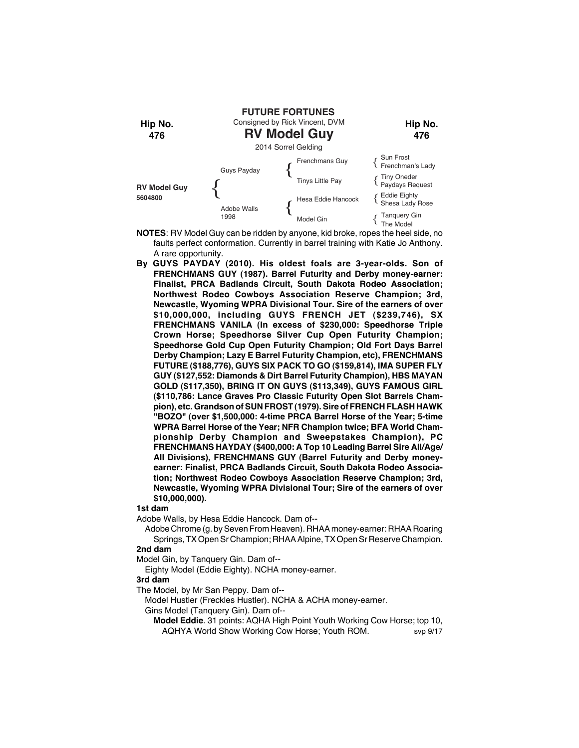

- **NOTES**: RV Model Guy can be ridden by anyone, kid broke, ropes the heel side, no faults perfect conformation. Currently in barrel training with Katie Jo Anthony. A rare opportunity.
- **By GUYS PAYDAY (2010). His oldest foals are 3-year-olds. Son of FRENCHMANS GUY (1987). Barrel Futurity and Derby money-earner: Finalist, PRCA Badlands Circuit, South Dakota Rodeo Association; Northwest Rodeo Cowboys Association Reserve Champion; 3rd, Newcastle, Wyoming WPRA Divisional Tour. Sire of the earners of over \$10,000,000, including GUYS FRENCH JET (\$239,746), SX FRENCHMANS VANILA (In excess of \$230,000: Speedhorse Triple Crown Horse; Speedhorse Silver Cup Open Futurity Champion; Speedhorse Gold Cup Open Futurity Champion; Old Fort Days Barrel Derby Champion; Lazy E Barrel Futurity Champion, etc), FRENCHMANS FUTURE (\$188,776), GUYS SIX PACK TO GO (\$159,814), IMA SUPER FLY GUY (\$127,552: Diamonds & Dirt Barrel Futurity Champion), HBS MAYAN GOLD (\$117,350), BRING IT ON GUYS (\$113,349), GUYS FAMOUS GIRL (\$110,786: Lance Graves Pro Classic Futurity Open Slot Barrels Champion), etc. Grandson of SUN FROST (1979). Sire of FRENCH FLASH HAWK "BOZO" (over \$1,500,000: 4-time PRCA Barrel Horse of the Year; 5-time WPRA Barrel Horse of the Year; NFR Champion twice; BFA World Championship Derby Champion and Sweepstakes Champion), PC FRENCHMANS HAYDAY (\$400,000: A Top 10 Leading Barrel Sire All/Age/ All Divisions), FRENCHMANS GUY (Barrel Futurity and Derby moneyearner: Finalist, PRCA Badlands Circuit, South Dakota Rodeo Association; Northwest Rodeo Cowboys Association Reserve Champion; 3rd, Newcastle, Wyoming WPRA Divisional Tour; Sire of the earners of over \$10,000,000).**

Adobe Walls, by Hesa Eddie Hancock. Dam of--

Adobe Chrome (g. by Seven From Heaven). RHAA money-earner: RHAA Roaring Springs, TX Open Sr Champion; RHAA Alpine, TX Open Sr Reserve Champion.

## **2nd dam**

Model Gin, by Tanquery Gin. Dam of--

Eighty Model (Eddie Eighty). NCHA money-earner.

#### **3rd dam**

The Model, by Mr San Peppy. Dam of--

Model Hustler (Freckles Hustler). NCHA & ACHA money-earner.

Gins Model (Tanquery Gin). Dam of--

**Model Eddie**. 31 points: AQHA High Point Youth Working Cow Horse; top 10, AQHYA World Show Working Cow Horse: Youth ROM. svp 9/17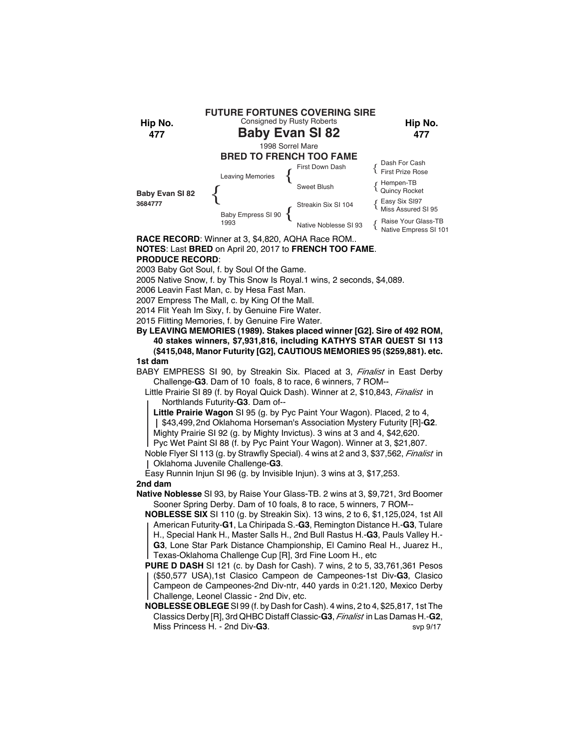

# **NOTES**: Last **BRED** on April 20, 2017 to **FRENCH TOO FAME**. **PRODUCE RECORD**:

2003 Baby Got Soul, f. by Soul Of the Game.

2005 Native Snow, f. by This Snow Is Royal.1 wins, 2 seconds, \$4,089.

2006 Leavin Fast Man, c. by Hesa Fast Man.

2007 Empress The Mall, c. by King Of the Mall.

2014 Flit Yeah Im Sixy, f. by Genuine Fire Water.

2015 Flitting Memories, f. by Genuine Fire Water.

**By LEAVING MEMORIES (1989). Stakes placed winner [G2]. Sire of 492 ROM, 40 stakes winners, \$7,931,816, including KATHYS STAR QUEST SI 113 (\$415,048, Manor Futurity [G2], CAUTIOUS MEMORIES 95 (\$259,881). etc. 1st dam**

BABY EMPRESS SI 90, by Streakin Six. Placed at 3, *Finalist* in East Derby Challenge-**G3**. Dam of 10 foals, 8 to race, 6 winners, 7 ROM--

Little Prairie SI 89 (f. by Royal Quick Dash). Winner at 2, \$10,843, *Finalist* in Northlands Futurity-**G3**. Dam of--

**Little Prairie Wagon** SI 95 (g. by Pyc Paint Your Wagon). Placed, 2 to 4, \$43,499,2nd Oklahoma Horseman's Association Mystery Futurity [R]-**G2**.

Mighty Prairie SI 92 (g. by Mighty Invictus). 3 wins at 3 and 4, \$42,620.

Pyc Wet Paint SI 88 (f. by Pyc Paint Your Wagon). Winner at 3, \$21,807.

Noble Flyer SI 113 (g. by Strawfly Special). 4 wins at 2 and 3, \$37,562, *Finalist* in Oklahoma Juvenile Challenge-**G3**.

Easy Runnin Injun SI 96 (g. by Invisible Injun). 3 wins at 3, \$17,253. **2nd dam**

**Native Noblesse** SI 93, by Raise Your Glass-TB. 2 wins at 3, \$9,721, 3rd Boomer Sooner Spring Derby. Dam of 10 foals, 8 to race, 5 winners, 7 ROM--

**NOBLESSE SIX** SI 110 (g. by Streakin Six). 13 wins, 2 to 6, \$1,125,024, 1st All American Futurity-**G1**, La Chiripada S.-**G3**, Remington Distance H.-**G3**, Tulare H., Special Hank H., Master Salls H., 2nd Bull Rastus H.-**G3**, Pauls Valley H.- **G3**, Lone Star Park Distance Championship, El Camino Real H., Juarez H., Texas-Oklahoma Challenge Cup [R], 3rd Fine Loom H., etc

**PURE D DASH** SI 121 (c. by Dash for Cash). 7 wins, 2 to 5, 33,761,361 Pesos (\$50,577 USA),1st Clasico Campeon de Campeones-1st Div-**G3**, Clasico Campeon de Campeones-2nd Div-ntr, 440 yards in 0:21.120, Mexico Derby Challenge, Leonel Classic - 2nd Div, etc.

**NOBLESSE OBLEGE** SI 99 (f. by Dash for Cash). 4 wins, 2 to 4, \$25,817, 1st The Classics Derby [R], 3rd QHBC Distaff Classic-**G3**, *Finalist* in Las Damas H.-**G2**, Miss Princess H. - 2nd Div-**G3**. Svp 9/17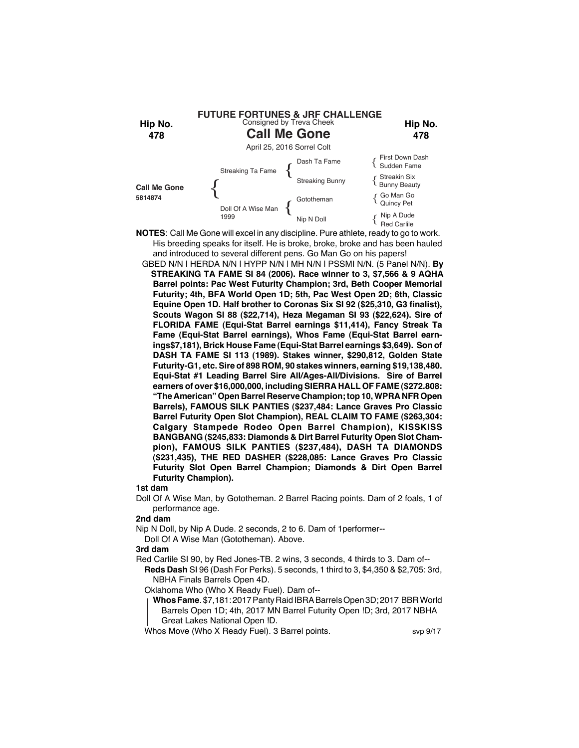

- **NOTES**: Call Me Gone will excel in any discipline. Pure athlete, ready to go to work. His breeding speaks for itself. He is broke, broke, broke and has been hauled and introduced to several different pens. Go Man Go on his papers!
	- GBED N/N | HERDA N/N | HYPP N/N | MH N/N | PSSMI N/N. (5 Panel N/N). **By STREAKING TA FAME SI 84 (2006). Race winner to 3, \$7,566 & 9 AQHA Barrel points: Pac West Futurity Champion; 3rd, Beth Cooper Memorial Futurity; 4th, BFA World Open 1D; 5th, Pac West Open 2D; 6th, Classic Equine Open 1D. Half brother to Coronas Six SI 92 (\$25,310, G3 finalist), Scouts Wagon SI 88 (\$22,714), Heza Megaman SI 93 (\$22,624). Sire of FLORIDA FAME (Equi-Stat Barrel earnings \$11,414), Fancy Streak Ta Fame (Equi-Stat Barrel earnings), Whos Fame (Equi-Stat Barrel earnings\$7,181), Brick House Fame (Equi-Stat Barrel earnings \$3,649). Son of DASH TA FAME SI 113 (1989). Stakes winner, \$290,812, Golden State Futurity-G1, etc. Sire of 898 ROM, 90 stakes winners, earning \$19,138,480. Equi-Stat #1 Leading Barrel Sire All/Ages-All/Divisions. Sire of Barrel earners of over \$16,000,000, including SIERRA HALL OF FAME (\$272.808: "The American" Open Barrel Reserve Champion; top 10, WPRA NFR Open Barrels), FAMOUS SILK PANTIES (\$237,484: Lance Graves Pro Classic Barrel Futurity Open Slot Champion), REAL CLAIM TO FAME (\$263,304: Calgary Stampede Rodeo Open Barrel Champion), KISSKISS BANGBANG (\$245,833: Diamonds & Dirt Barrel Futurity Open Slot Champion), FAMOUS SILK PANTIES (\$237,484), DASH TA DIAMONDS (\$231,435), THE RED DASHER (\$228,085: Lance Graves Pro Classic Futurity Slot Open Barrel Champion; Diamonds & Dirt Open Barrel Futurity Champion).**

Doll Of A Wise Man, by Gototheman. 2 Barrel Racing points. Dam of 2 foals, 1 of performance age.

## **2nd dam**

Nip N Doll, by Nip A Dude. 2 seconds, 2 to 6. Dam of 1performer-- Doll Of A Wise Man (Gototheman). Above.

#### **3rd dam**

Red Carlile SI 90, by Red Jones-TB. 2 wins, 3 seconds, 4 thirds to 3. Dam of-- **Reds Dash** SI 96 (Dash For Perks). 5 seconds, 1 third to 3, \$4,350 & \$2,705: 3rd, NBHA Finals Barrels Open 4D.

Oklahoma Who (Who X Ready Fuel). Dam of--

- **Whos Fame**. \$7,181: 2017 Panty Raid IBRA Barrels Open 3D; 2017 BBR World Barrels Open 1D; 4th, 2017 MN Barrel Futurity Open !D; 3rd, 2017 NBHA
- Great Lakes National Open !D.

Whos Move (Who X Ready Fuel). 3 Barrel points. svp 9/17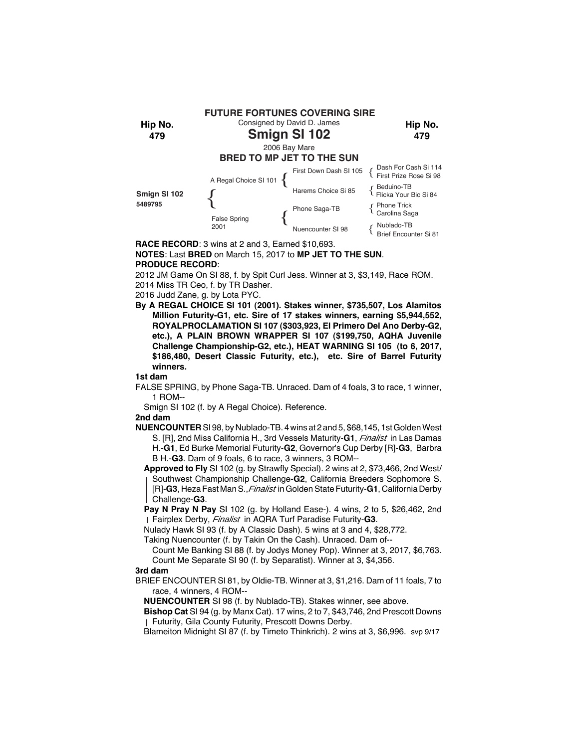

**RACE RECORD**: 3 wins at 2 and 3, Earned \$10,693.

## **NOTES**: Last **BRED** on March 15, 2017 to **MP JET TO THE SUN**. **PRODUCE RECORD**:

2012 JM Game On SI 88, f. by Spit Curl Jess. Winner at 3, \$3,149, Race ROM. 2014 Miss TR Ceo, f. by TR Dasher.

2016 Judd Zane, g. by Lota PYC.

**By A REGAL CHOICE SI 101 (2001). Stakes winner, \$735,507, Los Alamitos Million Futurity-G1, etc. Sire of 17 stakes winners, earning \$5,944,552, ROYALPROCLAMATION SI 107 (\$303,923, El Primero Del Ano Derby-G2, etc.), A PLAIN BROWN WRAPPER SI 107 (\$199,750, AQHA Juvenile Challenge Championship-G2, etc.), HEAT WARNING SI 105 (to 6, 2017, \$186,480, Desert Classic Futurity, etc.), etc. Sire of Barrel Futurity winners.**

**1st dam**

FALSE SPRING, by Phone Saga-TB. Unraced. Dam of 4 foals, 3 to race, 1 winner, 1 ROM--

Smign SI 102 (f. by A Regal Choice). Reference.

## **2nd dam**

**NUENCOUNTER** SI 98, by Nublado-TB. 4 wins at 2 and 5, \$68,145, 1st Golden West S. [R], 2nd Miss California H., 3rd Vessels Maturity-**G1**, *Finalist* in Las Damas H.-**G1**, Ed Burke Memorial Futurity-**G2**, Governor's Cup Derby [R]-**G3**, Barbra B H.-**G3**. Dam of 9 foals, 6 to race, 3 winners, 3 ROM--

**Approved to Fly** SI 102 (g. by Strawfly Special). 2 wins at 2, \$73,466, 2nd West/ Southwest Championship Challenge-**G2**, California Breeders Sophomore S. [R]-**G3**, Heza Fast Man S.,*Finalist* in Golden State Futurity-**G1**, California Derby Challenge-**G3**.

 **Pay N Pray N Pay** SI 102 (g. by Holland Ease-). 4 wins, 2 to 5, \$26,462, 2nd Fairplex Derby, *Finalist* in AQRA Turf Paradise Futurity-**G3**.

Nulady Hawk SI 93 (f. by A Classic Dash). 5 wins at 3 and 4, \$28,772.

Taking Nuencounter (f. by Takin On the Cash). Unraced. Dam of--

Count Me Banking SI 88 (f. by Jodys Money Pop). Winner at 3, 2017, \$6,763. Count Me Separate SI 90 (f. by Separatist). Winner at 3, \$4,356.

## **3rd dam**

BRIEF ENCOUNTER SI 81, by Oldie-TB. Winner at 3, \$1,216. Dam of 11 foals, 7 to race, 4 winners, 4 ROM--

**NUENCOUNTER** SI 98 (f. by Nublado-TB). Stakes winner, see above.

**Bishop Cat** SI 94 (g. by Manx Cat). 17 wins, 2 to 7, \$43,746, 2nd Prescott Downs Futurity, Gila County Futurity, Prescott Downs Derby.

Blameiton Midnight SI 87 (f. by Timeto Thinkrich). 2 wins at 3, \$6,996. svp 9/17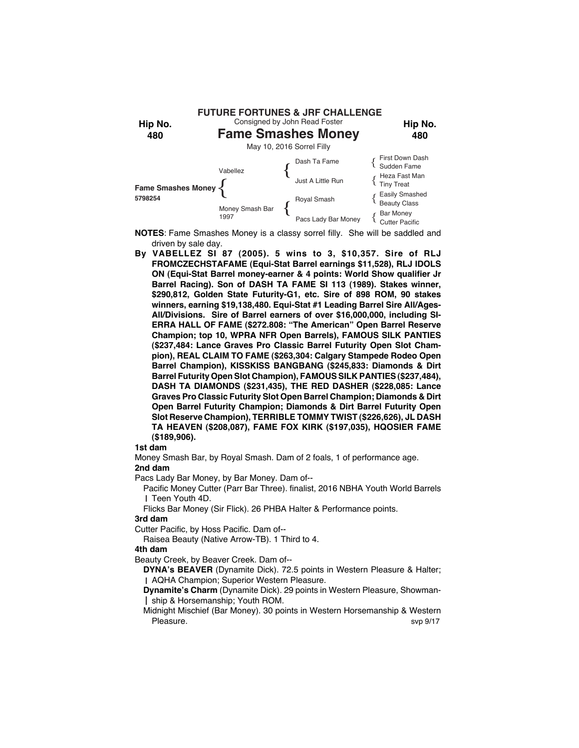

- **NOTES**: Fame Smashes Money is a classy sorrel filly. She will be saddled and driven by sale day.
- **By VABELLEZ SI 87 (2005). 5 wins to 3, \$10,357. Sire of RLJ FROMCZECHSTAFAME (Equi-Stat Barrel earnings \$11,528), RLJ IDOLS ON (Equi-Stat Barrel money-earner & 4 points: World Show qualifier Jr Barrel Racing). Son of DASH TA FAME SI 113 (1989). Stakes winner, \$290,812, Golden State Futurity-G1, etc. Sire of 898 ROM, 90 stakes winners, earning \$19,138,480. Equi-Stat #1 Leading Barrel Sire All/Ages-All/Divisions. Sire of Barrel earners of over \$16,000,000, including SI-ERRA HALL OF FAME (\$272.808: "The American" Open Barrel Reserve Champion; top 10, WPRA NFR Open Barrels), FAMOUS SILK PANTIES (\$237,484: Lance Graves Pro Classic Barrel Futurity Open Slot Champion), REAL CLAIM TO FAME (\$263,304: Calgary Stampede Rodeo Open Barrel Champion), KISSKISS BANGBANG (\$245,833: Diamonds & Dirt Barrel Futurity Open Slot Champion), FAMOUS SILK PANTIES (\$237,484), DASH TA DIAMONDS (\$231,435), THE RED DASHER (\$228,085: Lance Graves Pro Classic Futurity Slot Open Barrel Champion; Diamonds & Dirt Open Barrel Futurity Champion; Diamonds & Dirt Barrel Futurity Open Slot Reserve Champion), TERRIBLE TOMMY TWIST (\$226,626), JL DASH TA HEAVEN (\$208,087), FAME FOX KIRK (\$197,035), HQOSIER FAME (\$189,906).**

Money Smash Bar, by Royal Smash. Dam of 2 foals, 1 of performance age.

# **2nd dam**

Pacs Lady Bar Money, by Bar Money. Dam of--

Pacific Money Cutter (Parr Bar Three). finalist, 2016 NBHA Youth World Barrels I Teen Youth 4D.

Flicks Bar Money (Sir Flick). 26 PHBA Halter & Performance points.

## **3rd dam**

Cutter Pacific, by Hoss Pacific. Dam of--

Raisea Beauty (Native Arrow-TB). 1 Third to 4.

## **4th dam**

Beauty Creek, by Beaver Creek. Dam of--

**DYNA's BEAVER** (Dynamite Dick). 72.5 points in Western Pleasure & Halter; AQHA Champion; Superior Western Pleasure.

**Dynamite's Charm** (Dynamite Dick). 29 points in Western Pleasure, Showmanship & Horsemanship; Youth ROM.

Midnight Mischief (Bar Money). 30 points in Western Horsemanship & Western Pleasure. Supervisors and the state of the state of the state state state state state state state state state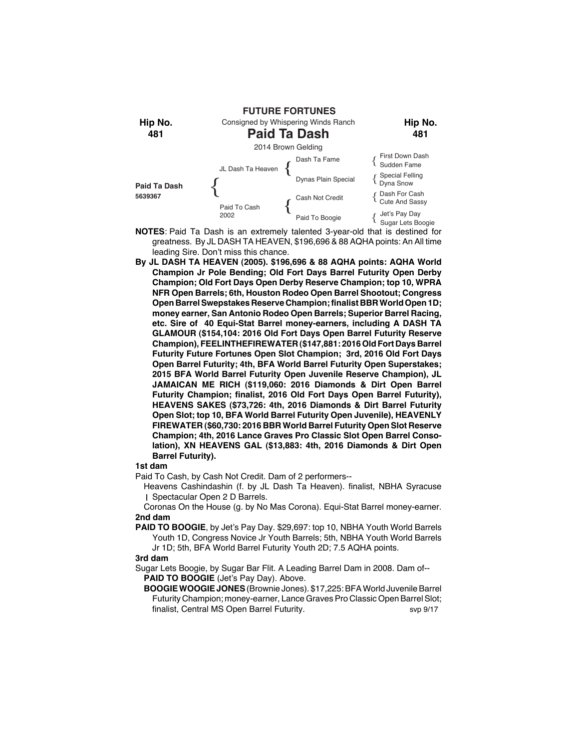

- **NOTES**: Paid Ta Dash is an extremely talented 3-year-old that is destined for greatness. By JL DASH TA HEAVEN, \$196,696 & 88 AQHA points: An All time leading Sire. Don't miss this chance.
- **By JL DASH TA HEAVEN (2005). \$196,696 & 88 AQHA points: AQHA World Champion Jr Pole Bending; Old Fort Days Barrel Futurity Open Derby Champion; Old Fort Days Open Derby Reserve Champion; top 10, WPRA NFR Open Barrels; 6th, Houston Rodeo Open Barrel Shootout; Congress Open Barrel Swepstakes Reserve Champion; finalist BBR World Open 1D; money earner, San Antonio Rodeo Open Barrels; Superior Barrel Racing, etc. Sire of 40 Equi-Stat Barrel money-earners, including A DASH TA GLAMOUR (\$154,104: 2016 Old Fort Days Open Barrel Futurity Reserve Champion), FEELINTHEFIREWATER (\$147,881: 2016 Old Fort Days Barrel Futurity Future Fortunes Open Slot Champion; 3rd, 2016 Old Fort Days Open Barrel Futurity; 4th, BFA World Barrel Futurity Open Superstakes; 2015 BFA World Barrel Futurity Open Juvenile Reserve Champion), JL JAMAICAN ME RICH (\$119,060: 2016 Diamonds & Dirt Open Barrel Futurity Champion; finalist, 2016 Old Fort Days Open Barrel Futurity), HEAVENS SAKES (\$73,726: 4th, 2016 Diamonds & Dirt Barrel Futurity Open Slot; top 10, BFA World Barrel Futurity Open Juvenile), HEAVENLY FIREWATER (\$60,730: 2016 BBR World Barrel Futurity Open Slot Reserve Champion; 4th, 2016 Lance Graves Pro Classic Slot Open Barrel Consolation), XN HEAVENS GAL (\$13,883: 4th, 2016 Diamonds & Dirt Open Barrel Futurity).**

Paid To Cash, by Cash Not Credit. Dam of 2 performers--

Heavens Cashindashin (f. by JL Dash Ta Heaven). finalist, NBHA Syracuse Spectacular Open 2 D Barrels.

Coronas On the House (g. by No Mas Corona). Equi-Stat Barrel money-earner. **2nd dam**

**PAID TO BOOGIE**, by Jet's Pay Day. \$29,697: top 10, NBHA Youth World Barrels Youth 1D, Congress Novice Jr Youth Barrels; 5th, NBHA Youth World Barrels Jr 1D; 5th, BFA World Barrel Futurity Youth 2D; 7.5 AQHA points.

#### **3rd dam**

Sugar Lets Boogie, by Sugar Bar Flit. A Leading Barrel Dam in 2008. Dam of-- **PAID TO BOOGIE** (Jet's Pay Day). Above.

**BOOGIE WOOGIE JONES** (Brownie Jones). \$17,225: BFA World Juvenile Barrel Futurity Champion; money-earner, Lance Graves Pro Classic Open Barrel Slot; finalist, Central MS Open Barrel Futurity. Svp 9/17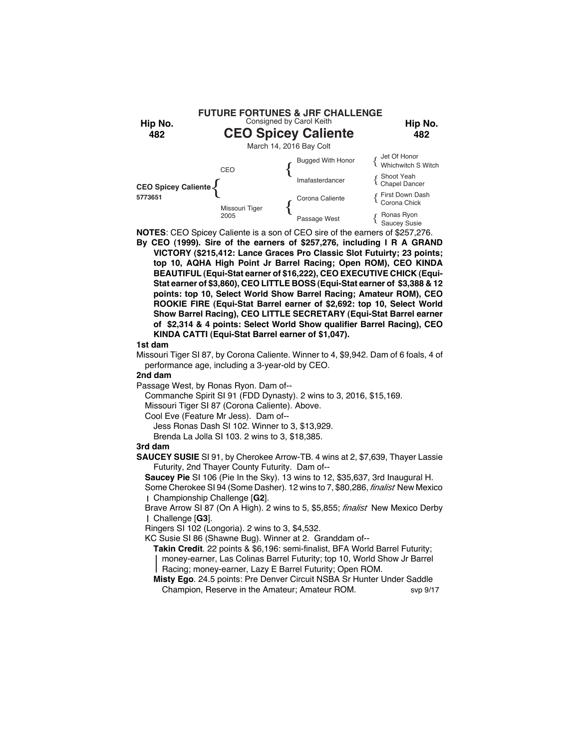

**NOTES**: CEO Spicey Caliente is a son of CEO sire of the earners of \$257,276.

**By CEO (1999). Sire of the earners of \$257,276, including I R A GRAND VICTORY (\$215,412: Lance Graces Pro Classic Slot Futuirty; 23 points; top 10, AQHA High Point Jr Barrel Racing; Open ROM), CEO KINDA BEAUTIFUL (Equi-Stat earner of \$16,222), CEO EXECUTIVE CHICK (Equi-Stat earner of \$3,860), CEO LITTLE BOSS (Equi-Stat earner of \$3,388 & 12 points: top 10, Select World Show Barrel Racing; Amateur ROM), CEO ROOKIE FIRE (Equi-Stat Barrel earner of \$2,692: top 10, Select World Show Barrel Racing), CEO LITTLE SECRETARY (Equi-Stat Barrel earner of \$2,314 & 4 points: Select World Show qualifier Barrel Racing), CEO KINDA CATTI (Equi-Stat Barrel earner of \$1,047).**

## **1st dam**

Missouri Tiger SI 87, by Corona Caliente. Winner to 4, \$9,942. Dam of 6 foals, 4 of performance age, including a 3-year-old by CEO.

## **2nd dam**

Passage West, by Ronas Ryon. Dam of--

Commanche Spirit SI 91 (FDD Dynasty). 2 wins to 3, 2016, \$15,169.

Missouri Tiger SI 87 (Corona Caliente). Above.

Cool Eve (Feature Mr Jess). Dam of--

Jess Ronas Dash SI 102. Winner to 3, \$13,929.

Brenda La Jolla SI 103. 2 wins to 3, \$18,385.

## **3rd dam**

**SAUCEY SUSIE** SI 91, by Cherokee Arrow-TB. 4 wins at 2, \$7,639, Thayer Lassie Futurity, 2nd Thayer County Futurity. Dam of--

**Saucey Pie** SI 106 (Pie In the Sky). 13 wins to 12, \$35,637, 3rd Inaugural H.

Some Cherokee SI 94 (Some Dasher). 12 wins to 7, \$80,286, *finalist* New Mexico Championship Challenge [**G2**].

Brave Arrow SI 87 (On A High). 2 wins to 5, \$5,855; *finalist* New Mexico Derby Challenge [**G3**].

Ringers SI 102 (Longoria). 2 wins to 3, \$4,532.

KC Susie SI 86 (Shawne Bug). Winner at 2. Granddam of--

**Takin Credit**. 22 points & \$6,196: semi-finalist, BFA World Barrel Futurity; money-earner, Las Colinas Barrel Futurity; top 10, World Show Jr Barrel Racing; money-earner, Lazy E Barrel Futurity; Open ROM.

**Misty Ego**. 24.5 points: Pre Denver Circuit NSBA Sr Hunter Under Saddle Champion, Reserve in the Amateur; Amateur ROM. svp 9/17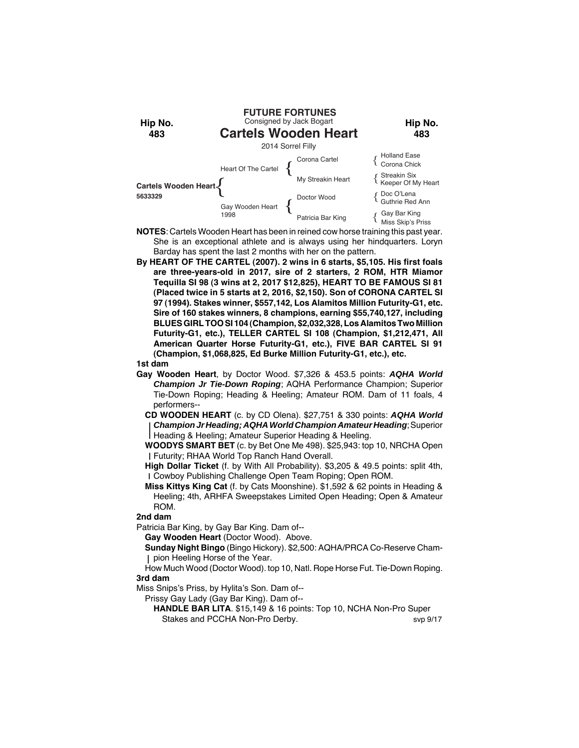

**NOTES**: Cartels Wooden Heart has been in reined cow horse training this past year. She is an exceptional athlete and is always using her hindquarters. Loryn Barday has spent the last 2 months with her on the pattern.

**By HEART OF THE CARTEL (2007). 2 wins in 6 starts, \$5,105. His first foals are three-years-old in 2017, sire of 2 starters, 2 ROM, HTR Miamor Tequilla SI 98 (3 wins at 2, 2017 \$12,825), HEART TO BE FAMOUS SI 81 (Placed twice in 5 starts at 2, 2016, \$2,150). Son of CORONA CARTEL SI 97 (1994). Stakes winner, \$557,142, Los Alamitos Million Futurity-G1, etc. Sire of 160 stakes winners, 8 champions, earning \$55,740,127, including BLUES GIRL TOO SI 104 (Champion, \$2,032,328, Los Alamitos Two Million Futurity-G1, etc.), TELLER CARTEL SI 108 (Champion, \$1,212,471, All American Quarter Horse Futurity-G1, etc.), FIVE BAR CARTEL SI 91 (Champion, \$1,068,825, Ed Burke Million Futurity-G1, etc.), etc.**

### **1st dam**

**Gay Wooden Heart**, by Doctor Wood. \$7,326 & 453.5 points: *AQHA World Champion Jr Tie-Down Roping*; AQHA Performance Champion; Superior Tie-Down Roping; Heading & Heeling; Amateur ROM. Dam of 11 foals, 4 performers--

**CD WOODEN HEART** (c. by CD Olena). \$27,751 & 330 points: *AQHA World Champion Jr Heading; AQHA World Champion Amateur Heading*; Superior Heading & Heeling; Amateur Superior Heading & Heeling.

**WOODYS SMART BET** (c. by Bet One Me 498). \$25,943: top 10, NRCHA Open Futurity; RHAA World Top Ranch Hand Overall.

**High Dollar Ticket** (f. by With All Probability). \$3,205 & 49.5 points: split 4th, Cowboy Publishing Challenge Open Team Roping; Open ROM.

**Miss Kittys King Cat** (f. by Cats Moonshine). \$1,592 & 62 points in Heading & Heeling; 4th, ARHFA Sweepstakes Limited Open Heading; Open & Amateur ROM.

**2nd dam**

Patricia Bar King, by Gay Bar King. Dam of--

**Gay Wooden Heart** (Doctor Wood). Above.

**Sunday Night Bingo** (Bingo Hickory). \$2,500: AQHA/PRCA Co-Reserve Champion Heeling Horse of the Year.

How Much Wood (Doctor Wood). top 10, Natl. Rope Horse Fut. Tie-Down Roping. **3rd dam**

Miss Snips's Priss, by Hylita's Son. Dam of--

Prissy Gay Lady (Gay Bar King). Dam of--

**HANDLE BAR LITA**. \$15,149 & 16 points: Top 10, NCHA Non-Pro Super Stakes and PCCHA Non-Pro Derby. The state of the state of the state of 9/17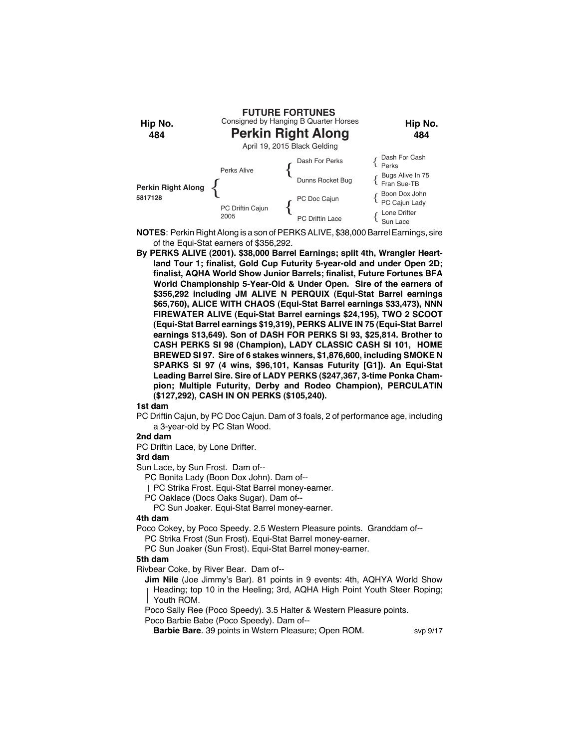

- **NOTES**: Perkin Right Along is a son of PERKS ALIVE, \$38,000 Barrel Earnings, sire of the Equi-Stat earners of \$356,292.
- **By PERKS ALIVE (2001). \$38,000 Barrel Earnings; split 4th, Wrangler Heartland Tour 1; finalist, Gold Cup Futurity 5-year-old and under Open 2D; finalist, AQHA World Show Junior Barrels; finalist, Future Fortunes BFA World Championship 5-Year-Old & Under Open. Sire of the earners of \$356,292 including JM ALIVE N PERQUIX (Equi-Stat Barrel earnings \$65,760), ALICE WITH CHAOS (Equi-Stat Barrel earnings \$33,473), NNN FIREWATER ALIVE (Equi-Stat Barrel earnings \$24,195), TWO 2 SCOOT (Equi-Stat Barrel earnings \$19,319), PERKS ALIVE IN 75 (Equi-Stat Barrel earnings \$13,649). Son of DASH FOR PERKS SI 93, \$25,814. Brother to CASH PERKS SI 98 (Champion), LADY CLASSIC CASH SI 101, HOME BREWED SI 97. Sire of 6 stakes winners, \$1,876,600, including SMOKE N SPARKS SI 97 (4 wins, \$96,101, Kansas Futurity [G1]). An Equi-Stat Leading Barrel Sire. Sire of LADY PERKS (\$247,367, 3-time Ponka Champion; Multiple Futurity, Derby and Rodeo Champion), PERCULATIN (\$127,292), CASH IN ON PERKS (\$105,240).**

PC Driftin Cajun, by PC Doc Cajun. Dam of 3 foals, 2 of performance age, including a 3-year-old by PC Stan Wood.

## **2nd dam**

PC Driftin Lace, by Lone Drifter.

## **3rd dam**

Sun Lace, by Sun Frost. Dam of--

PC Bonita Lady (Boon Dox John). Dam of--

PC Strika Frost. Equi-Stat Barrel money-earner.

PC Oaklace (Docs Oaks Sugar). Dam of--

PC Sun Joaker. Equi-Stat Barrel money-earner.

## **4th dam**

Poco Cokey, by Poco Speedy. 2.5 Western Pleasure points. Granddam of--

PC Strika Frost (Sun Frost). Equi-Stat Barrel money-earner.

PC Sun Joaker (Sun Frost). Equi-Stat Barrel money-earner.

### **5th dam**

Rivbear Coke, by River Bear. Dam of--

**Jim Nile** (Joe Jimmy's Bar). 81 points in 9 events: 4th, AQHYA World Show Heading; top 10 in the Heeling; 3rd, AQHA High Point Youth Steer Roping; Youth ROM.

Poco Sally Ree (Poco Speedy). 3.5 Halter & Western Pleasure points.

Poco Barbie Babe (Poco Speedy). Dam of--

**Barbie Bare**. 39 points in Wstern Pleasure; Open ROM. svp 9/17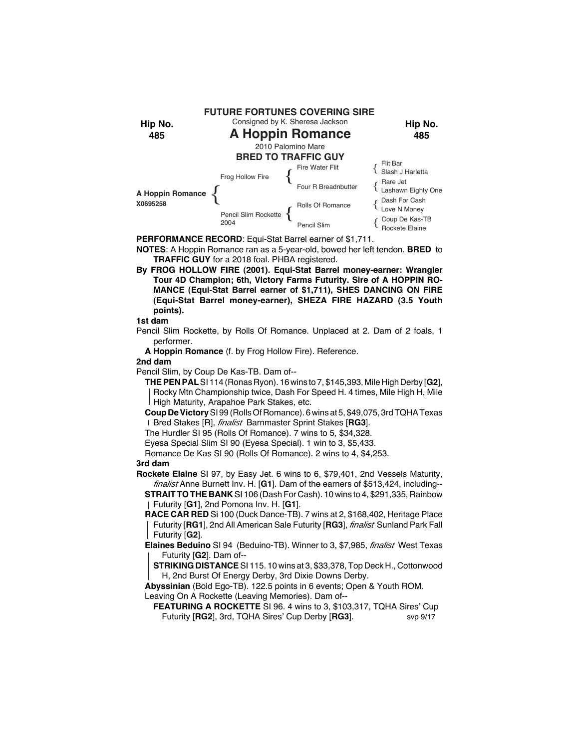

**PERFORMANCE RECORD**: Equi-Stat Barrel earner of \$1,711.

**NOTES**: A Hoppin Romance ran as a 5-year-old, bowed her left tendon. **BRED** to **TRAFFIC GUY** for a 2018 foal. PHBA registered.

**By FROG HOLLOW FIRE (2001). Equi-Stat Barrel money-earner: Wrangler Tour 4D Champion; 6th, Victory Farms Futurity. Sire of A HOPPIN RO-MANCE (Equi-Stat Barrel earner of \$1,711), SHES DANCING ON FIRE (Equi-Stat Barrel money-earner), SHEZA FIRE HAZARD (3.5 Youth points).**

### **1st dam**

Pencil Slim Rockette, by Rolls Of Romance. Unplaced at 2. Dam of 2 foals, 1 performer.

**A Hoppin Romance** (f. by Frog Hollow Fire). Reference.

#### **2nd dam**

Pencil Slim, by Coup De Kas-TB. Dam of--

**THE PEN PAL** SI 114 (Ronas Ryon). 16 wins to 7, \$145,393, Mile High Derby [**G2**], Rocky Mtn Championship twice, Dash For Speed H. 4 times, Mile High H, Mile High Maturity, Arapahoe Park Stakes, etc.

**Coup De Victory** SI 99 (Rolls Of Romance). 6 wins at 5, \$49,075, 3rd TQHA Texas Bred Stakes [R], *finalist* Barnmaster Sprint Stakes [**RG3**].

The Hurdler SI 95 (Rolls Of Romance). 7 wins to 5, \$34,328.

Eyesa Special Slim SI 90 (Eyesa Special). 1 win to 3, \$5,433.

Romance De Kas SI 90 (Rolls Of Romance). 2 wins to 4, \$4,253.

## **3rd dam**

**Rockete Elaine** SI 97, by Easy Jet. 6 wins to 6, \$79,401, 2nd Vessels Maturity, *finalist* Anne Burnett Inv. H. [**G1**]. Dam of the earners of \$513,424, including--

**STRAIT TO THE BANK** SI 106 (Dash For Cash). 10 wins to 4, \$291,335, Rainbow Futurity [**G1**], 2nd Pomona Inv. H. [**G1**].

**RACE CAR RED** Si 100 (Duck Dance-TB). 7 wins at 2, \$168,402, Heritage Place Futurity [**RG1**], 2nd All American Sale Futurity [**RG3**], *finalist* Sunland Park Fall Futurity [**G2**].

**Elaines Beduino** SI 94 (Beduino-TB). Winner to 3, \$7,985, *finalist* West Texas Futurity [**G2**]. Dam of--

**STRIKING DISTANCE** SI 115. 10 wins at 3, \$33,378, Top Deck H., Cottonwood H, 2nd Burst Of Energy Derby, 3rd Dixie Downs Derby.

**Abyssinian** (Bold Ego-TB). 122.5 points in 6 events; Open & Youth ROM. Leaving On A Rockette (Leaving Memories). Dam of--

**FEATURING A ROCKETTE** SI 96. 4 wins to 3, \$103,317, TQHA Sires' Cup Futurity [**RG2**], 3rd, TQHA Sires' Cup Derby [**RG3**]. svp 9/17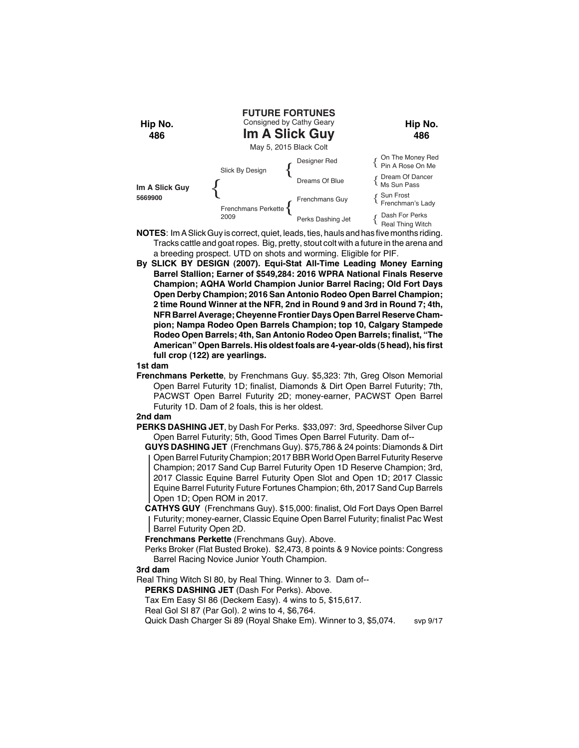

- **NOTES**: Im A Slick Guy is correct, quiet, leads, ties, hauls and has five months riding. Tracks cattle and goat ropes. Big, pretty, stout colt with a future in the arena and a breeding prospect. UTD on shots and worming. Eligible for PIF.
- **By SLICK BY DESIGN (2007). Equi-Stat All-Time Leading Money Earning Barrel Stallion; Earner of \$549,284: 2016 WPRA National Finals Reserve Champion; AQHA World Champion Junior Barrel Racing; Old Fort Days Open Derby Champion; 2016 San Antonio Rodeo Open Barrel Champion; 2 time Round Winner at the NFR, 2nd in Round 9 and 3rd in Round 7; 4th, NFR Barrel Average; Cheyenne Frontier Days Open Barrel Reserve Champion; Nampa Rodeo Open Barrels Champion; top 10, Calgary Stampede Rodeo Open Barrels; 4th, San Antonio Rodeo Open Barrels; finalist, "The American" Open Barrels. His oldest foals are 4-year-olds (5 head), his first full crop (122) are yearlings.**

**Frenchmans Perkette**, by Frenchmans Guy. \$5,323: 7th, Greg Olson Memorial Open Barrel Futurity 1D; finalist, Diamonds & Dirt Open Barrel Futurity; 7th, PACWST Open Barrel Futurity 2D; money-earner, PACWST Open Barrel Futurity 1D. Dam of 2 foals, this is her oldest.

#### **2nd dam**

- **PERKS DASHING JET**, by Dash For Perks. \$33,097: 3rd, Speedhorse Silver Cup Open Barrel Futurity; 5th, Good Times Open Barrel Futurity. Dam of--
	- **GUYS DASHING JET** (Frenchmans Guy). \$75,786 & 24 points: Diamonds & Dirt Open Barrel Futurity Champion; 2017 BBR World Open Barrel Futurity Reserve Champion; 2017 Sand Cup Barrel Futurity Open 1D Reserve Champion; 3rd, 2017 Classic Equine Barrel Futurity Open Slot and Open 1D; 2017 Classic Equine Barrel Futurity Future Fortunes Champion; 6th, 2017 Sand Cup Barrels Open 1D; Open ROM in 2017.
	- **CATHYS GUY** (Frenchmans Guy). \$15,000: finalist, Old Fort Days Open Barrel Futurity; money-earner, Classic Equine Open Barrel Futurity; finalist Pac West Barrel Futurity Open 2D.

**Frenchmans Perkette** (Frenchmans Guy). Above.

Perks Broker (Flat Busted Broke). \$2,473, 8 points & 9 Novice points: Congress Barrel Racing Novice Junior Youth Champion.

## **3rd dam**

Real Thing Witch SI 80, by Real Thing. Winner to 3. Dam of--

**PERKS DASHING JET** (Dash For Perks). Above.

Tax Em Easy SI 86 (Deckem Easy). 4 wins to 5, \$15,617.

Real Gol SI 87 (Par Gol). 2 wins to 4, \$6,764.

Quick Dash Charger Si 89 (Royal Shake Em). Winner to 3, \$5,074. svp 9/17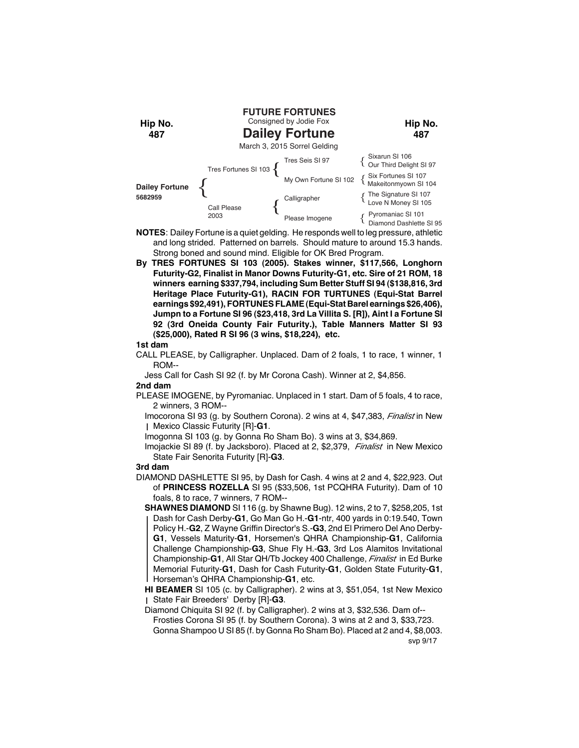

- **NOTES**: Dailey Fortune is a quiet gelding. He responds well to leg pressure, athletic and long strided. Patterned on barrels. Should mature to around 15.3 hands. Strong boned and sound mind. Eligible for OK Bred Program.
- **By TRES FORTUNES SI 103 (2005). Stakes winner, \$117,566, Longhorn Futurity-G2, Finalist in Manor Downs Futurity-G1, etc. Sire of 21 ROM, 18 winners earning \$337,794, including Sum Better Stuff SI 94 (\$138,816, 3rd Heritage Place Futurity-G1), RACIN FOR TURTUNES (Equi-Stat Barrel earnings \$92,491), FORTUNES FLAME (Equi-Stat Barel earnings \$26,406), Jumpn to a Fortune SI 96 (\$23,418, 3rd La Villita S. [R]), Aint I a Fortune SI 92 (3rd Oneida County Fair Futurity.), Table Manners Matter SI 93 (\$25,000), Rated R SI 96 (3 wins, \$18,224), etc.**

CALL PLEASE, by Calligrapher. Unplaced. Dam of 2 foals, 1 to race, 1 winner, 1 ROM--

Jess Call for Cash SI 92 (f. by Mr Corona Cash). Winner at 2, \$4,856. **2nd dam**

PLEASE IMOGENE, by Pyromaniac. Unplaced in 1 start. Dam of 5 foals, 4 to race, 2 winners, 3 ROM--

Imocorona SI 93 (g. by Southern Corona). 2 wins at 4, \$47,383, *Finalist* in New Mexico Classic Futurity [R]-**G1**.

Imogonna SI 103 (g. by Gonna Ro Sham Bo). 3 wins at 3, \$34,869.

Imojackie SI 89 (f. by Jacksboro). Placed at 2, \$2,379, *Finalist* in New Mexico State Fair Senorita Futurity [R]-**G3**.

#### **3rd dam**

- DIAMOND DASHLETTE SI 95, by Dash for Cash. 4 wins at 2 and 4, \$22,923. Out of **PRINCESS ROZELLA** SI 95 (\$33,506, 1st PCQHRA Futurity). Dam of 10 foals, 8 to race, 7 winners, 7 ROM--
	- **SHAWNES DIAMOND** SI 116 (g. by Shawne Bug). 12 wins, 2 to 7, \$258,205, 1st Dash for Cash Derby-**G1**, Go Man Go H.-**G1**-ntr, 400 yards in 0:19.540, Town Policy H.-**G2**, Z Wayne Griffin Director's S.-**G3**, 2nd El Primero Del Ano Derby-**G1**, Vessels Maturity-**G1**, Horsemen's QHRA Championship-**G1**, California Challenge Championship-**G3**, Shue Fly H.-**G3**, 3rd Los Alamitos Invitational Championship-**G1**, All Star QH/Tb Jockey 400 Challenge, *Finalist* in Ed Burke Memorial Futurity-**G1**, Dash for Cash Futurity-**G1**, Golden State Futurity-**G1**, Horseman's QHRA Championship-**G1**, etc.

**HI BEAMER** SI 105 (c. by Calligrapher). 2 wins at 3, \$51,054, 1st New Mexico State Fair Breeders' Derby [R]-**G3**.

Diamond Chiquita SI 92 (f. by Calligrapher). 2 wins at 3, \$32,536. Dam of-- Frosties Corona SI 95 (f. by Southern Corona). 3 wins at 2 and 3, \$33,723. Gonna Shampoo U SI 85 (f. by Gonna Ro Sham Bo). Placed at 2 and 4, \$8,003.

svp 9/17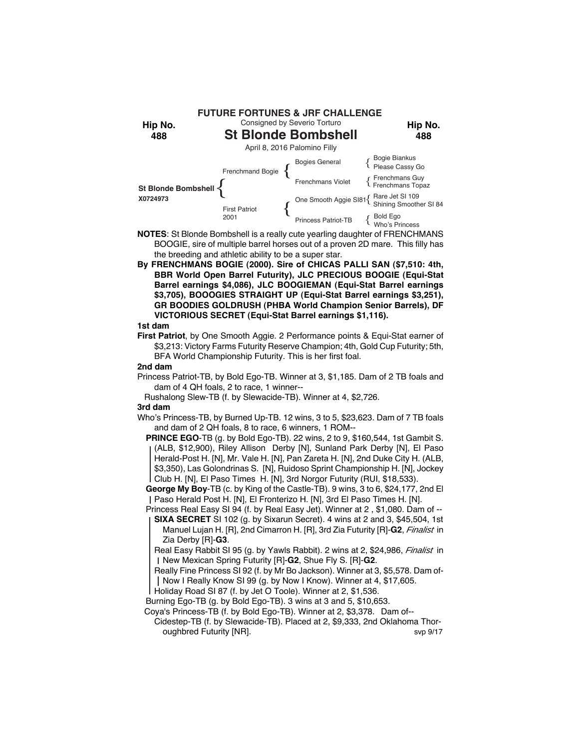

- **NOTES**: St Blonde Bombshell is a really cute yearling daughter of FRENCHMANS BOOGIE, sire of multiple barrel horses out of a proven 2D mare. This filly has the breeding and athletic ability to be a super star.
- **By FRENCHMANS BOGIE (2000). Sire of CHICAS PALLI SAN (\$7,510: 4th, BBR World Open Barrel Futurity), JLC PRECIOUS BOOGIE (Equi-Stat Barrel earnings \$4,086), JLC BOOGIEMAN (Equi-Stat Barrel earnings \$3,705), BOOOGIES STRAIGHT UP (Equi-Stat Barrel earnings \$3,251), GR BOODIES GOLDRUSH (PHBA World Champion Senior Barrels), DF VICTORIOUS SECRET (Equi-Stat Barrel earnings \$1,116).**

**First Patriot**, by One Smooth Aggie. 2 Performance points & Equi-Stat earner of \$3,213: Victory Farms Futurity Reserve Champion; 4th, Gold Cup Futurity; 5th, BFA World Championship Futurity. This is her first foal.

#### **2nd dam**

- Princess Patriot-TB, by Bold Ego-TB. Winner at 3, \$1,185. Dam of 2 TB foals and dam of 4 QH foals, 2 to race, 1 winner--
	- Rushalong Slew-TB (f. by Slewacide-TB). Winner at 4, \$2,726.

### **3rd dam**

- Who's Princess-TB, by Burned Up-TB. 12 wins, 3 to 5, \$23,623. Dam of 7 TB foals and dam of 2 QH foals, 8 to race, 6 winners, 1 ROM--
	- **PRINCE EGO**-TB (g. by Bold Ego-TB). 22 wins, 2 to 9, \$160,544, 1st Gambit S. (ALB, \$12,900), Riley Allison Derby [N], Sunland Park Derby [N], El Paso Herald-Post H. [N], Mr. Vale H. [N], Pan Zareta H. [N], 2nd Duke City H. (ALB, \$3,350), Las Golondrinas S. [N], Ruidoso Sprint Championship H. [N], Jockey Club H. [N], El Paso Times H. [N], 3rd Norgor Futurity (RUI, \$18,533).
	- **George My Boy**-TB (c. by King of the Castle-TB). 9 wins, 3 to 6, \$24,177, 2nd El Paso Herald Post H. [N], El Fronterizo H. [N], 3rd El Paso Times H. [N].
	- Princess Real Easy SI 94 (f. by Real Easy Jet). Winner at 2, \$1,080. Dam of --**SIXA SECRET** SI 102 (g. by Sixarun Secret). 4 wins at 2 and 3, \$45,504, 1st
	- Manuel Lujan H. [R], 2nd Cimarron H. [R], 3rd Zia Futurity [R]-**G2**, *Finalist* in Zia Derby [R]-**G3**.
	- Real Easy Rabbit SI 95 (g. by Yawls Rabbit). 2 wins at 2, \$24,986, *Finalist* in New Mexican Spring Futurity [R]-**G2**, Shue Fly S. [R]-**G2**.
	- Really Fine Princess SI 92 (f. by Mr Bo Jackson). Winner at 3, \$5,578. Dam of-Now I Really Know SI 99 (g. by Now I Know). Winner at 4, \$17,605.
	- Holiday Road SI 87 (f. by Jet O Toole). Winner at 2, \$1,536.
	- Burning Ego-TB (g. by Bold Ego-TB). 3 wins at 3 and 5, \$10,653.
	- Coya's Princess-TB (f. by Bold Ego-TB). Winner at 2, \$3,378. Dam of--
		- Cidestep-TB (f. by Slewacide-TB). Placed at 2, \$9,333, 2nd Oklahoma Thoroughbred Futurity [NR]. Svp 9/17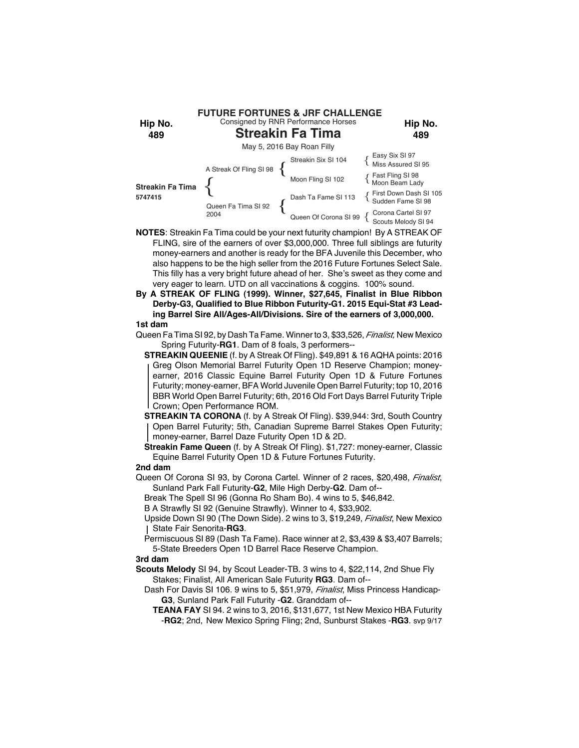

**NOTES**: Streakin Fa Tima could be your next futurity champion! By A STREAK OF FLING, sire of the earners of over \$3,000,000. Three full siblings are futurity money-earners and another is ready for the BFA Juvenile this December, who also happens to be the high seller from the 2016 Future Fortunes Select Sale. This filly has a very bright future ahead of her. She's sweet as they come and very eager to learn. UTD on all vaccinations & coggins. 100% sound.

**By A STREAK OF FLING (1999). Winner, \$27,645, Finalist in Blue Ribbon Derby-G3, Qualified to Blue Ribbon Futurity-G1. 2015 Equi-Stat #3 Leading Barrel Sire All/Ages-All/Divisions. Sire of the earners of 3,000,000.**

## **1st dam**

Queen Fa Tima SI 92, by Dash Ta Fame. Winner to 3, \$33,526, *Finalist,* New Mexico Spring Futurity-**RG1**. Dam of 8 foals, 3 performers--

**STREAKIN QUEENIE** (f. by A Streak Of Fling). \$49,891 & 16 AQHA points: 2016 Greg Olson Memorial Barrel Futurity Open 1D Reserve Champion; moneyearner, 2016 Classic Equine Barrel Futurity Open 1D & Future Fortunes Futurity; money-earner, BFA World Juvenile Open Barrel Futurity; top 10, 2016 BBR World Open Barrel Futurity; 6th, 2016 Old Fort Days Barrel Futurity Triple Crown; Open Performance ROM.

**STREAKIN TA CORONA** (f. by A Streak Of Fling). \$39,944: 3rd, South Country Open Barrel Futurity; 5th, Canadian Supreme Barrel Stakes Open Futurity; money-earner, Barrel Daze Futurity Open 1D & 2D.

**Streakin Fame Queen** (f. by A Streak Of Fling). \$1,727: money-earner, Classic Equine Barrel Futurity Open 1D & Future Fortunes Futurity.

## **2nd dam**

Queen Of Corona SI 93, by Corona Cartel. Winner of 2 races, \$20,498, *Finalist*, Sunland Park Fall Futurity-**G2**, Mile High Derby-**G2**. Dam of--

Break The Spell SI 96 (Gonna Ro Sham Bo). 4 wins to 5, \$46,842.

B A Strawfly SI 92 (Genuine Strawfly). Winner to 4, \$33,902.

- Upside Down SI 90 (The Down Side). 2 wins to 3, \$19,249, *Finalist*, New Mexico State Fair Senorita-**RG3**.
- Permiscuous SI 89 (Dash Ta Fame). Race winner at 2, \$3,439 & \$3,407 Barrels; 5-State Breeders Open 1D Barrel Race Reserve Champion.

### **3rd dam**

- **Scouts Melody** SI 94, by Scout Leader-TB. 3 wins to 4, \$22,114, 2nd Shue Fly Stakes; Finalist, All American Sale Futurity **RG3**. Dam of--
	- Dash For Davis SI 106. 9 wins to 5, \$51,979, *Finalist*, Miss Princess Handicap-**G3**, Sunland Park Fall Futurity -**G2**. Granddam of--
		- **TEANA FAY** SI 94. 2 wins to 3, 2016, \$131,677, 1st New Mexico HBA Futurity -**RG2**; 2nd, New Mexico Spring Fling; 2nd, Sunburst Stakes -**RG3**. svp 9/17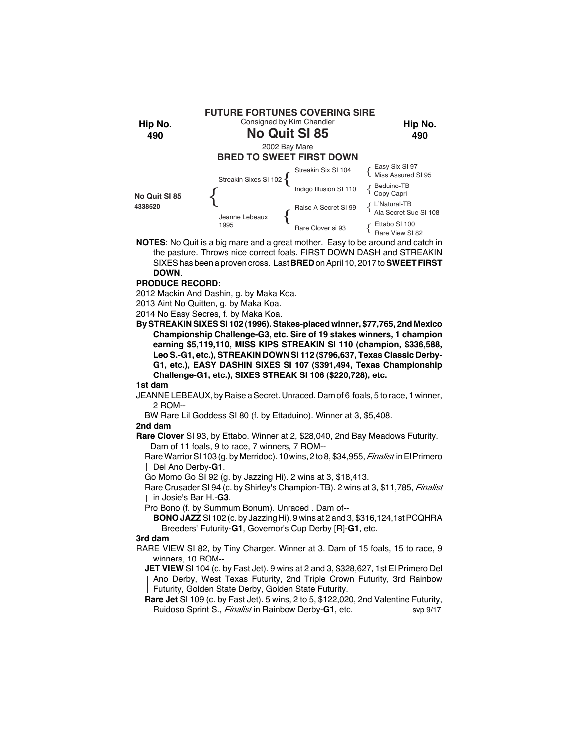

**NOTES**: No Quit is a big mare and a great mother. Easy to be around and catch in the pasture. Throws nice correct foals. FIRST DOWN DASH and STREAKIN SIXES has been a proven cross. Last **BRED** on April 10, 2017 to **SWEET FIRST DOWN**.

### **PRODUCE RECORD:**

2012 Mackin And Dashin, g. by Maka Koa. 2013 Aint No Quitten, g. by Maka Koa.

2014 No Easy Secres, f. by Maka Koa.

**By STREAKIN SIXES SI 102 (1996). Stakes-placed winner, \$77,765, 2nd Mexico Championship Challenge-G3, etc. Sire of 19 stakes winners, 1 champion earning \$5,119,110, MISS KIPS STREAKIN SI 110 (champion, \$336,588, Leo S.-G1, etc.), STREAKIN DOWN SI 112 (\$796,637, Texas Classic Derby-G1, etc.), EASY DASHIN SIXES SI 107 (\$391,494, Texas Championship Challenge-G1, etc.), SIXES STREAK SI 106 (\$220,728), etc.**

**1st dam**

JEANNE LEBEAUX, by Raise a Secret. Unraced. Dam of 6 foals, 5 to race, 1 winner, 2 ROM--

BW Rare Lil Goddess SI 80 (f. by Ettaduino). Winner at 3, \$5,408.

## **2nd dam**

**Rare Clover** SI 93, by Ettabo. Winner at 2, \$28,040, 2nd Bay Meadows Futurity. Dam of 11 foals, 9 to race, 7 winners, 7 ROM--

Rare Warrior SI 103 (g. by Merridoc). 10 wins, 2 to 8, \$34,955, *Finalist* in El Primero Del Ano Derby-**G1**.

Go Momo Go SI 92 (g. by Jazzing Hi). 2 wins at 3, \$18,413.

Rare Crusader SI 94 (c. by Shirley's Champion-TB). 2 wins at 3, \$11,785, *Finalist* in Josie's Bar H.-**G3**.

Pro Bono (f. by Summum Bonum). Unraced . Dam of--

**BONO JAZZ** SI 102 (c. by Jazzing Hi). 9 wins at 2 and 3, \$316,124,1st PCQHRA Breeders' Futurity-**G1**, Governor's Cup Derby [R]-**G1**, etc.

## **3rd dam**

RARE VIEW SI 82, by Tiny Charger. Winner at 3. Dam of 15 foals, 15 to race, 9 winners, 10 ROM--

**JET VIEW** SI 104 (c. by Fast Jet). 9 wins at 2 and 3, \$328,627, 1st El Primero Del Ano Derby, West Texas Futurity, 2nd Triple Crown Futurity, 3rd Rainbow Futurity, Golden State Derby, Golden State Futurity.

**Rare Jet** SI 109 (c. by Fast Jet). 5 wins, 2 to 5, \$122,020, 2nd Valentine Futurity, Ruidoso Sprint S., *Finalist* in Rainbow Derby-**G1**, etc. svp 9/17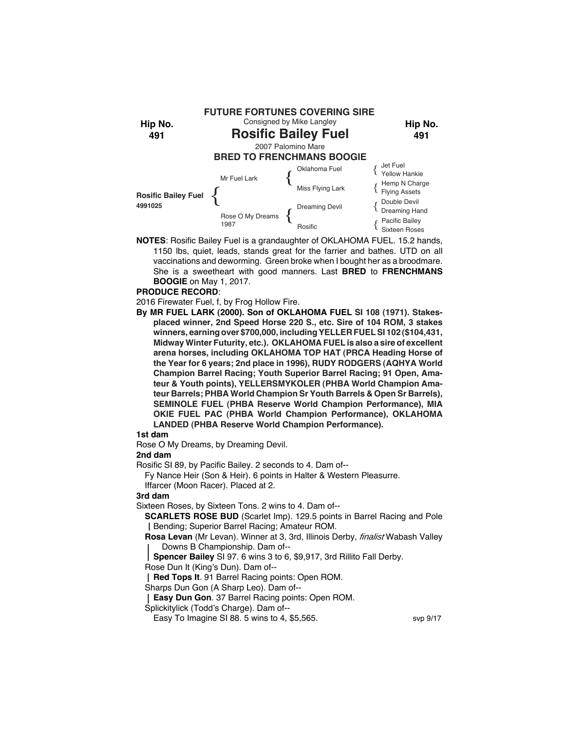

**NOTES**: Rosific Bailey Fuel is a grandaughter of OKLAHOMA FUEL. 15.2 hands, 1150 lbs, quiet, leads, stands great for the farrier and bathes. UTD on all vaccinations and deworming. Green broke when I bought her as a broodmare. She is a sweetheart with good manners. Last **BRED** to **FRENCHMANS BOOGIE** on May 1, 2017.

### **PRODUCE RECORD**:

2016 Firewater Fuel, f, by Frog Hollow Fire.

**By MR FUEL LARK (2000). Son of OKLAHOMA FUEL SI 108 (1971). Stakesplaced winner, 2nd Speed Horse 220 S., etc. Sire of 104 ROM, 3 stakes winners, earning over \$700,000, including YELLER FUEL SI 102 (\$104,431, Midway Winter Futurity, etc.). OKLAHOMA FUEL is also a sire of excellent arena horses, including OKLAHOMA TOP HAT (PRCA Heading Horse of the Year for 6 years; 2nd place in 1996), RUDY RODGERS (AQHYA World Champion Barrel Racing; Youth Superior Barrel Racing; 91 Open, Amateur & Youth points), YELLERSMYKOLER (PHBA World Champion Amateur Barrels; PHBA World Champion Sr Youth Barrels & Open Sr Barrels), SEMINOLE FUEL (PHBA Reserve World Champion Performance), MIA OKIE FUEL PAC (PHBA World Champion Performance), OKLAHOMA LANDED (PHBA Reserve World Champion Performance).**

## **1st dam**

Rose O My Dreams, by Dreaming Devil.

#### **2nd dam**

Rosific SI 89, by Pacific Bailey. 2 seconds to 4. Dam of--

Fy Nance Heir (Son & Heir). 6 points in Halter & Western Pleasurre. Iffarcer (Moon Racer). Placed at 2.

**3rd dam**

Sixteen Roses, by Sixteen Tons. 2 wins to 4. Dam of--

**SCARLETS ROSE BUD** (Scarlet Imp). 129.5 points in Barrel Racing and Pole Bending; Superior Barrel Racing; Amateur ROM.

**Rosa Levan** (Mr Levan). Winner at 3, 3rd, Illinois Derby, *finalist* Wabash Valley Downs B Championship. Dam of--

**Spencer Bailey** SI 97. 6 wins 3 to 6, \$9,917, 3rd Rillito Fall Derby.

Rose Dun It (King's Dun). Dam of--

**Red Tops It**. 91 Barrel Racing points: Open ROM.

Sharps Dun Gon (A Sharp Leo). Dam of--

**Easy Dun Gon**. 37 Barrel Racing points: Open ROM.

Splickitylick (Todd's Charge). Dam of--

Easy To Imagine SI 88. 5 wins to 4, \$5,565.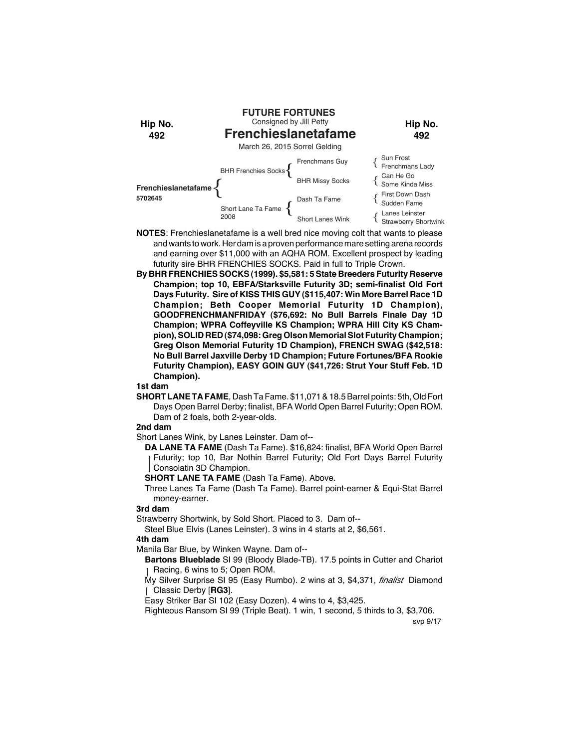

- **NOTES**: Frenchieslanetafame is a well bred nice moving colt that wants to please and wants to work. Her dam is a proven performance mare setting arena records and earning over \$11,000 with an AQHA ROM. Excellent prospect by leading futurity sire BHR FRENCHIES SOCKS. Paid in full to Triple Crown.
- **By BHR FRENCHIES SOCKS (1999). \$5,581: 5 State Breeders Futurity Reserve Champion; top 10, EBFA/Starksville Futurity 3D; semi-finalist Old Fort Days Futurity. Sire of KISS THIS GUY (\$115,407: Win More Barrel Race 1D Champion; Beth Cooper Memorial Futurity 1D Champion), GOODFRENCHMANFRIDAY (\$76,692: No Bull Barrels Finale Day 1D Champion; WPRA Coffeyville KS Champion; WPRA Hill City KS Champion), SOLID RED (\$74,098: Greg Olson Memorial Slot Futurity Champion; Greg Olson Memorial Futurity 1D Champion), FRENCH SWAG (\$42,518: No Bull Barrel Jaxville Derby 1D Champion; Future Fortunes/BFA Rookie Futurity Champion), EASY GOIN GUY (\$41,726: Strut Your Stuff Feb. 1D Champion).**

**SHORT LANE TA FAME**, Dash Ta Fame. \$11,071 & 18.5 Barrel points: 5th, Old Fort Days Open Barrel Derby; finalist, BFA World Open Barrel Futurity; Open ROM. Dam of 2 foals, both 2-year-olds.

## **2nd dam**

Short Lanes Wink, by Lanes Leinster. Dam of--

**DA LANE TA FAME** (Dash Ta Fame). \$16,824: finalist, BFA World Open Barrel Futurity; top 10, Bar Nothin Barrel Futurity; Old Fort Days Barrel Futurity Consolatin 3D Champion.

**SHORT LANE TA FAME** (Dash Ta Fame). Above.

Three Lanes Ta Fame (Dash Ta Fame). Barrel point-earner & Equi-Stat Barrel money-earner.

## **3rd dam**

Strawberry Shortwink, by Sold Short. Placed to 3. Dam of--

Steel Blue Elvis (Lanes Leinster). 3 wins in 4 starts at 2, \$6,561.

## **4th dam**

Manila Bar Blue, by Winken Wayne. Dam of--

**Bartons Blueblade** SI 99 (Bloody Blade-TB). 17.5 points in Cutter and Chariot Racing, 6 wins to 5; Open ROM.

My Silver Surprise SI 95 (Easy Rumbo). 2 wins at 3, \$4,371, *finalist* Diamond Classic Derby [**RG3**].

Easy Striker Bar SI 102 (Easy Dozen). 4 wins to 4, \$3,425.

Righteous Ransom SI 99 (Triple Beat). 1 win, 1 second, 5 thirds to 3, \$3,706.

svp 9/17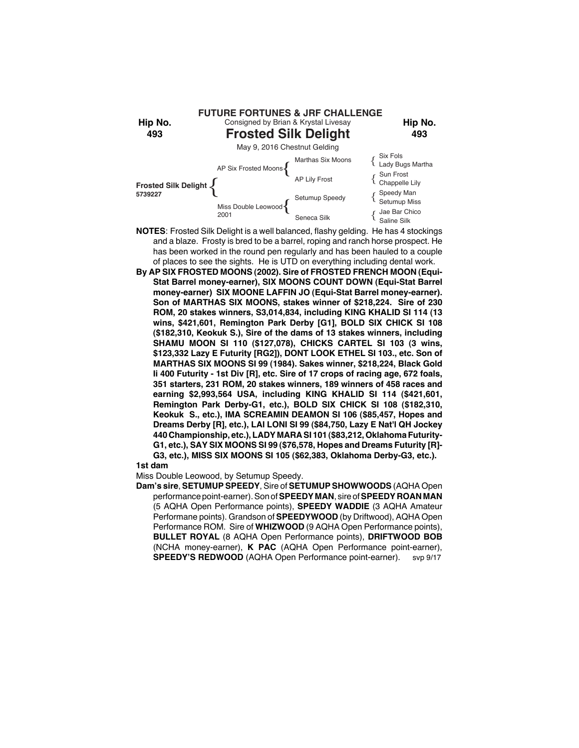

- **NOTES**: Frosted Silk Delight is a well balanced, flashy gelding. He has 4 stockings and a blaze. Frosty is bred to be a barrel, roping and ranch horse prospect. He has been worked in the round pen regularly and has been hauled to a couple of places to see the sights. He is UTD on everything including dental work.
- **By AP SIX FROSTED MOONS (2002). Sire of FROSTED FRENCH MOON (Equi-Stat Barrel money-earner), SIX MOONS COUNT DOWN (Equi-Stat Barrel money-earner) SIX MOONE LAFFIN JO (Equi-Stat Barrel money-earner). Son of MARTHAS SIX MOONS, stakes winner of \$218,224. Sire of 230 ROM, 20 stakes winners, S3,014,834, including KING KHALID SI 114 (13 wins, \$421,601, Remington Park Derby [G1], BOLD SIX CHICK SI 108 (\$182,310, Keokuk S.), Sire of the dams of 13 stakes winners, including SHAMU MOON SI 110 (\$127,078), CHICKS CARTEL SI 103 (3 wins, \$123,332 Lazy E Futurity [RG2]), DONT LOOK ETHEL SI 103., etc. Son of MARTHAS SIX MOONS SI 99 (1984). Sakes winner, \$218,224, Black Gold Ii 400 Futurity - 1st Div [R], etc. Sire of 17 crops of racing age, 672 foals, 351 starters, 231 ROM, 20 stakes winners, 189 winners of 458 races and earning \$2,993,564 USA, including KING KHALID SI 114 (\$421,601, Remington Park Derby-G1, etc.), BOLD SIX CHICK SI 108 (\$182,310, Keokuk S., etc.), IMA SCREAMIN DEAMON SI 106 (\$85,457, Hopes and Dreams Derby [R], etc.), LAI LONI SI 99 (\$84,750, Lazy E Nat'l QH Jockey 440 Championship, etc.), LADY MARA SI 101 (\$83,212, Oklahoma Futurity-G1, etc.), SAY SIX MOONS SI 99 (\$76,578, Hopes and Dreams Futurity [R]- G3, etc.), MISS SIX MOONS SI 105 (\$62,383, Oklahoma Derby-G3, etc.).**
- **1st dam**

Miss Double Leowood, by Setumup Speedy.

**Dam's sire**, **SETUMUP SPEEDY**, Sire of **SETUMUP SHOWWOODS** (AQHA Open performance point-earner). Son of **SPEEDY MAN**, sire of **SPEEDY ROAN MAN** (5 AQHA Open Performance points), **SPEEDY WADDIE** (3 AQHA Amateur Performane points). Grandson of **SPEEDYWOOD** (by Driftwood), AQHA Open Performance ROM. Sire of **WHIZWOOD** (9 AQHA Open Performance points), **BULLET ROYAL** (8 AQHA Open Performance points), **DRIFTWOOD BOB** (NCHA money-earner), **K PAC** (AQHA Open Performance point-earner), **SPEEDY'S REDWOOD** (AQHA Open Performance point-earner). svp 9/17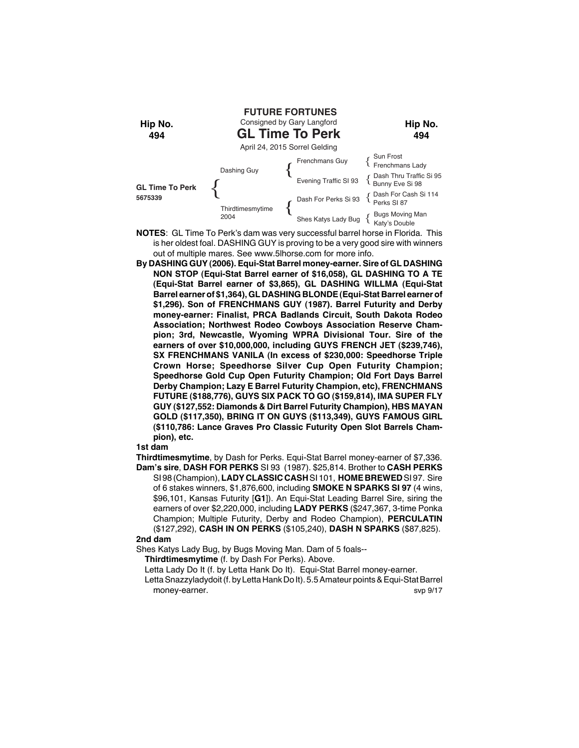

- **NOTES**: GL Time To Perk's dam was very successful barrel horse in Florida. This is her oldest foal. DASHING GUY is proving to be a very good sire with winners out of multiple mares. See www.5lhorse.com for more info.
- **By DASHING GUY (2006). Equi-Stat Barrel money-earner. Sire of GL DASHING NON STOP (Equi-Stat Barrel earner of \$16,058), GL DASHING TO A TE (Equi-Stat Barrel earner of \$3,865), GL DASHING WILLMA (Equi-Stat Barrel earner of \$1,364), GL DASHING BLONDE (Equi-Stat Barrel earner of \$1,296). Son of FRENCHMANS GUY (1987). Barrel Futurity and Derby money-earner: Finalist, PRCA Badlands Circuit, South Dakota Rodeo Association; Northwest Rodeo Cowboys Association Reserve Champion; 3rd, Newcastle, Wyoming WPRA Divisional Tour. Sire of the earners of over \$10,000,000, including GUYS FRENCH JET (\$239,746), SX FRENCHMANS VANILA (In excess of \$230,000: Speedhorse Triple Crown Horse; Speedhorse Silver Cup Open Futurity Champion; Speedhorse Gold Cup Open Futurity Champion; Old Fort Days Barrel Derby Champion; Lazy E Barrel Futurity Champion, etc), FRENCHMANS FUTURE (\$188,776), GUYS SIX PACK TO GO (\$159,814), IMA SUPER FLY GUY (\$127,552: Diamonds & Dirt Barrel Futurity Champion), HBS MAYAN GOLD (\$117,350), BRING IT ON GUYS (\$113,349), GUYS FAMOUS GIRL (\$110,786: Lance Graves Pro Classic Futurity Open Slot Barrels Champion), etc.**

**Thirdtimesmytime**, by Dash for Perks. Equi-Stat Barrel money-earner of \$7,336. **Dam's sire**, **DASH FOR PERKS** SI 93 (1987). \$25,814. Brother to **CASH PERKS**

SI 98 (Champion), **LADY CLASSIC CASH** SI 101, **HOME BREWED** SI 97.Sire of 6 stakes winners, \$1,876,600, including **SMOKE N SPARKS SI 97** (4 wins, \$96,101, Kansas Futurity [**G1**]). An Equi-Stat Leading Barrel Sire, siring the earners of over \$2,220,000, including **LADY PERKS** (\$247,367, 3-time Ponka Champion; Multiple Futurity, Derby and Rodeo Champion), **PERCULATIN** (\$127,292), **CASH IN ON PERKS** (\$105,240), **DASH N SPARKS** (\$87,825).

# **2nd dam**

Shes Katys Lady Bug, by Bugs Moving Man. Dam of 5 foals--

**Thirdtimesmytime** (f. by Dash For Perks). Above.

Letta Lady Do It (f. by Letta Hank Do It). Equi-Stat Barrel money-earner.

Letta Snazzyladydoit (f. by Letta Hank Do It). 5.5 Amateur points & Equi-Stat Barrel money-earner. Supervisors and the state of the state of the state of the state of the state of the state of the state of the state of the state of the state of the state of the state of the state of the state of the state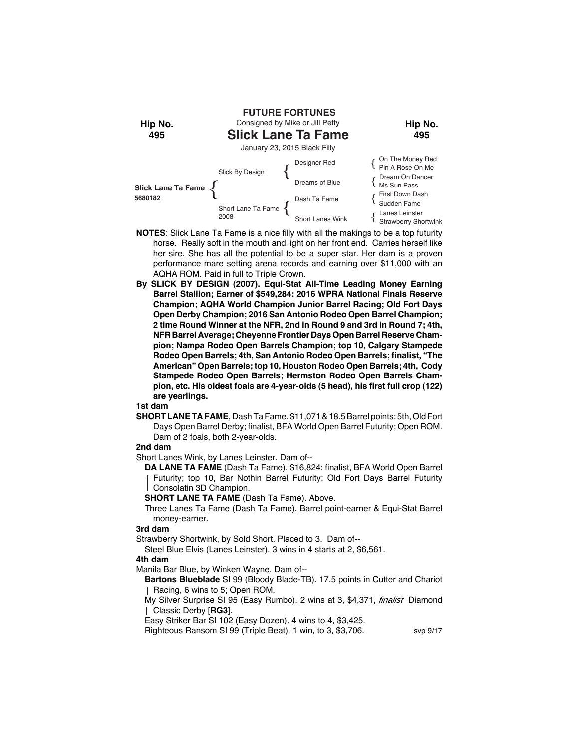

- **NOTES**: Slick Lane Ta Fame is a nice filly with all the makings to be a top futurity horse. Really soft in the mouth and light on her front end. Carries herself like her sire. She has all the potential to be a super star. Her dam is a proven performance mare setting arena records and earning over \$11,000 with an AQHA ROM. Paid in full to Triple Crown.
- **By SLICK BY DESIGN (2007). Equi-Stat All-Time Leading Money Earning Barrel Stallion; Earner of \$549,284: 2016 WPRA National Finals Reserve Champion; AQHA World Champion Junior Barrel Racing; Old Fort Days Open Derby Champion; 2016 San Antonio Rodeo Open Barrel Champion; 2 time Round Winner at the NFR, 2nd in Round 9 and 3rd in Round 7; 4th, NFR Barrel Average; Cheyenne Frontier Days Open Barrel Reserve Champion; Nampa Rodeo Open Barrels Champion; top 10, Calgary Stampede Rodeo Open Barrels; 4th, San Antonio Rodeo Open Barrels; finalist, "The American" Open Barrels; top 10, Houston Rodeo Open Barrels; 4th, Cody Stampede Rodeo Open Barrels; Hermston Rodeo Open Barrels Champion, etc. His oldest foals are 4-year-olds (5 head), his first full crop (122) are yearlings.**

**SHORT LANE TA FAME**, Dash Ta Fame. \$11,071 & 18.5 Barrel points: 5th, Old Fort Days Open Barrel Derby; finalist, BFA World Open Barrel Futurity; Open ROM. Dam of 2 foals, both 2-year-olds.

## **2nd dam**

Short Lanes Wink, by Lanes Leinster. Dam of--

**DA LANE TA FAME** (Dash Ta Fame). \$16,824: finalist, BFA World Open Barrel Futurity; top 10, Bar Nothin Barrel Futurity; Old Fort Days Barrel Futurity Consolatin 3D Champion.

**SHORT LANE TA FAME** (Dash Ta Fame). Above.

Three Lanes Ta Fame (Dash Ta Fame). Barrel point-earner & Equi-Stat Barrel money-earner.

## **3rd dam**

Strawberry Shortwink, by Sold Short. Placed to 3. Dam of--

Steel Blue Elvis (Lanes Leinster). 3 wins in 4 starts at 2, \$6,561.

#### **4th dam**

Manila Bar Blue, by Winken Wayne. Dam of--

**Bartons Blueblade** SI 99 (Bloody Blade-TB). 17.5 points in Cutter and Chariot | Racing, 6 wins to 5; Open ROM.

My Silver Surprise SI 95 (Easy Rumbo). 2 wins at 3, \$4,371, *finalist* Diamond Classic Derby [**RG3**].

Easy Striker Bar SI 102 (Easy Dozen). 4 wins to 4, \$3,425.

Righteous Ransom SI 99 (Triple Beat). 1 win, to 3, \$3,706. svp 9/17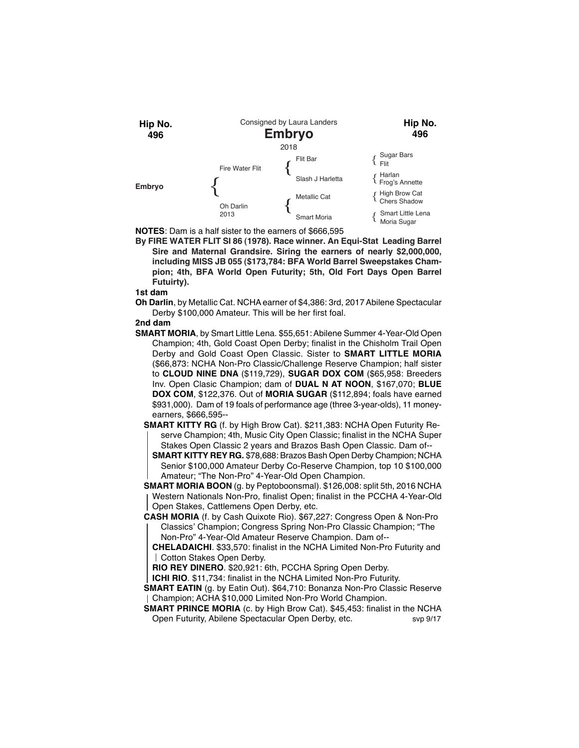

**NOTES**: Dam is a half sister to the earners of \$666,595

**By FIRE WATER FLIT SI 86 (1978). Race winner. An Equi-Stat Leading Barrel Sire and Maternal Grandsire. Siring the earners of nearly \$2,000,000, including MISS JB 055 (\$173,784: BFA World Barrel Sweepstakes Champion; 4th, BFA World Open Futurity; 5th, Old Fort Days Open Barrel Futuirty).**

**1st dam**

**Oh Darlin**, by Metallic Cat. NCHA earner of \$4,386: 3rd, 2017 Abilene Spectacular Derby \$100,000 Amateur. This will be her first foal.

## **2nd dam**

**SMART MORIA**, by Smart Little Lena. \$55,651: Abilene Summer 4-Year-Old Open Champion; 4th, Gold Coast Open Derby; finalist in the Chisholm Trail Open Derby and Gold Coast Open Classic. Sister to **SMART LITTLE MORIA** (\$66,873: NCHA Non-Pro Classic/Challenge Reserve Champion; half sister to **CLOUD NINE DNA** (\$119,729), **SUGAR DOX COM** (\$65,958: Breeders Inv. Open Clasic Champion; dam of **DUAL N AT NOON**, \$167,070; **BLUE DOX COM**, \$122,376. Out of **MORIA SUGAR** (\$112,894; foals have earned \$931,000). Dam of 19 foals of performance age (three 3-year-olds), 11 moneyearners, \$666,595--

**SMART KITTY RG** (f. by High Brow Cat). \$211,383: NCHA Open Futurity Reserve Champion; 4th, Music City Open Classic; finalist in the NCHA Super Stakes Open Classic 2 years and Brazos Bash Open Classic. Dam of--

**SMART KITTY REY RG.** \$78,688: Brazos Bash Open Derby Champion; NCHA Senior \$100,000 Amateur Derby Co-Reserve Champion, top 10 \$100,000 Amateur; "The Non-Pro" 4-Year-Old Open Champion.

**SMART MORIA BOON** (g. by Peptoboonsmal). \$126,008: split 5th, 2016 NCHA Western Nationals Non-Pro, finalist Open; finalist in the PCCHA 4-Year-Old Open Stakes, Cattlemens Open Derby, etc.

**CASH MORIA** (f. by Cash Quixote Rio). \$67,227: Congress Open & Non-Pro Classics' Champion; Congress Spring Non-Pro Classic Champion; "The Non-Pro" 4-Year-Old Amateur Reserve Champion. Dam of--

**CHELADAICHI**. \$33,570: finalist in the NCHA Limited Non-Pro Futurity and Cotton Stakes Open Derby.

**RIO REY DINERO**. \$20,921: 6th, PCCHA Spring Open Derby.

**ICHI RIO.** \$11,734: finalist in the NCHA Limited Non-Pro Futurity.

**SMART EATIN** (g. by Eatin Out). \$64,710: Bonanza Non-Pro Classic Reserve Champion; ACHA \$10,000 Limited Non-Pro World Champion.

**SMART PRINCE MORIA** (c. by High Brow Cat). \$45,453: finalist in the NCHA Open Futurity, Abilene Spectacular Open Derby, etc. svp 9/17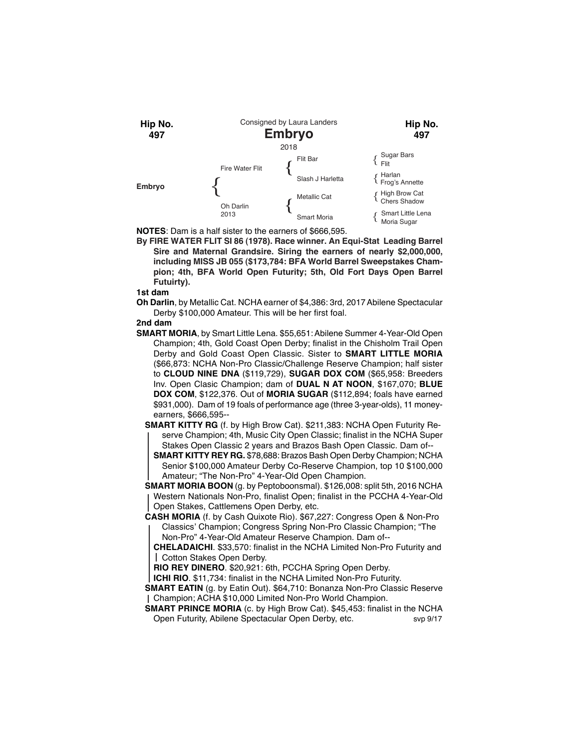

**NOTES**: Dam is a half sister to the earners of \$666,595.

**By FIRE WATER FLIT SI 86 (1978). Race winner. An Equi-Stat Leading Barrel Sire and Maternal Grandsire. Siring the earners of nearly \$2,000,000, including MISS JB 055 (\$173,784: BFA World Barrel Sweepstakes Champion; 4th, BFA World Open Futurity; 5th, Old Fort Days Open Barrel Futuirty).**

**1st dam**

**Oh Darlin**, by Metallic Cat. NCHA earner of \$4,386: 3rd, 2017 Abilene Spectacular Derby \$100,000 Amateur. This will be her first foal.

# **2nd dam**

**SMART MORIA**, by Smart Little Lena. \$55,651: Abilene Summer 4-Year-Old Open Champion; 4th, Gold Coast Open Derby; finalist in the Chisholm Trail Open Derby and Gold Coast Open Classic. Sister to **SMART LITTLE MORIA** (\$66,873: NCHA Non-Pro Classic/Challenge Reserve Champion; half sister to **CLOUD NINE DNA** (\$119,729), **SUGAR DOX COM** (\$65,958: Breeders Inv. Open Clasic Champion; dam of **DUAL N AT NOON**, \$167,070; **BLUE DOX COM**, \$122,376. Out of **MORIA SUGAR** (\$112,894; foals have earned \$931,000). Dam of 19 foals of performance age (three 3-year-olds), 11 moneyearners, \$666,595--

**SMART KITTY RG** (f. by High Brow Cat). \$211,383: NCHA Open Futurity Reserve Champion; 4th, Music City Open Classic; finalist in the NCHA Super Stakes Open Classic 2 years and Brazos Bash Open Classic. Dam of--

**SMART KITTY REY RG.** \$78,688: Brazos Bash Open Derby Champion; NCHA Senior \$100,000 Amateur Derby Co-Reserve Champion, top 10 \$100,000 Amateur; "The Non-Pro" 4-Year-Old Open Champion.

**SMART MORIA BOON** (g. by Peptoboonsmal). \$126,008: split 5th, 2016 NCHA Western Nationals Non-Pro, finalist Open; finalist in the PCCHA 4-Year-Old Open Stakes, Cattlemens Open Derby, etc.

**CASH MORIA** (f. by Cash Quixote Rio). \$67,227: Congress Open & Non-Pro Classics' Champion; Congress Spring Non-Pro Classic Champion; "The Non-Pro" 4-Year-Old Amateur Reserve Champion. Dam of--

**CHELADAICHI**. \$33,570: finalist in the NCHA Limited Non-Pro Futurity and Cotton Stakes Open Derby.

**RIO REY DINERO**. \$20,921: 6th, PCCHA Spring Open Derby.

**ICHI RIO**. \$11,734: finalist in the NCHA Limited Non-Pro Futurity.

**SMART EATIN** (g. by Eatin Out). \$64,710: Bonanza Non-Pro Classic Reserve Champion; ACHA \$10,000 Limited Non-Pro World Champion.

**SMART PRINCE MORIA** (c. by High Brow Cat). \$45,453: finalist in the NCHA Open Futurity, Abilene Spectacular Open Derby, etc. svp 9/17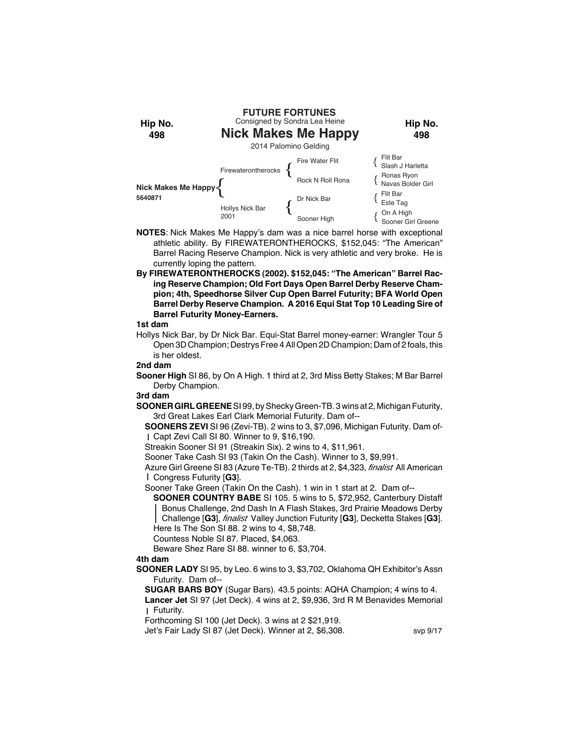

- **NOTES**: Nick Makes Me Happy's dam was a nice barrel horse with exceptional athletic ability. By FIREWATERONTHEROCKS, \$152,045: "The American" Barrel Racing Reserve Champion. Nick is very athletic and very broke. He is currently loping the pattern.
- **By FIREWATERONTHEROCKS (2002). \$152,045: "The American" Barrel Racing Reserve Champion; Old Fort Days Open Barrel Derby Reserve Champion; 4th, Speedhorse Silver Cup Open Barrel Futurity; BFA World Open Barrel Derby Reserve Champion. A 2016 Equi Stat Top 10 Leading Sire of Barrel Futurity Money-Earners.**

Hollys Nick Bar, by Dr Nick Bar. Equi-Stat Barrel money-earner: Wrangler Tour 5 Open 3D Champion; Destrys Free 4 All Open 2D Champion; Dam of 2 foals, this is her oldest.

#### **2nd dam**

**Sooner High** SI 86, by On A High. 1 third at 2, 3rd Miss Betty Stakes; M Bar Barrel Derby Champion.

#### **3rd dam**

**SOONER GIRL GREENE** SI 99, by Shecky Green-TB. 3 wins at 2, Michigan Futurity, 3rd Great Lakes Earl Clark Memorial Futurity. Dam of--

**SOONERS ZEVI** SI 96 (Zevi-TB). 2 wins to 3, \$7,096, Michigan Futurity. Dam of-Capt Zevi Call SI 80. Winner to 9, \$16,190.

Streakin Sooner SI 91 (Streakin Six). 2 wins to 4, \$11,961.

Sooner Take Cash SI 93 (Takin On the Cash). Winner to 3, \$9,991.

Azure Girl Greene SI 83 (Azure Te-TB). 2 thirds at 2, \$4,323, *finalist* All American Congress Futurity [**G3**].

Sooner Take Green (Takin On the Cash). 1 win in 1 start at 2. Dam of--

**SOONER COUNTRY BABE** SI 105. 5 wins to 5, \$72,952, Canterbury Distaff Bonus Challenge, 2nd Dash In A Flash Stakes, 3rd Prairie Meadows Derby Challenge [**G3**], *finalist* Valley Junction Futurity [**G3**], Decketta Stakes [**G3**]. Here Is The Son SI 88. 2 wins to 4, \$8,748.

Countess Noble SI 87. Placed, \$4,063.

Beware Shez Rare SI 88. winner to 6, \$3,704.

# **4th dam**

**SOONER LADY** SI 95, by Leo. 6 wins to 3, \$3,702, Oklahoma QH Exhibitor's Assn Futurity. Dam of--

**SUGAR BARS BOY** (Sugar Bars). 43.5 points: AQHA Champion; 4 wins to 4. **Lancer Jet** SI 97 (Jet Deck). 4 wins at 2, \$9,936, 3rd R M Benavides Memorial Futurity.

Forthcoming SI 100 (Jet Deck). 3 wins at 2 \$21,919.

Jet's Fair Lady SI 87 (Jet Deck). Winner at 2, \$6,308. svp 9/17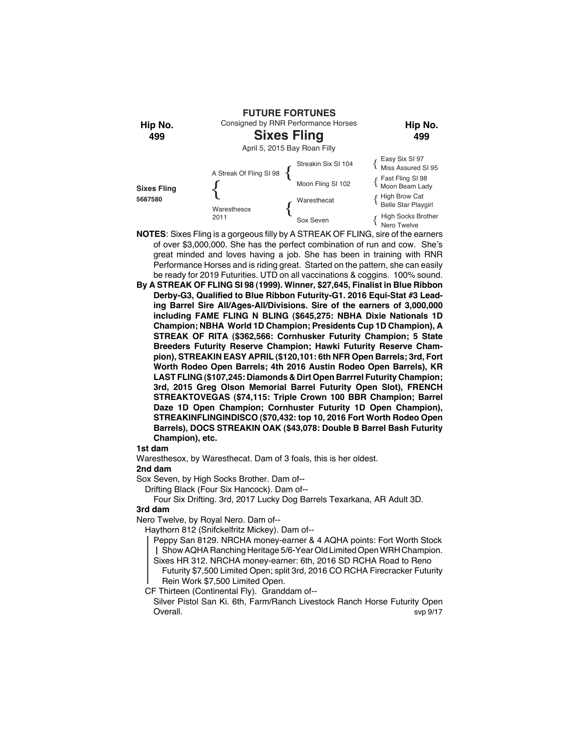

- **NOTES**: Sixes Fling is a gorgeous filly by A STREAK OF FLING, sire of the earners of over \$3,000,000. She has the perfect combination of run and cow. She's great minded and loves having a job. She has been in training with RNR Performance Horses and is riding great. Started on the pattern, she can easily be ready for 2019 Futurities. UTD on all vaccinations & coggins. 100% sound.
- **By A STREAK OF FLING SI 98 (1999). Winner, \$27,645, Finalist in Blue Ribbon Derby-G3, Qualified to Blue Ribbon Futurity-G1. 2016 Equi-Stat #3 Leading Barrel Sire All/Ages-All/Divisions. Sire of the earners of 3,000,000 including FAME FLING N BLING (\$645,275: NBHA Dixie Nationals 1D Champion; NBHA World 1D Champion; Presidents Cup 1D Champion), A STREAK OF RITA (\$362,566: Cornhusker Futurity Champion; 5 State Breeders Futurity Reserve Champion; Hawki Futurity Reserve Champion), STREAKIN EASY APRIL (\$120,101: 6th NFR Open Barrels; 3rd, Fort Worth Rodeo Open Barrels; 4th 2016 Austin Rodeo Open Barrels), KR LAST FLING (\$107,245: Diamonds & Dirt Open Barrrel Futurity Champion; 3rd, 2015 Greg Olson Memorial Barrel Futurity Open Slot), FRENCH STREAKTOVEGAS (\$74,115: Triple Crown 100 BBR Champion; Barrel Daze 1D Open Champion; Cornhuster Futurity 1D Open Champion), STREAKINFLINGINDISCO (\$70,432: top 10, 2016 Fort Worth Rodeo Open Barrels), DOCS STREAKIN OAK (\$43,078: Double B Barrel Bash Futurity Champion), etc.**

Waresthesox, by Waresthecat. Dam of 3 foals, this is her oldest.

#### **2nd dam**

Sox Seven, by High Socks Brother. Dam of--

Drifting Black (Four Six Hancock). Dam of--

Four Six Drifting. 3rd, 2017 Lucky Dog Barrels Texarkana, AR Adult 3D.

# **3rd dam**

Nero Twelve, by Royal Nero. Dam of--

Haythorn 812 (Snifckelfritz Mickey). Dam of--

Peppy San 8129. NRCHA money-earner & 4 AQHA points: Fort Worth Stock Show AQHA Ranching Heritage 5/6-Year Old Limited Open WRH Champion.

Sixes HR 312. NRCHA money-earner: 6th, 2016 SD RCHA Road to Reno

Futurity \$7,500 Limited Open; split 3rd, 2016 CO RCHA Firecracker Futurity Rein Work \$7,500 Limited Open.

CF Thirteen (Continental Fly). Granddam of--

Silver Pistol San Ki. 6th, Farm/Ranch Livestock Ranch Horse Futurity Open Overall. Some of the state of the state of the state of the state of the state of the state of the state of the state of the state of the state of the state of the state of the state of the state of the state of the state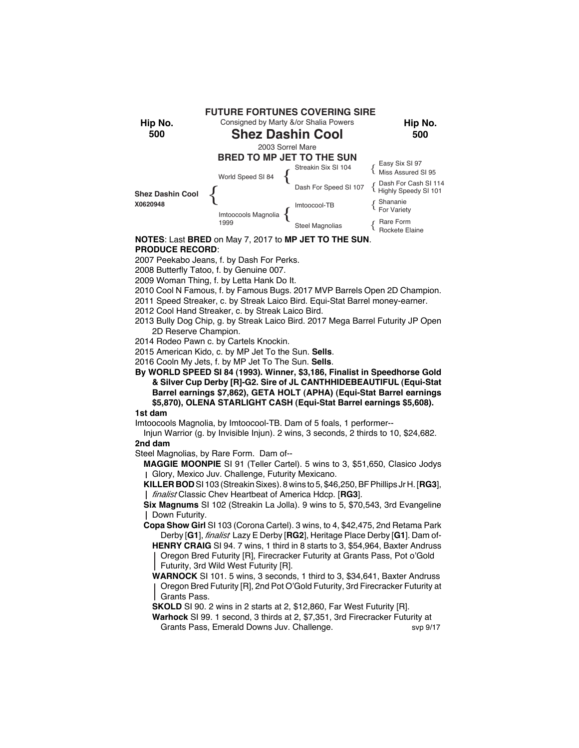

# **NOTES**: Last **BRED** on May 7, 2017 to **MP JET TO THE SUN**. **PRODUCE RECORD**:

2007 Peekabo Jeans, f. by Dash For Perks.

- 2008 Butterfly Tatoo, f. by Genuine 007.
- 2009 Woman Thing, f. by Letta Hank Do It.
- 2010 Cool N Famous, f. by Famous Bugs. 2017 MVP Barrels Open 2D Champion.
- 2011 Speed Streaker, c. by Streak Laico Bird. Equi-Stat Barrel money-earner.
- 2012 Cool Hand Streaker, c. by Streak Laico Bird.
- 2013 Bully Dog Chip, g. by Streak Laico Bird. 2017 Mega Barrel Futurity JP Open 2D Reserve Champion.
- 2014 Rodeo Pawn c. by Cartels Knockin.
- 2015 American Kido, c. by MP Jet To the Sun. **Sells**.
- 2016 Cooln My Jets, f. by MP Jet To The Sun. **Sells**.
- **By WORLD SPEED SI 84 (1993). Winner, \$3,186, Finalist in Speedhorse Gold & Silver Cup Derby [R]-G2. Sire of JL CANTHHIDEBEAUTIFUL (Equi-Stat Barrel earnings \$7,862), GETA HOLT (APHA) (Equi-Stat Barrel earnings \$5,870), OLENA STARLIGHT CASH (Equi-Stat Barrel earnings \$5,608).**

# **1st dam**

Imtoocools Magnolia, by Imtoocool-TB. Dam of 5 foals, 1 performer--

- Injun Warrior (g. by Invisible Injun). 2 wins, 3 seconds, 2 thirds to 10, \$24,682. **2nd dam**
- Steel Magnolias, by Rare Form. Dam of--
	- **MAGGIE MOONPIE** SI 91 (Teller Cartel). 5 wins to 3, \$51,650, Clasico Jodys Glory, Mexico Juv. Challenge, Futurity Mexicano.
	- **KILLER BOD** SI 103 (Streakin Sixes). 8 wins to 5, \$46,250, BF Phillips Jr H. [**RG3**], *finalist* Classic Chev Heartbeat of America Hdcp. [**RG3**].
	- **Six Magnums** SI 102 (Streakin La Jolla). 9 wins to 5, \$70,543, 3rd Evangeline Down Futurity.
	- **Copa Show Girl** SI 103 (Corona Cartel). 3 wins, to 4, \$42,475, 2nd Retama Park Derby [**G1**], *finalist* Lazy E Derby [**RG2**], Heritage Place Derby [**G1**]. Dam of-
		- **HENRY CRAIG** SI 94. 7 wins, 1 third in 8 starts to 3, \$54,964, Baxter Andruss Oregon Bred Futurity [R], Firecracker Futurity at Grants Pass, Pot o'Gold Futurity, 3rd Wild West Futurity [R].
		- **WARNOCK** SI 101. 5 wins, 3 seconds, 1 third to 3, \$34,641, Baxter Andruss Oregon Bred Futurity [R], 2nd Pot O'Gold Futurity, 3rd Firecracker Futurity at Grants Pass.
		- **SKOLD** SI 90. 2 wins in 2 starts at 2, \$12,860, Far West Futurity [R].
		- **Warhock** SI 99. 1 second, 3 thirds at 2, \$7,351, 3rd Firecracker Futurity at Grants Pass, Emerald Downs Juv. Challenge. The svap 9/17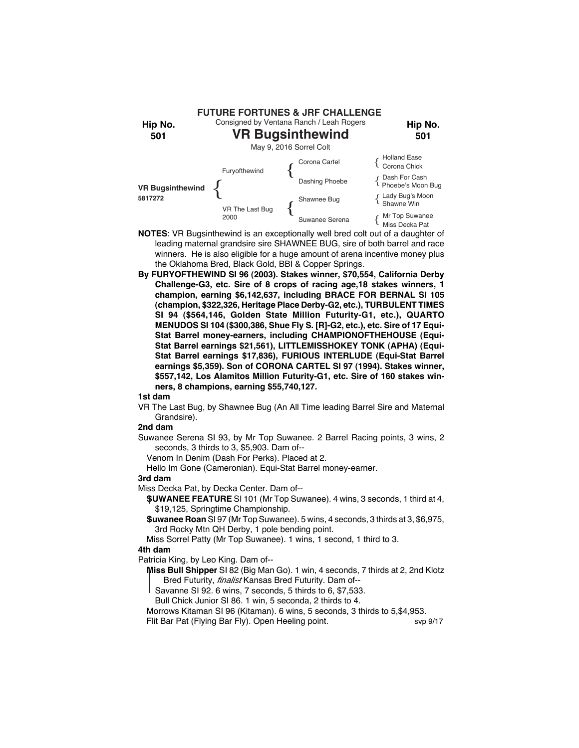

- **NOTES**: VR Bugsinthewind is an exceptionally well bred colt out of a daughter of leading maternal grandsire sire SHAWNEE BUG, sire of both barrel and race winners. He is also eligible for a huge amount of arena incentive money plus the Oklahoma Bred, Black Gold, BBI & Copper Springs.
- **By FURYOFTHEWIND SI 96 (2003). Stakes winner, \$70,554, California Derby Challenge-G3, etc. Sire of 8 crops of racing age,18 stakes winners, 1 champion, earning \$6,142,637, including BRACE FOR BERNAL SI 105 (champion, \$322,326, Heritage Place Derby-G2, etc.), TURBULENT TIMES SI 94 (\$564,146, Golden State Million Futurity-G1, etc.), QUARTO MENUDOS SI 104 (\$300,386, Shue Fly S. [R]-G2, etc.), etc. Sire of 17 Equi-Stat Barrel money-earners, including CHAMPIONOFTHEHOUSE (Equi-Stat Barrel earnings \$21,561), LITTLEMISSHOKEY TONK (APHA) (Equi-Stat Barrel earnings \$17,836), FURIOUS INTERLUDE (Equi-Stat Barrel earnings \$5,359). Son of CORONA CARTEL SI 97 (1994). Stakes winner, \$557,142, Los Alamitos Million Futurity-G1, etc. Sire of 160 stakes winners, 8 champions, earning \$55,740,127.**

VR The Last Bug, by Shawnee Bug (An All Time leading Barrel Sire and Maternal Grandsire).

# **2nd dam**

Suwanee Serena SI 93, by Mr Top Suwanee. 2 Barrel Racing points, 3 wins, 2 seconds, 3 thirds to 3, \$5,903. Dam of--

Venom In Denim (Dash For Perks). Placed at 2.

Hello Im Gone (Cameronian). Equi-Stat Barrel money-earner.

#### **3rd dam**

Miss Decka Pat, by Decka Center. Dam of--

**SUWANEE FEATURE** SI 101 (Mr Top Suwanee). 4 wins, 3 seconds, 1 third at 4, \$19,125, Springtime Championship.

**Suwanee Roan** SI 97 (Mr Top Suwanee). 5 wins, 4 seconds, 3 thirds at 3, \$6,975, 3rd Rocky Mtn QH Derby, 1 pole bending point.

Miss Sorrel Patty (Mr Top Suwanee). 1 wins, 1 second, 1 third to 3.

# **4th dam**

Patricia King, by Leo King. Dam of--

- **Miss Bull Shipper** SI 82 (Big Man Go). 1 win, 4 seconds, 7 thirds at 2, 2nd Klotz Bred Futurity, *finalist* Kansas Bred Futurity. Dam of--
	- Savanne SI 92. 6 wins, 7 seconds, 5 thirds to 6, \$7,533.
- Bull Chick Junior SI 86. 1 win, 5 seconda, 2 thirds to 4.

Morrows Kitaman SI 96 (Kitaman). 6 wins, 5 seconds, 3 thirds to 5,\$4,953.

Flit Bar Pat (Flying Bar Fly). Open Heeling point. Sup 9/17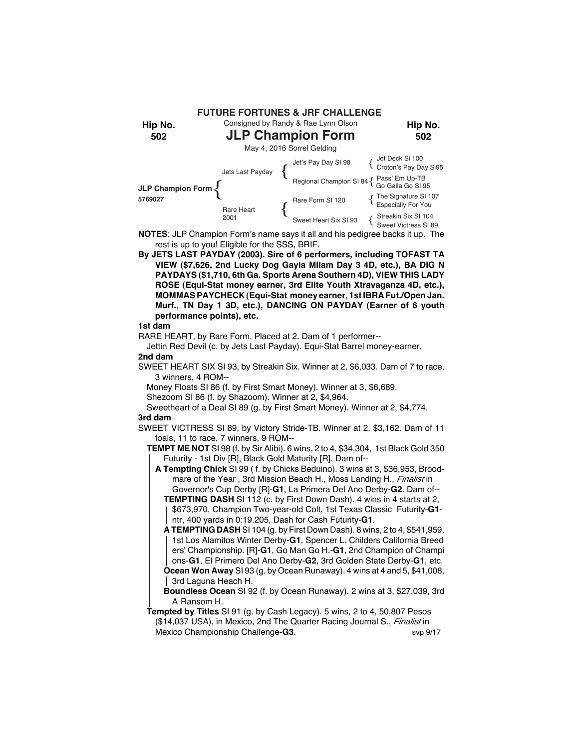Consigned by Randy & Rae Lynn Olson **FUTURE FORTUNES & JRF CHALLENGE**

**Hip No.**

**Hip No. 502**

# **JLP Champion Form**

**502**



**NOTES**: JLP Champion Form's name says it all and his pedigree backs it up. The rest is up to you! Eligible for the SSS, BRIF.

**By JETS LAST PAYDAY (2003). Sire of 6 performers, including TOFAST TA VIEW (\$7,626, 2nd Lucky Dog Gayla Milam Day 3 4D, etc.), BA DIG N PAYDAYS (\$1,710, 6th Ga. Sports Arena Southern 4D), VIEW THIS LADY ROSE (Equi-Stat money earner, 3rd Elite Youth Xtravaganza 4D, etc.), MOMMAS PAYCHECK (Equi-Stat money earner, 1st IBRA Fut./Open Jan. Murf., TN Day 1 3D, etc.), DANCING ON PAYDAY (Earner of 6 youth performance points), etc.**

# **1st dam**

RARE HEART, by Rare Form. Placed at 2. Dam of 1 performer--

Jettin Red Devil (c. by Jets Last Payday). Equi-Stat Barrel money-earner. **2nd dam**

SWEET HEART SIX SI 93, by Streakin Six. Winner at 2, \$6,033. Dam of 7 to race, 3 winners, 4 ROM--

Money Floats SI 86 (f. by First Smart Money). Winner at 3, \$6,689.

Shezoom SI 86 (f. by Shazoom). Winner at 2, \$4,964.

Sweetheart of a Deal SI 89 (g. by First Smart Money). Winner at 2, \$4,774. **3rd dam**

SWEET VICTRESS SI 89, by Victory Stride-TB. Winner at 2, \$3,162. Dam of 11 foals, 11 to race, 7 winners, 9 ROM--

**TEMPT ME NOT** SI 98 (f. by Sir Alibi). 6 wins, 2 to 4, \$34,304, 1st Black Gold 350 Futurity - 1st Div [R], Black Gold Maturity [R]. Dam of--

**A Tempting Chick** SI 99 ( f. by Chicks Beduino). 3 wins at 3, \$36,953, Broodmare of the Year , 3rd Mission Beach H., Moss Landing H., *Finalist* in Governor's Cup Derby [R]-**G1**, La Primera Del Ano Derby-**G2**. Dam of--

**TEMPTING DASH** SI 112 (c. by First Down Dash). 4 wins in 4 starts at 2, \$673,970, Champion Two-year-old Colt, 1st Texas Classic Futurity-**G1** ntr, 400 yards in 0:19.205, Dash for Cash Futurity-**G1**.

**A TEMPTING DASH** SI 104 (g. by First Down Dash). 8 wins, 2 to 4, \$541,959, 1st Los Alamitos Winter Derby-**G1**, Spencer L. Childers California Breed ers' Championship. [R]-**G1**, Go Man Go H.-**G1**, 2nd Champion of Champi ons-**G1**, El Primero Del Ano Derby-**G2**, 3rd Golden State Derby-**G1**, etc. **Ocean Won Away** SI 93 (g. by Ocean Runaway). 4 wins at 4 and 5, \$41,008, 3rd Laguna Heach H.

**Boundless Ocean** SI 92 (f. by Ocean Runaway). 2 wins at 3, \$27,039, 3rd A Ransom H.

**Tempted by Titles** SI 91 (g. by Cash Legacy). 5 wins, 2 to 4, 50,807 Pesos (\$14,037 USA), in Mexico, 2nd The Quarter Racing Journal S., *Finalist* in Mexico Championship Challenge-**G3**. svp 9/17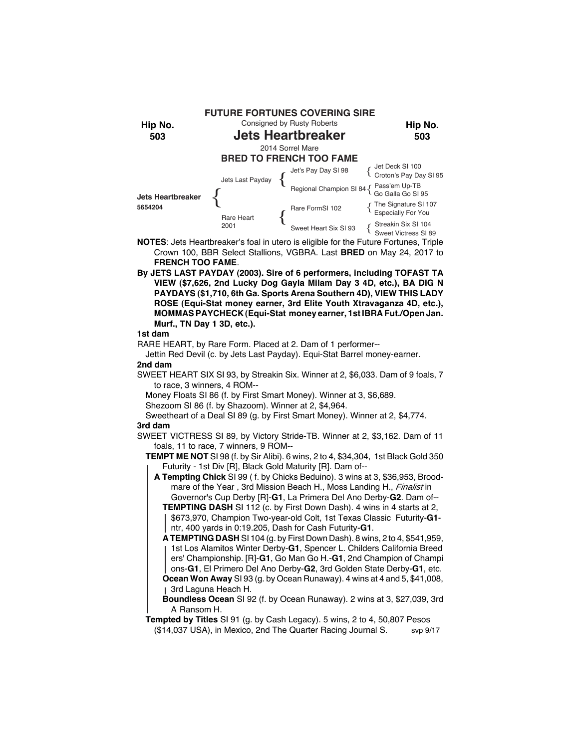

- **NOTES**: Jets Heartbreaker's foal in utero is eligible for the Future Fortunes, Triple Crown 100, BBR Select Stallions, VGBRA. Last **BRED** on May 24, 2017 to **FRENCH TOO FAME**.
- **By JETS LAST PAYDAY (2003). Sire of 6 performers, including TOFAST TA VIEW (\$7,626, 2nd Lucky Dog Gayla Milam Day 3 4D, etc.), BA DIG N PAYDAYS (\$1,710, 6th Ga. Sports Arena Southern 4D), VIEW THIS LADY ROSE (Equi-Stat money earner, 3rd Elite Youth Xtravaganza 4D, etc.), MOMMAS PAYCHECK (Equi-Stat money earner, 1st IBRA Fut./Open Jan. Murf., TN Day 1 3D, etc.).**

RARE HEART, by Rare Form. Placed at 2. Dam of 1 performer--

Jettin Red Devil (c. by Jets Last Payday). Equi-Stat Barrel money-earner. **2nd dam**

SWEET HEART SIX SI 93, by Streakin Six. Winner at 2, \$6,033. Dam of 9 foals, 7 to race, 3 winners, 4 ROM--

Money Floats SI 86 (f. by First Smart Money). Winner at 3, \$6,689.

Shezoom SI 86 (f. by Shazoom). Winner at 2, \$4,964.

Sweetheart of a Deal SI 89 (g. by First Smart Money). Winner at 2, \$4,774. **3rd dam**

SWEET VICTRESS SI 89, by Victory Stride-TB. Winner at 2, \$3,162. Dam of 11 foals, 11 to race, 7 winners, 9 ROM--

**TEMPT ME NOT** SI 98 (f. by Sir Alibi). 6 wins, 2 to 4, \$34,304, 1st Black Gold 350 Futurity - 1st Div [R], Black Gold Maturity [R]. Dam of--

**A Tempting Chick** SI 99 ( f. by Chicks Beduino). 3 wins at 3, \$36,953, Broodmare of the Year , 3rd Mission Beach H., Moss Landing H., *Finalist* in Governor's Cup Derby [R]-**G1**, La Primera Del Ano Derby-**G2**. Dam of--

**TEMPTING DASH** SI 112 (c. by First Down Dash). 4 wins in 4 starts at 2, \$673,970, Champion Two-year-old Colt, 1st Texas Classic Futurity-**G1** ntr, 400 yards in 0:19.205, Dash for Cash Futurity-**G1**.

**A TEMPTING DASH** SI 104 (g. by First Down Dash). 8 wins, 2 to 4, \$541,959, 1st Los Alamitos Winter Derby-**G1**, Spencer L. Childers California Breed ers' Championship. [R]-**G1**, Go Man Go H.-**G1**, 2nd Champion of Champi ons-**G1**, El Primero Del Ano Derby-**G2**, 3rd Golden State Derby-**G1**, etc. **Ocean Won Away** SI 93 (g. by Ocean Runaway). 4 wins at 4 and 5, \$41,008, 3rd Laguna Heach H.

**Boundless Ocean** SI 92 (f. by Ocean Runaway). 2 wins at 3, \$27,039, 3rd A Ransom H.

**Tempted by Titles** SI 91 (g. by Cash Legacy). 5 wins, 2 to 4, 50,807 Pesos (\$14,037 USA), in Mexico, 2nd The Quarter Racing Journal S. svp 9/17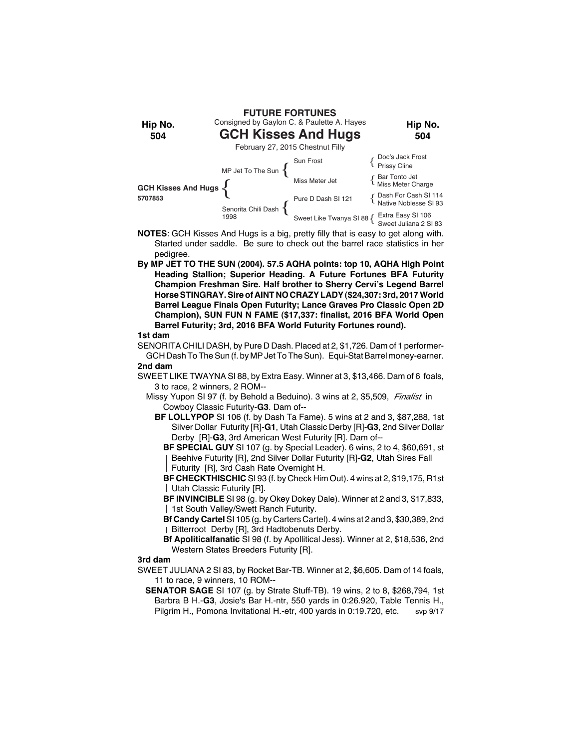

- **NOTES**: GCH Kisses And Hugs is a big, pretty filly that is easy to get along with. Started under saddle. Be sure to check out the barrel race statistics in her pedigree.
- **By MP JET TO THE SUN (2004). 57.5 AQHA points: top 10, AQHA High Point Heading Stallion; Superior Heading. A Future Fortunes BFA Futurity Champion Freshman Sire. Half brother to Sherry Cervi's Legend Barrel Horse STINGRAY. Sire of AINT NO CRAZY LADY (\$24,307: 3rd, 2017 World Barrel League Finals Open Futurity; Lance Graves Pro Classic Open 2D Champion), SUN FUN N FAME (\$17,337: finalist, 2016 BFA World Open Barrel Futurity; 3rd, 2016 BFA World Futurity Fortunes round).**

SENORITA CHILI DASH, by Pure D Dash. Placed at 2, \$1,726. Dam of 1 performer-GCH Dash To The Sun (f. by MP Jet To The Sun). Equi-Stat Barrel money-earner. **2nd dam**

SWEET LIKE TWAYNA SI 88, by Extra Easy. Winner at 3, \$13,466. Dam of 6 foals, 3 to race, 2 winners, 2 ROM--

Missy Yupon SI 97 (f. by Behold a Beduino). 3 wins at 2, \$5,509, *Finalist* in Cowboy Classic Futurity-**G3**. Dam of--

**BF LOLLYPOP** SI 106 (f. by Dash Ta Fame). 5 wins at 2 and 3, \$87,288, 1st Silver Dollar Futurity [R]-**G1**, Utah Classic Derby [R]-**G3**, 2nd Silver Dollar Derby [R]-**G3**, 3rd American West Futurity [R]. Dam of--

**BF SPECIAL GUY** SI 107 (g. by Special Leader). 6 wins, 2 to 4, \$60,691, st Beehive Futurity [R], 2nd Silver Dollar Futurity [R]-**G2**, Utah Sires Fall Futurity [R], 3rd Cash Rate Overnight H.

**BF CHECKTHISCHIC** SI 93 (f. by Check Him Out). 4 wins at 2, \$19,175, R1st Utah Classic Futurity [R].

**BF INVINCIBLE** SI 98 (g. by Okey Dokey Dale). Winner at 2 and 3, \$17,833, | 1st South Valley/Swett Ranch Futurity.

**Bf Candy Cartel** SI 105 (g. by Carters Cartel). 4 wins at 2 and 3, \$30,389, 2nd Bitterroot Derby [R], 3rd Hadtobenuts Derby.

**Bf Apoliticalfanatic** SI 98 (f. by Apollitical Jess). Winner at 2, \$18,536, 2nd Western States Breeders Futurity [R].

#### **3rd dam**

SWEET JULIANA 2 SI 83, by Rocket Bar-TB. Winner at 2, \$6,605. Dam of 14 foals, 11 to race, 9 winners, 10 ROM--

 **SENATOR SAGE** SI 107 (g. by Strate Stuff-TB). 19 wins, 2 to 8, \$268,794, 1st Barbra B H.-**G3**, Josie's Bar H.-ntr, 550 yards in 0:26.920, Table Tennis H., Pilgrim H., Pomona Invitational H.-etr, 400 yards in 0:19.720, etc. svp 9/17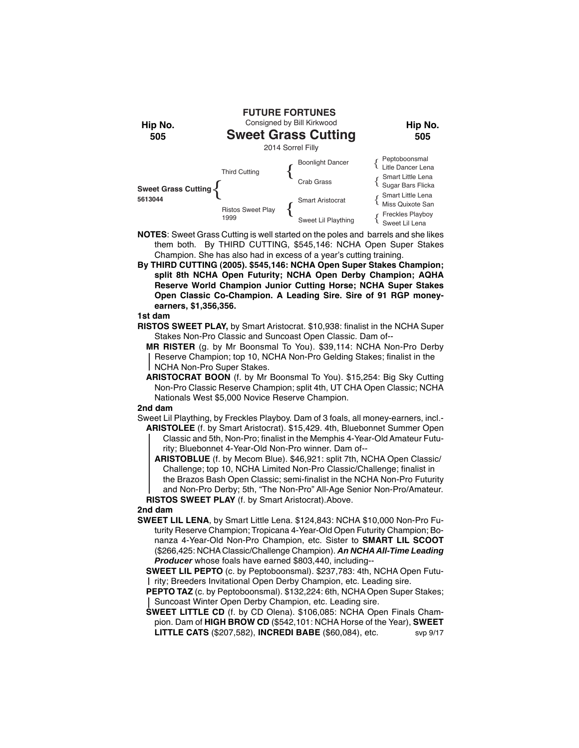

- **NOTES**: Sweet Grass Cutting is well started on the poles and barrels and she likes them both. By THIRD CUTTING, \$545,146: NCHA Open Super Stakes Champion. She has also had in excess of a year's cutting training.
- **By THIRD CUTTING (2005). \$545,146: NCHA Open Super Stakes Champion; split 8th NCHA Open Futurity; NCHA Open Derby Champion; AQHA Reserve World Champion Junior Cutting Horse; NCHA Super Stakes Open Classic Co-Champion. A Leading Sire. Sire of 91 RGP moneyearners, \$1,356,356.**

- **RISTOS SWEET PLAY,** by Smart Aristocrat. \$10,938: finalist in the NCHA Super Stakes Non-Pro Classic and Suncoast Open Classic. Dam of--
	- **MR RISTER** (g. by Mr Boonsmal To You). \$39,114: NCHA Non-Pro Derby Reserve Champion; top 10, NCHA Non-Pro Gelding Stakes; finalist in the NCHA Non-Pro Super Stakes.
	- **ARISTOCRAT BOON** (f. by Mr Boonsmal To You). \$15,254: Big Sky Cutting Non-Pro Classic Reserve Champion; split 4th, UT CHA Open Classic; NCHA Nationals West \$5,000 Novice Reserve Champion.

# **2nd dam**

Sweet Lil Plaything, by Freckles Playboy. Dam of 3 foals, all money-earners, incl.- **ARISTOLEE** (f. by Smart Aristocrat). \$15,429. 4th, Bluebonnet Summer Open Classic and 5th, Non-Pro; finalist in the Memphis 4-Year-Old Amateur Futurity; Bluebonnet 4-Year-Old Non-Pro winner. Dam of--

**ARISTOBLUE** (f. by Mecom Blue). \$46,921: split 7th, NCHA Open Classic/ Challenge; top 10, NCHA Limited Non-Pro Classic/Challenge; finalist in the Brazos Bash Open Classic; semi-finalist in the NCHA Non-Pro Futurity and Non-Pro Derby; 5th, "The Non-Pro" All-Age Senior Non-Pro/Amateur.

**RISTOS SWEET PLAY** (f. by Smart Aristocrat).Above.

# **2nd dam**

**SWEET LIL LENA**, by Smart Little Lena. \$124,843: NCHA \$10,000 Non-Pro Futurity Reserve Champion; Tropicana 4-Year-Old Open Futurity Champion; Bonanza 4-Year-Old Non-Pro Champion, etc. Sister to **SMART LIL SCOOT** (\$266,425: NCHA Classic/Challenge Champion). *An NCHA All-Time Leading Producer* whose foals have earned \$803,440, including--

**SWEET LIL PEPTO** (c. by Peptoboonsmal). \$237,783: 4th, NCHA Open Futurity; Breeders Invitational Open Derby Champion, etc. Leading sire.

**PEPTO TAZ** (c. by Peptoboonsmal). \$132,224: 6th, NCHA Open Super Stakes; Suncoast Winter Open Derby Champion, etc. Leading sire.

**SWEET LITTLE CD** (f. by CD Olena). \$106,085: NCHA Open Finals Champion. Dam of **HIGH BROW CD** (\$542,101: NCHA Horse of the Year), **SWEET LITTLE CATS** (\$207,582), **INCREDI BABE** (\$60,084), etc. svp 9/17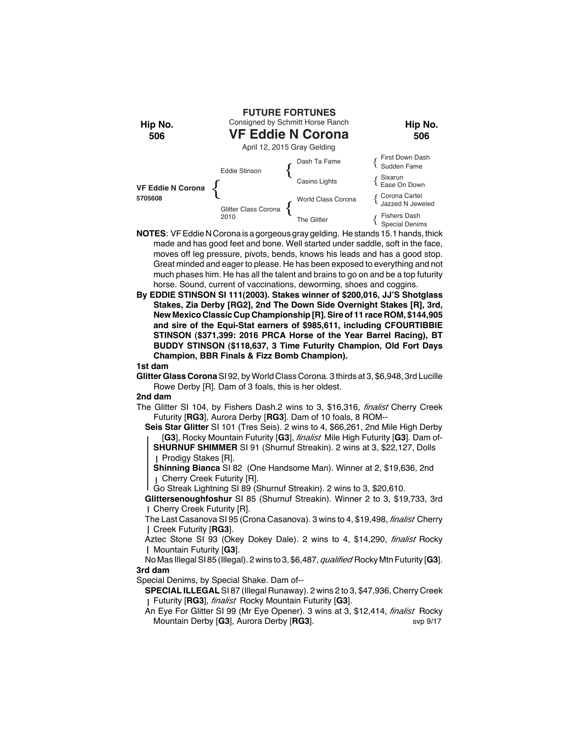

- **NOTES**: VF Eddie N Corona is a gorgeous gray gelding. He stands 15.1 hands, thick made and has good feet and bone. Well started under saddle, soft in the face, moves off leg pressure, pivots, bends, knows his leads and has a good stop. Great minded and eager to please. He has been exposed to everything and not much phases him. He has all the talent and brains to go on and be a top futurity horse. Sound, current of vaccinations, deworming, shoes and coggins.
- **By EDDIE STINSON SI 111(2003). Stakes winner of \$200,016, JJ'S Shotglass Stakes, Zia Derby [RG2], 2nd The Down Side Overnight Stakes [R], 3rd, New Mexico Classic Cup Championship [R]. Sire of 11 race ROM, \$144,905 and sire of the Equi-Stat earners of \$985,611, including CFOURTIBBIE STINSON (\$371,399: 2016 PRCA Horse of the Year Barrel Racing), BT BUDDY STINSON (\$118,637, 3 Time Futurity Champion, Old Fort Days Champion, BBR Finals & Fizz Bomb Champion).**

**Glitter Glass Corona** SI 92, by World Class Corona. 3 thirds at 3, \$6,948, 3rd Lucille Rowe Derby [R]. Dam of 3 foals, this is her oldest.

#### **2nd dam**

- The Glitter SI 104, by Fishers Dash.2 wins to 3, \$16,316, *finalist* Cherry Creek Futurity [**RG3**], Aurora Derby [**RG3**]. Dam of 10 foals, 8 ROM--
	- **Seis Star Glitter** SI 101 (Tres Seis). 2 wins to 4, \$66,261, 2nd Mile High Derby [**G3**], Rocky Mountain Futurity [**G3**], *finalist* Mile High Futurity [**G3**]. Dam of-**SHURNUF SHIMMER** SI 91 (Shurnuf Streakin). 2 wins at 3, \$22,127, Dolls
		- Prodigy Stakes [R].
		- **Shinning Bianca** SI 82 (One Handsome Man). Winner at 2, \$19,636, 2nd Cherry Creek Futurity [R].
	- Go Streak Lightning SI 89 (Shurnuf Streakin). 2 wins to 3, \$20,610.

**Glittersenoughfoshur** SI 85 (Shurnuf Streakin). Winner 2 to 3, \$19,733, 3rd Cherry Creek Futurity [R].

The Last Casanova SI 95 (Crona Casanova). 3 wins to 4, \$19,498, *finalist* Cherry Creek Futurity [**RG3**].

Aztec Stone SI 93 (Okey Dokey Dale). 2 wins to 4, \$14,290, *finalist* Rocky Mountain Futurity [**G3**].

No Mas Illegal SI 85 (Illegal). 2 wins to 3, \$6,487, *qualified* Rocky Mtn Futurity [**G3**]. **3rd dam**

Special Denims, by Special Shake. Dam of--

- **SPECIAL ILLEGAL** SI 87 (Illegal Runaway). 2 wins 2 to 3, \$47,936, Cherry Creek Futurity [**RG3**], *finalist* Rocky Mountain Futurity [**G3**].
- An Eye For Glitter SI 99 (Mr Eye Opener). 3 wins at 3, \$12,414, *finalist* Rocky Mountain Derby [**G3**], Aurora Derby [**RG3**]. svp 9/17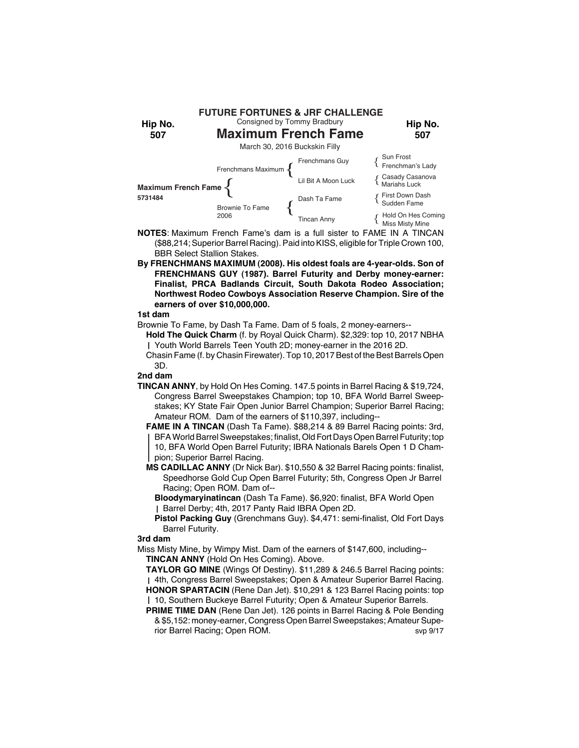

- **NOTES**: Maximum French Fame's dam is a full sister to FAME IN A TINCAN (\$88,214; Superior Barrel Racing). Paid into KISS, eligible for Triple Crown 100, BBR Select Stallion Stakes.
- **By FRENCHMANS MAXIMUM (2008). His oldest foals are 4-year-olds. Son of FRENCHMANS GUY (1987). Barrel Futurity and Derby money-earner: Finalist, PRCA Badlands Circuit, South Dakota Rodeo Association; Northwest Rodeo Cowboys Association Reserve Champion. Sire of the earners of over \$10,000,000.**

- Brownie To Fame, by Dash Ta Fame. Dam of 5 foals, 2 money-earners--
- **Hold The Quick Charm** (f. by Royal Quick Charm). \$2,329: top 10, 2017 NBHA Youth World Barrels Teen Youth 2D; money-earner in the 2016 2D.
- Chasin Fame (f. by Chasin Firewater). Top 10, 2017 Best of the Best Barrels Open 3D.

# **2nd dam**

- **TINCAN ANNY**, by Hold On Hes Coming. 147.5 points in Barrel Racing & \$19,724, Congress Barrel Sweepstakes Champion; top 10, BFA World Barrel Sweepstakes; KY State Fair Open Junior Barrel Champion; Superior Barrel Racing; Amateur ROM. Dam of the earners of \$110,397, including--
	- **FAME IN A TINCAN** (Dash Ta Fame). \$88,214 & 89 Barrel Racing points: 3rd, BFA World Barrel Sweepstakes; finalist, Old Fort Days Open Barrel Futurity; top 10, BFA World Open Barrel Futurity; IBRA Nationals Barels Open 1 D Champion; Superior Barrel Racing.
	- **MS CADILLAC ANNY** (Dr Nick Bar). \$10,550 & 32 Barrel Racing points: finalist, Speedhorse Gold Cup Open Barrel Futurity; 5th, Congress Open Jr Barrel Racing; Open ROM. Dam of--
		- **Bloodymaryinatincan** (Dash Ta Fame). \$6,920: finalist, BFA World Open Barrel Derby; 4th, 2017 Panty Raid IBRA Open 2D.
		- **Pistol Packing Guy** (Grenchmans Guy). \$4,471: semi-finalist, Old Fort Days Barrel Futurity.

# **3rd dam**

- Miss Misty Mine, by Wimpy Mist. Dam of the earners of \$147,600, including-- **TINCAN ANNY** (Hold On Hes Coming). Above.
	- **TAYLOR GO MINE** (Wings Of Destiny). \$11,289 & 246.5 Barrel Racing points: 4th, Congress Barrel Sweepstakes; Open & Amateur Superior Barrel Racing. **HONOR SPARTACIN** (Rene Dan Jet). \$10,291 & 123 Barrel Racing points: top 10, Southern Buckeye Barrel Futurity; Open & Amateur Superior Barrels.
	- **PRIME TIME DAN** (Rene Dan Jet). 126 points in Barrel Racing & Pole Bending & \$5,152: money-earner, Congress Open Barrel Sweepstakes; Amateur Superior Barrel Racing; Open ROM. Sup 9/17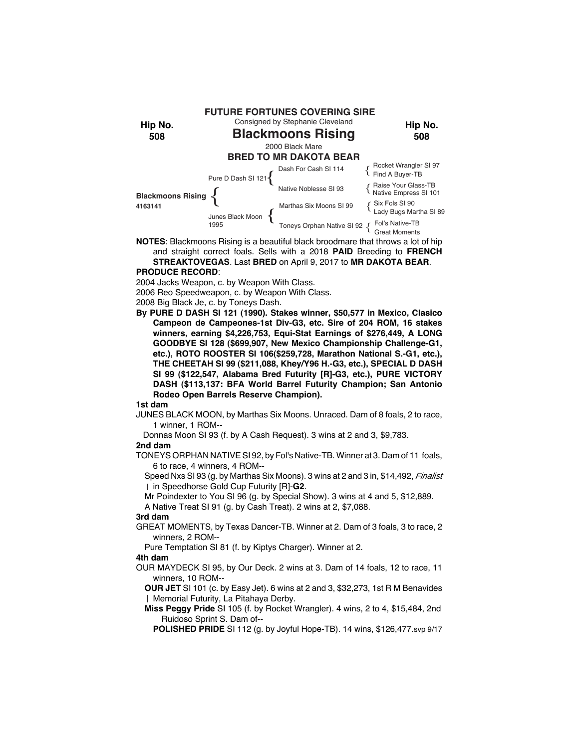

**NOTES**: Blackmoons Rising is a beautiful black broodmare that throws a lot of hip and straight correct foals. Sells with a 2018 **PAID** Breeding to **FRENCH STREAKTOVEGAS**. Last **BRED** on April 9, 2017 to **MR DAKOTA BEAR**.

# **PRODUCE RECORD**:

2004 Jacks Weapon, c. by Weapon With Class.

2006 Reo Speedweapon, c. by Weapon With Class.

2008 Big Black Je, c. by Toneys Dash.

**By PURE D DASH SI 121 (1990). Stakes winner, \$50,577 in Mexico, Clasico Campeon de Campeones-1st Div-G3, etc. Sire of 204 ROM, 16 stakes winners, earning \$4,226,753, Equi-Stat Earnings of \$276,449, A LONG GOODBYE SI 128 (\$699,907, New Mexico Championship Challenge-G1, etc.), ROTO ROOSTER SI 106(\$259,728, Marathon National S.-G1, etc.), THE CHEETAH SI 99 (\$211,088, Khey/Y96 H.-G3, etc.), SPECIAL D DASH SI 99 (\$122,547, Alabama Bred Futurity [R]-G3, etc.), PURE VICTORY DASH (\$113,137: BFA World Barrel Futurity Champion; San Antonio Rodeo Open Barrels Reserve Champion).**

**1st dam**

JUNES BLACK MOON, by Marthas Six Moons. Unraced. Dam of 8 foals, 2 to race, 1 winner, 1 ROM--

Donnas Moon SI 93 (f. by A Cash Request). 3 wins at 2 and 3, \$9,783.

# **2nd dam**

TONEYS ORPHAN NATIVE SI 92, by Fol's Native-TB. Winner at 3. Dam of 11 foals, 6 to race, 4 winners, 4 ROM--

Speed Nxs SI 93 (g. by Marthas Six Moons). 3 wins at 2 and 3 in, \$14,492, *Finalist* in Speedhorse Gold Cup Futurity [R]-**G2**.

Mr Poindexter to You SI 96 (g. by Special Show). 3 wins at 4 and 5, \$12,889.

A Native Treat SI 91 (g. by Cash Treat). 2 wins at 2, \$7,088.

#### **3rd dam**

GREAT MOMENTS, by Texas Dancer-TB. Winner at 2. Dam of 3 foals, 3 to race, 2 winners, 2 ROM--

Pure Temptation SI 81 (f. by Kiptys Charger). Winner at 2.

# **4th dam**

OUR MAYDECK SI 95, by Our Deck. 2 wins at 3. Dam of 14 foals, 12 to race, 11 winners, 10 ROM--

**OUR JET** SI 101 (c. by Easy Jet). 6 wins at 2 and 3, \$32,273, 1st R M Benavides Memorial Futurity, La Pitahaya Derby.

**Miss Peggy Pride** SI 105 (f. by Rocket Wrangler). 4 wins, 2 to 4, \$15,484, 2nd Ruidoso Sprint S. Dam of--

**POLISHED PRIDE** SI 112 (g. by Joyful Hope-TB). 14 wins, \$126,477.svp 9/17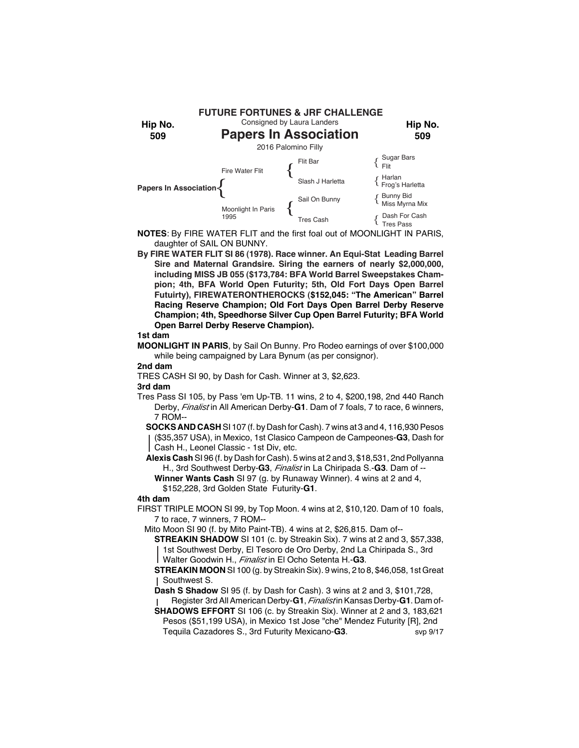

- **NOTES**: By FIRE WATER FLIT and the first foal out of MOONLIGHT IN PARIS, daughter of SAIL ON BUNNY.
- **By FIRE WATER FLIT SI 86 (1978). Race winner. An Equi-Stat Leading Barrel Sire and Maternal Grandsire. Siring the earners of nearly \$2,000,000, including MISS JB 055 (\$173,784: BFA World Barrel Sweepstakes Champion; 4th, BFA World Open Futurity; 5th, Old Fort Days Open Barrel Futuirty), FIREWATERONTHEROCKS (\$152,045: "The American" Barrel Racing Reserve Champion; Old Fort Days Open Barrel Derby Reserve Champion; 4th, Speedhorse Silver Cup Open Barrel Futurity; BFA World Open Barrel Derby Reserve Champion).**

**MOONLIGHT IN PARIS**, by Sail On Bunny. Pro Rodeo earnings of over \$100,000 while being campaigned by Lara Bynum (as per consignor).

# **2nd dam**

TRES CASH SI 90, by Dash for Cash. Winner at 3, \$2,623.

#### **3rd dam**

- Tres Pass SI 105, by Pass 'em Up-TB. 11 wins, 2 to 4, \$200,198, 2nd 440 Ranch Derby, *Finalist* in All American Derby-G1. Dam of 7 foals, 7 to race, 6 winners, 7 ROM--
	- **SOCKS AND CASH** SI 107 (f. by Dash for Cash). 7 wins at 3 and 4, 116,930 Pesos (\$35,357 USA), in Mexico, 1st Clasico Campeon de Campeones-**G3**, Dash for Cash H., Leonel Classic - 1st Div, etc.
	- **Alexis Cash** SI 96 (f. by Dash for Cash). 5 wins at 2 and 3, \$18,531, 2nd Pollyanna H., 3rd Southwest Derby-**G3**, *Finalist* in La Chiripada S.-**G3**. Dam of --
	- **Winner Wants Cash** SI 97 (g. by Runaway Winner). 4 wins at 2 and 4, \$152,228, 3rd Golden State Futurity-**G1**.

# **4th dam**

- FIRST TRIPLE MOON SI 99, by Top Moon. 4 wins at 2, \$10,120. Dam of 10 foals, 7 to race, 7 winners, 7 ROM--
	- Mito Moon SI 90 (f. by Mito Paint-TB). 4 wins at 2, \$26,815. Dam of--
		- **STREAKIN SHADOW** SI 101 (c. by Streakin Six). 7 wins at 2 and 3, \$57,338, 1st Southwest Derby, El Tesoro de Oro Derby, 2nd La Chiripada S., 3rd Walter Goodwin H., *Finalist* in El Ocho Setenta H.-**G3**.
		- **STREAKIN MOON** SI 100 (g. by Streakin Six). 9 wins, 2 to 8, \$46,058, 1st Great Southwest S.
		- **Dash S Shadow** SI 95 (f. by Dash for Cash). 3 wins at 2 and 3, \$101,728, Register 3rd All American Derby-**G1**, *Finalist* in Kansas Derby-**G1**. Dam of-
		- **SHADOWS EFFORT** SI 106 (c. by Streakin Six). Winner at 2 and 3, 183,621 Pesos (\$51,199 USA), in Mexico 1st Jose "che" Mendez Futurity [R], 2nd Tequila Cazadores S., 3rd Futurity Mexicano-**G3**. svp 9/17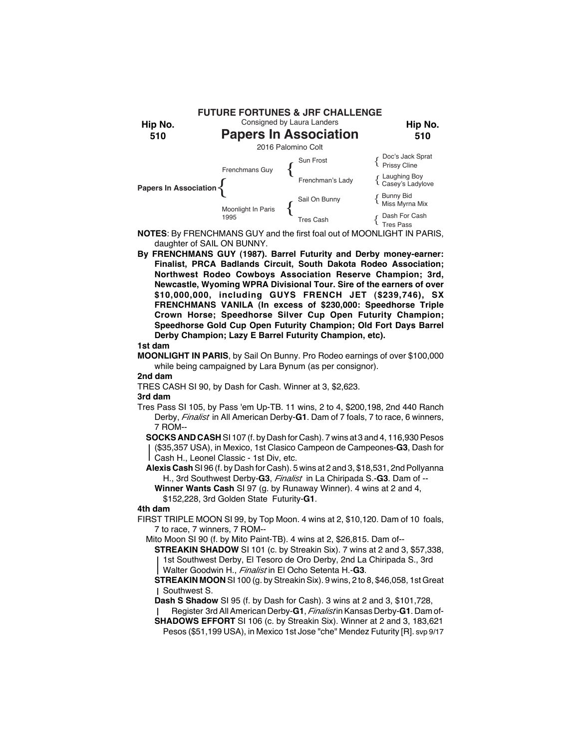

- **NOTES**: By FRENCHMANS GUY and the first foal out of MOONLIGHT IN PARIS, daughter of SAIL ON BUNNY.
- **By FRENCHMANS GUY (1987). Barrel Futurity and Derby money-earner: Finalist, PRCA Badlands Circuit, South Dakota Rodeo Association; Northwest Rodeo Cowboys Association Reserve Champion; 3rd, Newcastle, Wyoming WPRA Divisional Tour. Sire of the earners of over \$10,000,000, including GUYS FRENCH JET (\$239,746), SX FRENCHMANS VANILA (In excess of \$230,000: Speedhorse Triple Crown Horse; Speedhorse Silver Cup Open Futurity Champion; Speedhorse Gold Cup Open Futurity Champion; Old Fort Days Barrel Derby Champion; Lazy E Barrel Futurity Champion, etc).**

**MOONLIGHT IN PARIS**, by Sail On Bunny. Pro Rodeo earnings of over \$100,000 while being campaigned by Lara Bynum (as per consignor).

#### **2nd dam**

TRES CASH SI 90, by Dash for Cash. Winner at 3, \$2,623.

# **3rd dam**

Tres Pass SI 105, by Pass 'em Up-TB. 11 wins, 2 to 4, \$200,198, 2nd 440 Ranch Derby, *Finalist* in All American Derby-**G1**. Dam of 7 foals, 7 to race, 6 winners, 7 ROM--

**SOCKS AND CASH** SI 107 (f. by Dash for Cash). 7 wins at 3 and 4, 116,930 Pesos (\$35,357 USA), in Mexico, 1st Clasico Campeon de Campeones-**G3**, Dash for Cash H., Leonel Classic - 1st Div, etc.

**Alexis Cash** SI 96 (f. by Dash for Cash). 5 wins at 2 and 3, \$18,531, 2nd Pollyanna H., 3rd Southwest Derby-**G3**, *Finalist* in La Chiripada S.-**G3**. Dam of --

**Winner Wants Cash** SI 97 (g. by Runaway Winner). 4 wins at 2 and 4, \$152,228, 3rd Golden State Futurity-**G1**.

# **4th dam**

- FIRST TRIPLE MOON SI 99, by Top Moon. 4 wins at 2, \$10,120. Dam of 10 foals, 7 to race, 7 winners, 7 ROM--
	- Mito Moon SI 90 (f. by Mito Paint-TB). 4 wins at 2, \$26,815. Dam of--

**STREAKIN SHADOW** SI 101 (c. by Streakin Six). 7 wins at 2 and 3, \$57,338, 1st Southwest Derby, El Tesoro de Oro Derby, 2nd La Chiripada S., 3rd Walter Goodwin H., *Finalist* in El Ocho Setenta H.-**G3**.

**STREAKIN MOON** SI 100 (g. by Streakin Six). 9 wins, 2 to 8, \$46,058, 1st Great Southwest S.

**Dash S Shadow** SI 95 (f. by Dash for Cash). 3 wins at 2 and 3, \$101,728,

Register 3rd All American Derby-**G1**, *Finalist* in Kansas Derby-**G1**. Dam of-

**SHADOWS EFFORT** SI 106 (c. by Streakin Six). Winner at 2 and 3, 183,621 Pesos (\$51,199 USA), in Mexico 1st Jose "che" Mendez Futurity [R]. svp 9/17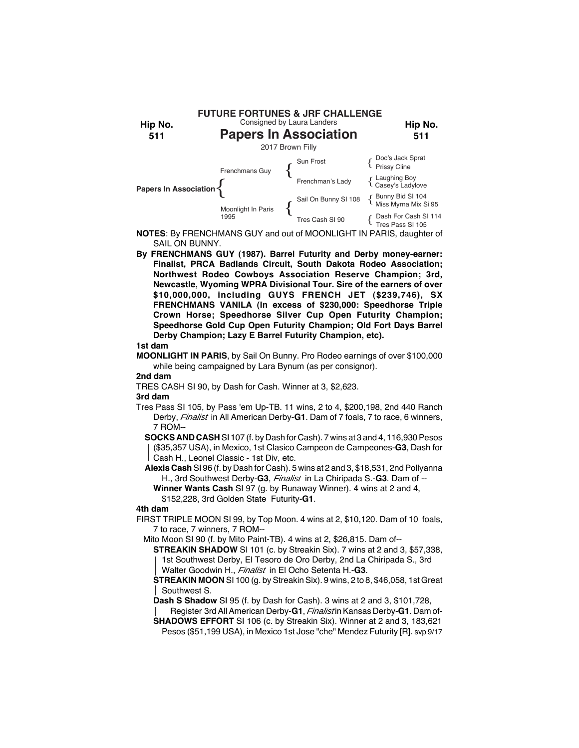

- **NOTES**: By FRENCHMANS GUY and out of MOONLIGHT IN PARIS, daughter of SAIL ON BUNNY.
- **By FRENCHMANS GUY (1987). Barrel Futurity and Derby money-earner: Finalist, PRCA Badlands Circuit, South Dakota Rodeo Association; Northwest Rodeo Cowboys Association Reserve Champion; 3rd, Newcastle, Wyoming WPRA Divisional Tour. Sire of the earners of over \$10,000,000, including GUYS FRENCH JET (\$239,746), SX FRENCHMANS VANILA (In excess of \$230,000: Speedhorse Triple Crown Horse; Speedhorse Silver Cup Open Futurity Champion; Speedhorse Gold Cup Open Futurity Champion; Old Fort Days Barrel Derby Champion; Lazy E Barrel Futurity Champion, etc).**

**MOONLIGHT IN PARIS**, by Sail On Bunny. Pro Rodeo earnings of over \$100,000 while being campaigned by Lara Bynum (as per consignor).

# **2nd dam**

TRES CASH SI 90, by Dash for Cash. Winner at 3, \$2,623.

# **3rd dam**

Tres Pass SI 105, by Pass 'em Up-TB. 11 wins, 2 to 4, \$200,198, 2nd 440 Ranch Derby, *Finalist* in All American Derby-**G1**. Dam of 7 foals, 7 to race, 6 winners, 7 ROM--

**SOCKS AND CASH** SI 107 (f. by Dash for Cash). 7 wins at 3 and 4, 116,930 Pesos (\$35,357 USA), in Mexico, 1st Clasico Campeon de Campeones-**G3**, Dash for Cash H., Leonel Classic - 1st Div, etc.

**Alexis Cash** SI 96 (f. by Dash for Cash). 5 wins at 2 and 3, \$18,531, 2nd Pollyanna H., 3rd Southwest Derby-**G3**, *Finalist* in La Chiripada S.-**G3**. Dam of --

**Winner Wants Cash** SI 97 (g. by Runaway Winner). 4 wins at 2 and 4, \$152,228, 3rd Golden State Futurity-**G1**.

# **4th dam**

- FIRST TRIPLE MOON SI 99, by Top Moon. 4 wins at 2, \$10,120. Dam of 10 foals, 7 to race, 7 winners, 7 ROM--
	- Mito Moon SI 90 (f. by Mito Paint-TB). 4 wins at 2, \$26,815. Dam of--
		- **STREAKIN SHADOW** SI 101 (c. by Streakin Six). 7 wins at 2 and 3, \$57,338, 1st Southwest Derby, El Tesoro de Oro Derby, 2nd La Chiripada S., 3rd Walter Goodwin H., *Finalist* in El Ocho Setenta H.-**G3**.
		- **STREAKIN MOON** SI 100 (g. by Streakin Six). 9 wins, 2 to 8, \$46,058, 1st Great Southwest S.
		- **Dash S Shadow** SI 95 (f. by Dash for Cash). 3 wins at 2 and 3, \$101,728,
		- Register 3rd All American Derby-**G1**, *Finalist* in Kansas Derby-**G1**. Dam of-
		- **SHADOWS EFFORT** SI 106 (c. by Streakin Six). Winner at 2 and 3, 183,621 Pesos (\$51,199 USA), in Mexico 1st Jose "che" Mendez Futurity [R]. svp 9/17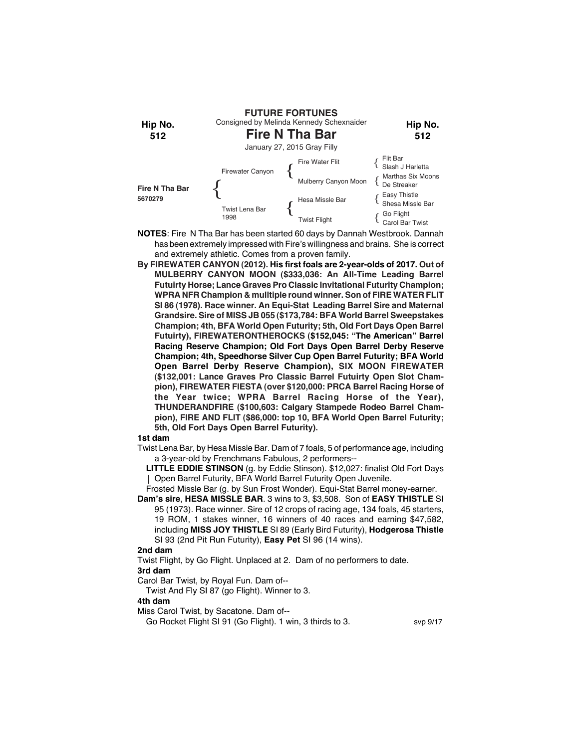

- **NOTES**: Fire N Tha Bar has been started 60 days by Dannah Westbrook. Dannah has been extremely impressed with Fire's willingness and brains. She is correct and extremely athletic. Comes from a proven family.
- **By FIREWATER CANYON (2012). His first foals are 2-year-olds of 2017. Out of MULBERRY CANYON MOON (\$333,036: An All-Time Leading Barrel Futuirty Horse; Lance Graves Pro Classic Invitational Futurity Champion; WPRA NFR Champion & mulltiple round winner. Son of FIRE WATER FLIT SI 86 (1978). Race winner. An Equi-Stat Leading Barrel Sire and Maternal Grandsire. Sire of MISS JB 055 (\$173,784: BFA World Barrel Sweepstakes Champion; 4th, BFA World Open Futurity; 5th, Old Fort Days Open Barrel Futuirty), FIREWATERONTHEROCKS (\$152,045: "The American" Barrel Racing Reserve Champion; Old Fort Days Open Barrel Derby Reserve Champion; 4th, Speedhorse Silver Cup Open Barrel Futurity; BFA World Open Barrel Derby Reserve Champion), SIX MOON FIREWATER (\$132,001: Lance Graves Pro Classic Barrel Futuirty Open Slot Champion), FIREWATER FIESTA (over \$120,000: PRCA Barrel Racing Horse of the Year twice; WPRA Barrel Racing Horse of the Year), THUNDERANDFIRE (\$100,603: Calgary Stampede Rodeo Barrel Champion), FIRE AND FLIT (\$86,000: top 10, BFA World Open Barrel Futurity; 5th, Old Fort Days Open Barrel Futurity).**

Twist Lena Bar, by Hesa Missle Bar. Dam of 7 foals, 5 of performance age, including a 3-year-old by Frenchmans Fabulous, 2 performers--

**LITTLE EDDIE STINSON** (g. by Eddie Stinson). \$12,027: finalist Old Fort Days Open Barrel Futurity, BFA World Barrel Futurity Open Juvenile.

Frosted Missle Bar (g. by Sun Frost Wonder). Equi-Stat Barrel money-earner.

**Dam's sire**, **HESA MISSLE BAR**. 3 wins to 3, \$3,508. Son of **EASY THISTLE** SI 95 (1973). Race winner. Sire of 12 crops of racing age, 134 foals, 45 starters, 19 ROM, 1 stakes winner, 16 winners of 40 races and earning \$47,582, including **MISS JOY THISTLE** SI 89 (Early Bird Futurity), **Hodgerosa Thistle** SI 93 (2nd Pit Run Futurity), **Easy Pet** SI 96 (14 wins).

#### **2nd dam**

Twist Flight, by Go Flight. Unplaced at 2. Dam of no performers to date.

# **3rd dam**

Carol Bar Twist, by Royal Fun. Dam of--

Twist And Fly SI 87 (go Flight). Winner to 3.

# **4th dam**

Miss Carol Twist, by Sacatone. Dam of--

Go Rocket Flight SI 91 (Go Flight). 1 win, 3 thirds to 3. svp 9/17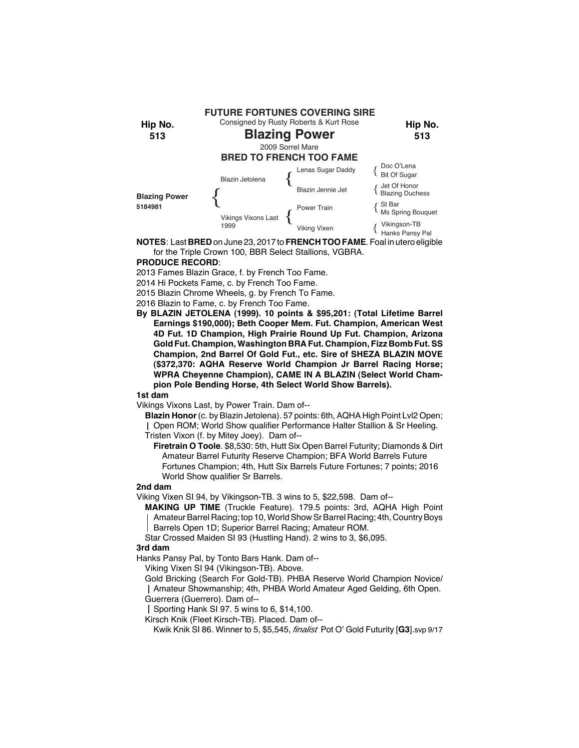

**NOTES**: Last **BRED** on June 23, 2017 to **FRENCH TOO FAME**. Foal in utero eligible for the Triple Crown 100, BBR Select Stallions, VGBRA.

# **PRODUCE RECORD**:

2013 Fames Blazin Grace, f. by French Too Fame.

2014 Hi Pockets Fame, c. by French Too Fame.

2015 Blazin Chrome Wheels, g. by French To Fame.

2016 Blazin to Fame, c. by French Too Fame.

**By BLAZIN JETOLENA (1999). 10 points & \$95,201: (Total Lifetime Barrel Earnings \$190,000); Beth Cooper Mem. Fut. Champion, American West 4D Fut. 1D Champion, High Prairie Round Up Fut. Champion, Arizona Gold Fut. Champion, Washington BRA Fut. Champion, Fizz Bomb Fut. SS Champion, 2nd Barrel Of Gold Fut., etc. Sire of SHEZA BLAZIN MOVE (\$372,370: AQHA Reserve World Champion Jr Barrel Racing Horse; WPRA Cheyenne Champion), CAME IN A BLAZIN (Select World Champion Pole Bending Horse, 4th Select World Show Barrels).**

# **1st dam**

Vikings Vixons Last, by Power Train. Dam of--

**Blazin Honor** (c. by Blazin Jetolena). 57 points: 6th, AQHA High Point Lvl2 Open;

Open ROM; World Show qualifier Performance Halter Stallion & Sr Heeling. Tristen Vixon (f. by Mitey Joey). Dam of--

**Firetrain O Toole**. \$8,530: 5th, Hutt Six Open Barrel Futurity; Diamonds & Dirt Amateur Barrel Futurity Reserve Champion; BFA World Barrels Future Fortunes Champion; 4th, Hutt Six Barrels Future Fortunes; 7 points; 2016 World Show qualifier Sr Barrels.

# **2nd dam**

Viking Vixen SI 94, by Vikingson-TB. 3 wins to 5, \$22,598. Dam of--

**MAKING UP TIME** (Truckle Feature). 179.5 points: 3rd, AQHA High Point Amateur Barrel Racing; top 10, World Show Sr Barrel Racing; 4th, Country Boys Barrels Open 1D; Superior Barrel Racing; Amateur ROM.

Star Crossed Maiden SI 93 (Hustling Hand). 2 wins to 3, \$6,095.

#### **3rd dam**

Hanks Pansy Pal, by Tonto Bars Hank. Dam of--

Viking Vixen SI 94 (Vikingson-TB). Above.

Gold Bricking (Search For Gold-TB). PHBA Reserve World Champion Novice/ Amateur Showmanship; 4th, PHBA World Amateur Aged Gelding, 6th Open. Guerrera (Guerrero). Dam of--

Sporting Hank SI 97. 5 wins to 6, \$14,100.

Kirsch Knik (Fleet Kirsch-TB). Placed. Dam of--

Kwik Knik SI 86. Winner to 5, \$5,545, *finalist* Pot O' Gold Futurity [**G3**].svp 9/17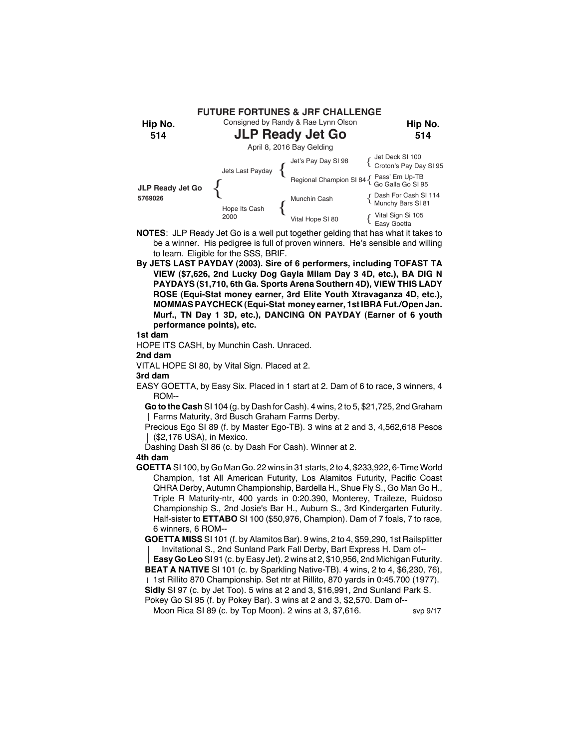

- **NOTES**: JLP Ready Jet Go is a well put together gelding that has what it takes to be a winner. His pedigree is full of proven winners. He's sensible and willing to learn. Eligible for the SSS, BRIF.
- **By JETS LAST PAYDAY (2003). Sire of 6 performers, including TOFAST TA VIEW (\$7,626, 2nd Lucky Dog Gayla Milam Day 3 4D, etc.), BA DIG N PAYDAYS (\$1,710, 6th Ga. Sports Arena Southern 4D), VIEW THIS LADY ROSE (Equi-Stat money earner, 3rd Elite Youth Xtravaganza 4D, etc.), MOMMAS PAYCHECK (Equi-Stat money earner, 1st IBRA Fut./Open Jan. Murf., TN Day 1 3D, etc.), DANCING ON PAYDAY (Earner of 6 youth performance points), etc.**

HOPE ITS CASH, by Munchin Cash. Unraced.

**2nd dam**

VITAL HOPE SI 80, by Vital Sign. Placed at 2.

**3rd dam**

EASY GOETTA, by Easy Six. Placed in 1 start at 2. Dam of 6 to race, 3 winners, 4 ROM--

**Go to the Cash** SI 104 (g. by Dash for Cash). 4 wins, 2 to 5, \$21,725, 2nd Graham Farms Maturity, 3rd Busch Graham Farms Derby.

Precious Ego SI 89 (f. by Master Ego-TB). 3 wins at 2 and 3, 4,562,618 Pesos (\$2,176 USA), in Mexico.

Dashing Dash SI 86 (c. by Dash For Cash). Winner at 2.

# **4th dam**

**GOETTA** SI 100, by Go Man Go. 22 wins in 31 starts, 2 to 4, \$233,922, 6-Time World Champion, 1st All American Futurity, Los Alamitos Futurity, Pacific Coast QHRA Derby, Autumn Championship, Bardella H., Shue Fly S., Go Man Go H., Triple R Maturity-ntr, 400 yards in 0:20.390, Monterey, Traileze, Ruidoso Championship S., 2nd Josie's Bar H., Auburn S., 3rd Kindergarten Futurity. Half-sister to **ETTABO** SI 100 (\$50,976, Champion). Dam of 7 foals, 7 to race, 6 winners, 6 ROM--

**GOETTA MISS** SI 101 (f. by Alamitos Bar). 9 wins, 2 to 4, \$59,290, 1st Railsplitter Invitational S., 2nd Sunland Park Fall Derby, Bart Express H. Dam of--

**Easy Go Leo** SI 91 (c. by Easy Jet). 2 wins at 2, \$10,956, 2nd Michigan Futurity. **BEAT A NATIVE** SI 101 (c. by Sparkling Native-TB). 4 wins, 2 to 4, \$6,230, 76),

1st Rillito 870 Championship. Set ntr at Rillito, 870 yards in 0:45.700 (1977). **Sidly** SI 97 (c. by Jet Too). 5 wins at 2 and 3, \$16,991, 2nd Sunland Park S.

Pokey Go SI 95 (f. by Pokey Bar). 3 wins at 2 and 3, \$2,570. Dam of--

Moon Rica SI 89 (c. by Top Moon). 2 wins at  $3, $7,616$ . svp  $9/17$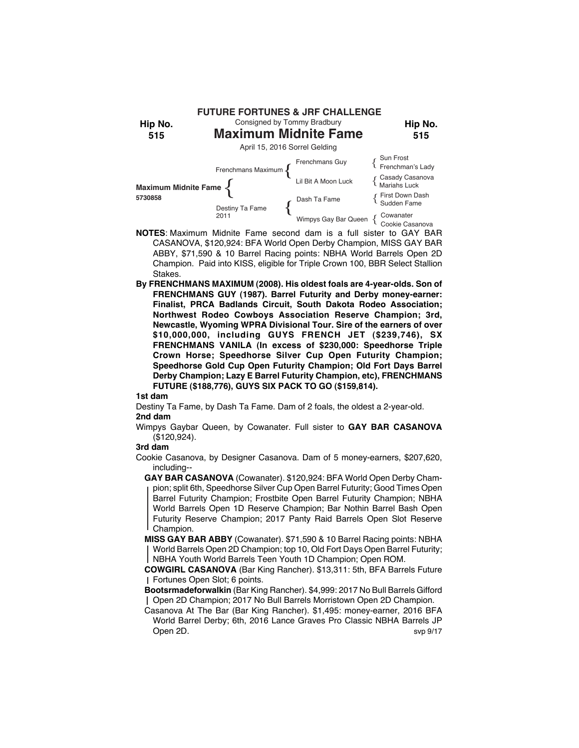

- **NOTES**: Maximum Midnite Fame second dam is a full sister to GAY BAR CASANOVA, \$120,924: BFA World Open Derby Champion, MISS GAY BAR ABBY, \$71,590 & 10 Barrel Racing points: NBHA World Barrels Open 2D Champion. Paid into KISS, eligible for Triple Crown 100, BBR Select Stallion Stakes.
- **By FRENCHMANS MAXIMUM (2008). His oldest foals are 4-year-olds. Son of FRENCHMANS GUY (1987). Barrel Futurity and Derby money-earner: Finalist, PRCA Badlands Circuit, South Dakota Rodeo Association; Northwest Rodeo Cowboys Association Reserve Champion; 3rd, Newcastle, Wyoming WPRA Divisional Tour. Sire of the earners of over \$10,000,000, including GUYS FRENCH JET (\$239,746), SX FRENCHMANS VANILA (In excess of \$230,000: Speedhorse Triple Crown Horse; Speedhorse Silver Cup Open Futurity Champion; Speedhorse Gold Cup Open Futurity Champion; Old Fort Days Barrel Derby Champion; Lazy E Barrel Futurity Champion, etc), FRENCHMANS FUTURE (\$188,776), GUYS SIX PACK TO GO (\$159,814).**

Destiny Ta Fame, by Dash Ta Fame. Dam of 2 foals, the oldest a 2-year-old. **2nd dam**

Wimpys Gaybar Queen, by Cowanater. Full sister to **GAY BAR CASANOVA** (\$120,924).

# **3rd dam**

Cookie Casanova, by Designer Casanova. Dam of 5 money-earners, \$207,620, including--

**GAY BAR CASANOVA** (Cowanater). \$120,924: BFA World Open Derby Champion; split 6th, Speedhorse Silver Cup Open Barrel Futurity; Good Times Open Barrel Futurity Champion; Frostbite Open Barrel Futurity Champion; NBHA World Barrels Open 1D Reserve Champion; Bar Nothin Barrel Bash Open Futurity Reserve Champion; 2017 Panty Raid Barrels Open Slot Reserve Champion.

**MISS GAY BAR ABBY** (Cowanater). \$71,590 & 10 Barrel Racing points: NBHA World Barrels Open 2D Champion; top 10, Old Fort Days Open Barrel Futurity; NBHA Youth World Barrels Teen Youth 1D Champion; Open ROM.

**COWGIRL CASANOVA** (Bar King Rancher). \$13,311: 5th, BFA Barrels Future Fortunes Open Slot; 6 points.

**Bootsrmadeforwalkin** (Bar King Rancher). \$4,999: 2017 No Bull Barrels Gifford Open 2D Champion; 2017 No Bull Barrels Morristown Open 2D Champion.

Casanova At The Bar (Bar King Rancher). \$1,495: money-earner, 2016 BFA World Barrel Derby; 6th, 2016 Lance Graves Pro Classic NBHA Barrels JP Open 2D. svp 9/17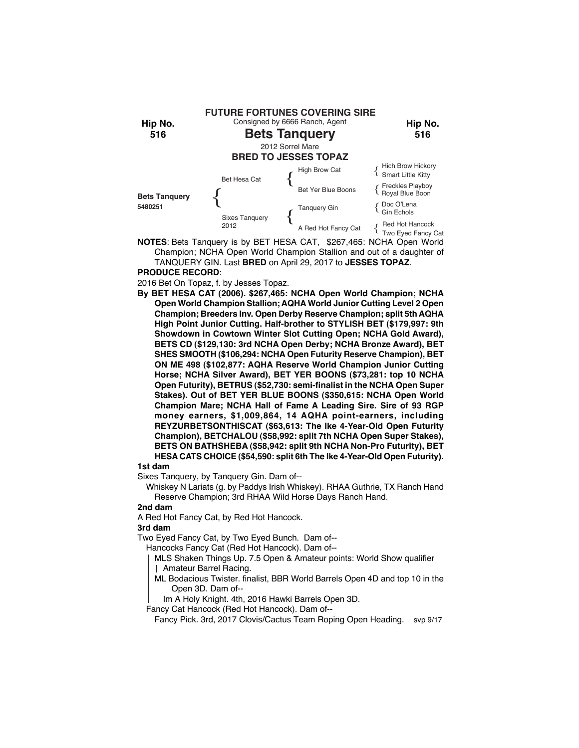

**NOTES**: Bets Tanquery is by BET HESA CAT, \$267,465: NCHA Open World Champion; NCHA Open World Champion Stallion and out of a daughter of

TANQUERY GIN. Last **BRED** on April 29, 2017 to **JESSES TOPAZ**. **PRODUCE RECORD**:

2016 Bet On Topaz, f. by Jesses Topaz.

**By BET HESA CAT (2006). \$267,465: NCHA Open World Champion; NCHA Open World Champion Stallion; AQHA World Junior Cutting Level 2 Open Champion; Breeders Inv. Open Derby Reserve Champion; split 5th AQHA High Point Junior Cutting. Half-brother to STYLISH BET (\$179,997: 9th Showdown in Cowtown Winter Slot Cutting Open; NCHA Gold Award), BETS CD (\$129,130: 3rd NCHA Open Derby; NCHA Bronze Award), BET SHES SMOOTH (\$106,294: NCHA Open Futurity Reserve Champion), BET ON ME 498 (\$102,877: AQHA Reserve World Champion Junior Cutting Horse; NCHA Silver Award), BET YER BOONS (\$73,281: top 10 NCHA Open Futurity), BETRUS (\$52,730: semi-finalist in the NCHA Open Super Stakes). Out of BET YER BLUE BOONS (\$350,615: NCHA Open World Champion Mare; NCHA Hall of Fame A Leading Sire. Sire of 93 RGP money earners, \$1,009,864, 14 AQHA point-earners, including REYZURBETSONTHISCAT (\$63,613: The Ike 4-Year-Old Open Futurity Champion), BETCHALOU (\$58,992: split 7th NCHA Open Super Stakes), BETS ON BATHSHEBA (\$58,942: split 9th NCHA Non-Pro Futurity), BET HESA CATS CHOICE (\$54,590: split 6th The Ike 4-Year-Old Open Futurity).**

# **1st dam**

Sixes Tanquery, by Tanquery Gin. Dam of--

Whiskey N Lariats (g. by Paddys Irish Whiskey). RHAA Guthrie, TX Ranch Hand Reserve Champion; 3rd RHAA Wild Horse Days Ranch Hand.

# **2nd dam**

A Red Hot Fancy Cat, by Red Hot Hancock.

# **3rd dam**

Two Eyed Fancy Cat, by Two Eyed Bunch. Dam of--

Hancocks Fancy Cat (Red Hot Hancock). Dam of--

- MLS Shaken Things Up. 7.5 Open & Amateur points: World Show qualifier
- Amateur Barrel Racing.
- ML Bodacious Twister. finalist, BBR World Barrels Open 4D and top 10 in the Open 3D. Dam of--

Im A Holy Knight. 4th, 2016 Hawki Barrels Open 3D.

Fancy Cat Hancock (Red Hot Hancock). Dam of--

Fancy Pick. 3rd, 2017 Clovis/Cactus Team Roping Open Heading. svp 9/17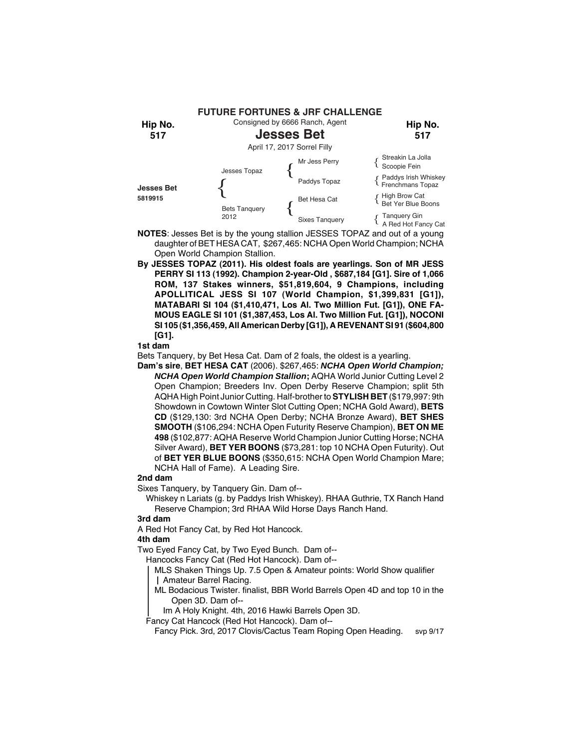

- **NOTES**: Jesses Bet is by the young stallion JESSES TOPAZ and out of a young daughter of BET HESA CAT, \$267,465: NCHA Open World Champion; NCHA Open World Champion Stallion.
- **By JESSES TOPAZ (2011). His oldest foals are yearlings. Son of MR JESS PERRY SI 113 (1992). Champion 2-year-Old , \$687,184 [G1]. Sire of 1,066 ROM, 137 Stakes winners, \$51,819,604, 9 Champions, including APOLLITICAL JESS SI 107 (World Champion, \$1,399,831 [G1]), MATABARI SI 104 (\$1,410,471, Los Al. Two Million Fut. [G1]), ONE FA-MOUS EAGLE SI 101 (\$1,387,453, Los Al. Two Million Fut. [G1]), NOCONI SI 105 (\$1,356,459, All American Derby [G1]), A REVENANT SI 91 (\$604,800 [G1].**

Bets Tanquery, by Bet Hesa Cat. Dam of 2 foals, the oldest is a yearling.

**Dam's sire**, **BET HESA CAT** (2006). \$267,465: *NCHA Open World Champion; NCHA Open World Champion Stallion***;** AQHA World Junior Cutting Level 2 Open Champion; Breeders Inv. Open Derby Reserve Champion; split 5th AQHA High Point Junior Cutting. Half-brother to **STYLISH BET** (\$179,997: 9th Showdown in Cowtown Winter Slot Cutting Open; NCHA Gold Award), **BETS CD** (\$129,130: 3rd NCHA Open Derby; NCHA Bronze Award), **BET SHES SMOOTH** (\$106,294: NCHA Open Futurity Reserve Champion), **BET ON ME 498** (\$102,877: AQHA Reserve World Champion Junior Cutting Horse; NCHA Silver Award), **BET YER BOONS** (\$73,281: top 10 NCHA Open Futurity). Out of **BET YER BLUE BOONS** (\$350,615: NCHA Open World Champion Mare; NCHA Hall of Fame). A Leading Sire.

# **2nd dam**

Sixes Tanquery, by Tanquery Gin. Dam of--

Whiskey n Lariats (g. by Paddys Irish Whiskey). RHAA Guthrie, TX Ranch Hand Reserve Champion; 3rd RHAA Wild Horse Days Ranch Hand.

# **3rd dam**

A Red Hot Fancy Cat, by Red Hot Hancock.

# **4th dam**

Two Eyed Fancy Cat, by Two Eyed Bunch. Dam of--

Hancocks Fancy Cat (Red Hot Hancock). Dam of--

- MLS Shaken Things Up. 7.5 Open & Amateur points: World Show qualifier Amateur Barrel Racing.
- ML Bodacious Twister. finalist, BBR World Barrels Open 4D and top 10 in the Open 3D. Dam of--
- Im A Holy Knight. 4th, 2016 Hawki Barrels Open 3D.

Fancy Cat Hancock (Red Hot Hancock). Dam of--

Fancy Pick. 3rd, 2017 Clovis/Cactus Team Roping Open Heading. svp 9/17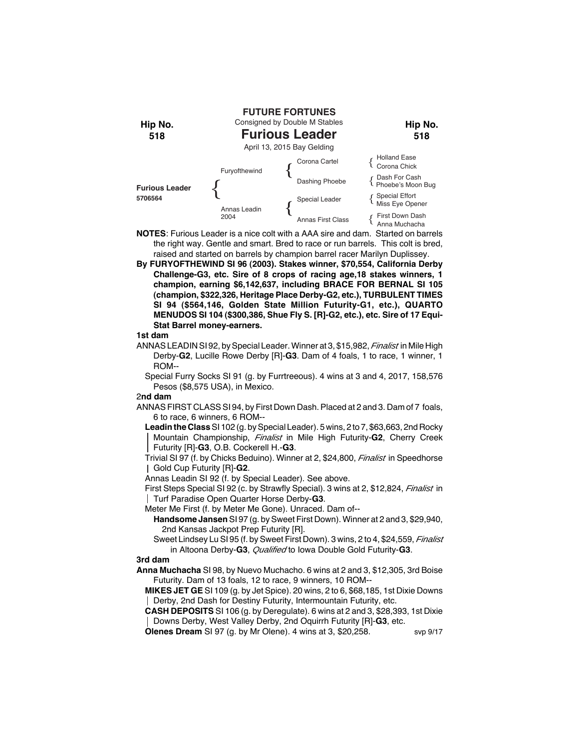

- **NOTES**: Furious Leader is a nice colt with a AAA sire and dam. Started on barrels the right way. Gentle and smart. Bred to race or run barrels. This colt is bred, raised and started on barrels by champion barrel racer Marilyn Duplissey.
- **By FURYOFTHEWIND SI 96 (2003). Stakes winner, \$70,554, California Derby Challenge-G3, etc. Sire of 8 crops of racing age,18 stakes winners, 1 champion, earning \$6,142,637, including BRACE FOR BERNAL SI 105 (champion, \$322,326, Heritage Place Derby-G2, etc.), TURBULENT TIMES SI 94 (\$564,146, Golden State Million Futurity-G1, etc.), QUARTO MENUDOS SI 104 (\$300,386, Shue Fly S. [R]-G2, etc.), etc. Sire of 17 Equi-Stat Barrel money-earners.**

- ANNAS LEADIN SI 92, by Special Leader. Winner at 3, \$15,982, *Finalist* in Mile High Derby-**G2**, Lucille Rowe Derby [R]-**G3**. Dam of 4 foals, 1 to race, 1 winner, 1 ROM--
	- Special Furry Socks SI 91 (g. by Furrtreeous). 4 wins at 3 and 4, 2017, 158,576 Pesos (\$8,575 USA), in Mexico.

#### 2**nd dam**

ANNAS FIRST CLASS SI 94, by First Down Dash. Placed at 2 and 3. Dam of 7 foals, 6 to race, 6 winners, 6 ROM--

**Leadin the Class** SI 102 (g. by Special Leader). 5 wins, 2 to 7, \$63,663, 2nd Rocky Mountain Championship, *Finalist* in Mile High Futurity-**G2**, Cherry Creek Futurity [R]-**G3**, O.B. Cockerell H.-**G3**.

Trivial SI 97 (f. by Chicks Beduino). Winner at 2, \$24,800, *Finalist* in Speedhorse Gold Cup Futurity [R]-**G2**.

Annas Leadin SI 92 (f. by Special Leader). See above.

First Steps Special SI 92 (c. by Strawfly Special). 3 wins at 2, \$12,824, *Finalist* in Turf Paradise Open Quarter Horse Derby-**G3**.

Meter Me First (f. by Meter Me Gone). Unraced. Dam of--

**Handsome Jansen** SI 97 (g. by Sweet First Down). Winner at 2 and 3, \$29,940, 2nd Kansas Jackpot Prep Futurity [R].

Sweet Lindsey Lu SI 95 (f. by Sweet First Down). 3 wins, 2 to 4, \$24,559, *Finalist* in Altoona Derby-**G3**, *Qualified* to Iowa Double Gold Futurity-**G3**.

# **3rd dam**

**Anna Muchacha** SI 98, by Nuevo Muchacho. 6 wins at 2 and 3, \$12,305, 3rd Boise Futurity. Dam of 13 foals, 12 to race, 9 winners, 10 ROM--

**MIKES JET GE** SI 109 (g. by Jet Spice). 20 wins, 2 to 6, \$68,185, 1st Dixie Downs Derby, 2nd Dash for Destiny Futurity, Intermountain Futurity, etc.

**CASH DEPOSITS** SI 106 (g. by Deregulate). 6 wins at 2 and 3, \$28,393, 1st Dixie Downs Derby, West Valley Derby, 2nd Oquirrh Futurity [R]-**G3**, etc.

**Olenes Dream** SI 97 (g. by Mr Olene). 4 wins at 3, \$20,258. svp 9/17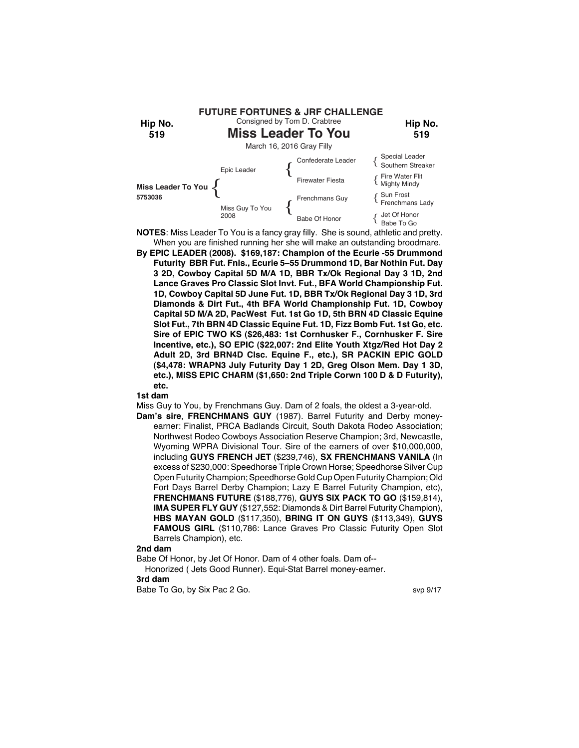

- When you are finished running her she will make an outstanding broodmare. **By EPIC LEADER (2008). \$169,187: Champion of the Ecurie -55 Drummond Futurity BBR Fut. Fnls., Ecurie 5–55 Drummond 1D, Bar Nothin Fut. Day 3 2D, Cowboy Capital 5D M/A 1D, BBR Tx/Ok Regional Day 3 1D, 2nd Lance Graves Pro Classic Slot Invt. Fut., BFA World Championship Fut.**
	- **1D, Cowboy Capital 5D June Fut. 1D, BBR Tx/Ok Regional Day 3 1D, 3rd Diamonds & Dirt Fut., 4th BFA World Championship Fut. 1D, Cowboy Capital 5D M/A 2D, PacWest Fut. 1st Go 1D, 5th BRN 4D Classic Equine Slot Fut., 7th BRN 4D Classic Equine Fut. 1D, Fizz Bomb Fut. 1st Go, etc. Sire of EPIC TWO KS (\$26,483: 1st Cornhusker F., Cornhusker F. Sire Incentive, etc.), SO EPIC (\$22,007: 2nd Elite Youth Xtgz/Red Hot Day 2 Adult 2D, 3rd BRN4D Clsc. Equine F., etc.), SR PACKIN EPIC GOLD (\$4,478: WRAPN3 July Futurity Day 1 2D, Greg Olson Mem. Day 1 3D, etc.), MISS EPIC CHARM (\$1,650: 2nd Triple Corwn 100 D & D Futurity), etc.**

Miss Guy to You, by Frenchmans Guy. Dam of 2 foals, the oldest a 3-year-old.

**Dam's sire**, **FRENCHMANS GUY** (1987). Barrel Futurity and Derby moneyearner: Finalist, PRCA Badlands Circuit, South Dakota Rodeo Association; Northwest Rodeo Cowboys Association Reserve Champion; 3rd, Newcastle, Wyoming WPRA Divisional Tour. Sire of the earners of over \$10,000,000, including **GUYS FRENCH JET** (\$239,746), **SX FRENCHMANS VANILA** (In excess of \$230,000: Speedhorse Triple Crown Horse; Speedhorse Silver Cup Open Futurity Champion; Speedhorse Gold Cup Open Futurity Champion; Old Fort Days Barrel Derby Champion; Lazy E Barrel Futurity Champion, etc), **FRENCHMANS FUTURE** (\$188,776), **GUYS SIX PACK TO GO** (\$159,814), **IMA SUPER FLY GUY** (\$127,552: Diamonds & Dirt Barrel Futurity Champion), **HBS MAYAN GOLD** (\$117,350), **BRING IT ON GUYS** (\$113,349), **GUYS FAMOUS GIRL** (\$110,786: Lance Graves Pro Classic Futurity Open Slot Barrels Champion), etc.

**2nd dam**

Babe Of Honor, by Jet Of Honor. Dam of 4 other foals. Dam of-- Honorized ( Jets Good Runner). Equi-Stat Barrel money-earner. **3rd dam** Babe To Go, by Six Pac 2 Go. So and the state of the state of the state of the state of the state of the state of the state of the state of the state of the state of the state of the state of the state of the state of the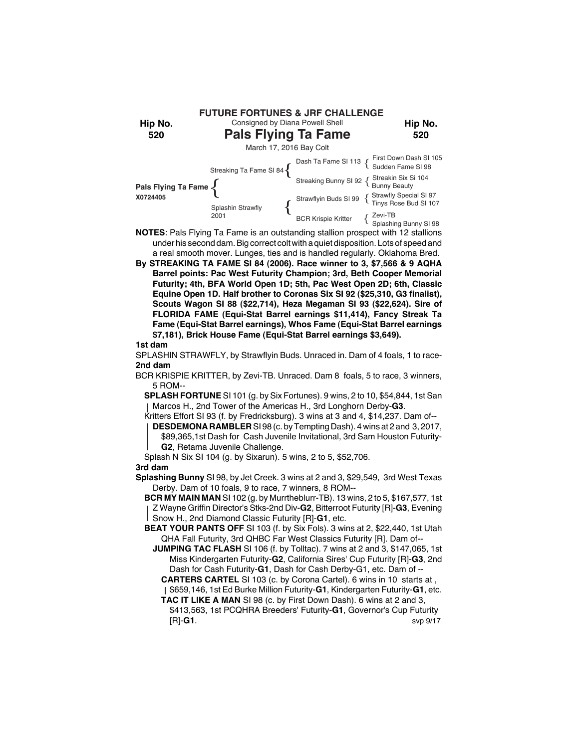| Hip No.<br>520                                                | <b>FUTURE FORTUNES &amp; JRF CHALLENGE</b><br>Consigned by Diana Powell Shell<br><b>Pals Flying Ta Fame</b> |                            | Hip No.<br>520                                                          |  |  |
|---------------------------------------------------------------|-------------------------------------------------------------------------------------------------------------|----------------------------|-------------------------------------------------------------------------|--|--|
| March 17, 2016 Bay Colt                                       |                                                                                                             |                            |                                                                         |  |  |
| Pals Flying Ta Fame $\begin{cases} 1 \end{cases}$<br>X0724405 |                                                                                                             |                            |                                                                         |  |  |
|                                                               |                                                                                                             |                            | Streaking Bunny SI 92 { Streakin Six Si 104                             |  |  |
|                                                               | Splashin Strawfly<br>2001                                                                                   |                            | Strawflyin Buds SI 99 { Strawfly Special SI 97<br>Tinys Rose Bud SI 107 |  |  |
|                                                               |                                                                                                             | <b>BCR Krispie Kritter</b> | { Zevi-TB<br>{ Splashing Bunny SI 98                                    |  |  |

- **NOTES**: Pals Flying Ta Fame is an outstanding stallion prospect with 12 stallions under his second dam. Big correct colt with a quiet disposition. Lots of speed and a real smooth mover. Lunges, ties and is handled regularly. Oklahoma Bred.
- **By STREAKING TA FAME SI 84 (2006). Race winner to 3, \$7,566 & 9 AQHA Barrel points: Pac West Futurity Champion; 3rd, Beth Cooper Memorial Futurity; 4th, BFA World Open 1D; 5th, Pac West Open 2D; 6th, Classic Equine Open 1D. Half brother to Coronas Six SI 92 (\$25,310, G3 finalist), Scouts Wagon SI 88 (\$22,714), Heza Megaman SI 93 (\$22,624). Sire of FLORIDA FAME (Equi-Stat Barrel earnings \$11,414), Fancy Streak Ta Fame (Equi-Stat Barrel earnings), Whos Fame (Equi-Stat Barrel earnings \$7,181), Brick House Fame (Equi-Stat Barrel earnings \$3,649).**

SPLASHIN STRAWFLY, by Strawflyin Buds. Unraced in. Dam of 4 foals, 1 to race-**2nd dam**

BCR KRISPIE KRITTER, by Zevi-TB. Unraced. Dam 8 foals, 5 to race, 3 winners, 5 ROM--

**SPLASH FORTUNE** SI 101 (g. by Six Fortunes). 9 wins, 2 to 10, \$54,844, 1st San Marcos H., 2nd Tower of the Americas H., 3rd Longhorn Derby-**G3**.

Kritters Effort SI 93 (f. by Fredricksburg). 3 wins at 3 and 4, \$14,237. Dam of--

**DESDEMONA RAMBLER** SI 98 (c. by Tempting Dash). 4 wins at 2 and 3, 2017, \$89,365,1st Dash for Cash Juvenile Invitational, 3rd Sam Houston Futurity-**G2**, Retama Juvenile Challenge.

Splash N Six SI 104 (g. by Sixarun). 5 wins, 2 to 5, \$52,706. **3rd dam**

**Splashing Bunny** SI 98, by Jet Creek. 3 wins at 2 and 3, \$29,549, 3rd West Texas Derby. Dam of 10 foals, 9 to race, 7 winners, 8 ROM--

**BCR MY MAIN MAN** SI 102 (g. by Murrtheblurr-TB). 13 wins, 2 to 5, \$167,577, 1st Z Wayne Griffin Director's Stks-2nd Div-**G2**, Bitterroot Futurity [R]-**G3**, Evening Snow H., 2nd Diamond Classic Futurity [R]-**G1**, etc.

**BEAT YOUR PANTS OFF** SI 103 (f. by Six Fols). 3 wins at 2, \$22,440, 1st Utah QHA Fall Futurity, 3rd QHBC Far West Classics Futurity [R]. Dam of--

**JUMPING TAC FLASH** SI 106 (f. by Tolltac). 7 wins at 2 and 3, \$147,065, 1st Miss Kindergarten Futurity-**G2**, California Sires' Cup Futurity [R]-**G3**, 2nd Dash for Cash Futurity-**G1**, Dash for Cash Derby-G1, etc. Dam of --

**CARTERS CARTEL** SI 103 (c. by Corona Cartel). 6 wins in 10 starts at , \$659,146, 1st Ed Burke Million Futurity-**G1**, Kindergarten Futurity-**G1**, etc.

**TAC IT LIKE A MAN** SI 98 (c. by First Down Dash). 6 wins at 2 and 3,

\$413,563, 1st PCQHRA Breeders' Futurity-**G1**, Governor's Cup Futurity [R]-**G1**. svp 9/17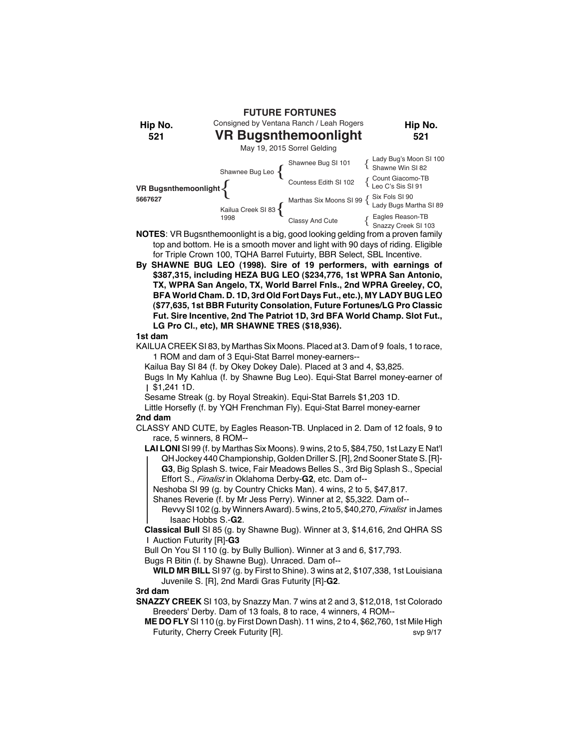**FUTURE FORTUNES**

Consigned by Ventana Ranch / Leah Rogers **VR Bugsnthemoonlight**

**Hip No. 521**

May 19, 2015 Sorrel Gelding

| VR Bugsnthemoonlight <<br>5667627 | Shawnee Bug Leo {          | Shawnee Bug SI 101    | Lady Bug's Moon SI 100<br>Shawne Win SI 82                                                                                 |
|-----------------------------------|----------------------------|-----------------------|----------------------------------------------------------------------------------------------------------------------------|
|                                   |                            | Countess Edith SI 102 | {Count Giacomo-TB<br>Leo C's Sis SI 91                                                                                     |
|                                   | Kailua Creek SI 83<br>1998 |                       | Marthas Six Moons SI 99 $\left\{\begin{array}{l}\text{Six Fols SI 90} \\ \text{ Lady Bugs Martha SI 89}\end{array}\right.$ |
|                                   |                            | Classy And Cute       | Eagles Reason-TB<br>Snazzy Creek SI 103                                                                                    |

**NOTES**: VR Bugsnthemoonlight is a big, good looking gelding from a proven family top and bottom. He is a smooth mover and light with 90 days of riding. Eligible for Triple Crown 100, TQHA Barrel Futuirty, BBR Select, SBL Incentive.

**By SHAWNE BUG LEO (1998). Sire of 19 performers, with earnings of \$387,315, including HEZA BUG LEO (\$234,776, 1st WPRA San Antonio, TX, WPRA San Angelo, TX, World Barrel Fnls., 2nd WPRA Greeley, CO, BFA World Cham. D. 1D, 3rd Old Fort Days Fut., etc.), MY LADY BUG LEO (\$77,635, 1st BBR Futurity Consolation, Future Fortunes/LG Pro Classic Fut. Sire Incentive, 2nd The Patriot 1D, 3rd BFA World Champ. Slot Fut., LG Pro Cl., etc), MR SHAWNE TRES (\$18,936).**

#### **1st dam**

**Hip No. 521**

KAILUA CREEK SI 83, by Marthas Six Moons. Placed at 3. Dam of 9 foals, 1 to race, 1 ROM and dam of 3 Equi-Stat Barrel money-earners--

Kailua Bay SI 84 (f. by Okey Dokey Dale). Placed at 3 and 4, \$3,825.

Bugs In My Kahlua (f. by Shawne Bug Leo). Equi-Stat Barrel money-earner of \$1,241 1D.

Sesame Streak (g. by Royal Streakin). Equi-Stat Barrels \$1,203 1D.

Little Horsefly (f. by YQH Frenchman Fly). Equi-Stat Barrel money-earner **2nd dam**

CLASSY AND CUTE, by Eagles Reason-TB. Unplaced in 2. Dam of 12 foals, 9 to race, 5 winners, 8 ROM--

**LAI LONI** SI 99 (f. by Marthas Six Moons). 9 wins, 2 to 5, \$84,750, 1st Lazy E Nat'l QH Jockey 440 Championship, Golden Driller S. [R], 2nd Sooner State S. [R]- **G3**, Big Splash S. twice, Fair Meadows Belles S., 3rd Big Splash S., Special Effort S., *Finalist* in Oklahoma Derby-**G2**, etc. Dam of--

Neshoba SI 99 (g. by Country Chicks Man). 4 wins, 2 to 5, \$47,817.

Shanes Reverie (f. by Mr Jess Perry). Winner at 2, \$5,322. Dam of--

Revvy SI 102 (g. by Winners Award). 5 wins, 2 to 5, \$40,270, *Finalist* in James Isaac Hobbs S.-**G2**.

**Classical Bull** SI 85 (g. by Shawne Bug). Winner at 3, \$14,616, 2nd QHRA SS Auction Futurity [R]-**G3**

Bull On You SI 110 (g. by Bully Bullion). Winner at 3 and 6, \$17,793.

Bugs R Bitin (f. by Shawne Bug). Unraced. Dam of--

**WILD MR BILL** SI 97 (g. by First to Shine). 3 wins at 2, \$107,338, 1st Louisiana Juvenile S. [R], 2nd Mardi Gras Futurity [R]-**G2**.

# **3rd dam**

**SNAZZY CREEK** SI 103, by Snazzy Man. 7 wins at 2 and 3, \$12,018, 1st Colorado Breeders' Derby. Dam of 13 foals, 8 to race, 4 winners, 4 ROM--

**ME DO FLY** SI 110 (g. by First Down Dash). 11 wins, 2 to 4, \$62,760, 1st Mile High Futurity, Cherry Creek Futurity [R]. svp 9/17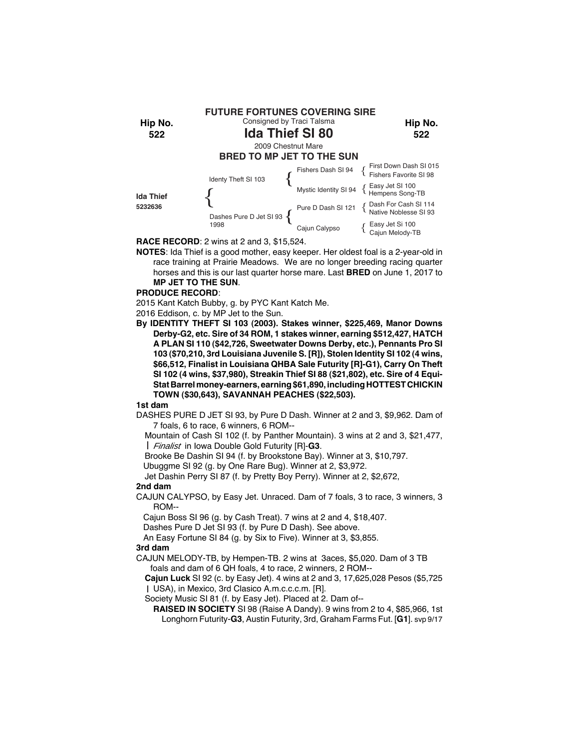

**RACE RECORD**: 2 wins at 2 and 3, \$15,524.

**NOTES**: Ida Thief is a good mother, easy keeper. Her oldest foal is a 2-year-old in race training at Prairie Meadows. We are no longer breeding racing quarter horses and this is our last quarter horse mare. Last **BRED** on June 1, 2017 to **MP JET TO THE SUN**.

#### **PRODUCE RECORD**:

2015 Kant Katch Bubby, g. by PYC Kant Katch Me.

2016 Eddison, c. by MP Jet to the Sun.

**By IDENTITY THEFT SI 103 (2003). Stakes winner, \$225,469, Manor Downs Derby-G2, etc. Sire of 34 ROM, 1 stakes winner, earning \$512,427, HATCH A PLAN SI 110 (\$42,726, Sweetwater Downs Derby, etc.), Pennants Pro SI 103 (\$70,210, 3rd Louisiana Juvenile S. [R]), Stolen Identity SI 102 (4 wins, \$66,512, Finalist in Louisiana QHBA Sale Futurity [R]-G1), Carry On Theft SI 102 (4 wins, \$37,980), Streakin Thief SI 88 (\$21,802), etc. Sire of 4 Equi-Stat Barrel money-earners, earning \$61,890, including HOTTEST CHICKIN TOWN (\$30,643), SAVANNAH PEACHES (\$22,503).**

# **1st dam**

- DASHES PURE D JET SI 93, by Pure D Dash. Winner at 2 and 3, \$9,962. Dam of 7 foals, 6 to race, 6 winners, 6 ROM--
	- Mountain of Cash SI 102 (f. by Panther Mountain). 3 wins at 2 and 3, \$21,477, *Finalist* in Iowa Double Gold Futurity [R]-**G3**.

Brooke Be Dashin SI 94 (f. by Brookstone Bay). Winner at 3, \$10,797.

Ubuggme SI 92 (g. by One Rare Bug). Winner at 2, \$3,972.

Jet Dashin Perry SI 87 (f. by Pretty Boy Perry). Winner at 2, \$2,672, **2nd dam**

CAJUN CALYPSO, by Easy Jet. Unraced. Dam of 7 foals, 3 to race, 3 winners, 3 ROM--

Cajun Boss SI 96 (g. by Cash Treat). 7 wins at 2 and 4, \$18,407.

Dashes Pure D Jet SI 93 (f. by Pure D Dash). See above.

An Easy Fortune SI 84 (g. by Six to Five). Winner at 3, \$3,855.

# **3rd dam**

- CAJUN MELODY-TB, by Hempen-TB. 2 wins at 3aces, \$5,020. Dam of 3 TB foals and dam of 6 QH foals, 4 to race, 2 winners, 2 ROM--
	- **Cajun Luck** SI 92 (c. by Easy Jet). 4 wins at 2 and 3, 17,625,028 Pesos (\$5,725 USA), in Mexico, 3rd Clasico A.m.c.c.c.m. [R].

Society Music SI 81 (f. by Easy Jet). Placed at 2. Dam of--

**RAISED IN SOCIETY** SI 98 (Raise A Dandy). 9 wins from 2 to 4, \$85,966, 1st Longhorn Futurity-**G3**, Austin Futurity, 3rd, Graham Farms Fut. [**G1**]. svp 9/17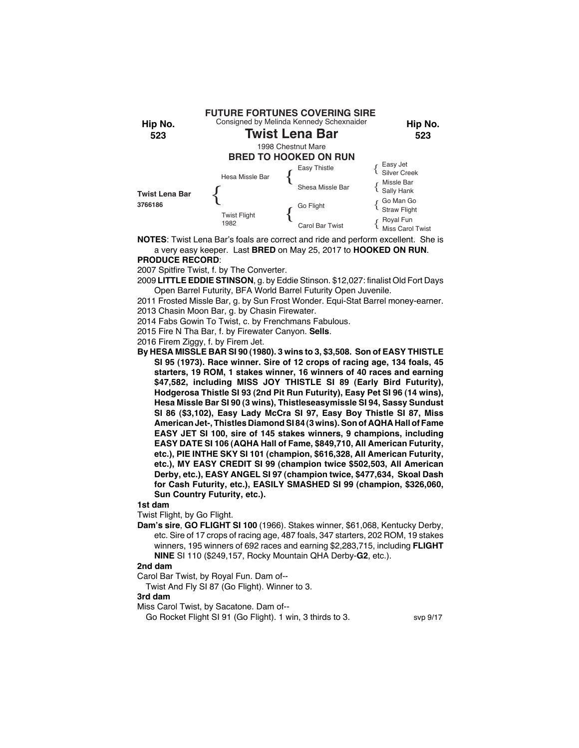

**NOTES**: Twist Lena Bar's foals are correct and ride and perform excellent. She is a very easy keeper. Last **BRED** on May 25, 2017 to **HOOKED ON RUN**. **PRODUCE RECORD**:

2007 Spitfire Twist, f. by The Converter.

2009 **LITTLE EDDIE STINSON**, g. by Eddie Stinson. \$12,027: finalist Old Fort Days Open Barrel Futurity, BFA World Barrel Futurity Open Juvenile.

2011 Frosted Missle Bar, g. by Sun Frost Wonder. Equi-Stat Barrel money-earner. 2013 Chasin Moon Bar, g. by Chasin Firewater.

2014 Fabs Gowin To Twist, c. by Frenchmans Fabulous.

2015 Fire N Tha Bar, f. by Firewater Canyon. **Sells**.

2016 Firem Ziggy, f. by Firem Jet.

**By HESA MISSLE BAR SI 90 (1980). 3 wins to 3, \$3,508. Son of EASY THISTLE SI 95 (1973). Race winner. Sire of 12 crops of racing age, 134 foals, 45 starters, 19 ROM, 1 stakes winner, 16 winners of 40 races and earning \$47,582, including MISS JOY THISTLE SI 89 (Early Bird Futurity), Hodgerosa Thistle SI 93 (2nd Pit Run Futurity), Easy Pet SI 96 (14 wins), Hesa Missle Bar SI 90 (3 wins), Thistleseasymissle SI 94, Sassy Sundust SI 86 (\$3,102), Easy Lady McCra SI 97, Easy Boy Thistle SI 87, Miss American Jet-, Thistles Diamond SI 84 (3 wins). Son of AQHA Hall of Fame EASY JET SI 100, sire of 145 stakes winners, 9 champions, including EASY DATE SI 106 (AQHA Hall of Fame, \$849,710, All American Futurity, etc.), PIE INTHE SKY SI 101 (champion, \$616,328, All American Futurity, etc.), MY EASY CREDIT SI 99 (champion twice \$502,503, All American Derby, etc.), EASY ANGEL SI 97 (champion twice, \$477,634, Skoal Dash for Cash Futurity, etc.), EASILY SMASHED SI 99 (champion, \$326,060, Sun Country Futurity, etc.).**

#### **1st dam**

Twist Flight, by Go Flight.

**Dam's sire**, **GO FLIGHT SI 100** (1966). Stakes winner, \$61,068, Kentucky Derby, etc. Sire of 17 crops of racing age, 487 foals, 347 starters, 202 ROM, 19 stakes winners, 195 winners of 692 races and earning \$2,283,715, including **FLIGHT NINE** SI 110 (\$249,157, Rocky Mountain QHA Derby-**G2**, etc.).

#### **2nd dam**

Carol Bar Twist, by Royal Fun. Dam of--

Twist And Fly SI 87 (Go Flight). Winner to 3.

# **3rd dam**

Miss Carol Twist, by Sacatone. Dam of--

Go Rocket Flight SI 91 (Go Flight). 1 win, 3 thirds to 3. svp 9/17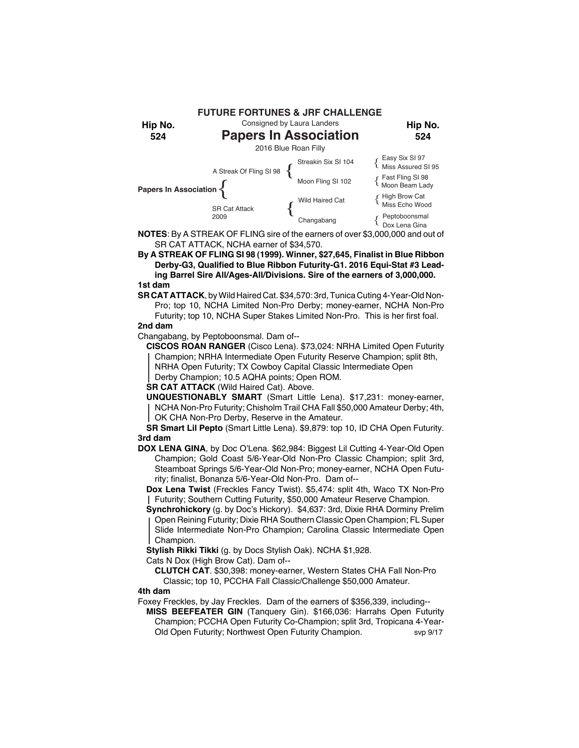

**NOTES**: By A STREAK OF FLING sire of the earners of over \$3,000,000 and out of SR CAT ATTACK, NCHA earner of \$34,570.

**By A STREAK OF FLING SI 98 (1999). Winner, \$27,645, Finalist in Blue Ribbon Derby-G3, Qualified to Blue Ribbon Futurity-G1. 2016 Equi-Stat #3 Leading Barrel Sire All/Ages-All/Divisions. Sire of the earners of 3,000,000. 1st dam**

**SR CAT ATTACK**, by Wild Haired Cat. \$34,570: 3rd, Tunica Cuting 4-Year-Old Non-Pro; top 10, NCHA Limited Non-Pro Derby; money-earner, NCHA Non-Pro Futurity; top 10, NCHA Super Stakes Limited Non-Pro. This is her first foal.

# **2nd dam**

Changabang, by Peptoboonsmal. Dam of--

**CISCOS ROAN RANGER** (Cisco Lena). \$73,024: NRHA Limited Open Futurity Champion; NRHA Intermediate Open Futurity Reserve Champion; split 8th, NRHA Open Futurity; TX Cowboy Capital Classic Intermediate Open

Derby Champion; 10.5 AQHA points; Open ROM.

**SR CAT ATTACK** (Wild Haired Cat). Above.

**UNQUESTIONABLY SMART** (Smart Little Lena). \$17,231: money-earner, NCHA Non-Pro Futurity; Chisholm Trail CHA Fall \$50,000 Amateur Derby; 4th, OK CHA Non-Pro Derby, Reserve in the Amateur.

**SR Smart Lil Pepto** (Smart Little Lena). \$9,879: top 10, ID CHA Open Futurity. **3rd dam**

**DOX LENA GINA**, by Doc O'Lena. \$62,984: Biggest Lil Cutting 4-Year-Old Open Champion; Gold Coast 5/6-Year-Old Non-Pro Classic Champion; split 3rd, Steamboat Springs 5/6-Year-Old Non-Pro; money-earner, NCHA Open Futurity; finalist, Bonanza 5/6-Year-Old Non-Pro. Dam of--

**Dox Lena Twist** (Freckles Fancy Twist). \$5,474: split 4th, Waco TX Non-Pro Futurity; Southern Cutting Futurity, \$50,000 Amateur Reserve Champion.

**Synchrohickory** (g. by Doc's Hickory). \$4,637: 3rd, Dixie RHA Dorminy Prelim Open Reining Futurity; Dixie RHA Southern Classic Open Champion; FL Super

Slide Intermediate Non-Pro Champion; Carolina Classic Intermediate Open Champion.

**Stylish Rikki Tikki** (g. by Docs Stylish Oak). NCHA \$1,928.

Cats N Dox (High Brow Cat). Dam of--

**CLUTCH CAT**. \$30,398: money-earner, Western States CHA Fall Non-Pro Classic; top 10, PCCHA Fall Classic/Challenge \$50,000 Amateur.

# **4th dam**

Foxey Freckles, by Jay Freckles. Dam of the earners of \$356,339, including--

**MISS BEEFEATER GIN** (Tanquery Gin). \$166,036: Harrahs Open Futurity Champion; PCCHA Open Futurity Co-Champion; split 3rd, Tropicana 4-Year-Old Open Futurity; Northwest Open Futurity Champion. svp 9/17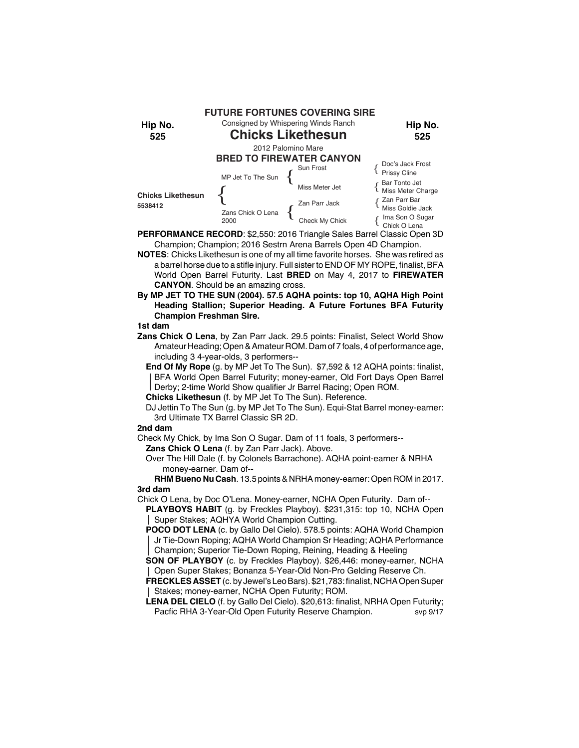

**PERFORMANCE RECORD**: \$2,550: 2016 Triangle Sales Barrel Classic Open 3D Champion; Champion; 2016 Sestrn Arena Barrels Open 4D Champion.

**NOTES**: Chicks Likethesun is one of my all time favorite horses. She was retired as a barrel horse due to a stifle injury. Full sister to END OF MY ROPE, finalist, BFA World Open Barrel Futurity. Last **BRED** on May 4, 2017 to **FIREWATER CANYON**. Should be an amazing cross.

**By MP JET TO THE SUN (2004). 57.5 AQHA points: top 10, AQHA High Point Heading Stallion; Superior Heading. A Future Fortunes BFA Futurity Champion Freshman Sire.**

# **1st dam**

**Zans Chick O Lena**, by Zan Parr Jack. 29.5 points: Finalist, Select World Show Amateur Heading; Open & Amateur ROM. Dam of 7 foals, 4 of performance age, including 3 4-year-olds, 3 performers--

**End Of My Rope** (g. by MP Jet To The Sun). \$7,592 & 12 AQHA points: finalist, BFA World Open Barrel Futurity; money-earner, Old Fort Days Open Barrel Derby; 2-time World Show qualifier Jr Barrel Racing; Open ROM.

**Chicks Likethesun** (f. by MP Jet To The Sun). Reference.

DJ Jettin To The Sun (g. by MP Jet To The Sun). Equi-Stat Barrel money-earner: 3rd Ultimate TX Barrel Classic SR 2D.

# **2nd dam**

Check My Chick, by Ima Son O Sugar. Dam of 11 foals, 3 performers--

**Zans Chick O Lena** (f. by Zan Parr Jack). Above.

Over The Hill Dale (f. by Colonels Barrachone). AQHA point-earner & NRHA money-earner. Dam of--

**RHM Bueno Nu Cash**. 13.5 points & NRHA money-earner: Open ROM in 2017. **3rd dam**

Chick O Lena, by Doc O'Lena. Money-earner, NCHA Open Futurity. Dam of--

**PLAYBOYS HABIT** (g. by Freckles Playboy). \$231,315: top 10, NCHA Open Super Stakes; AQHYA World Champion Cutting.

**POCO DOT LENA** (c. by Gallo Del Cielo). 578.5 points: AQHA World Champion Jr Tie-Down Roping; AQHA World Champion Sr Heading; AQHA Performance Champion; Superior Tie-Down Roping, Reining, Heading & Heeling

**SON OF PLAYBOY** (c. by Freckles Playboy). \$26,446: money-earner, NCHA Open Super Stakes; Bonanza 5-Year-Old Non-Pro Gelding Reserve Ch.

**FRECKLES ASSET** (c. by Jewel's Leo Bars). \$21,783: finalist, NCHA Open Super Stakes; money-earner, NCHA Open Futurity; ROM.

**LENA DEL CIELO** (f. by Gallo Del Cielo). \$20,613: finalist, NRHA Open Futurity; Pacfic RHA 3-Year-Old Open Futurity Reserve Champion. svp 9/17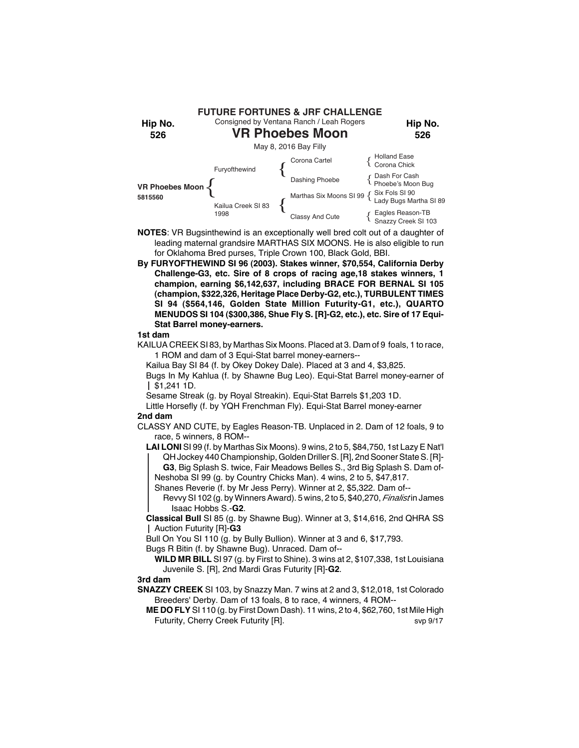

- **NOTES**: VR Bugsinthewind is an exceptionally well bred colt out of a daughter of leading maternal grandsire MARTHAS SIX MOONS. He is also eligible to run for Oklahoma Bred purses, Triple Crown 100, Black Gold, BBI.
- **By FURYOFTHEWIND SI 96 (2003). Stakes winner, \$70,554, California Derby Challenge-G3, etc. Sire of 8 crops of racing age,18 stakes winners, 1 champion, earning \$6,142,637, including BRACE FOR BERNAL SI 105 (champion, \$322,326, Heritage Place Derby-G2, etc.), TURBULENT TIMES SI 94 (\$564,146, Golden State Million Futurity-G1, etc.), QUARTO MENUDOS SI 104 (\$300,386, Shue Fly S. [R]-G2, etc.), etc. Sire of 17 Equi-Stat Barrel money-earners.**

KAILUA CREEK SI 83, by Marthas Six Moons. Placed at 3. Dam of 9 foals, 1 to race, 1 ROM and dam of 3 Equi-Stat barrel money-earners--

Kailua Bay SI 84 (f. by Okey Dokey Dale). Placed at 3 and 4, \$3,825.

Bugs In My Kahlua (f. by Shawne Bug Leo). Equi-Stat Barrel money-earner of  $\frac{1}{2}$  \$1,241 1D.

Sesame Streak (g. by Royal Streakin). Equi-Stat Barrels \$1,203 1D.

Little Horsefly (f. by YQH Frenchman Fly). Equi-Stat Barrel money-earner **2nd dam**

CLASSY AND CUTE, by Eagles Reason-TB. Unplaced in 2. Dam of 12 foals, 9 to race, 5 winners, 8 ROM--

**LAI LONI** SI 99 (f. by Marthas Six Moons). 9 wins, 2 to 5, \$84,750, 1st Lazy E Nat'l QH Jockey 440 Championship, Golden Driller S. [R], 2nd Sooner State S. [R]- **G3**, Big Splash S. twice, Fair Meadows Belles S., 3rd Big Splash S. Dam of-Neshoba SI 99 (g. by Country Chicks Man). 4 wins, 2 to 5, \$47,817.

Shanes Reverie (f. by Mr Jess Perry). Winner at 2, \$5,322. Dam of--

Revvy SI 102 (g. by Winners Award). 5 wins, 2 to 5, \$40,270, *Finalist* in James Isaac Hobbs S.-**G2**.

**Classical Bull** SI 85 (g. by Shawne Bug). Winner at 3, \$14,616, 2nd QHRA SS Auction Futurity [R]-**G3**

Bull On You SI 110 (g. by Bully Bullion). Winner at 3 and 6, \$17,793.

Bugs R Bitin (f. by Shawne Bug). Unraced. Dam of--

**WILD MR BILL** SI 97 (g. by First to Shine). 3 wins at 2, \$107,338, 1st Louisiana Juvenile S. [R], 2nd Mardi Gras Futurity [R]-**G2**.

# **3rd dam**

**SNAZZY CREEK** SI 103, by Snazzy Man. 7 wins at 2 and 3, \$12,018, 1st Colorado Breeders' Derby. Dam of 13 foals, 8 to race, 4 winners, 4 ROM--

**ME DO FLY** SI 110 (g. by First Down Dash). 11 wins, 2 to 4, \$62,760, 1st Mile High Futurity, Cherry Creek Futurity [R]. Svp 9/17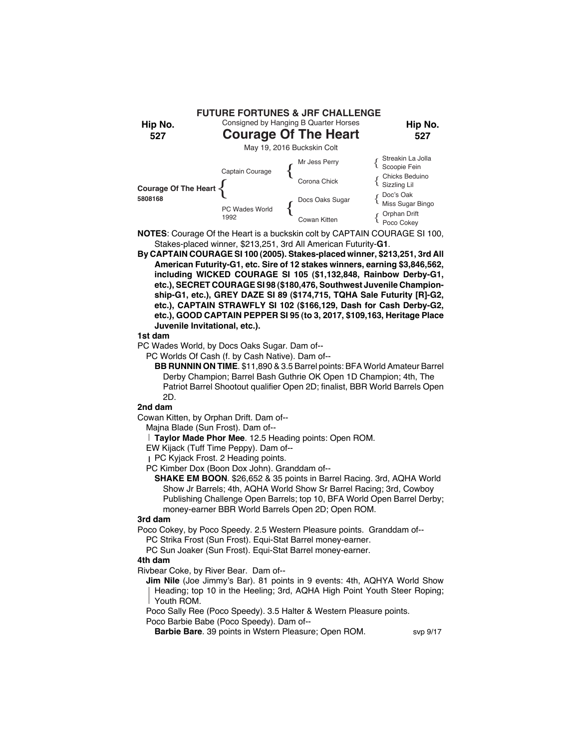

- **NOTES**: Courage Of the Heart is a buckskin colt by CAPTAIN COURAGE SI 100, Stakes-placed winner, \$213,251, 3rd All American Futurity-**G1**.
- **By CAPTAIN COURAGE SI 100 (2005). Stakes-placed winner, \$213,251, 3rd All American Futurity-G1, etc. Sire of 12 stakes winners, earning \$3,846,562, including WICKED COURAGE SI 105 (\$1,132,848, Rainbow Derby-G1, etc.), SECRET COURAGE SI 98 (\$180,476, Southwest Juvenile Championship-G1, etc.), GREY DAZE SI 89 (\$174,715, TQHA Sale Futurity [R]-G2, etc.), CAPTAIN STRAWFLY SI 102 (\$166,129, Dash for Cash Derby-G2, etc.), GOOD CAPTAIN PEPPER SI 95 (to 3, 2017, \$109,163, Heritage Place Juvenile Invitational, etc.).**

PC Wades World, by Docs Oaks Sugar. Dam of--

PC Worlds Of Cash (f. by Cash Native). Dam of--

**BB RUNNIN ON TIME**. \$11,890 & 3.5 Barrel points: BFA World Amateur Barrel Derby Champion; Barrel Bash Guthrie OK Open 1D Champion; 4th, The Patriot Barrel Shootout qualifier Open 2D; finalist, BBR World Barrels Open 2D.

# **2nd dam**

Cowan Kitten, by Orphan Drift. Dam of--

Majna Blade (Sun Frost). Dam of--

**Taylor Made Phor Mee**. 12.5 Heading points: Open ROM.

EW Kijack (Tuff Time Peppy). Dam of--

PC Kyjack Frost. 2 Heading points.

PC Kimber Dox (Boon Dox John). Granddam of--

**SHAKE EM BOON**. \$26,652 & 35 points in Barrel Racing. 3rd, AQHA World Show Jr Barrels; 4th, AQHA World Show Sr Barrel Racing; 3rd, Cowboy Publishing Challenge Open Barrels; top 10, BFA World Open Barrel Derby; money-earner BBR World Barrels Open 2D; Open ROM.

# **3rd dam**

Poco Cokey, by Poco Speedy. 2.5 Western Pleasure points. Granddam of--

PC Strika Frost (Sun Frost). Equi-Stat Barrel money-earner.

PC Sun Joaker (Sun Frost). Equi-Stat Barrel money-earner.

# **4th dam**

Rivbear Coke, by River Bear. Dam of--

**Jim Nile** (Joe Jimmy's Bar). 81 points in 9 events: 4th, AQHYA World Show Heading; top 10 in the Heeling; 3rd, AQHA High Point Youth Steer Roping; Youth ROM.

Poco Sally Ree (Poco Speedy). 3.5 Halter & Western Pleasure points.

Poco Barbie Babe (Poco Speedy). Dam of--

**Barbie Bare**. 39 points in Wstern Pleasure; Open ROM. svp 9/17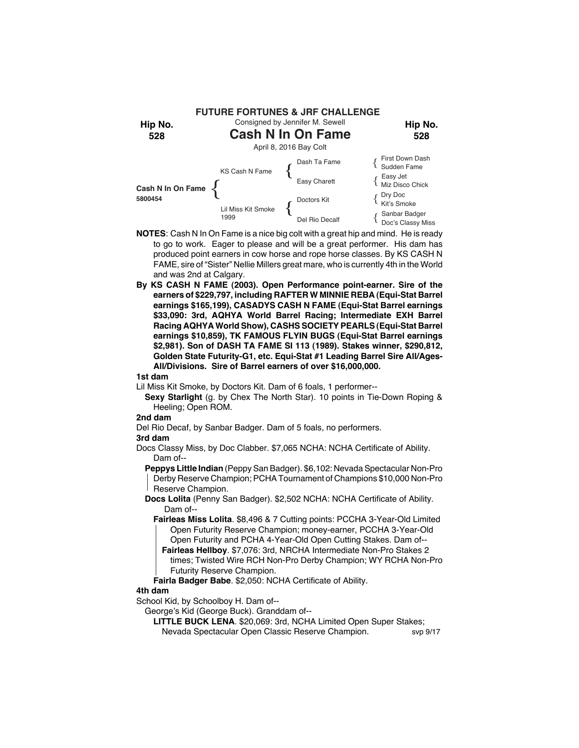

- **NOTES**: Cash N In On Fame is a nice big colt with a great hip and mind. He is ready to go to work. Eager to please and will be a great performer. His dam has produced point earners in cow horse and rope horse classes. By KS CASH N FAME, sire of "Sister" Nellie Millers great mare, who is currently 4th in the World and was 2nd at Calgary.
- **By KS CASH N FAME (2003). Open Performance point-earner. Sire of the earners of \$229,797, including RAFTER W MINNIE REBA (Equi-Stat Barrel earnings \$165,199), CASADYS CASH N FAME (Equi-Stat Barrel earnings \$33,090: 3rd, AQHYA World Barrel Racing; Intermediate EXH Barrel Racing AQHYA World Show), CASHS SOCIETY PEARLS (Equi-Stat Barrel earnings \$10,859), TK FAMOUS FLYIN BUGS (Equi-Stat Barrel earnings \$2,981). Son of DASH TA FAME SI 113 (1989). Stakes winner, \$290,812, Golden State Futurity-G1, etc. Equi-Stat #1 Leading Barrel Sire All/Ages-All/Divisions. Sire of Barrel earners of over \$16,000,000.**

- Lil Miss Kit Smoke, by Doctors Kit. Dam of 6 foals, 1 performer--
	- **Sexy Starlight** (g. by Chex The North Star). 10 points in Tie-Down Roping & Heeling; Open ROM.

#### **2nd dam**

Del Rio Decaf, by Sanbar Badger. Dam of 5 foals, no performers.

#### **3rd dam**

Docs Classy Miss, by Doc Clabber. \$7,065 NCHA: NCHA Certificate of Ability. Dam of--

**Peppys Little Indian** (Peppy San Badger). \$6,102: Nevada Spectacular Non-Pro Derby Reserve Champion; PCHA Tournament of Champions \$10,000 Non-Pro Reserve Champion.

- **Docs Lolita** (Penny San Badger). \$2,502 NCHA: NCHA Certificate of Ability. Dam of--
	- **Fairleas Miss Lolita**. \$8,496 & 7 Cutting points: PCCHA 3-Year-Old Limited Open Futurity Reserve Champion; money-earner, PCCHA 3-Year-Old Open Futurity and PCHA 4-Year-Old Open Cutting Stakes. Dam of--
	- **Fairleas Hellboy**. \$7,076: 3rd, NRCHA Intermediate Non-Pro Stakes 2 times; Twisted Wire RCH Non-Pro Derby Champion; WY RCHA Non-Pro Futurity Reserve Champion.
	- **Fairla Badger Babe**. \$2,050: NCHA Certificate of Ability.

# **4th dam**

School Kid, by Schoolboy H. Dam of--

George's Kid (George Buck). Granddam of--

**LITTLE BUCK LENA**. \$20,069: 3rd, NCHA Limited Open Super Stakes; Nevada Spectacular Open Classic Reserve Champion. svp 9/17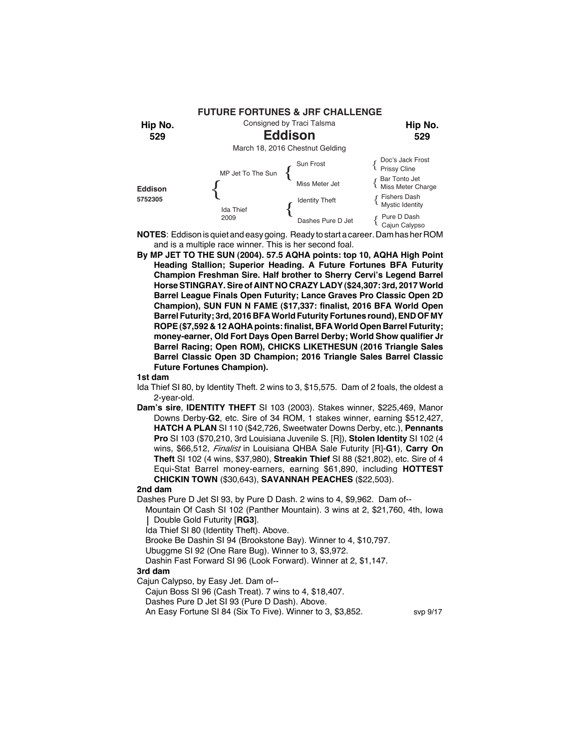

**NOTES**: Eddison is quiet and easy going. Ready to start a career. Dam has her ROM and is a multiple race winner. This is her second foal.

**By MP JET TO THE SUN (2004). 57.5 AQHA points: top 10, AQHA High Point Heading Stallion; Superior Heading. A Future Fortunes BFA Futurity Champion Freshman Sire. Half brother to Sherry Cervi's Legend Barrel Horse STINGRAY. Sire of AINT NO CRAZY LADY (\$24,307: 3rd, 2017 World Barrel League Finals Open Futurity; Lance Graves Pro Classic Open 2D Champion), SUN FUN N FAME (\$17,337: finalist, 2016 BFA World Open Barrel Futurity; 3rd, 2016 BFA World Futurity Fortunes round), END OF MY ROPE (\$7,592 & 12 AQHA points: finalist, BFA World Open Barrel Futurity; money-earner, Old Fort Days Open Barrel Derby; World Show qualifier Jr Barrel Racing; Open ROM), CHICKS LIKETHESUN (2016 Triangle Sales Barrel Classic Open 3D Champion; 2016 Triangle Sales Barrel Classic Future Fortunes Champion).**

#### **1st dam**

- Ida Thief SI 80, by Identity Theft. 2 wins to 3, \$15,575. Dam of 2 foals, the oldest a 2-year-old.
- **Dam's sire**, **IDENTITY THEFT** SI 103 (2003). Stakes winner, \$225,469, Manor Downs Derby-**G2**, etc. Sire of 34 ROM, 1 stakes winner, earning \$512,427, **HATCH A PLAN** SI 110 (\$42,726, Sweetwater Downs Derby, etc.), **Pennants Pro** SI 103 (\$70,210, 3rd Louisiana Juvenile S. [R]), **Stolen Identity** SI 102 (4 wins, \$66,512, *Finalist* in Louisiana QHBA Sale Futurity [R]-**G1**), **Carry On Theft** SI 102 (4 wins, \$37,980), **Streakin Thief** SI 88 (\$21,802), etc. Sire of 4 Equi-Stat Barrel money-earners, earning \$61,890, including **HOTTEST CHICKIN TOWN** (\$30,643), **SAVANNAH PEACHES** (\$22,503).

#### **2nd dam**

Dashes Pure D Jet SI 93, by Pure D Dash. 2 wins to 4, \$9,962. Dam of--

Mountain Of Cash SI 102 (Panther Mountain). 3 wins at 2, \$21,760, 4th, Iowa Double Gold Futurity [**RG3**].

Ida Thief SI 80 (Identity Theft). Above.

Brooke Be Dashin SI 94 (Brookstone Bay). Winner to 4, \$10,797.

Ubuggme SI 92 (One Rare Bug). Winner to 3, \$3,972.

Dashin Fast Forward SI 96 (Look Forward). Winner at 2, \$1,147.

# **3rd dam**

Cajun Calypso, by Easy Jet. Dam of--

Cajun Boss SI 96 (Cash Treat). 7 wins to 4, \$18,407.

Dashes Pure D Jet SI 93 (Pure D Dash). Above.

An Easy Fortune SI 84 (Six To Five). Winner to 3, \$3,852. svp 9/17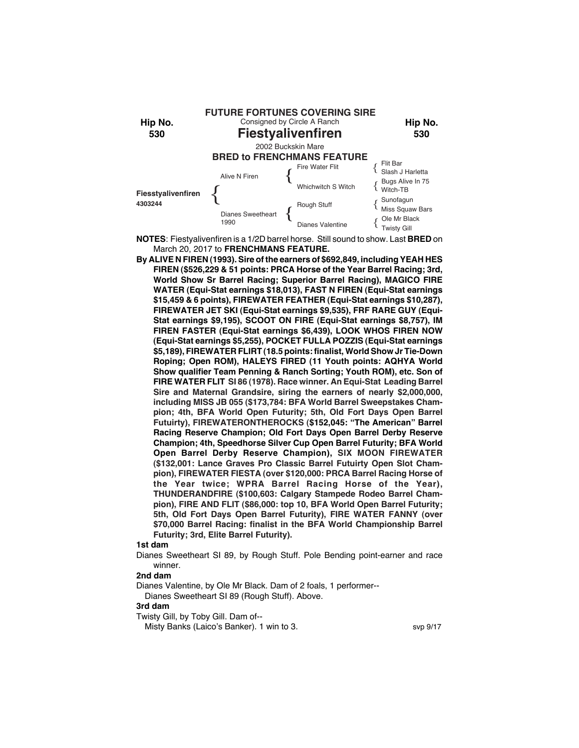

**NOTES**: Fiestyalivenfiren is a 1/2D barrel horse. Still sound to show. Last **BRED** on March 20, 2017 to **FRENCHMANS FEATURE.**

**By ALIVE N FIREN (1993). Sire of the earners of \$692,849, including YEAH HES FIREN (\$526,229 & 51 points: PRCA Horse of the Year Barrel Racing; 3rd, World Show Sr Barrel Racing; Superior Barrel Racing), MAGICO FIRE WATER (Equi-Stat earnings \$18,013), FAST N FIREN (Equi-Stat earnings \$15,459 & 6 points), FIREWATER FEATHER (Equi-Stat earnings \$10,287), FIREWATER JET SKI (Equi-Stat earnings \$9,535), FRF RARE GUY (Equi-Stat earnings \$9,195), SCOOT ON FIRE (Equi-Stat earnings \$8,757), IM FIREN FASTER (Equi-Stat earnings \$6,439), LOOK WHOS FIREN NOW (Equi-Stat earnings \$5,255), POCKET FULLA POZZIS (Equi-Stat earnings \$5,189), FIREWATER FLIRT (18.5 points: finalist, World Show Jr Tie-Down Roping; Open ROM), HALEYS FIRED (11 Youth points: AQHYA World Show qualifier Team Penning & Ranch Sorting; Youth ROM), etc. Son of FIRE WATER FLIT SI 86 (1978). Race winner. An Equi-Stat Leading Barrel Sire and Maternal Grandsire, siring the earners of nearly \$2,000,000, including MISS JB 055 (\$173,784: BFA World Barrel Sweepstakes Champion; 4th, BFA World Open Futurity; 5th, Old Fort Days Open Barrel Futuirty), FIREWATERONTHEROCKS (\$152,045: "The American" Barrel Racing Reserve Champion; Old Fort Days Open Barrel Derby Reserve Champion; 4th, Speedhorse Silver Cup Open Barrel Futurity; BFA World Open Barrel Derby Reserve Champion), SIX MOON FIREWATER (\$132,001: Lance Graves Pro Classic Barrel Futuirty Open Slot Champion), FIREWATER FIESTA (over \$120,000: PRCA Barrel Racing Horse of the Year twice; WPRA Barrel Racing Horse of the Year), THUNDERANDFIRE (\$100,603: Calgary Stampede Rodeo Barrel Champion), FIRE AND FLIT (\$86,000: top 10, BFA World Open Barrel Futurity; 5th, Old Fort Days Open Barrel Futurity), FIRE WATER FANNY (over \$70,000 Barrel Racing: finalist in the BFA World Championship Barrel Futurity; 3rd, Elite Barrel Futurity).**

#### **1st dam**

Dianes Sweetheart SI 89, by Rough Stuff. Pole Bending point-earner and race winner.

# **2nd dam**

Dianes Valentine, by Ole Mr Black. Dam of 2 foals, 1 performer--

Dianes Sweetheart SI 89 (Rough Stuff). Above.

# **3rd dam**

Twisty Gill, by Toby Gill. Dam of--

Misty Banks (Laico's Banker). 1 win to 3. Solution 1. Sup 9/17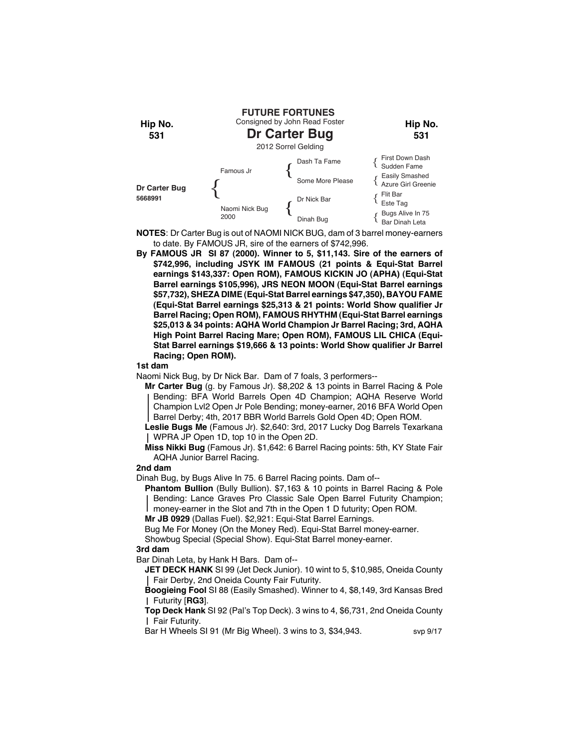

**NOTES**: Dr Carter Bug is out of NAOMI NICK BUG, dam of 3 barrel money-earners to date. By FAMOUS JR, sire of the earners of \$742,996.

**By FAMOUS JR SI 87 (2000). Winner to 5, \$11,143. Sire of the earners of \$742,996, including JSYK IM FAMOUS (21 points & Equi-Stat Barrel earnings \$143,337: Open ROM), FAMOUS KICKIN JO (APHA) (Equi-Stat Barrel earnings \$105,996), JRS NEON MOON (Equi-Stat Barrel earnings \$57,732), SHEZA DIME (Equi-Stat Barrel earnings \$47,350), BAYOU FAME (Equi-Stat Barrel earnings \$25,313 & 21 points: World Show qualifier Jr Barrel Racing; Open ROM), FAMOUS RHYTHM (Equi-Stat Barrel earnings \$25,013 & 34 points: AQHA World Champion Jr Barrel Racing; 3rd, AQHA High Point Barrel Racing Mare; Open ROM), FAMOUS LIL CHICA (Equi-Stat Barrel earnings \$19,666 & 13 points: World Show qualifier Jr Barrel Racing; Open ROM).**

#### **1st dam**

Naomi Nick Bug, by Dr Nick Bar. Dam of 7 foals, 3 performers--

**Mr Carter Bug** (g. by Famous Jr). \$8,202 & 13 points in Barrel Racing & Pole Bending: BFA World Barrels Open 4D Champion; AQHA Reserve World Champion Lvl2 Open Jr Pole Bending; money-earner, 2016 BFA World Open Barrel Derby; 4th, 2017 BBR World Barrels Gold Open 4D; Open ROM.

**Leslie Bugs Me** (Famous Jr). \$2,640: 3rd, 2017 Lucky Dog Barrels Texarkana WPRA JP Open 1D, top 10 in the Open 2D.

**Miss Nikki Bug** (Famous Jr). \$1,642: 6 Barrel Racing points: 5th, KY State Fair AQHA Junior Barrel Racing.

# **2nd dam**

Dinah Bug, by Bugs Alive In 75. 6 Barrel Racing points. Dam of--

**Phantom Bullion** (Bully Bullion). \$7,163 & 10 points in Barrel Racing & Pole Bending: Lance Graves Pro Classic Sale Open Barrel Futurity Champion; money-earner in the Slot and 7th in the Open 1 D futurity; Open ROM.

**Mr JB 0929** (Dallas Fuel). \$2,921: Equi-Stat Barrel Earnings.

Bug Me For Money (On the Money Red). Equi-Stat Barrel money-earner.

Showbug Special (Special Show). Equi-Stat Barrel money-earner.

# **3rd dam**

Bar Dinah Leta, by Hank H Bars. Dam of--

**JET DECK HANK** SI 99 (Jet Deck Junior). 10 wint to 5, \$10,985, Oneida County Fair Derby, 2nd Oneida County Fair Futurity.

**Boogieing Fool** SI 88 (Easily Smashed). Winner to 4, \$8,149, 3rd Kansas Bred Futurity [**RG3**].

**Top Deck Hank** SI 92 (Pal's Top Deck). 3 wins to 4, \$6,731, 2nd Oneida County Fair Futurity.

Bar H Wheels SI 91 (Mr Big Wheel). 3 wins to 3, \$34,943. svp 9/17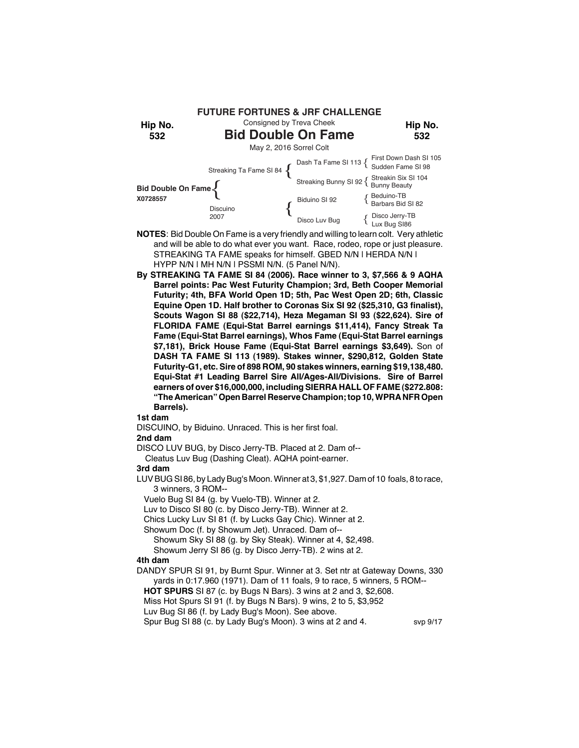

- **NOTES**: Bid Double On Fame is a very friendly and willing to learn colt. Very athletic and will be able to do what ever you want. Race, rodeo, rope or just pleasure. STREAKING TA FAME speaks for himself. GBED N/N | HERDA N/N | HYPP N/N | MH N/N | PSSMI N/N. (5 Panel N/N).
- **By STREAKING TA FAME SI 84 (2006). Race winner to 3, \$7,566 & 9 AQHA Barrel points: Pac West Futurity Champion; 3rd, Beth Cooper Memorial Futurity; 4th, BFA World Open 1D; 5th, Pac West Open 2D; 6th, Classic Equine Open 1D. Half brother to Coronas Six SI 92 (\$25,310, G3 finalist), Scouts Wagon SI 88 (\$22,714), Heza Megaman SI 93 (\$22,624). Sire of FLORIDA FAME (Equi-Stat Barrel earnings \$11,414), Fancy Streak Ta Fame (Equi-Stat Barrel earnings), Whos Fame (Equi-Stat Barrel earnings \$7,181), Brick House Fame (Equi-Stat Barrel earnings \$3,649).** Son of **DASH TA FAME SI 113 (1989). Stakes winner, \$290,812, Golden State Futurity-G1, etc. Sire of 898 ROM, 90 stakes winners, earning \$19,138,480. Equi-Stat #1 Leading Barrel Sire All/Ages-All/Divisions. Sire of Barrel earners of over \$16,000,000, including SIERRA HALL OF FAME (\$272.808: "The American" Open Barrel Reserve Champion; top 10, WPRA NFR Open Barrels).**

DISCUINO, by Biduino. Unraced. This is her first foal.

#### **2nd dam**

DISCO LUV BUG, by Disco Jerry-TB. Placed at 2. Dam of--

Cleatus Luv Bug (Dashing Cleat). AQHA point-earner.

#### **3rd dam**

LUV BUG SI 86, by Lady Bug's Moon. Winner at 3, \$1,927. Dam of 10 foals, 8 to race, 3 winners, 3 ROM--

Vuelo Bug SI 84 (g. by Vuelo-TB). Winner at 2.

Luv to Disco SI 80 (c. by Disco Jerry-TB). Winner at 2.

Chics Lucky Luv SI 81 (f. by Lucks Gay Chic). Winner at 2.

Showum Doc (f. by Showum Jet). Unraced. Dam of--

Showum Sky SI 88 (g. by Sky Steak). Winner at 4, \$2,498.

Showum Jerry SI 86 (g. by Disco Jerry-TB). 2 wins at 2.

# **4th dam**

DANDY SPUR SI 91, by Burnt Spur. Winner at 3. Set ntr at Gateway Downs, 330 yards in 0:17.960 (1971). Dam of 11 foals, 9 to race, 5 winners, 5 ROM--

 **HOT SPURS** SI 87 (c. by Bugs N Bars). 3 wins at 2 and 3, \$2,608.

Miss Hot Spurs SI 91 (f. by Bugs N Bars). 9 wins, 2 to 5, \$3,952

Luv Bug SI 86 (f. by Lady Bug's Moon). See above.

Spur Bug SI 88 (c. by Lady Bug's Moon). 3 wins at 2 and 4. svp 9/17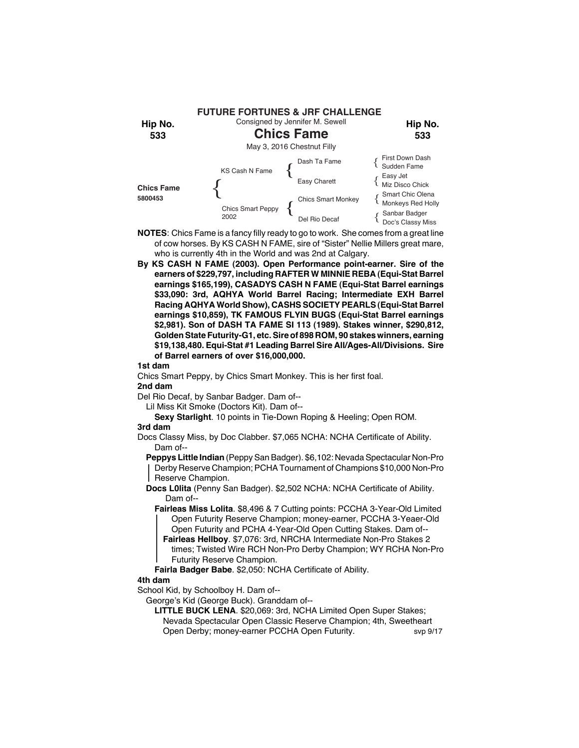

- **NOTES**: Chics Fame is a fancy filly ready to go to work. She comes from a great line of cow horses. By KS CASH N FAME, sire of "Sister" Nellie Millers great mare, who is currently 4th in the World and was 2nd at Calgary.
- **By KS CASH N FAME (2003). Open Performance point-earner. Sire of the earners of \$229,797, including RAFTER W MINNIE REBA (Equi-Stat Barrel earnings \$165,199), CASADYS CASH N FAME (Equi-Stat Barrel earnings \$33,090: 3rd, AQHYA World Barrel Racing; Intermediate EXH Barrel Racing AQHYA World Show), CASHS SOCIETY PEARLS (Equi-Stat Barrel earnings \$10,859), TK FAMOUS FLYIN BUGS (Equi-Stat Barrel earnings \$2,981). Son of DASH TA FAME SI 113 (1989). Stakes winner, \$290,812, Golden State Futurity-G1, etc. Sire of 898 ROM, 90 stakes winners, earning \$19,138,480. Equi-Stat #1 Leading Barrel Sire All/Ages-All/Divisions. Sire of Barrel earners of over \$16,000,000.**

Chics Smart Peppy, by Chics Smart Monkey. This is her first foal.

# **2nd dam**

Del Rio Decaf, by Sanbar Badger. Dam of--

Lil Miss Kit Smoke (Doctors Kit). Dam of--

**Sexy Starlight**. 10 points in Tie-Down Roping & Heeling; Open ROM.

# **3rd dam**

Docs Classy Miss, by Doc Clabber. \$7,065 NCHA: NCHA Certificate of Ability. Dam of--

**Peppys Little Indian** (Peppy San Badger). \$6,102: Nevada Spectacular Non-Pro Derby Reserve Champion; PCHA Tournament of Champions \$10,000 Non-Pro Reserve Champion.

- **Docs L0lita** (Penny San Badger). \$2,502 NCHA: NCHA Certificate of Ability. Dam of--
	- **Fairleas Miss Lolita**. \$8,496 & 7 Cutting points: PCCHA 3-Year-Old Limited Open Futurity Reserve Champion; money-earner, PCCHA 3-Yeaer-Old Open Futurity and PCHA 4-Year-Old Open Cutting Stakes. Dam of--
		- **Fairleas Hellboy**. \$7,076: 3rd, NRCHA Intermediate Non-Pro Stakes 2 times; Twisted Wire RCH Non-Pro Derby Champion; WY RCHA Non-Pro Futurity Reserve Champion.

**Fairla Badger Babe**. \$2,050: NCHA Certificate of Ability.

## **4th dam**

School Kid, by Schoolboy H. Dam of--

#### George's Kid (George Buck). Granddam of--

- **LITTLE BUCK LENA**. \$20,069: 3rd, NCHA Limited Open Super Stakes; Nevada Spectacular Open Classic Reserve Champion; 4th, Sweetheart
- Open Derby; money-earner PCCHA Open Futurity. svp 9/17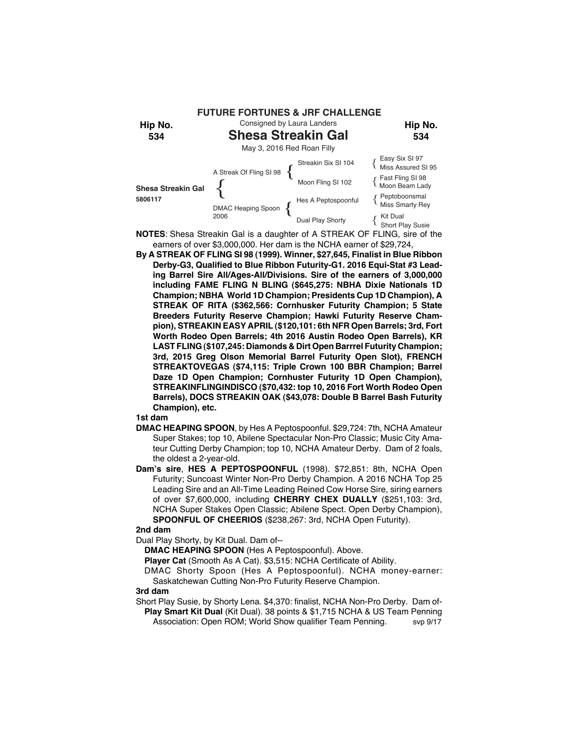

- **NOTES**: Shesa Streakin Gal is a daughter of A STREAK OF FLING, sire of the earners of over \$3,000,000. Her dam is the NCHA earner of \$29,724,
- **By A STREAK OF FLING SI 98 (1999). Winner, \$27,645, Finalist in Blue Ribbon Derby-G3, Qualified to Blue Ribbon Futurity-G1. 2016 Equi-Stat #3 Leading Barrel Sire All/Ages-All/Divisions. Sire of the earners of 3,000,000 including FAME FLING N BLING (\$645,275: NBHA Dixie Nationals 1D Champion; NBHA World 1D Champion; Presidents Cup 1D Champion), A STREAK OF RITA (\$362,566: Cornhusker Futurity Champion; 5 State Breeders Futurity Reserve Champion; Hawki Futurity Reserve Champion), STREAKIN EASY APRIL (\$120,101: 6th NFR Open Barrels; 3rd, Fort Worth Rodeo Open Barrels; 4th 2016 Austin Rodeo Open Barrels), KR LAST FLING (\$107,245: Diamonds & Dirt Open Barrrel Futurity Champion; 3rd, 2015 Greg Olson Memorial Barrel Futurity Open Slot), FRENCH STREAKTOVEGAS (\$74,115: Triple Crown 100 BBR Champion; Barrel Daze 1D Open Champion; Cornhuster Futurity 1D Open Champion), STREAKINFLINGINDISCO (\$70,432: top 10, 2016 Fort Worth Rodeo Open Barrels), DOCS STREAKIN OAK (\$43,078: Double B Barrel Bash Futurity Champion), etc.**

- **DMAC HEAPING SPOON**, by Hes A Peptospoonful. \$29,724: 7th, NCHA Amateur Super Stakes; top 10, Abilene Spectacular Non-Pro Classic; Music City Amateur Cutting Derby Champion; top 10, NCHA Amateur Derby. Dam of 2 foals, the oldest a 2-year-old.
- **Dam's sire**, **HES A PEPTOSPOONFUL** (1998). \$72,851: 8th, NCHA Open Futurity; Suncoast Winter Non-Pro Derby Champion. A 2016 NCHA Top 25 Leading Sire and an All-Time Leading Reined Cow Horse Sire, siring earners of over \$7,600,000, including **CHERRY CHEX DUALLY** (\$251,103: 3rd, NCHA Super Stakes Open Classic; Abilene Spect. Open Derby Champion), **SPOONFUL OF CHEERIOS** (\$238,267: 3rd, NCHA Open Futurity).

# **2nd dam**

Dual Play Shorty, by Kit Dual. Dam of--

**DMAC HEAPING SPOON** (Hes A Peptospoonful). Above.

**Player Cat** (Smooth As A Cat). \$3,515: NCHA Certificate of Ability.

DMAC Shorty Spoon (Hes A Peptospoonful). NCHA money-earner: Saskatchewan Cutting Non-Pro Futurity Reserve Champion.

## **3rd dam**

Short Play Susie, by Shorty Lena. \$4,370: finalist, NCHA Non-Pro Derby. Dam of-**Play Smart Kit Dual** (Kit Dual). 38 points & \$1,715 NCHA & US Team Penning Association: Open ROM; World Show qualifier Team Penning. svp 9/17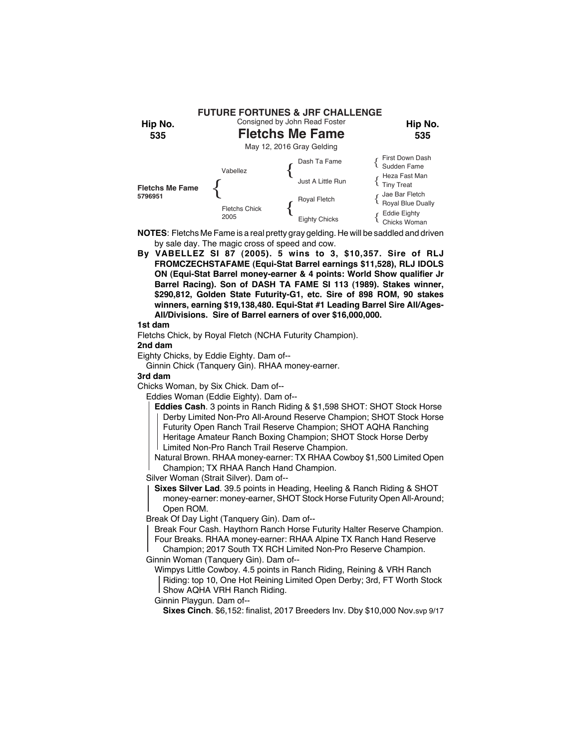

**NOTES**: Fletchs Me Fame is a real pretty gray gelding. He will be saddled and driven by sale day. The magic cross of speed and cow.

**By VABELLEZ SI 87 (2005). 5 wins to 3, \$10,357. Sire of RLJ FROMCZECHSTAFAME (Equi-Stat Barrel earnings \$11,528), RLJ IDOLS ON (Equi-Stat Barrel money-earner & 4 points: World Show qualifier Jr Barrel Racing). Son of DASH TA FAME SI 113 (1989). Stakes winner, \$290,812, Golden State Futurity-G1, etc. Sire of 898 ROM, 90 stakes winners, earning \$19,138,480. Equi-Stat #1 Leading Barrel Sire All/Ages-All/Divisions. Sire of Barrel earners of over \$16,000,000.**

## **1st dam**

Fletchs Chick, by Royal Fletch (NCHA Futurity Champion).

#### **2nd dam**

Eighty Chicks, by Eddie Eighty. Dam of--

Ginnin Chick (Tanquery Gin). RHAA money-earner.

#### **3rd dam**

Chicks Woman, by Six Chick. Dam of--

Eddies Woman (Eddie Eighty). Dam of--

**Eddies Cash**. 3 points in Ranch Riding & \$1,598 SHOT: SHOT Stock Horse Derby Limited Non-Pro All-Around Reserve Champion; SHOT Stock Horse Futurity Open Ranch Trail Reserve Champion; SHOT AQHA Ranching Heritage Amateur Ranch Boxing Champion; SHOT Stock Horse Derby Limited Non-Pro Ranch Trail Reserve Champion.

Natural Brown. RHAA money-earner: TX RHAA Cowboy \$1,500 Limited Open Champion; TX RHAA Ranch Hand Champion.

Silver Woman (Strait Silver). Dam of--

**Sixes Silver Lad**. 39.5 points in Heading, Heeling & Ranch Riding & SHOT money-earner: money-earner, SHOT Stock Horse Futurity Open All-Around; Open ROM.

Break Of Day Light (Tanquery Gin). Dam of--

Break Four Cash. Haythorn Ranch Horse Futurity Halter Reserve Champion. Four Breaks. RHAA money-earner: RHAA Alpine TX Ranch Hand Reserve

Champion; 2017 South TX RCH Limited Non-Pro Reserve Champion. Ginnin Woman (Tanquery Gin). Dam of--

Wimpys Little Cowboy. 4.5 points in Ranch Riding, Reining & VRH Ranch Riding: top 10, One Hot Reining Limited Open Derby; 3rd, FT Worth Stock Show AQHA VRH Ranch Riding.

Ginnin Playgun. Dam of--

**Sixes Cinch**. \$6,152: finalist, 2017 Breeders Inv. Dby \$10,000 Nov.svp 9/17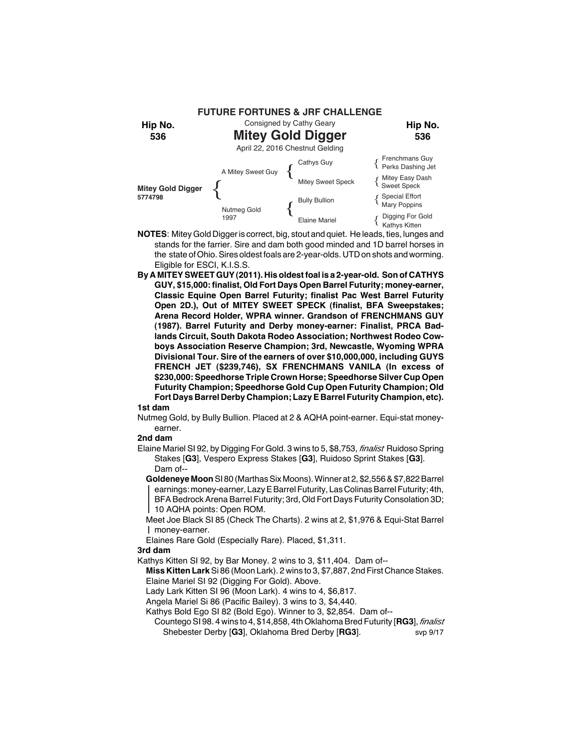

- **NOTES**: Mitey Gold Digger is correct, big, stout and quiet. He leads, ties, lunges and stands for the farrier. Sire and dam both good minded and 1D barrel horses in the state of Ohio. Sires oldest foals are 2-year-olds. UTD on shots and worming. Eligible for ESCI, K.I.S.S.
- **By A MITEY SWEET GUY (2011). His oldest foal is a 2-year-old. Son of CATHYS GUY, \$15,000: finalist, Old Fort Days Open Barrel Futurity; money-earner, Classic Equine Open Barrel Futurity; finalist Pac West Barrel Futurity Open 2D.), Out of MITEY SWEET SPECK (finalist, BFA Sweepstakes; Arena Record Holder, WPRA winner. Grandson of FRENCHMANS GUY (1987). Barrel Futurity and Derby money-earner: Finalist, PRCA Badlands Circuit, South Dakota Rodeo Association; Northwest Rodeo Cowboys Association Reserve Champion; 3rd, Newcastle, Wyoming WPRA Divisional Tour. Sire of the earners of over \$10,000,000, including GUYS FRENCH JET (\$239,746), SX FRENCHMANS VANILA (In excess of \$230,000: Speedhorse Triple Crown Horse; Speedhorse Silver Cup Open Futurity Champion; Speedhorse Gold Cup Open Futurity Champion; Old Fort Days Barrel Derby Champion; Lazy E Barrel Futurity Champion, etc).**

Nutmeg Gold, by Bully Bullion. Placed at 2 & AQHA point-earner. Equi-stat moneyearner.

## **2nd dam**

Elaine Mariel SI 92, by Digging For Gold. 3 wins to 5, \$8,753, *finalist* Ruidoso Spring Stakes [**G3**], Vespero Express Stakes [**G3**], Ruidoso Sprint Stakes [**G3**]. Dam of--

**Goldeneye Moon** SI 80 (Marthas Six Moons). Winner at 2, \$2,556 & \$7,822 Barrel earnings: money-earner, Lazy E Barrel Futurity, Las Colinas Barrel Futurity; 4th, BFA Bedrock Arena Barrel Futurity; 3rd, Old Fort Days Futurity Consolation 3D; 10 AQHA points: Open ROM.

- Meet Joe Black SI 85 (Check The Charts). 2 wins at 2, \$1,976 & Equi-Stat Barrel money-earner.
- Elaines Rare Gold (Especially Rare). Placed, \$1,311.

#### **3rd dam**

Kathys Kitten SI 92, by Bar Money. 2 wins to 3, \$11,404. Dam of--

- **Miss Kitten Lark** Si 86 (Moon Lark). 2 wins to 3, \$7,887, 2nd First Chance Stakes. Elaine Mariel SI 92 (Digging For Gold). Above.
- Lady Lark Kitten SI 96 (Moon Lark). 4 wins to 4, \$6,817.
- Angela Mariel Si 86 (Pacific Bailey). 3 wins to 3, \$4,440.
- Kathys Bold Ego SI 82 (Bold Ego). Winner to 3, \$2,854. Dam of--
	- Countego SI 98. 4 wins to 4, \$14,858, 4th Oklahoma Bred Futurity [**RG3**], *finalist* Shebester Derby [**G3**], Oklahoma Bred Derby [**RG3**]. svp 9/17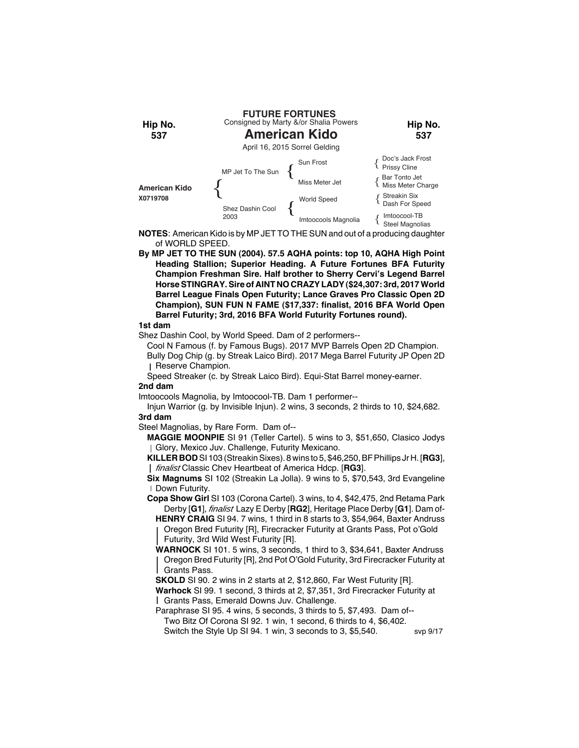

**NOTES**: American Kido is by MP JET TO THE SUN and out of a producing daughter of WORLD SPEED.

**By MP JET TO THE SUN (2004). 57.5 AQHA points: top 10, AQHA High Point Heading Stallion; Superior Heading. A Future Fortunes BFA Futurity Champion Freshman Sire. Half brother to Sherry Cervi's Legend Barrel Horse STINGRAY. Sire of AINT NO CRAZY LADY (\$24,307: 3rd, 2017 World Barrel League Finals Open Futurity; Lance Graves Pro Classic Open 2D Champion), SUN FUN N FAME (\$17,337: finalist, 2016 BFA World Open Barrel Futurity; 3rd, 2016 BFA World Futurity Fortunes round).**

# **1st dam**

Shez Dashin Cool, by World Speed. Dam of 2 performers--

Cool N Famous (f. by Famous Bugs). 2017 MVP Barrels Open 2D Champion.

Bully Dog Chip (g. by Streak Laico Bird). 2017 Mega Barrel Futurity JP Open 2D Reserve Champion.

Speed Streaker (c. by Streak Laico Bird). Equi-Stat Barrel money-earner.

## **2nd dam**

Imtoocools Magnolia, by Imtoocool-TB. Dam 1 performer--

Injun Warrior (g. by Invisible Injun). 2 wins, 3 seconds, 2 thirds to 10, \$24,682. **3rd dam**

Steel Magnolias, by Rare Form. Dam of--

**MAGGIE MOONPIE** SI 91 (Teller Cartel). 5 wins to 3, \$51,650, Clasico Jodys Glory, Mexico Juv. Challenge, Futurity Mexicano.

**KILLER BOD** SI 103 (Streakin Sixes). 8 wins to 5, \$46,250, BF Phillips Jr H. [**RG3**], *finalist* Classic Chev Heartbeat of America Hdcp. [**RG3**].

**Six Magnums** SI 102 (Streakin La Jolla). 9 wins to 5, \$70,543, 3rd Evangeline Down Futurity.

**Copa Show Girl** SI 103 (Corona Cartel). 3 wins, to 4, \$42,475, 2nd Retama Park Derby [**G1**], *finalist* Lazy E Derby [**RG2**], Heritage Place Derby [**G1**]. Dam of-

**HENRY CRAIG** SI 94. 7 wins, 1 third in 8 starts to 3, \$54,964, Baxter Andruss Oregon Bred Futurity [R], Firecracker Futurity at Grants Pass, Pot o'Gold Futurity, 3rd Wild West Futurity [R].

**WARNOCK** SI 101. 5 wins, 3 seconds, 1 third to 3, \$34,641, Baxter Andruss Oregon Bred Futurity [R], 2nd Pot O'Gold Futurity, 3rd Firecracker Futurity at Grants Pass.

**SKOLD** SI 90. 2 wins in 2 starts at 2, \$12,860, Far West Futurity [R].

**Warhock** SI 99. 1 second, 3 thirds at 2, \$7,351, 3rd Firecracker Futurity at Grants Pass, Emerald Downs Juv. Challenge.

Paraphrase SI 95. 4 wins, 5 seconds, 3 thirds to 5, \$7,493. Dam of-- Two Bitz Of Corona SI 92. 1 win, 1 second, 6 thirds to 4, \$6,402. Switch the Style Up SI 94. 1 win, 3 seconds to 3, \$5,540. svp 9/17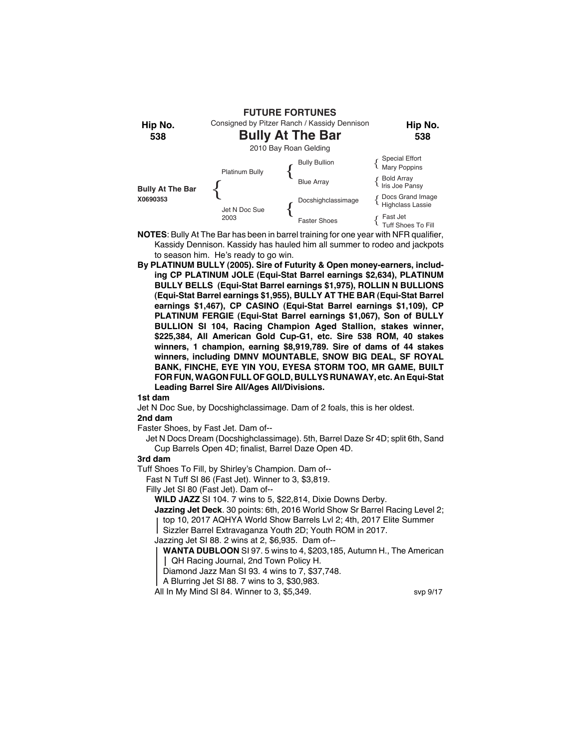

- **NOTES**: Bully At The Bar has been in barrel training for one year with NFR qualifier, Kassidy Dennison. Kassidy has hauled him all summer to rodeo and jackpots to season him. He's ready to go win.
- **By PLATINUM BULLY (2005). Sire of Futurity & Open money-earners, including CP PLATINUM JOLE (Equi-Stat Barrel earnings \$2,634), PLATINUM BULLY BELLS (Equi-Stat Barrel earnings \$1,975), ROLLIN N BULLIONS (Equi-Stat Barrel earnings \$1,955), BULLY AT THE BAR (Equi-Stat Barrel earnings \$1,467), CP CASINO (Equi-Stat Barrel earnings \$1,109), CP PLATINUM FERGIE (Equi-Stat Barrel earnings \$1,067), Son of BULLY BULLION SI 104, Racing Champion Aged Stallion, stakes winner, \$225,384, All American Gold Cup-G1, etc. Sire 538 ROM, 40 stakes winners, 1 champion, earning \$8,919,789. Sire of dams of 44 stakes winners, including DMNV MOUNTABLE, SNOW BIG DEAL, SF ROYAL BANK, FINCHE, EYE YIN YOU, EYESA STORM TOO, MR GAME, BUILT FOR FUN, WAGON FULL OF GOLD, BULLYS RUNAWAY, etc. An Equi-Stat Leading Barrel Sire All/Ages All/Divisions.**

Jet N Doc Sue, by Docshighclassimage. Dam of 2 foals, this is her oldest.

# **2nd dam**

Faster Shoes, by Fast Jet. Dam of--

Jet N Docs Dream (Docshighclassimage). 5th, Barrel Daze Sr 4D; split 6th, Sand Cup Barrels Open 4D; finalist, Barrel Daze Open 4D.

## **3rd dam**

Tuff Shoes To Fill, by Shirley's Champion. Dam of--

Fast N Tuff SI 86 (Fast Jet). Winner to 3, \$3,819.

Filly Jet SI 80 (Fast Jet). Dam of--

**WILD JAZZ** SI 104. 7 wins to 5, \$22,814, Dixie Downs Derby.

**Jazzing Jet Deck**. 30 points: 6th, 2016 World Show Sr Barrel Racing Level 2; top 10, 2017 AQHYA World Show Barrels Lvl 2; 4th, 2017 Elite Summer

Sizzler Barrel Extravaganza Youth 2D; Youth ROM in 2017.

Jazzing Jet SI 88. 2 wins at 2, \$6,935. Dam of--

**WANTA DUBLOON** SI 97. 5 wins to 4, \$203,185, Autumn H., The American QH Racing Journal, 2nd Town Policy H.

Diamond Jazz Man SI 93. 4 wins to 7, \$37,748.

A Blurring Jet SI 88. 7 wins to 3, \$30,983.

All In My Mind SI 84. Winner to 3, \$5,349. svp 9/17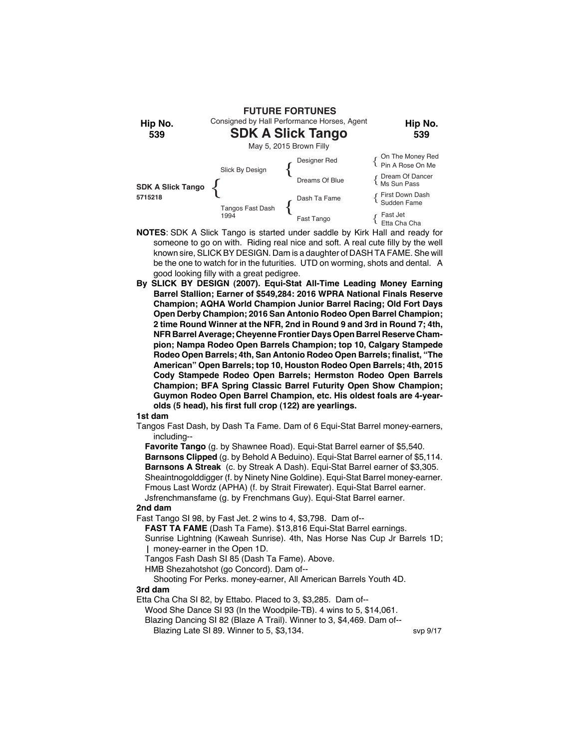

- **NOTES**: SDK A Slick Tango is started under saddle by Kirk Hall and ready for someone to go on with. Riding real nice and soft. A real cute filly by the well known sire, SLICK BY DESIGN. Dam is a daughter of DASH TA FAME. She will be the one to watch for in the futurities. UTD on worming, shots and dental. A good looking filly with a great pedigree.
- **By SLICK BY DESIGN (2007). Equi-Stat All-Time Leading Money Earning Barrel Stallion; Earner of \$549,284: 2016 WPRA National Finals Reserve Champion; AQHA World Champion Junior Barrel Racing; Old Fort Days Open Derby Champion; 2016 San Antonio Rodeo Open Barrel Champion; 2 time Round Winner at the NFR, 2nd in Round 9 and 3rd in Round 7; 4th, NFR Barrel Average; Cheyenne Frontier Days Open Barrel Reserve Champion; Nampa Rodeo Open Barrels Champion; top 10, Calgary Stampede Rodeo Open Barrels; 4th, San Antonio Rodeo Open Barrels; finalist, "The American" Open Barrels; top 10, Houston Rodeo Open Barrels; 4th, 2015 Cody Stampede Rodeo Open Barrels; Hermston Rodeo Open Barrels Champion; BFA Spring Classic Barrel Futurity Open Show Champion; Guymon Rodeo Open Barrel Champion, etc. His oldest foals are 4-yearolds (5 head), his first full crop (122) are yearlings.**

Tangos Fast Dash, by Dash Ta Fame. Dam of 6 Equi-Stat Barrel money-earners, including--

**Favorite Tango** (g. by Shawnee Road). Equi-Stat Barrel earner of \$5,540. **Barnsons Clipped** (g. by Behold A Beduino). Equi-Stat Barrel earner of \$5,114. **Barnsons A Streak** (c. by Streak A Dash). Equi-Stat Barrel earner of \$3,305. Sheaintnogolddigger (f. by Ninety Nine Goldine). Equi-Stat Barrel money-earner. Fmous Last Wordz (APHA) (f. by Strait Firewater). Equi-Stat Barrel earner. Jsfrenchmansfame (g. by Frenchmans Guy). Equi-Stat Barrel earner.

## **2nd dam**

Fast Tango SI 98, by Fast Jet. 2 wins to 4, \$3,798. Dam of--

**FAST TA FAME** (Dash Ta Fame). \$13,816 Equi-Stat Barrel earnings.

Sunrise Lightning (Kaweah Sunrise). 4th, Nas Horse Nas Cup Jr Barrels 1D; money-earner in the Open 1D.

Tangos Fash Dash SI 85 (Dash Ta Fame). Above.

HMB Shezahotshot (go Concord). Dam of--

Shooting For Perks. money-earner, All American Barrels Youth 4D. **3rd dam**

Etta Cha Cha SI 82, by Ettabo. Placed to 3, \$3,285. Dam of--

Wood She Dance SI 93 (In the Woodpile-TB). 4 wins to 5, \$14,061.

Blazing Dancing SI 82 (Blaze A Trail). Winner to 3, \$4,469. Dam of--

Blazing Late SI 89. Winner to 5, \$3,134. Svp 9/17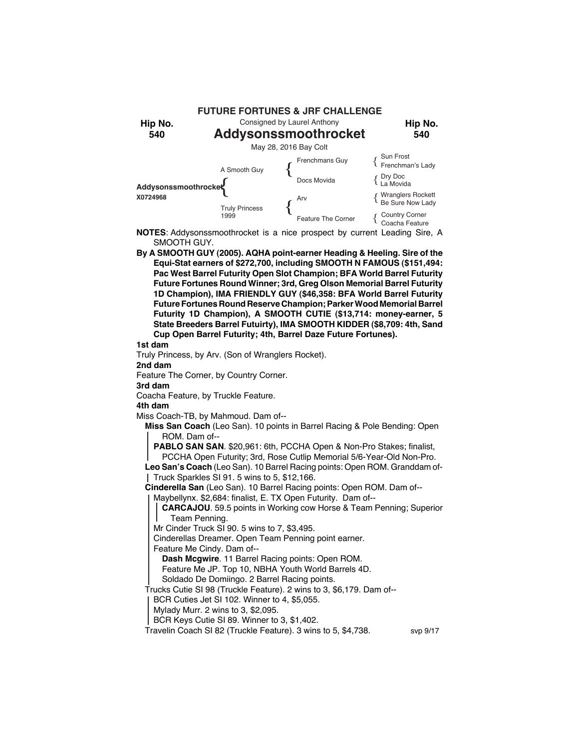

**NOTES**: Addysonssmoothrocket is a nice prospect by current Leading Sire, A SMOOTH GUY.

**By A SMOOTH GUY (2005). AQHA point-earner Heading & Heeling. Sire of the Equi-Stat earners of \$272,700, including SMOOTH N FAMOUS (\$151,494: Pac West Barrel Futurity Open Slot Champion; BFA World Barrel Futurity Future Fortunes Round Winner; 3rd, Greg Olson Memorial Barrel Futurity 1D Champion), IMA FRIENDLY GUY (\$46,358: BFA World Barrel Futurity Future Fortunes Round Reserve Champion; Parker Wood Memorial Barrel Futurity 1D Champion), A SMOOTH CUTIE (\$13,714: money-earner, 5 State Breeders Barrel Futuirty), IMA SMOOTH KIDDER (\$8,709: 4th, Sand Cup Open Barrel Futurity; 4th, Barrel Daze Future Fortunes).**

## **1st dam**

Truly Princess, by Arv. (Son of Wranglers Rocket).

**2nd dam**

Feature The Corner, by Country Corner.

**3rd dam**

Coacha Feature, by Truckle Feature.

**4th dam**

Miss Coach-TB, by Mahmoud. Dam of--

**Miss San Coach** (Leo San). 10 points in Barrel Racing & Pole Bending: Open ROM. Dam of--

**PABLO SAN SAN**. \$20,961: 6th, PCCHA Open & Non-Pro Stakes; finalist, PCCHA Open Futurity; 3rd, Rose Cutlip Memorial 5/6-Year-Old Non-Pro.

**Leo San's Coach** (Leo San). 10 Barrel Racing points: Open ROM. Granddam of-Truck Sparkles SI 91. 5 wins to 5, \$12,166.

**Cinderella San** (Leo San). 10 Barrel Racing points: Open ROM. Dam of--

Maybellynx. \$2,684: finalist, E. TX Open Futurity. Dam of--

**CARCAJOU**. 59.5 points in Working cow Horse & Team Penning; Superior Team Penning.

Mr Cinder Truck SI 90. 5 wins to 7, \$3,495.

Cinderellas Dreamer. Open Team Penning point earner.

Feature Me Cindy. Dam of--

**Dash Mcgwire**. 11 Barrel Racing points: Open ROM.

Feature Me JP. Top 10, NBHA Youth World Barrels 4D.

Soldado De Domiingo. 2 Barrel Racing points.

Trucks Cutie SI 98 (Truckle Feature). 2 wins to 3, \$6,179. Dam of--

BCR Cuties Jet SI 102. Winner to 4, \$5,055.

Mylady Murr. 2 wins to 3, \$2,095.

BCR Keys Cutie SI 89. Winner to 3, \$1,402.

Travelin Coach SI 82 (Truckle Feature). 3 wins to 5, \$4,738. svp 9/17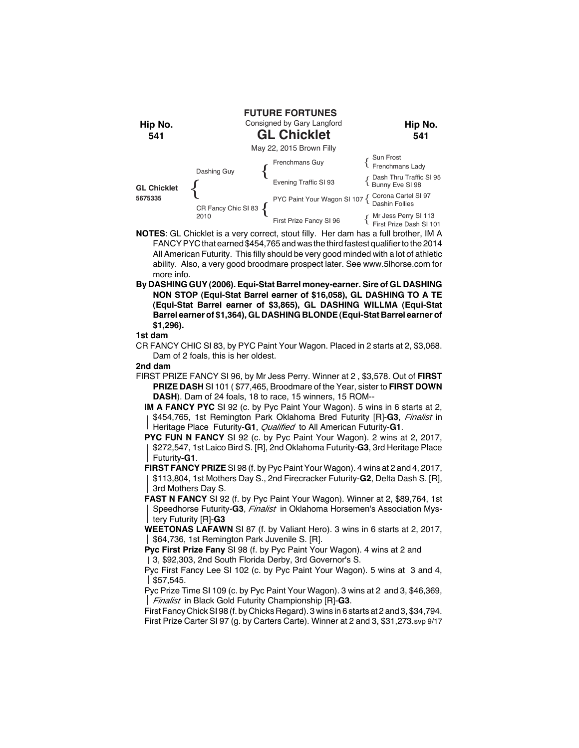

- **NOTES**: GL Chicklet is a very correct, stout filly. Her dam has a full brother, IM A FANCY PYC that earned \$454,765 and was the third fastest qualifier to the 2014 All American Futurity. This filly should be very good minded with a lot of athletic ability. Also, a very good broodmare prospect later. See www.5lhorse.com for more info.
- **By DASHING GUY (2006). Equi-Stat Barrel money-earner. Sire of GL DASHING NON STOP (Equi-Stat Barrel earner of \$16,058), GL DASHING TO A TE (Equi-Stat Barrel earner of \$3,865), GL DASHING WILLMA (Equi-Stat Barrel earner of \$1,364), GL DASHING BLONDE (Equi-Stat Barrel earner of \$1,296).**

CR FANCY CHIC SI 83, by PYC Paint Your Wagon. Placed in 2 starts at 2, \$3,068. Dam of 2 foals, this is her oldest.

## **2nd dam**

- FIRST PRIZE FANCY SI 96, by Mr Jess Perry. Winner at 2 , \$3,578. Out of **FIRST PRIZE DASH** SI 101 ( \$77,465, Broodmare of the Year, sister to **FIRST DOWN DASH**). Dam of 24 foals, 18 to race, 15 winners, 15 ROM--
	- **IM A FANCY PYC** SI 92 (c. by Pyc Paint Your Wagon). 5 wins in 6 starts at 2, \$454,765, 1st Remington Park Oklahoma Bred Futurity [R]-**G3**, *Finalist* in Heritage Place Futurity-**G1**, *Qualified* to All American Futurity-**G1**.
	- **PYC FUN N FANCY** SI 92 (c. by Pyc Paint Your Wagon). 2 wins at 2, 2017, \$272,547, 1st Laico Bird S. [R], 2nd Oklahoma Futurity-**G3**, 3rd Heritage Place Futurity**-G1**.
	- **FIRST FANCY PRIZE** SI 98 (f. by Pyc Paint Your Wagon). 4 wins at 2 and 4, 2017, \$113,804, 1st Mothers Day S., 2nd Firecracker Futurity-**G2**, Delta Dash S. [R], 3rd Mothers Day S.
	- **FAST N FANCY** SI 92 (f. by Pyc Paint Your Wagon). Winner at 2, \$89,764, 1st Speedhorse Futurity-**G3**, *Finalist* in Oklahoma Horsemen's Association Mystery Futurity [R]-**G3**
	- **WEETONAS LAFAWN** SI 87 (f. by Valiant Hero). 3 wins in 6 starts at 2, 2017, \$64,736, 1st Remington Park Juvenile S. [R].

**Pyc First Prize Fany** SI 98 (f. by Pyc Paint Your Wagon). 4 wins at 2 and 3, \$92,303, 2nd South Florida Derby, 3rd Governor's S.

Pyc First Fancy Lee SI 102 (c. by Pyc Paint Your Wagon). 5 wins at 3 and 4,  $| $57,545.$ 

Pyc Prize Time SI 109 (c. by Pyc Paint Your Wagon). 3 wins at 2 and 3, \$46,369, *Finalist* in Black Gold Futurity Championship [R]-**G3**.

First Fancy Chick SI 98 (f. by Chicks Regard). 3 wins in 6 starts at 2 and 3, \$34,794. First Prize Carter SI 97 (g. by Carters Carte). Winner at 2 and 3, \$31,273.svp 9/17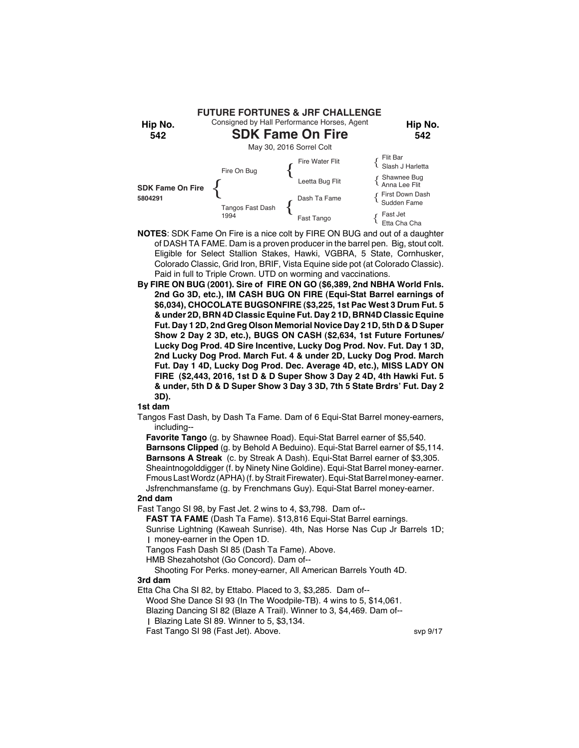

- **NOTES**: SDK Fame On Fire is a nice colt by FIRE ON BUG and out of a daughter of DASH TA FAME. Dam is a proven producer in the barrel pen. Big, stout colt. Eligible for Select Stallion Stakes, Hawki, VGBRA, 5 State, Cornhusker, Colorado Classic, Grid Iron, BRIF, Vista Equine side pot (at Colorado Classic). Paid in full to Triple Crown. UTD on worming and vaccinations.
- **By FIRE ON BUG (2001). Sire of FIRE ON GO (\$6,389, 2nd NBHA World Fnls. 2nd Go 3D, etc.), IM CASH BUG ON FIRE (Equi-Stat Barrel earnings of \$6,034), CHOCOLATE BUGSONFIRE (\$3,225, 1st Pac West 3 Drum Fut. 5 & under 2D, BRN 4D Classic Equine Fut. Day 2 1D, BRN4D Classic Equine Fut. Day 1 2D, 2nd Greg Olson Memorial Novice Day 2 1D, 5th D & D Super Show 2 Day 2 3D, etc.), BUGS ON CASH (\$2,634, 1st Future Fortunes/ Lucky Dog Prod. 4D Sire Incentive, Lucky Dog Prod. Nov. Fut. Day 1 3D, 2nd Lucky Dog Prod. March Fut. 4 & under 2D, Lucky Dog Prod. March Fut. Day 1 4D, Lucky Dog Prod. Dec. Average 4D, etc.), MISS LADY ON FIRE (\$2,443, 2016, 1st D & D Super Show 3 Day 2 4D, 4th Hawki Fut. 5 & under, 5th D & D Super Show 3 Day 3 3D, 7th 5 State Brdrs' Fut. Day 2 3D).**

Tangos Fast Dash, by Dash Ta Fame. Dam of 6 Equi-Stat Barrel money-earners, including--

**Favorite Tango** (g. by Shawnee Road). Equi-Stat Barrel earner of \$5,540.

**Barnsons Clipped** (g. by Behold A Beduino). Equi-Stat Barrel earner of \$5,114. **Barnsons A Streak** (c. by Streak A Dash). Equi-Stat Barrel earner of \$3,305. Sheaintnogolddigger (f. by Ninety Nine Goldine). Equi-Stat Barrel money-earner. Fmous Last Wordz (APHA) (f. by Strait Firewater). Equi-Stat Barrel money-earner. Jsfrenchmansfame (g. by Frenchmans Guy). Equi-Stat Barrel money-earner.

**2nd dam**

Fast Tango SI 98, by Fast Jet. 2 wins to 4, \$3,798. Dam of--

**FAST TA FAME** (Dash Ta Fame). \$13,816 Equi-Stat Barrel earnings.

Sunrise Lightning (Kaweah Sunrise). 4th, Nas Horse Nas Cup Jr Barrels 1D; money-earner in the Open 1D.

Tangos Fash Dash SI 85 (Dash Ta Fame). Above.

HMB Shezahotshot (Go Concord). Dam of--

Shooting For Perks. money-earner, All American Barrels Youth 4D. **3rd dam**

Etta Cha Cha SI 82, by Ettabo. Placed to 3, \$3,285. Dam of--

Wood She Dance SI 93 (In The Woodpile-TB). 4 wins to 5, \$14,061.

Blazing Dancing SI 82 (Blaze A Trail). Winner to 3, \$4,469. Dam of--

Blazing Late SI 89. Winner to 5, \$3,134.

Fast Tango SI 98 (Fast Jet). Above. Sup 9/17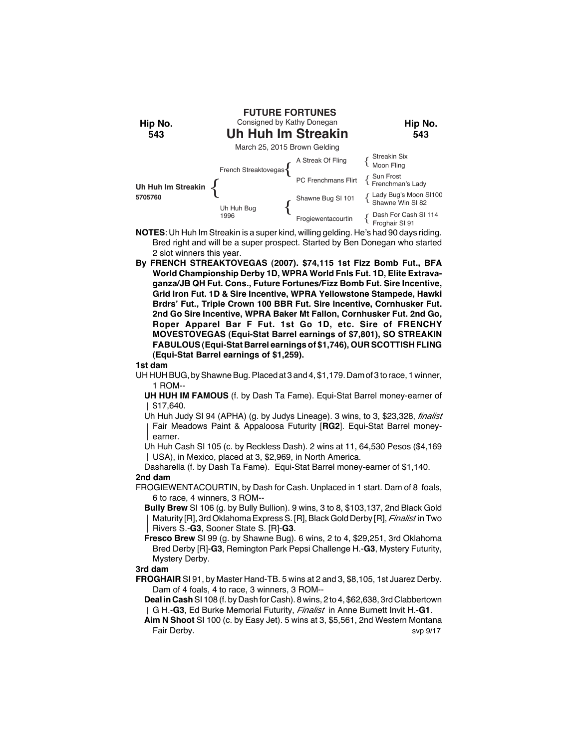

- **NOTES**: Uh Huh Im Streakin is a super kind, willing gelding. He's had 90 days riding. Bred right and will be a super prospect. Started by Ben Donegan who started 2 slot winners this year.
- **By FRENCH STREAKTOVEGAS (2007). \$74,115 1st Fizz Bomb Fut., BFA World Championship Derby 1D, WPRA World Fnls Fut. 1D, Elite Extravaganza/JB QH Fut. Cons., Future Fortunes/Fizz Bomb Fut. Sire Incentive, Grid Iron Fut. 1D & Sire Incentive, WPRA Yellowstone Stampede, Hawki Brdrs' Fut., Triple Crown 100 BBR Fut. Sire Incentive, Cornhusker Fut. 2nd Go Sire Incentive, WPRA Baker Mt Fallon, Cornhusker Fut. 2nd Go, Roper Apparel Bar F Fut. 1st Go 1D, etc. Sire of FRENCHY MOVESTOVEGAS (Equi-Stat Barrel earnings of \$7,801), SO STREAKIN FABULOUS (Equi-Stat Barrel earnings of \$1,746), OUR SCOTTISH FLING (Equi-Stat Barrel earnings of \$1,259).**

UH HUH BUG, by Shawne Bug. Placed at 3 and 4, \$1,179. Dam of 3 to race, 1 winner, 1 ROM--

**UH HUH IM FAMOUS** (f. by Dash Ta Fame). Equi-Stat Barrel money-earner of \$17,640.

Uh Huh Judy SI 94 (APHA) (g. by Judys Lineage). 3 wins, to 3, \$23,328, *finalist* Fair Meadows Paint & Appaloosa Futurity [**RG2**]. Equi-Stat Barrel moneyearner.

Uh Huh Cash SI 105 (c. by Reckless Dash). 2 wins at 11, 64,530 Pesos (\$4,169 USA), in Mexico, placed at 3, \$2,969, in North America.

Dasharella (f. by Dash Ta Fame). Equi-Stat Barrel money-earner of \$1,140. **2nd dam**

FROGIEWENTACOURTIN, by Dash for Cash. Unplaced in 1 start. Dam of 8 foals, 6 to race, 4 winners, 3 ROM--

**Bully Brew** SI 106 (g. by Bully Bullion). 9 wins, 3 to 8, \$103,137, 2nd Black Gold Maturity [R], 3rd Oklahoma Express S. [R], Black Gold Derby [R], *Finalist* in Two Rivers S.-**G3**, Sooner State S. [R]-**G3**.

**Fresco Brew** SI 99 (g. by Shawne Bug). 6 wins, 2 to 4, \$29,251, 3rd Oklahoma Bred Derby [R]-**G3**, Remington Park Pepsi Challenge H.-**G3**, Mystery Futurity, Mystery Derby.

## **3rd dam**

**FROGHAIR** SI 91, by Master Hand-TB. 5 wins at 2 and 3, \$8,105, 1st Juarez Derby. Dam of 4 foals, 4 to race, 3 winners, 3 ROM--

**Deal in Cash** SI 108 (f. by Dash for Cash). 8 wins, 2 to 4, \$62,638, 3rd Clabbertown G H.-**G3**, Ed Burke Memorial Futurity, *Finalist* in Anne Burnett Invit H.-**G1**.

**Aim N Shoot** SI 100 (c. by Easy Jet). 5 wins at 3, \$5,561, 2nd Western Montana Fair Derby. svp 9/17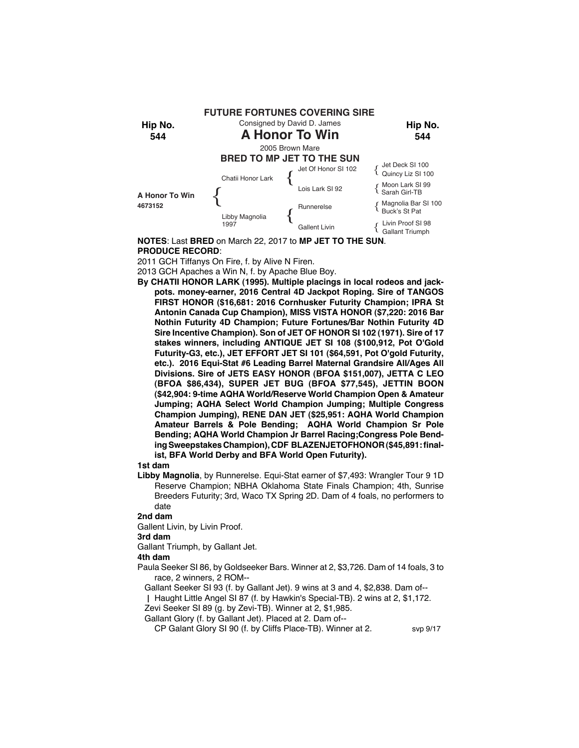

**NOTES**: Last **BRED** on March 22, 2017 to **MP JET TO THE SUN**. **PRODUCE RECORD**:

2011 GCH Tiffanys On Fire, f. by Alive N Firen.

2013 GCH Apaches a Win N, f. by Apache Blue Boy.

**By CHATII HONOR LARK (1995). Multiple placings in local rodeos and jackpots. money-earner, 2016 Central 4D Jackpot Roping. Sire of TANGOS FIRST HONOR (\$16,681: 2016 Cornhusker Futurity Champion; IPRA St Antonin Canada Cup Champion), MISS VISTA HONOR (\$7,220: 2016 Bar Nothin Futurity 4D Champion; Future Fortunes/Bar Nothin Futurity 4D Sire Incentive Champion). Son of JET OF HONOR SI 102 (1971). Sire of 17 stakes winners, including ANTIQUE JET SI 108 (\$100,912, Pot O'Gold Futurity-G3, etc.), JET EFFORT JET SI 101 (\$64,591, Pot O'gold Futurity, etc.). 2016 Equi-Stat #6 Leading Barrel Maternal Grandsire All/Ages All Divisions. Sire of JETS EASY HONOR (BFOA \$151,007), JETTA C LEO (BFOA \$86,434), SUPER JET BUG (BFOA \$77,545), JETTIN BOON (\$42,904: 9-time AQHA World/Reserve World Champion Open & Amateur Jumping; AQHA Select World Champion Jumping; Multiple Congress Champion Jumping), RENE DAN JET (\$25,951: AQHA World Champion Amateur Barrels & Pole Bending; AQHA World Champion Sr Pole Bending; AQHA World Champion Jr Barrel Racing;Congress Pole Bending Sweepstakes Champion), CDF BLAZENJETOFHONOR (\$45,891: finalist, BFA World Derby and BFA World Open Futurity).**

## **1st dam**

**Libby Magnolia**, by Runnerelse. Equi-Stat earner of \$7,493: Wrangler Tour 9 1D Reserve Champion; NBHA Oklahoma State Finals Champion; 4th, Sunrise Breeders Futurity; 3rd, Waco TX Spring 2D. Dam of 4 foals, no performers to date

#### **2nd dam**

Gallent Livin, by Livin Proof.

## **3rd dam**

Gallant Triumph, by Gallant Jet.

## **4th dam**

Paula Seeker SI 86, by Goldseeker Bars. Winner at 2, \$3,726. Dam of 14 foals, 3 to race, 2 winners, 2 ROM--

Gallant Seeker SI 93 (f. by Gallant Jet). 9 wins at 3 and 4, \$2,838. Dam of--

Haught Little Angel SI 87 (f. by Hawkin's Special-TB). 2 wins at 2, \$1,172.

Zevi Seeker SI 89 (g. by Zevi-TB). Winner at 2, \$1,985.

Gallant Glory (f. by Gallant Jet). Placed at 2. Dam of--

CP Galant Glory SI 90 (f. by Cliffs Place-TB). Winner at 2. svp 9/17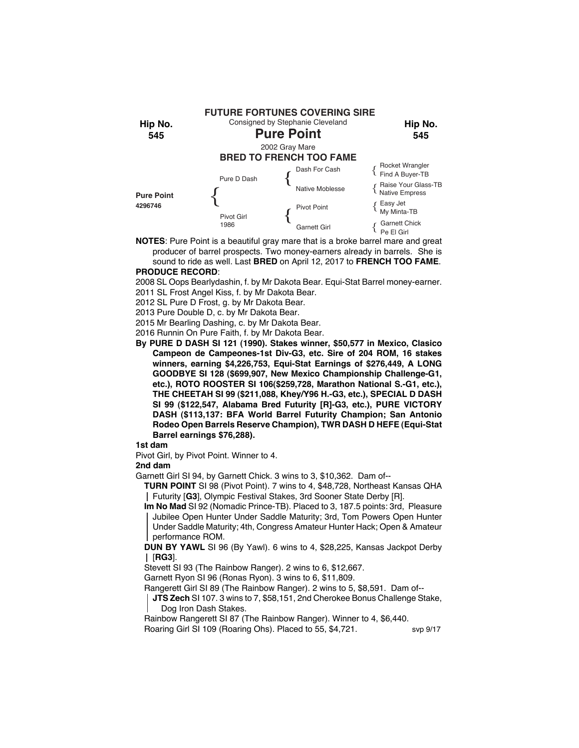

**NOTES**: Pure Point is a beautiful gray mare that is a broke barrel mare and great producer of barrel prospects. Two money-earners already in barrels. She is sound to ride as well. Last **BRED** on April 12, 2017 to **FRENCH TOO FAME**.

# **PRODUCE RECORD**:

2008 SL Oops Bearlydashin, f. by Mr Dakota Bear. Equi-Stat Barrel money-earner.

2011 SL Frost Angel Kiss, f. by Mr Dakota Bear.

2012 SL Pure D Frost, g. by Mr Dakota Bear.

2013 Pure Double D, c. by Mr Dakota Bear.

2015 Mr Bearling Dashing, c. by Mr Dakota Bear.

2016 Runnin On Pure Faith, f. by Mr Dakota Bear.

**By PURE D DASH SI 121 (1990). Stakes winner, \$50,577 in Mexico, Clasico Campeon de Campeones-1st Div-G3, etc. Sire of 204 ROM, 16 stakes winners, earning \$4,226,753, Equi-Stat Earnings of \$276,449, A LONG GOODBYE SI 128 (\$699,907, New Mexico Championship Challenge-G1, etc.), ROTO ROOSTER SI 106(\$259,728, Marathon National S.-G1, etc.), THE CHEETAH SI 99 (\$211,088, Khey/Y96 H.-G3, etc.), SPECIAL D DASH SI 99 (\$122,547, Alabama Bred Futurity [R]-G3, etc.), PURE VICTORY DASH (\$113,137: BFA World Barrel Futurity Champion; San Antonio Rodeo Open Barrels Reserve Champion), TWR DASH D HEFE (Equi-Stat Barrel earnings \$76,288).**

## **1st dam**

Pivot Girl, by Pivot Point. Winner to 4.

## **2nd dam**

Garnett Girl SI 94, by Garnett Chick. 3 wins to 3, \$10,362. Dam of--

**TURN POINT** SI 98 (Pivot Point). 7 wins to 4, \$48,728, Northeast Kansas QHA Futurity [**G3**], Olympic Festival Stakes, 3rd Sooner State Derby [R].

**Im No Mad** SI 92 (Nomadic Prince-TB). Placed to 3, 187.5 points: 3rd, Pleasure Jubilee Open Hunter Under Saddle Maturity; 3rd, Tom Powers Open Hunter Under Saddle Maturity; 4th, Congress Amateur Hunter Hack; Open & Amateur performance ROM.

**DUN BY YAWL** SI 96 (By Yawl). 6 wins to 4, \$28,225, Kansas Jackpot Derby [**RG3**].

Stevett SI 93 (The Rainbow Ranger). 2 wins to 6, \$12,667.

Garnett Ryon SI 96 (Ronas Ryon). 3 wins to 6, \$11,809.

Rangerett Girl SI 89 (The Rainbow Ranger). 2 wins to 5, \$8,591. Dam of--

**JTS Zech** SI 107. 3 wins to 7, \$58,151, 2nd Cherokee Bonus Challenge Stake, Dog Iron Dash Stakes.

Rainbow Rangerett SI 87 (The Rainbow Ranger). Winner to 4, \$6,440.

Roaring Girl SI 109 (Roaring Ohs). Placed to 55, \$4,721. svp 9/17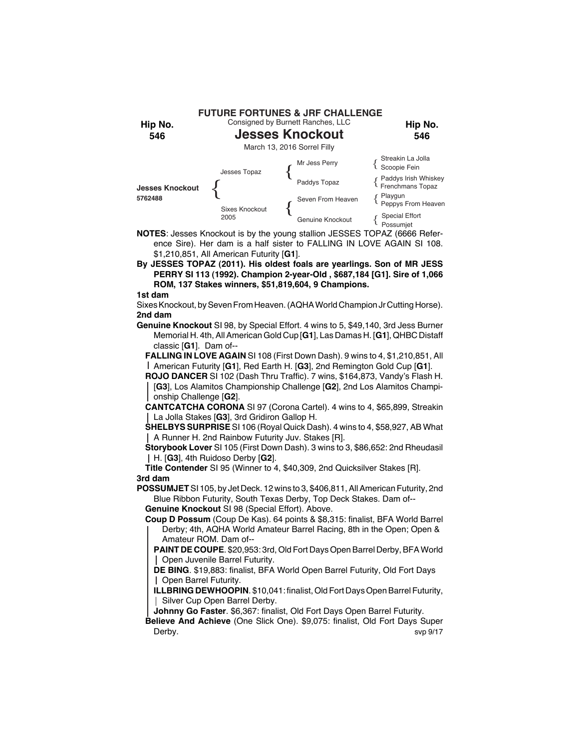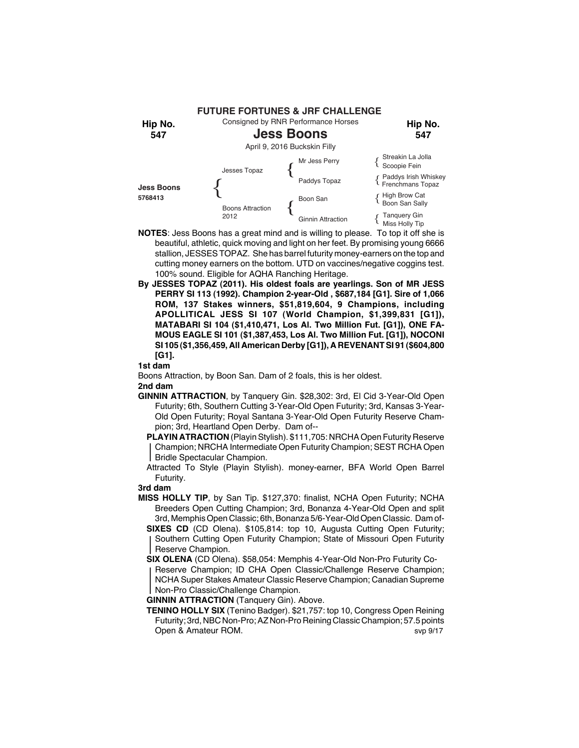

- **NOTES**: Jess Boons has a great mind and is willing to please. To top it off she is beautiful, athletic, quick moving and light on her feet. By promising young 6666 stallion, JESSES TOPAZ. She has barrel futurity money-earners on the top and cutting money earners on the bottom. UTD on vaccines/negative coggins test. 100% sound. Eligible for AQHA Ranching Heritage.
- **By JESSES TOPAZ (2011). His oldest foals are yearlings. Son of MR JESS PERRY SI 113 (1992). Champion 2-year-Old , \$687,184 [G1]. Sire of 1,066 ROM, 137 Stakes winners, \$51,819,604, 9 Champions, including APOLLITICAL JESS SI 107 (World Champion, \$1,399,831 [G1]), MATABARI SI 104 (\$1,410,471, Los Al. Two Million Fut. [G1]), ONE FA-MOUS EAGLE SI 101 (\$1,387,453, Los Al. Two Million Fut. [G1]), NOCONI SI 105 (\$1,356,459, All American Derby [G1]), A REVENANT SI 91 (\$604,800 [G1].**

Boons Attraction, by Boon San. Dam of 2 foals, this is her oldest. **2nd dam**

**GINNIN ATTRACTION**, by Tanquery Gin. \$28,302: 3rd, El Cid 3-Year-Old Open Futurity; 6th, Southern Cutting 3-Year-Old Open Futurity; 3rd, Kansas 3-Year-Old Open Futurity; Royal Santana 3-Year-Old Open Futurity Reserve Champion; 3rd, Heartland Open Derby. Dam of--

**PLAYIN ATRACTION** (Playin Stylish). \$111,705: NRCHA Open Futurity Reserve Champion; NRCHA Intermediate Open Futurity Champion; SEST RCHA Open Bridle Spectacular Champion.

Attracted To Style (Playin Stylish). money-earner, BFA World Open Barrel Futurity.

## **3rd dam**

**MISS HOLLY TIP**, by San Tip. \$127,370: finalist, NCHA Open Futurity; NCHA Breeders Open Cutting Champion; 3rd, Bonanza 4-Year-Old Open and split 3rd, Memphis Open Classic; 6th, Bonanza 5/6-Year-Old Open Classic. Dam of-

**SIXES CD** (CD Olena). \$105,814: top 10, Augusta Cutting Open Futurity; Southern Cutting Open Futurity Champion; State of Missouri Open Futurity Reserve Champion.

**SIX OLENA** (CD Olena). \$58,054: Memphis 4-Year-Old Non-Pro Futurity Co-

Reserve Champion; ID CHA Open Classic/Challenge Reserve Champion; NCHA Super Stakes Amateur Classic Reserve Champion; Canadian Supreme Non-Pro Classic/Challenge Champion.

**GINNIN ATTRACTION** (Tanquery Gin). Above.

**TENINO HOLLY SIX** (Tenino Badger). \$21,757: top 10, Congress Open Reining Futurity; 3rd, NBC Non-Pro; AZ Non-Pro Reining Classic Champion; 57.5 points Open & Amateur ROM. Solution of the Contract of the State of the State of the State of the State of the State o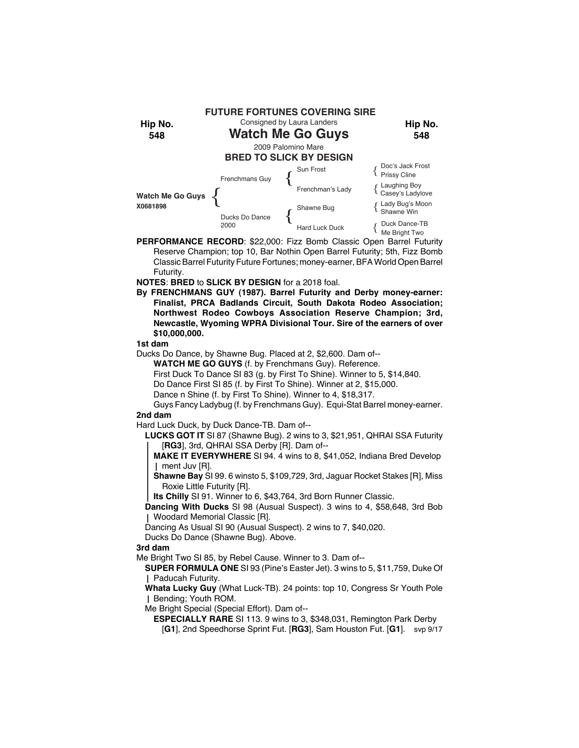

**PERFORMANCE RECORD**: \$22,000: Fizz Bomb Classic Open Barrel Futurity Reserve Champion; top 10, Bar Nothin Open Barrel Futurity; 5th, Fizz Bomb Classic Barrel Futurity Future Fortunes; money-earner, BFA World Open Barrel Futurity.

**NOTES**: **BRED** to **SLICK BY DESIGN** for a 2018 foal.

**By FRENCHMANS GUY (1987). Barrel Futurity and Derby money-earner: Finalist, PRCA Badlands Circuit, South Dakota Rodeo Association; Northwest Rodeo Cowboys Association Reserve Champion; 3rd, Newcastle, Wyoming WPRA Divisional Tour. Sire of the earners of over \$10,000,000.**

## **1st dam**

Ducks Do Dance, by Shawne Bug. Placed at 2, \$2,600. Dam of--

**WATCH ME GO GUYS** (f. by Frenchmans Guy). Reference.

First Duck To Dance SI 83 (g. by First To Shine). Winner to 5, \$14,840.

Do Dance First SI 85 (f. by First To Shine). Winner at 2, \$15,000.

Dance n Shine (f. by First To Shine). Winner to 4, \$18,317.

Guys Fancy Ladybug (f. by Frenchmans Guy). Equi-Stat Barrel money-earner. **2nd dam**

Hard Luck Duck, by Duck Dance-TB. Dam of--

**LUCKS GOT IT** SI 87 (Shawne Bug). 2 wins to 3, \$21,951, QHRAI SSA Futurity [**RG3**], 3rd, QHRAI SSA Derby [R]. Dam of--

**MAKE IT EVERYWHERE** SI 94. 4 wins to 8, \$41,052, Indiana Bred Develop ment Juv [R].

**Shawne Bay** SI 99. 6 winsto 5, \$109,729, 3rd, Jaguar Rocket Stakes [R], Miss Roxie Little Futurity [R].

**Its Chilly** SI 91. Winner to 6, \$43,764, 3rd Born Runner Classic.

**Dancing With Ducks** SI 98 (Ausual Suspect). 3 wins to 4, \$58,648, 3rd Bob Woodard Memorial Classic [R].

Dancing As Usual SI 90 (Ausual Suspect). 2 wins to 7, \$40,020.

Ducks Do Dance (Shawne Bug). Above.

## **3rd dam**

Me Bright Two SI 85, by Rebel Cause. Winner to 3. Dam of--

**SUPER FORMULA ONE** SI 93 (Pine's Easter Jet). 3 wins to 5, \$11,759, Duke Of Paducah Futurity.

**Whata Lucky Guy** (What Luck-TB). 24 points: top 10, Congress Sr Youth Pole Bending; Youth ROM.

Me Bright Special (Special Effort). Dam of--

**ESPECIALLY RARE** SI 113. 9 wins to 3, \$348,031, Remington Park Derby

[**G1**], 2nd Speedhorse Sprint Fut. [**RG3**], Sam Houston Fut. [**G1**]. svp 9/17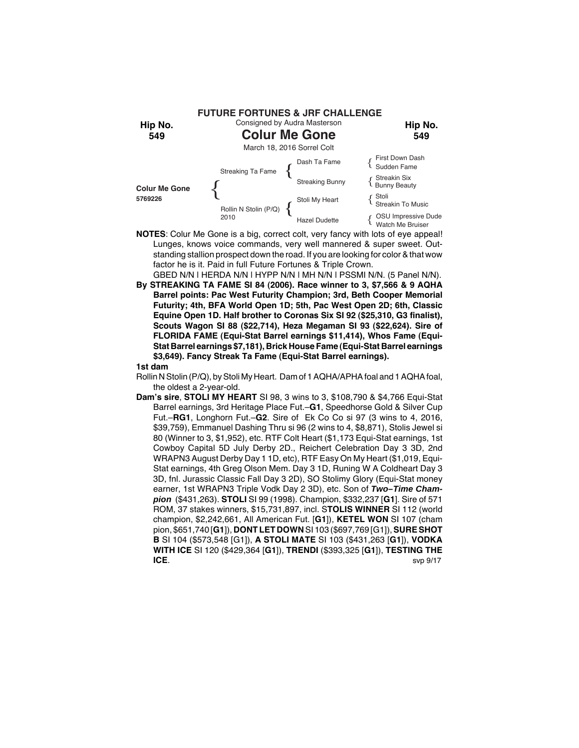

- **NOTES**: Colur Me Gone is a big, correct colt, very fancy with lots of eye appeal! Lunges, knows voice commands, very well mannered & super sweet. Outstanding stallion prospect down the road. If you are looking for color & that wow factor he is it. Paid in full Future Fortunes & Triple Crown. GBED N/N | HERDA N/N | HYPP N/N | MH N/N | PSSMI N/N. (5 Panel N/N).
- **By STREAKING TA FAME SI 84 (2006). Race winner to 3, \$7,566 & 9 AQHA Barrel points: Pac West Futurity Champion; 3rd, Beth Cooper Memorial Futurity; 4th, BFA World Open 1D; 5th, Pac West Open 2D; 6th, Classic Equine Open 1D. Half brother to Coronas Six SI 92 (\$25,310, G3 finalist), Scouts Wagon SI 88 (\$22,714), Heza Megaman SI 93 (\$22,624). Sire of FLORIDA FAME (Equi-Stat Barrel earnings \$11,414), Whos Fame (Equi-Stat Barrel earnings \$7,181), Brick House Fame (Equi-Stat Barrel earnings \$3,649). Fancy Streak Ta Fame (Equi-Stat Barrel earnings).**

- Rollin N Stolin (P/Q), by Stoli My Heart. Dam of 1 AQHA/APHA foal and 1 AQHA foal, the oldest a 2-year-old.
- **Dam's sire**, **STOLI MY HEART** SI 98, 3 wins to 3, \$108,790 & \$4,766 Equi-Stat Barrel earnings, 3rd Heritage Place Fut.–**G1**, Speedhorse Gold & Silver Cup Fut.–**RG1**, Longhorn Fut.–**G2**. Sire of Ek Co Co si 97 (3 wins to 4, 2016, \$39,759), Emmanuel Dashing Thru si 96 (2 wins to 4, \$8,871), Stolis Jewel si 80 (Winner to 3, \$1,952), etc. RTF Colt Heart (\$1,173 Equi-Stat earnings, 1st Cowboy Capital 5D July Derby 2D., Reichert Celebration Day 3 3D, 2nd WRAPN3 August Derby Day 1 1D, etc), RTF Easy On My Heart (\$1,019, Equi-Stat earnings, 4th Greg Olson Mem. Day 3 1D, Runing W A Coldheart Day 3 3D, fnl. Jurassic Classic Fall Day 3 2D), SO Stolimy Glory (Equi-Stat money earner, 1st WRAPN3 Triple Vodk Day 2 3D), etc. Son of *Two–Time Champion* (\$431,263). **STOLI** SI 99 (1998). Champion, \$332,237 [**G1**]. Sire of 571 ROM, 37 stakes winners, \$15,731,897, incl. S**TOLIS WINNER** SI 112 (world champion, \$2,242,661, All American Fut. [**G1**]), **KETEL WON** SI 107 (cham pion, \$651,740 [**G1**]), **DONT LET DOWN** SI 103 (\$697,769 [G1]), **SURE SHOT B** SI 104 (\$573,548 [G1]), **A STOLI MATE** SI 103 (\$431,263 [**G1**]), **VODKA WITH ICE** SI 120 (\$429,364 [**G1**]), **TRENDI** (\$393,325 [**G1**]), **TESTING THE ICE**.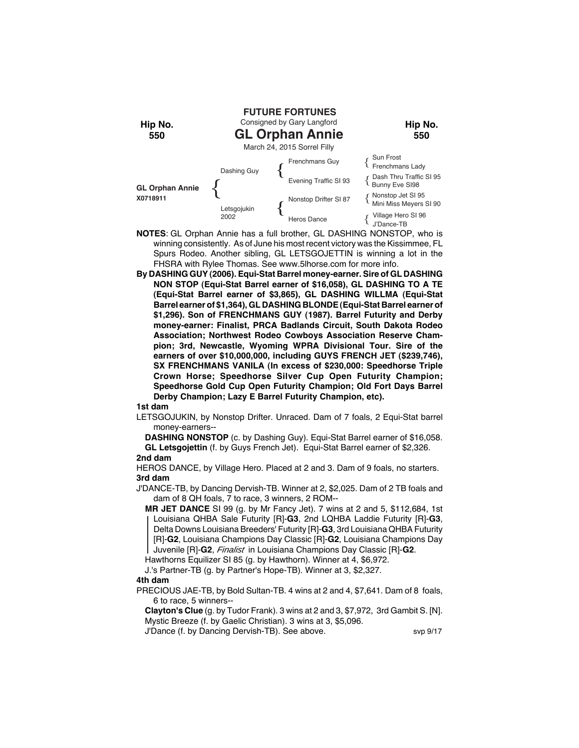

- **NOTES**: GL Orphan Annie has a full brother, GL DASHING NONSTOP, who is winning consistently. As of June his most recent victory was the Kissimmee, FL Spurs Rodeo. Another sibling, GL LETSGOJETTIN is winning a lot in the FHSRA with Rylee Thomas. See www.5lhorse.com for more info.
- **By DASHING GUY (2006). Equi-Stat Barrel money-earner. Sire of GL DASHING NON STOP (Equi-Stat Barrel earner of \$16,058), GL DASHING TO A TE (Equi-Stat Barrel earner of \$3,865), GL DASHING WILLMA (Equi-Stat Barrel earner of \$1,364), GL DASHING BLONDE (Equi-Stat Barrel earner of \$1,296). Son of FRENCHMANS GUY (1987). Barrel Futurity and Derby money-earner: Finalist, PRCA Badlands Circuit, South Dakota Rodeo Association; Northwest Rodeo Cowboys Association Reserve Champion; 3rd, Newcastle, Wyoming WPRA Divisional Tour. Sire of the earners of over \$10,000,000, including GUYS FRENCH JET (\$239,746), SX FRENCHMANS VANILA (In excess of \$230,000: Speedhorse Triple Crown Horse; Speedhorse Silver Cup Open Futurity Champion; Speedhorse Gold Cup Open Futurity Champion; Old Fort Days Barrel Derby Champion; Lazy E Barrel Futurity Champion, etc).**

LETSGOJUKIN, by Nonstop Drifter. Unraced. Dam of 7 foals, 2 Equi-Stat barrel money-earners--

**DASHING NONSTOP** (c. by Dashing Guy). Equi-Stat Barrel earner of \$16,058. **GL Letsgojettin** (f. by Guys French Jet). Equi-Stat Barrel earner of \$2,326.

**2nd dam**

HEROS DANCE, by Village Hero. Placed at 2 and 3. Dam of 9 foals, no starters. **3rd dam**

J'DANCE-TB, by Dancing Dervish-TB. Winner at 2, \$2,025. Dam of 2 TB foals and dam of 8 QH foals, 7 to race, 3 winners, 2 ROM--

 **MR JET DANCE** SI 99 (g. by Mr Fancy Jet). 7 wins at 2 and 5, \$112,684, 1st Louisiana QHBA Sale Futurity [R]-**G3**, 2nd LQHBA Laddie Futurity [R]-**G3**, Delta Downs Louisiana Breeders' Futurity [R]-**G3**, 3rd Louisiana QHBA Futurity [R]-**G2**, Louisiana Champions Day Classic [R]-**G2**, Louisiana Champions Day Juvenile [R]-**G2**, *Finalist* in Louisiana Champions Day Classic [R]-**G2**.

Hawthorns Equilizer SI 85 (g. by Hawthorn). Winner at 4, \$6,972. J.'s Partner-TB (g. by Partner's Hope-TB). Winner at 3, \$2,327.

# **4th dam**

PRECIOUS JAE-TB, by Bold Sultan-TB. 4 wins at 2 and 4, \$7,641. Dam of 8 foals, 6 to race, 5 winners--

**Clayton's Clue** (g. by Tudor Frank). 3 wins at 2 and 3, \$7,972, 3rd Gambit S. [N]. Mystic Breeze (f. by Gaelic Christian). 3 wins at 3, \$5,096.

J'Dance (f. by Dancing Dervish-TB). See above. svp 9/17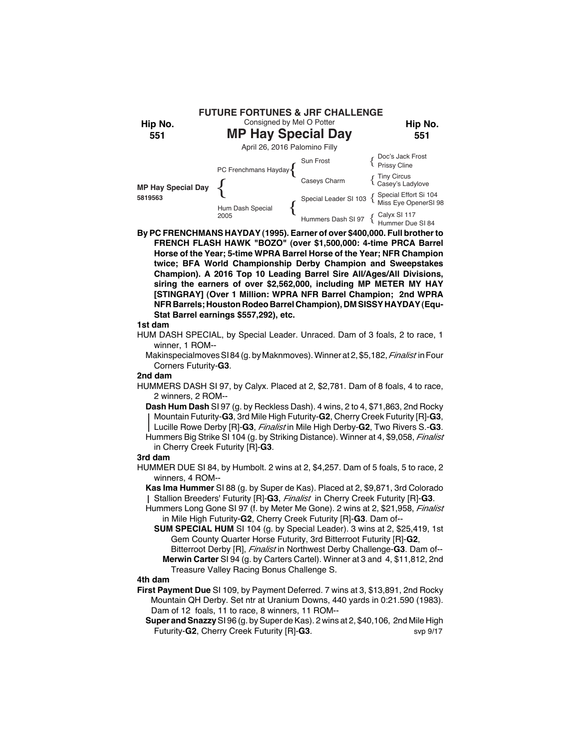

**By PC FRENCHMANS HAYDAY (1995). Earner of over \$400,000. Full brother to FRENCH FLASH HAWK "BOZO" (over \$1,500,000: 4-time PRCA Barrel Horse of the Year; 5-time WPRA Barrel Horse of the Year; NFR Champion twice; BFA World Championship Derby Champion and Sweepstakes Champion). A 2016 Top 10 Leading Barrel Sire All/Ages/All Divisions, siring the earners of over \$2,562,000, including MP METER MY HAY [STINGRAY] (Over 1 Million: WPRA NFR Barrel Champion; 2nd WPRA NFR Barrels; Houston Rodeo Barrel Champion), DM SISSY HAYDAY (Equ-Stat Barrel earnings \$557,292), etc.**

## **1st dam**

HUM DASH SPECIAL, by Special Leader. Unraced. Dam of 3 foals, 2 to race, 1 winner, 1 ROM--

Makinspecialmoves SI 84 (g. by Maknmoves). Winner at 2, \$5,182, *Finalist* in Four Corners Futurity-**G3**.

#### **2nd dam**

HUMMERS DASH SI 97, by Calyx. Placed at 2, \$2,781. Dam of 8 foals, 4 to race, 2 winners, 2 ROM--

**Dash Hum Dash** SI 97 (g. by Reckless Dash). 4 wins, 2 to 4, \$71,863, 2nd Rocky Mountain Futurity-**G3**, 3rd Mile High Futurity-**G2**, Cherry Creek Futurity [R]-**G3**, Lucille Rowe Derby [R]-**G3**, *Finalist* in Mile High Derby-**G2**, Two Rivers S.-**G3**. Hummers Big Strike SI 104 (g. by Striking Distance). Winner at 4, \$9,058, *Finalist*

in Cherry Creek Futurity [R]-**G3**.

## **3rd dam**

HUMMER DUE SI 84, by Humbolt. 2 wins at 2, \$4,257. Dam of 5 foals, 5 to race, 2 winners, 4 ROM--

**Kas Ima Hummer** SI 88 (g. by Super de Kas). Placed at 2, \$9,871, 3rd Colorado Stallion Breeders' Futurity [R]-**G3**, *Finalist* in Cherry Creek Futurity [R]-**G3**.

- Hummers Long Gone SI 97 (f. by Meter Me Gone). 2 wins at 2, \$21,958, *Finalist* in Mile High Futurity-**G2**, Cherry Creek Futurity [R]-**G3**. Dam of--
	- **SUM SPECIAL HUM** SI 104 (g. by Special Leader). 3 wins at 2, \$25,419, 1st Gem County Quarter Horse Futurity, 3rd Bitterroot Futurity [R]-**G2**, Bitterroot Derby [R], *Finalist* in Northwest Derby Challenge-**G3**. Dam of--
		- **Merwin Carter** SI 94 (g. by Carters Cartel). Winner at 3 and 4, \$11,812, 2nd Treasure Valley Racing Bonus Challenge S.

## **4th dam**

- **First Payment Due** SI 109, by Payment Deferred. 7 wins at 3, \$13,891, 2nd Rocky Mountain QH Derby. Set ntr at Uranium Downs, 440 yards in 0:21.590 (1983). Dam of 12 foals, 11 to race, 8 winners, 11 ROM--
	- **Super and Snazzy** SI 96 (g. by Super de Kas). 2 wins at 2, \$40,106, 2nd Mile High Futurity-**G2**, Cherry Creek Futurity [R]-**G3**. svp 9/17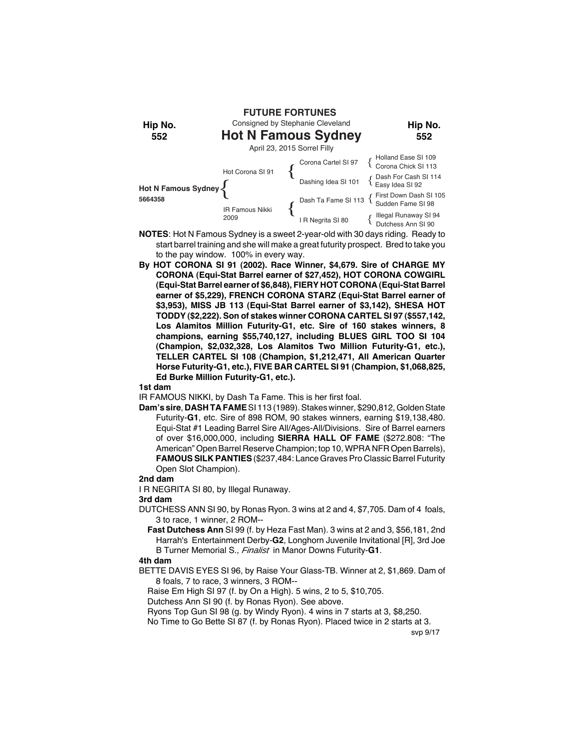

- **NOTES**: Hot N Famous Sydney is a sweet 2-year-old with 30 days riding. Ready to start barrel training and she will make a great futurity prospect. Bred to take you to the pay window. 100% in every way.
- **By HOT CORONA SI 91 (2002). Race Winner, \$4,679. Sire of CHARGE MY CORONA (Equi-Stat Barrel earner of \$27,452), HOT CORONA COWGIRL (Equi-Stat Barrel earner of \$6,848), FIERY HOT CORONA (Equi-Stat Barrel earner of \$5,229), FRENCH CORONA STARZ (Equi-Stat Barrel earner of \$3,953), MISS JB 113 (Equi-Stat Barrel earner of \$3,142), SHESA HOT TODDY (\$2,222). Son of stakes winner CORONA CARTEL SI 97 (\$557,142, Los Alamitos Million Futurity-G1, etc. Sire of 160 stakes winners, 8 champions, earning \$55,740,127, including BLUES GIRL TOO SI 104 (Champion, \$2,032,328, Los Alamitos Two Million Futurity-G1, etc.), TELLER CARTEL SI 108 (Champion, \$1,212,471, All American Quarter Horse Futurity-G1, etc.), FIVE BAR CARTEL SI 91 (Champion, \$1,068,825, Ed Burke Million Futurity-G1, etc.).**

IR FAMOUS NIKKI, by Dash Ta Fame. This is her first foal.

**Dam's sire**, **DASH TA FAME** SI 113 (1989). Stakes winner, \$290,812, Golden State Futurity-**G1**, etc. Sire of 898 ROM, 90 stakes winners, earning \$19,138,480. Equi-Stat #1 Leading Barrel Sire All/Ages-All/Divisions. Sire of Barrel earners of over \$16,000,000, including **SIERRA HALL OF FAME** (\$272.808: "The American" Open Barrel Reserve Champion; top 10, WPRA NFR Open Barrels), **FAMOUS SILK PANTIES** (\$237,484: Lance Graves Pro Classic Barrel Futurity Open Slot Champion).

# **2nd dam**

I R NEGRITA SI 80, by Illegal Runaway.

## **3rd dam**

- DUTCHESS ANN SI 90, by Ronas Ryon. 3 wins at 2 and 4, \$7,705. Dam of 4 foals, 3 to race, 1 winner, 2 ROM--
	- **Fast Dutchess Ann** SI 99 (f. by Heza Fast Man). 3 wins at 2 and 3, \$56,181, 2nd Harrah's Entertainment Derby-**G2**, Longhorn Juvenile Invitational [R], 3rd Joe B Turner Memorial S., *Finalist* in Manor Downs Futurity-**G1**.

#### **4th dam**

BETTE DAVIS EYES SI 96, by Raise Your Glass-TB. Winner at 2, \$1,869. Dam of 8 foals, 7 to race, 3 winners, 3 ROM--

Raise Em High SI 97 (f. by On a High). 5 wins, 2 to 5, \$10,705.

Dutchess Ann SI 90 (f. by Ronas Ryon). See above.

Ryons Top Gun SI 98 (g. by Windy Ryon). 4 wins in 7 starts at 3, \$8,250.

No Time to Go Bette SI 87 (f. by Ronas Ryon). Placed twice in 2 starts at 3.

svp 9/17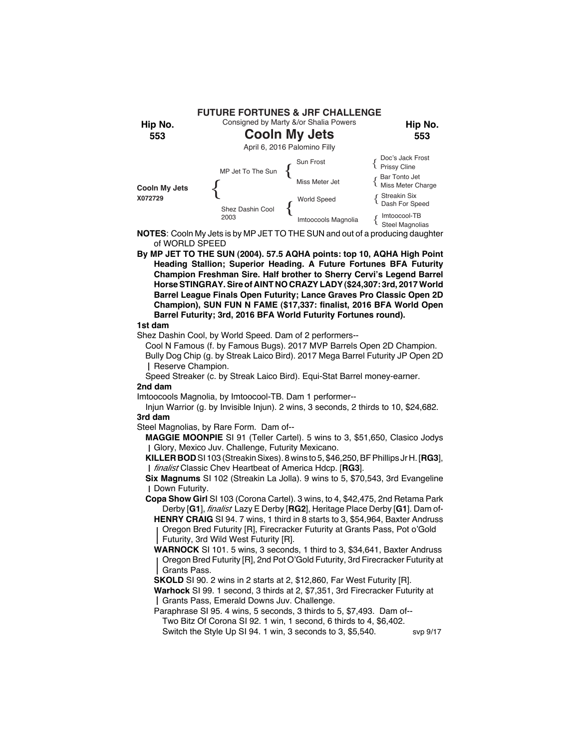

**NOTES**: Cooln My Jets is by MP JET TO THE SUN and out of a producing daughter of WORLD SPEED

**By MP JET TO THE SUN (2004). 57.5 AQHA points: top 10, AQHA High Point Heading Stallion; Superior Heading. A Future Fortunes BFA Futurity Champion Freshman Sire. Half brother to Sherry Cervi's Legend Barrel Horse STINGRAY. Sire of AINT NO CRAZY LADY (\$24,307: 3rd, 2017 World Barrel League Finals Open Futurity; Lance Graves Pro Classic Open 2D Champion), SUN FUN N FAME (\$17,337: finalist, 2016 BFA World Open Barrel Futurity; 3rd, 2016 BFA World Futurity Fortunes round).**

# **1st dam**

Shez Dashin Cool, by World Speed. Dam of 2 performers--

Cool N Famous (f. by Famous Bugs). 2017 MVP Barrels Open 2D Champion. Bully Dog Chip (g. by Streak Laico Bird). 2017 Mega Barrel Futurity JP Open 2D

Reserve Champion.

Speed Streaker (c. by Streak Laico Bird). Equi-Stat Barrel money-earner. **2nd dam**

Imtoocools Magnolia, by Imtoocool-TB. Dam 1 performer--

Injun Warrior (g. by Invisible Injun). 2 wins, 3 seconds, 2 thirds to 10, \$24,682. **3rd dam**

Steel Magnolias, by Rare Form. Dam of--

**MAGGIE MOONPIE** SI 91 (Teller Cartel). 5 wins to 3, \$51,650, Clasico Jodys Glory, Mexico Juv. Challenge, Futurity Mexicano.

**KILLER BOD** SI 103 (Streakin Sixes). 8 wins to 5, \$46,250, BF Phillips Jr H. [**RG3**], *finalist* Classic Chev Heartbeat of America Hdcp. [**RG3**].

**Six Magnums** SI 102 (Streakin La Jolla). 9 wins to 5, \$70,543, 3rd Evangeline Down Futurity.

**Copa Show Girl** SI 103 (Corona Cartel). 3 wins, to 4, \$42,475, 2nd Retama Park Derby [**G1**], *finalist* Lazy E Derby [**RG2**], Heritage Place Derby [**G1**]. Dam of-

**HENRY CRAIG** SI 94. 7 wins, 1 third in 8 starts to 3, \$54,964, Baxter Andruss Oregon Bred Futurity [R], Firecracker Futurity at Grants Pass, Pot o'Gold Futurity, 3rd Wild West Futurity [R].

**WARNOCK** SI 101. 5 wins, 3 seconds, 1 third to 3, \$34,641, Baxter Andruss Oregon Bred Futurity [R], 2nd Pot O'Gold Futurity, 3rd Firecracker Futurity at Grants Pass.

**SKOLD** SI 90. 2 wins in 2 starts at 2, \$12,860, Far West Futurity [R].

**Warhock** SI 99. 1 second, 3 thirds at 2, \$7,351, 3rd Firecracker Futurity at Grants Pass, Emerald Downs Juv. Challenge.

Paraphrase SI 95. 4 wins, 5 seconds, 3 thirds to 5, \$7,493. Dam of-- Two Bitz Of Corona SI 92. 1 win, 1 second, 6 thirds to 4, \$6,402. Switch the Style Up SI 94. 1 win, 3 seconds to 3, \$5,540. svp 9/17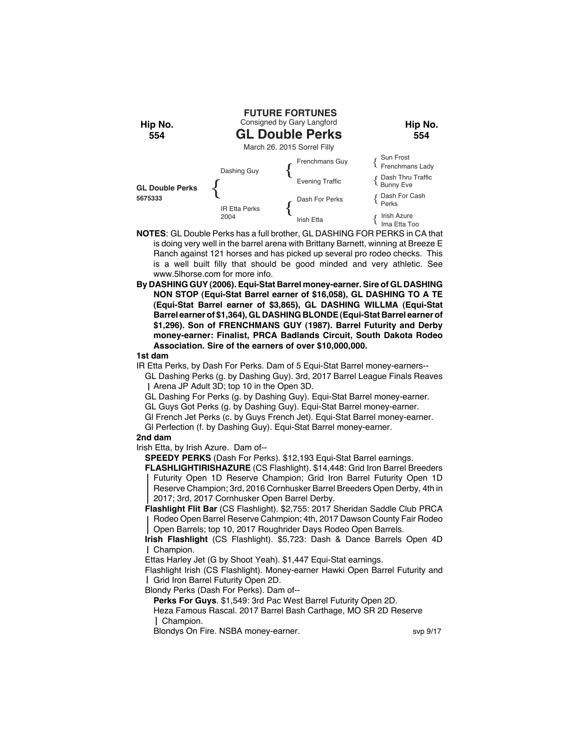

- **NOTES**: GL Double Perks has a full brother, GL DASHING FOR PERKS in CA that is doing very well in the barrel arena with Brittany Barnett, winning at Breeze E Ranch against 121 horses and has picked up several pro rodeo checks. This is a well built filly that should be good minded and very athletic. See www.5lhorse.com for more info.
- **By DASHING GUY (2006). Equi-Stat Barrel money-earner. Sire of GL DASHING NON STOP (Equi-Stat Barrel earner of \$16,058), GL DASHING TO A TE (Equi-Stat Barrel earner of \$3,865), GL DASHING WILLMA (Equi-Stat Barrel earner of \$1,364), GL DASHING BLONDE (Equi-Stat Barrel earner of \$1,296). Son of FRENCHMANS GUY (1987). Barrel Futurity and Derby money-earner: Finalist, PRCA Badlands Circuit, South Dakota Rodeo Association. Sire of the earners of over \$10,000,000.**

IR Etta Perks, by Dash For Perks. Dam of 5 Equi-Stat Barrel money-earners--

GL Dashing Perks (g. by Dashing Guy). 3rd, 2017 Barrel League Finals Reaves Arena JP Adult 3D; top 10 in the Open 3D.

GL Dashing For Perks (g. by Dashing Guy). Equi-Stat Barrel money-earner.

GL Guys Got Perks (g. by Dashing Guy). Equi-Stat Barrel money-earner.

Gl French Jet Perks (c. by Guys French Jet). Equi-Stat Barrel money-earner.

Gl Perfection (f. by Dashing Guy). Equi-Stat Barrel money-earner.

## **2nd dam**

Irish Etta, by Irish Azure. Dam of--

**SPEEDY PERKS** (Dash For Perks). \$12,193 Equi-Stat Barrel earnings.

**FLASHLIGHTIRISHAZURE** (CS Flashlight). \$14,448: Grid Iron Barrel Breeders Futurity Open 1D Reserve Champion; Grid Iron Barrel Futurity Open 1D Reserve Champion; 3rd, 2016 Cornhusker Barrel Breeders Open Derby, 4th in 2017; 3rd, 2017 Cornhusker Open Barrel Derby.

**Flashlight Flit Bar** (CS Flashlight). \$2,755: 2017 Sheridan Saddle Club PRCA Rodeo Open Barrel Reserve Cahmpion; 4th, 2017 Dawson County Fair Rodeo Open Barrels; top 10, 2017 Roughrider Days Rodeo Open Barrels.

**Irish Flashlight** (CS Flashlight). \$5,723: Dash & Dance Barrels Open 4D Champion.

Ettas Harley Jet (G by Shoot Yeah). \$1,447 Equi-Stat earnings.

Flashlight Irish (CS Flashlight). Money-earner Hawki Open Barrel Futurity and Grid Iron Barrel Futurity Open 2D.

Blondy Perks (Dash For Perks). Dam of--

**Perks For Guys**. \$1,549: 3rd Pac West Barrel Futurity Open 2D.

Heza Famous Rascal. 2017 Barrel Bash Carthage, MO SR 2D Reserve Champion.

Blondys On Fire. NSBA money-earner. Sup 9/17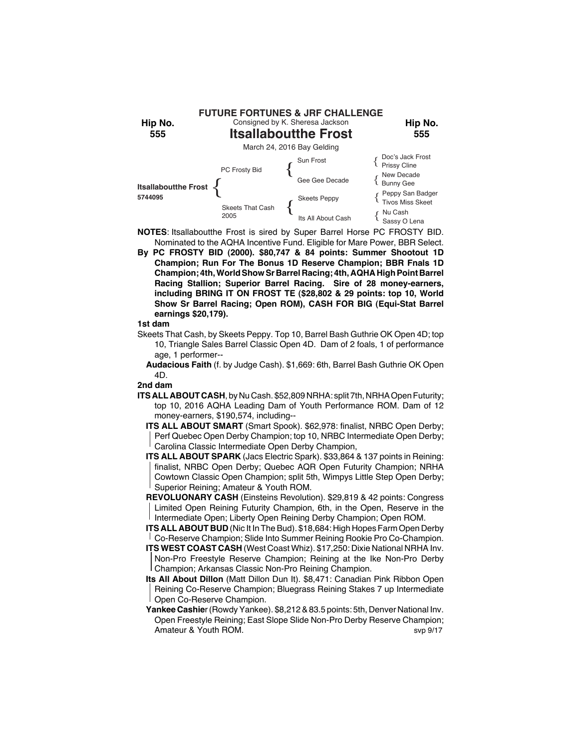

- **NOTES**: Itsallaboutthe Frost is sired by Super Barrel Horse PC FROSTY BID. Nominated to the AQHA Incentive Fund. Eligible for Mare Power, BBR Select.
- **By PC FROSTY BID (2000). \$80,747 & 84 points: Summer Shootout 1D Champion; Run For The Bonus 1D Reserve Champion; BBR Fnals 1D Champion; 4th, World Show Sr Barrel Racing; 4th, AQHA High Point Barrel Racing Stallion; Superior Barrel Racing. Sire of 28 money-earners, including BRING IT ON FROST TE (\$28,802 & 29 points: top 10, World Show Sr Barrel Racing; Open ROM), CASH FOR BIG (Equi-Stat Barrel earnings \$20,179).**

- Skeets That Cash, by Skeets Peppy. Top 10, Barrel Bash Guthrie OK Open 4D; top 10, Triangle Sales Barrel Classic Open 4D. Dam of 2 foals, 1 of performance age, 1 performer--
	- **Audacious Faith** (f. by Judge Cash). \$1,669: 6th, Barrel Bash Guthrie OK Open 4D.

## **2nd dam**

- **ITS ALL ABOUT CASH**, by Nu Cash. \$52,809 NRHA: split 7th, NRHA Open Futurity; top 10, 2016 AQHA Leading Dam of Youth Performance ROM. Dam of 12 money-earners, \$190,574, including--
	- **ITS ALL ABOUT SMART** (Smart Spook). \$62,978: finalist, NRBC Open Derby; Perf Quebec Open Derby Champion; top 10, NRBC Intermediate Open Derby; Carolina Classic Intermediate Open Derby Champion,
	- **ITS ALL ABOUT SPARK** (Jacs Electric Spark). \$33,864 & 137 points in Reining: finalist, NRBC Open Derby; Quebec AQR Open Futurity Champion; NRHA Cowtown Classic Open Champion; split 5th, Wimpys Little Step Open Derby; Superior Reining; Amateur & Youth ROM.
	- **REVOLUONARY CASH** (Einsteins Revolution). \$29,819 & 42 points: Congress Limited Open Reining Futurity Champion, 6th, in the Open, Reserve in the Intermediate Open; Liberty Open Reining Derby Champion; Open ROM.
	- **ITS ALL ABOUT BUD** (Nic It In The Bud). \$18,684: High Hopes Farm Open Derby Co-Reserve Champion; Slide Into Summer Reining Rookie Pro Co-Champion.
	- **ITS WEST COAST CASH** (West Coast Whiz). \$17,250: Dixie National NRHA Inv. Non-Pro Freestyle Reserve Champion; Reining at the Ike Non-Pro Derby Champion; Arkansas Classic Non-Pro Reining Champion.
	- **Its All About Dillon** (Matt Dillon Dun It). \$8,471: Canadian Pink Ribbon Open Reining Co-Reserve Champion; Bluegrass Reining Stakes 7 up Intermediate Open Co-Reserve Champion.
	- **Yankee Cashie**r (Rowdy Yankee). \$8,212 & 83.5 points: 5th, Denver National Inv. Open Freestyle Reining; East Slope Slide Non-Pro Derby Reserve Champion; Amateur & Youth ROM. Solution of the Contract of the Second Second Second Second Second Second Second Second S